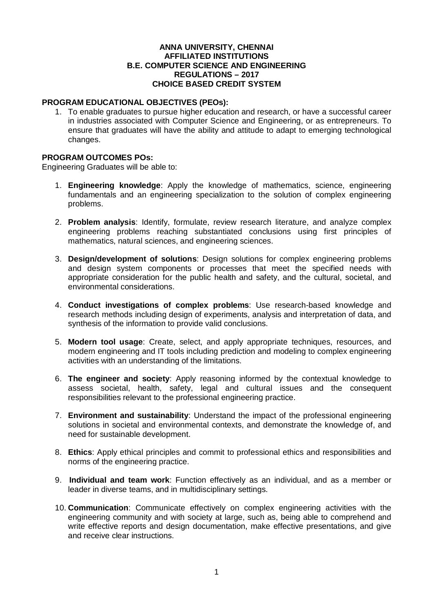#### **ANNA UNIVERSITY, CHENNAI AFFILIATED INSTITUTIONS B.E. COMPUTER SCIENCE AND ENGINEERING REGULATIONS – 2017 CHOICE BASED CREDIT SYSTEM**

#### **PROGRAM EDUCATIONAL OBJECTIVES (PEOs):**

1. To enable graduates to pursue higher education and research, or have a successful career in industries associated with Computer Science and Engineering, or as entrepreneurs. To ensure that graduates will have the ability and attitude to adapt to emerging technological changes.

#### **PROGRAM OUTCOMES POs:**

Engineering Graduates will be able to:

- 1. **Engineering knowledge**: Apply the knowledge of mathematics, science, engineering fundamentals and an engineering specialization to the solution of complex engineering problems.
- 2. **Problem analysis**: Identify, formulate, review research literature, and analyze complex engineering problems reaching substantiated conclusions using first principles of mathematics, natural sciences, and engineering sciences.
- 3. **Design/development of solutions**: Design solutions for complex engineering problems and design system components or processes that meet the specified needs with appropriate consideration for the public health and safety, and the cultural, societal, and environmental considerations.
- 4. **Conduct investigations of complex problems**: Use research-based knowledge and research methods including design of experiments, analysis and interpretation of data, and synthesis of the information to provide valid conclusions.
- 5. **Modern tool usage**: Create, select, and apply appropriate techniques, resources, and modern engineering and IT tools including prediction and modeling to complex engineering activities with an understanding of the limitations.
- 6. **The engineer and society**: Apply reasoning informed by the contextual knowledge to assess societal, health, safety, legal and cultural issues and the consequent responsibilities relevant to the professional engineering practice.
- 7. **Environment and sustainability**: Understand the impact of the professional engineering solutions in societal and environmental contexts, and demonstrate the knowledge of, and need for sustainable development.
- 8. **Ethics**: Apply ethical principles and commit to professional ethics and responsibilities and norms of the engineering practice.
- 9. **Individual and team work**: Function effectively as an individual, and as a member or leader in diverse teams, and in multidisciplinary settings.
- 10. **Communication**: Communicate effectively on complex engineering activities with the engineering community and with society at large, such as, being able to comprehend and write effective reports and design documentation, make effective presentations, and give and receive clear instructions.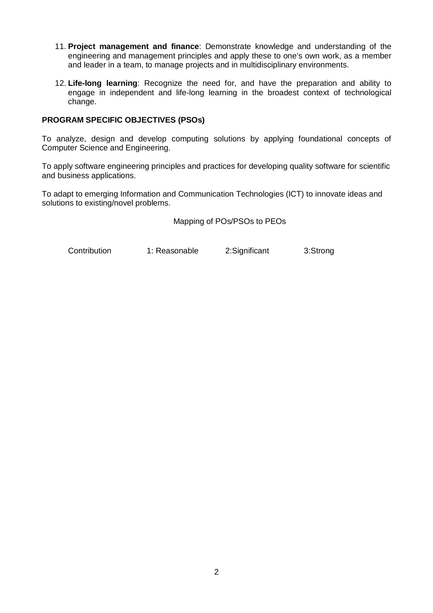- 11. **Project management and finance**: Demonstrate knowledge and understanding of the engineering and management principles and apply these to one's own work, as a member and leader in a team, to manage projects and in multidisciplinary environments.
- 12. **Life-long learning**: Recognize the need for, and have the preparation and ability to engage in independent and life-long learning in the broadest context of technological change.

#### **PROGRAM SPECIFIC OBJECTIVES (PSOs)**

To analyze, design and develop computing solutions by applying foundational concepts of Computer Science and Engineering.

To apply software engineering principles and practices for developing quality software for scientific and business applications.

To adapt to emerging Information and Communication Technologies (ICT) to innovate ideas and solutions to existing/novel problems.

Mapping of POs/PSOs to PEOs

Contribution 1: Reasonable 2:Significant 3:Strong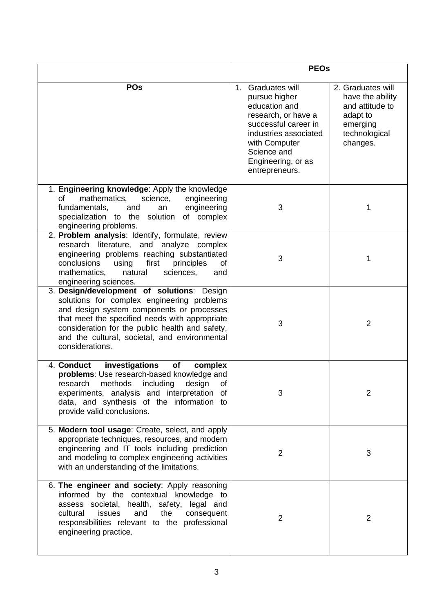|                                                                                                                                                                                                                                                                                                                | <b>PEOs</b>                                                                                                                                                                                         |                                                                                                               |  |  |  |  |  |
|----------------------------------------------------------------------------------------------------------------------------------------------------------------------------------------------------------------------------------------------------------------------------------------------------------------|-----------------------------------------------------------------------------------------------------------------------------------------------------------------------------------------------------|---------------------------------------------------------------------------------------------------------------|--|--|--|--|--|
| <b>POs</b>                                                                                                                                                                                                                                                                                                     | 1. Graduates will<br>pursue higher<br>education and<br>research, or have a<br>successful career in<br>industries associated<br>with Computer<br>Science and<br>Engineering, or as<br>entrepreneurs. | 2. Graduates will<br>have the ability<br>and attitude to<br>adapt to<br>emerging<br>technological<br>changes. |  |  |  |  |  |
| 1. Engineering knowledge: Apply the knowledge<br>mathematics,<br>of<br>science,<br>engineering<br>engineering<br>fundamentals,<br>and<br>an<br>specialization to the solution of complex<br>engineering problems.                                                                                              | 3                                                                                                                                                                                                   | 1                                                                                                             |  |  |  |  |  |
| 2. Problem analysis: Identify, formulate, review<br>research<br>literature, and analyze complex<br>engineering problems reaching substantiated<br>conclusions<br>first<br>using<br>principles<br>of<br>mathematics,<br>natural<br>sciences,<br>and<br>engineering sciences.                                    | 3                                                                                                                                                                                                   | 1                                                                                                             |  |  |  |  |  |
| 3. Design/development of solutions: Design<br>solutions for complex engineering problems<br>and design system components or processes<br>that meet the specified needs with appropriate<br>consideration for the public health and safety,<br>and the cultural, societal, and environmental<br>considerations. | 3                                                                                                                                                                                                   | $\overline{2}$                                                                                                |  |  |  |  |  |
| 4. Conduct<br>investigations<br>of<br>complex<br>problems: Use research-based knowledge and<br>including<br>research<br>methods<br>design<br>of<br>experiments, analysis and interpretation of<br>data, and synthesis of the information to<br>provide valid conclusions.                                      | 3                                                                                                                                                                                                   | $\overline{2}$                                                                                                |  |  |  |  |  |
| 5. Modern tool usage: Create, select, and apply<br>appropriate techniques, resources, and modern<br>engineering and IT tools including prediction<br>and modeling to complex engineering activities<br>with an understanding of the limitations.                                                               | $\overline{2}$                                                                                                                                                                                      | 3                                                                                                             |  |  |  |  |  |
| 6. The engineer and society: Apply reasoning<br>informed by the contextual knowledge to<br>assess societal, health, safety, legal and<br>cultural<br>issues<br>and<br>the<br>consequent<br>responsibilities relevant to the professional<br>engineering practice.                                              | $\overline{2}$                                                                                                                                                                                      | 2                                                                                                             |  |  |  |  |  |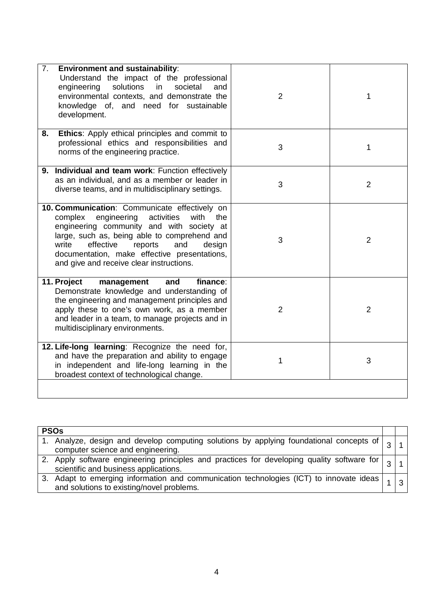| 7.<br><b>Environment and sustainability:</b><br>Understand the impact of the professional<br>solutions<br>in<br>engineering<br>societal<br>and<br>environmental contexts, and demonstrate the<br>knowledge of, and need for sustainable<br>development.                                                                                         | $\overline{2}$ | 1              |
|-------------------------------------------------------------------------------------------------------------------------------------------------------------------------------------------------------------------------------------------------------------------------------------------------------------------------------------------------|----------------|----------------|
| Ethics: Apply ethical principles and commit to<br>8.<br>professional ethics and responsibilities and<br>norms of the engineering practice.                                                                                                                                                                                                      | 3              | 1              |
| 9. Individual and team work: Function effectively<br>as an individual, and as a member or leader in<br>diverse teams, and in multidisciplinary settings.                                                                                                                                                                                        | 3              | $\overline{2}$ |
| 10. Communication: Communicate effectively on<br>engineering<br>activities<br>complex<br>with<br>the<br>engineering community and with society at<br>large, such as, being able to comprehend and<br>write<br>effective<br>reports<br>and<br>design<br>documentation, make effective presentations,<br>and give and receive clear instructions. | 3              | $\overline{2}$ |
| 11. Project<br>management<br>finance:<br>and<br>Demonstrate knowledge and understanding of<br>the engineering and management principles and<br>apply these to one's own work, as a member<br>and leader in a team, to manage projects and in<br>multidisciplinary environments.                                                                 | $\overline{2}$ | $\overline{2}$ |
| 12. Life-long learning: Recognize the need for,<br>and have the preparation and ability to engage<br>in independent and life-long learning in the<br>broadest context of technological change.                                                                                                                                                  | 1              | 3              |

| <b>PSO<sub>s</sub></b>                                                                                                                               |  |
|------------------------------------------------------------------------------------------------------------------------------------------------------|--|
| 1. Analyze, design and develop computing solutions by applying foundational concepts of $\vert_{\infty}$<br>computer science and engineering.        |  |
| 2. Apply software engineering principles and practices for developing quality software for $\vert_{\Omega}$<br>scientific and business applications. |  |
| 3. Adapt to emerging information and communication technologies (ICT) to innovate ideas $\vert$<br>and solutions to existing/novel problems.         |  |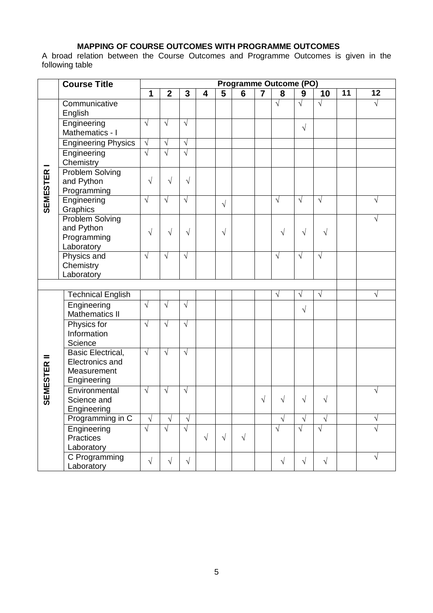# **MAPPING OF COURSE OUTCOMES WITH PROGRAMME OUTCOMES**

A broad relation between the Course Outcomes and Programme Outcomes is given in the following table

|                    | <b>Course Title</b>                                                       | <b>Programme Outcome (PO)</b> |                |                |                         |            |           |                         |            |            |            |                 |           |
|--------------------|---------------------------------------------------------------------------|-------------------------------|----------------|----------------|-------------------------|------------|-----------|-------------------------|------------|------------|------------|-----------------|-----------|
|                    |                                                                           | 1                             | $\overline{2}$ | $\overline{3}$ | $\overline{\mathbf{4}}$ | 5          | 6         | $\overline{\mathbf{7}}$ | 8          | 9          | 10         | $\overline{11}$ | 12        |
|                    | Communicative<br>English                                                  |                               |                |                |                         |            |           |                         | $\sqrt{}$  | $\sqrt{ }$ | $\sqrt{}$  |                 | $\sqrt{}$ |
|                    | Engineering<br>Mathematics - I                                            | $\sqrt{}$                     | $\sqrt{ }$     | √              |                         |            |           |                         |            | $\sqrt{ }$ |            |                 |           |
|                    | <b>Engineering Physics</b>                                                | $\sqrt{}$                     | $\sqrt{ }$     | $\sqrt{ }$     |                         |            |           |                         |            |            |            |                 |           |
|                    | Engineering<br>Chemistry                                                  | $\sqrt{ }$                    | $\sqrt{ }$     | $\sqrt{}$      |                         |            |           |                         |            |            |            |                 |           |
| <b>SEMESTER</b>    | <b>Problem Solving</b><br>and Python<br>Programming                       | $\sqrt{}$                     | $\sqrt{}$      | $\sqrt{}$      |                         |            |           |                         |            |            |            |                 |           |
|                    | Engineering<br>Graphics                                                   | $\sqrt{}$                     | $\sqrt{ }$     | $\sqrt{}$      |                         | $\sqrt{ }$ |           |                         | $\sqrt{}$  | $\sqrt{ }$ | $\sqrt{}$  |                 | V         |
|                    | Problem Solving<br>and Python<br>Programming<br>Laboratory                | $\sqrt{}$                     | $\sqrt{}$      | $\sqrt{}$      |                         | $\sqrt{}$  |           |                         | V          | $\sqrt{ }$ | $\sqrt{}$  |                 | V         |
|                    | Physics and<br>Chemistry<br>Laboratory                                    | $\sqrt{ }$                    | $\sqrt{ }$     | $\sqrt{ }$     |                         |            |           |                         | $\sqrt{ }$ | $\sqrt{ }$ | $\sqrt{ }$ |                 |           |
|                    |                                                                           |                               |                |                |                         |            |           |                         |            |            |            |                 |           |
|                    | <b>Technical English</b>                                                  |                               |                |                |                         |            |           |                         | V          | $\sqrt{}$  | V          |                 | $\sqrt{}$ |
|                    | Engineering<br><b>Mathematics II</b>                                      | $\sqrt{ }$                    | $\sqrt{}$      | $\sqrt{}$      |                         |            |           |                         |            | $\sqrt{}$  |            |                 |           |
|                    | Physics for<br>Information<br>Science                                     | $\sqrt{}$                     | $\sqrt{ }$     | V              |                         |            |           |                         |            |            |            |                 |           |
| <b>SEMESTER II</b> | <b>Basic Electrical,</b><br>Electronics and<br>Measurement<br>Engineering | $\sqrt{}$                     | $\sqrt{ }$     | V              |                         |            |           |                         |            |            |            |                 |           |
|                    | Environmental<br>Science and<br>Engineering                               | $\sqrt{ }$                    | $\sqrt{ }$     | $\sqrt{}$      |                         |            |           | $\sqrt{}$               | $\sqrt{}$  | $\sqrt{}$  | $\sqrt{}$  |                 | $\sqrt{}$ |
|                    | Programming in C                                                          | $\sqrt{}$                     | $\sqrt{}$      | $\sqrt{ }$     |                         |            |           |                         | $\sqrt{ }$ | $\sqrt{}$  | $\sqrt{}$  |                 | $\sqrt{}$ |
|                    | Engineering<br><b>Practices</b><br>Laboratory                             | $\sqrt{}$                     | $\sqrt{ }$     | $\sqrt{ }$     | $\sqrt{ }$              | $\sqrt{ }$ | $\sqrt{}$ |                         | $\sqrt{ }$ | $\sqrt{ }$ | $\sqrt{}$  |                 | $\sqrt{}$ |
|                    | C Programming<br>Laboratory                                               | $\sqrt{}$                     | $\sqrt{ }$     | $\sqrt{ }$     |                         |            |           |                         | $\sqrt{}$  | $\sqrt{}$  | $\sqrt{}$  |                 | $\sqrt{}$ |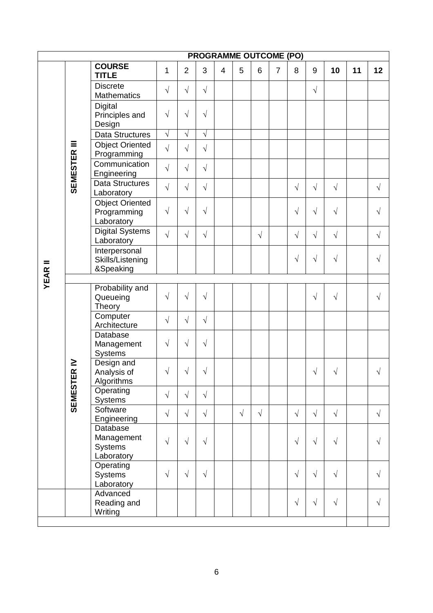| <b>PROGRAMME OUTCOME (PO)</b> |                           |                                                        |            |                |            |                |           |            |                |            |            |            |    |            |
|-------------------------------|---------------------------|--------------------------------------------------------|------------|----------------|------------|----------------|-----------|------------|----------------|------------|------------|------------|----|------------|
|                               |                           | <b>COURSE</b><br><b>TITLE</b>                          | 1          | $\overline{2}$ | 3          | $\overline{4}$ | 5         | 6          | $\overline{7}$ | 8          | 9          | 10         | 11 | 12         |
|                               |                           | <b>Discrete</b><br><b>Mathematics</b>                  | $\sqrt{ }$ | $\sqrt{ }$     | $\sqrt{ }$ |                |           |            |                |            | $\sqrt{ }$ |            |    |            |
|                               |                           | <b>Digital</b><br>Principles and<br>Design             | $\sqrt{ }$ | $\sqrt{ }$     | $\sqrt{}$  |                |           |            |                |            |            |            |    |            |
|                               |                           | <b>Data Structures</b>                                 | $\sqrt{}$  | $\sqrt{ }$     | $\sqrt{ }$ |                |           |            |                |            |            |            |    |            |
|                               | Ξ                         | <b>Object Oriented</b><br>Programming                  | $\sqrt{ }$ | $\sqrt{ }$     | $\sqrt{ }$ |                |           |            |                |            |            |            |    |            |
|                               | <b>SEMESTER</b>           | Communication<br>Engineering                           | $\sqrt{ }$ | $\sqrt{ }$     | $\sqrt{ }$ |                |           |            |                |            |            |            |    |            |
|                               |                           | Data Structures<br>Laboratory                          | $\sqrt{ }$ | $\sqrt{ }$     | $\sqrt{}$  |                |           |            |                | $\sqrt{ }$ | $\sqrt{ }$ | $\sqrt{ }$ |    | $\sqrt{}$  |
| <b>YEAR II</b>                |                           | <b>Object Oriented</b><br>Programming<br>Laboratory    | $\sqrt{ }$ | $\sqrt{ }$     | $\sqrt{}$  |                |           |            |                | $\sqrt{}$  | $\sqrt{ }$ | $\sqrt{}$  |    | $\sqrt{}$  |
|                               |                           | <b>Digital Systems</b><br>Laboratory                   | $\sqrt{ }$ | $\sqrt{ }$     | $\sqrt{ }$ |                |           | $\sqrt{ }$ |                | $\sqrt{ }$ | $\sqrt{ }$ | $\sqrt{ }$ |    | $\sqrt{ }$ |
|                               |                           | Interpersonal<br>Skills/Listening<br>&Speaking         |            |                |            |                |           |            |                | $\sqrt{}$  | $\sqrt{ }$ | $\sqrt{}$  |    | $\sqrt{}$  |
|                               |                           |                                                        |            |                |            |                |           |            |                |            |            |            |    |            |
|                               |                           | Probability and<br>Queueing<br>Theory                  | $\sqrt{ }$ | $\sqrt{ }$     | $\sqrt{}$  |                |           |            |                |            | $\sqrt{ }$ | $\sqrt{}$  |    | $\sqrt{ }$ |
|                               |                           | Computer<br>Architecture                               | $\sqrt{}$  | $\sqrt{ }$     | $\sqrt{ }$ |                |           |            |                |            |            |            |    |            |
|                               |                           | Database<br>Management<br>Systems                      | $\sqrt{ }$ | $\sqrt{ }$     | $\sqrt{}$  |                |           |            |                |            |            |            |    |            |
|                               | $\geq$<br><b>SEMESTER</b> | Design and<br>Analysis of<br>Algorithms                | $\sqrt{ }$ | $\sqrt{}$      | $\sqrt{}$  |                |           |            |                |            | $\sqrt{ }$ | $\sqrt{}$  |    | $\sqrt{}$  |
|                               |                           | Operating<br>Systems                                   | $\sqrt{ }$ | $\sqrt{ }$     | $\sqrt{}$  |                |           |            |                |            |            |            |    |            |
|                               |                           | Software<br>Engineering                                | $\sqrt{ }$ | $\sqrt{ }$     | $\sqrt{ }$ |                | $\sqrt{}$ | $\sqrt{ }$ |                | $\sqrt{}$  | $\sqrt{ }$ | $\sqrt{ }$ |    | $\sqrt{ }$ |
|                               |                           | Database<br>Management<br><b>Systems</b><br>Laboratory | $\sqrt{ }$ | $\sqrt{ }$     | $\sqrt{ }$ |                |           |            |                | $\sqrt{}$  | $\sqrt{ }$ | $\sqrt{}$  |    | $\sqrt{}$  |
|                               |                           | Operating<br>Systems<br>Laboratory                     | $\sqrt{ }$ | $\sqrt{ }$     | $\sqrt{ }$ |                |           |            |                | $\sqrt{ }$ | $\sqrt{ }$ | $\sqrt{}$  |    | $\sqrt{}$  |
|                               |                           | Advanced<br>Reading and<br>Writing                     |            |                |            |                |           |            |                | $\sqrt{}$  | $\sqrt{ }$ | $\sqrt{}$  |    | $\sqrt{ }$ |
|                               |                           |                                                        |            |                |            |                |           |            |                |            |            |            |    |            |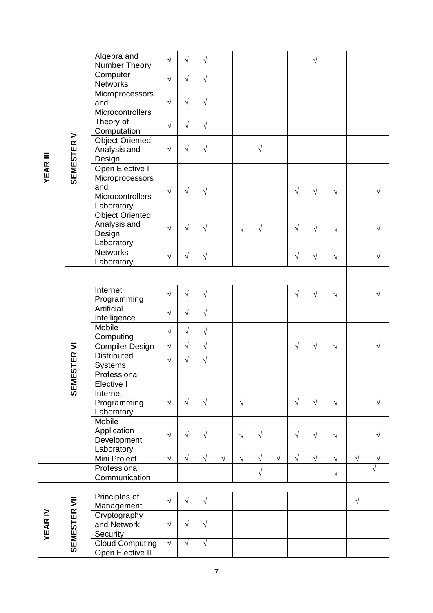|                 |                  | Algebra and<br>Number Theory  | $\sqrt{}$  | $\sqrt{}$  | $\sqrt{}$  |           |            |            |            |            | $\sqrt{}$  |            |            |            |
|-----------------|------------------|-------------------------------|------------|------------|------------|-----------|------------|------------|------------|------------|------------|------------|------------|------------|
|                 |                  | Computer                      |            |            |            |           |            |            |            |            |            |            |            |            |
|                 |                  | <b>Networks</b>               | $\sqrt{}$  | $\sqrt{}$  | $\sqrt{}$  |           |            |            |            |            |            |            |            |            |
|                 |                  | Microprocessors               |            |            |            |           |            |            |            |            |            |            |            |            |
|                 |                  | and                           | $\sqrt{}$  | $\sqrt{}$  | $\sqrt{ }$ |           |            |            |            |            |            |            |            |            |
|                 |                  | Microcontrollers              |            |            |            |           |            |            |            |            |            |            |            |            |
|                 |                  | Theory of<br>Computation      | $\sqrt{}$  | $\sqrt{ }$ | $\sqrt{}$  |           |            |            |            |            |            |            |            |            |
|                 |                  | Object Oriented               |            |            |            |           |            |            |            |            |            |            |            |            |
|                 |                  | Analysis and                  | $\sqrt{ }$ | $\sqrt{}$  | $\sqrt{}$  |           |            | $\sqrt{ }$ |            |            |            |            |            |            |
| <b>YEAR III</b> | <b>SEMESTERV</b> | Design                        |            |            |            |           |            |            |            |            |            |            |            |            |
|                 |                  | Open Elective I               |            |            |            |           |            |            |            |            |            |            |            |            |
|                 |                  | Microprocessors<br>and        |            |            |            |           |            |            |            |            |            |            |            |            |
|                 |                  | Microcontrollers              | $\sqrt{}$  | $\sqrt{}$  | $\sqrt{}$  |           |            |            |            | $\sqrt{}$  | $\sqrt{ }$ | $\sqrt{}$  |            | $\sqrt{}$  |
|                 |                  | Laboratory                    |            |            |            |           |            |            |            |            |            |            |            |            |
|                 |                  | Object Oriented               |            |            |            |           |            |            |            |            |            |            |            |            |
|                 |                  | Analysis and                  | $\sqrt{}$  | $\sqrt{}$  | $\sqrt{}$  |           | $\sqrt{ }$ | $\sqrt{}$  |            | $\sqrt{}$  | $\sqrt{ }$ | $\sqrt{}$  |            | $\sqrt{}$  |
|                 |                  | Design                        |            |            |            |           |            |            |            |            |            |            |            |            |
|                 |                  | Laboratory<br><b>Networks</b> |            |            |            |           |            |            |            |            |            |            |            |            |
|                 |                  | Laboratory                    | $\sqrt{}$  | $\sqrt{}$  | $\sqrt{}$  |           |            |            |            | $\sqrt{}$  | $\sqrt{}$  | $\sqrt{ }$ |            | $\sqrt{ }$ |
|                 |                  |                               |            |            |            |           |            |            |            |            |            |            |            |            |
|                 |                  |                               |            |            |            |           |            |            |            |            |            |            |            |            |
|                 |                  | Internet                      | $\sqrt{}$  | $\sqrt{}$  | $\sqrt{}$  |           |            |            |            | $\sqrt{ }$ | $\sqrt{ }$ | $\sqrt{}$  |            | $\sqrt{ }$ |
|                 |                  | Programming<br>Artificial     |            |            |            |           |            |            |            |            |            |            |            |            |
|                 |                  | Intelligence                  | $\sqrt{}$  | $\sqrt{2}$ | $\sqrt{}$  |           |            |            |            |            |            |            |            |            |
|                 |                  | Mobile                        | $\sqrt{}$  | $\sqrt{}$  | $\sqrt{ }$ |           |            |            |            |            |            |            |            |            |
|                 |                  | Computing                     |            |            |            |           |            |            |            |            |            |            |            |            |
|                 |                  | <b>Compiler Design</b>        | $\sqrt{}$  | $\sqrt{ }$ | $\sqrt{}$  |           |            |            |            | $\sqrt{}$  | $\sqrt{ }$ | $\sqrt{}$  |            | $\sqrt{ }$ |
|                 | ESTER VI         | <b>Distributed</b>            | $\sqrt{ }$ | $\sqrt{}$  | $\sqrt{ }$ |           |            |            |            |            |            |            |            |            |
|                 |                  | Systems<br>Professional       |            |            |            |           |            |            |            |            |            |            |            |            |
|                 | SEME             | Elective I                    |            |            |            |           |            |            |            |            |            |            |            |            |
|                 |                  | Internet                      |            |            |            |           |            |            |            |            |            |            |            |            |
|                 |                  | Programming                   | $\sqrt{}$  | $\sqrt{}$  | $\sqrt{ }$ |           | $\sqrt{ }$ |            |            | $\sqrt{ }$ | $\sqrt{ }$ | $\sqrt{ }$ |            | $\sqrt{ }$ |
|                 |                  | Laboratory<br>Mobile          |            |            |            |           |            |            |            |            |            |            |            |            |
|                 |                  | Application                   |            |            |            |           |            |            |            |            |            |            |            |            |
|                 |                  | Development                   | $\sqrt{}$  | $\sqrt{}$  | $\sqrt{}$  |           | $\sqrt{ }$ | $\sqrt{}$  |            | $\sqrt{}$  | $\sqrt{ }$ | $\sqrt{}$  |            | $\sqrt{}$  |
|                 |                  | Laboratory                    |            |            |            |           |            |            |            |            |            |            |            |            |
|                 |                  | Mini Project                  | $\sqrt{ }$ | $\sqrt{}$  | $\sqrt{}$  | $\sqrt{}$ | $\sqrt{}$  | $\sqrt{}$  | $\sqrt{ }$ | $\sqrt{}$  | $\sqrt{ }$ | $\sqrt{}$  | $\sqrt{}$  | $\sqrt{ }$ |
|                 |                  | Professional                  |            |            |            |           |            | $\sqrt{}$  |            |            |            | $\sqrt{}$  |            | $\sqrt{}$  |
|                 |                  | Communication                 |            |            |            |           |            |            |            |            |            |            |            |            |
|                 |                  | Principles of                 |            |            |            |           |            |            |            |            |            |            |            |            |
|                 | SEMESTER VII     | Management                    | $\sqrt{}$  | $\sqrt{ }$ | $\sqrt{}$  |           |            |            |            |            |            |            | $\sqrt{ }$ |            |
|                 |                  | Cryptography                  |            |            |            |           |            |            |            |            |            |            |            |            |
| <b>YEAR IV</b>  |                  | and Network                   | $\sqrt{}$  | $\sqrt{}$  | $\sqrt{ }$ |           |            |            |            |            |            |            |            |            |
|                 |                  | Security                      |            |            |            |           |            |            |            |            |            |            |            |            |
|                 |                  | <b>Cloud Computing</b>        | $\sqrt{}$  | $\sqrt{}$  | $\sqrt{}$  |           |            |            |            |            |            |            |            |            |
|                 |                  | Open Elective II              |            |            |            |           |            |            |            |            |            |            |            |            |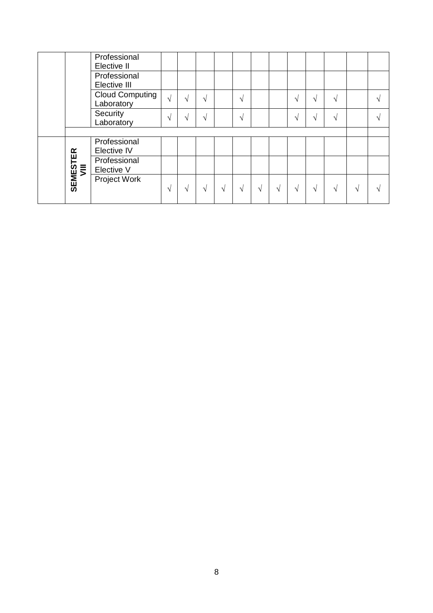|                         | Professional<br>Elective II          |            |               |            |   |           |   |   |        |               |            |   |
|-------------------------|--------------------------------------|------------|---------------|------------|---|-----------|---|---|--------|---------------|------------|---|
|                         | Professional<br>Elective III         |            |               |            |   |           |   |   |        |               |            |   |
|                         | <b>Cloud Computing</b><br>Laboratory | $\sqrt{ }$ | $\sqrt{ }$    | V          |   | $\sqrt{}$ |   |   |        | N             |            | ٦ |
|                         | Security<br>Laboratory               | $\sqrt{ }$ | $\mathcal{N}$ | $\sqrt{ }$ |   | $\sqrt{}$ |   |   | $\sim$ | N             |            | 1 |
|                         |                                      |            |               |            |   |           |   |   |        |               |            |   |
|                         | Professional                         |            |               |            |   |           |   |   |        |               |            |   |
|                         | Elective IV                          |            |               |            |   |           |   |   |        |               |            |   |
|                         | Professional<br>Elective V           |            |               |            |   |           |   |   |        |               |            |   |
| <b>SEMESTER</b><br>VIII | Project Work                         | V          | $\sqrt{ }$    | V          | V | V         | V | N |        | $\mathcal{N}$ | $\sqrt{ }$ |   |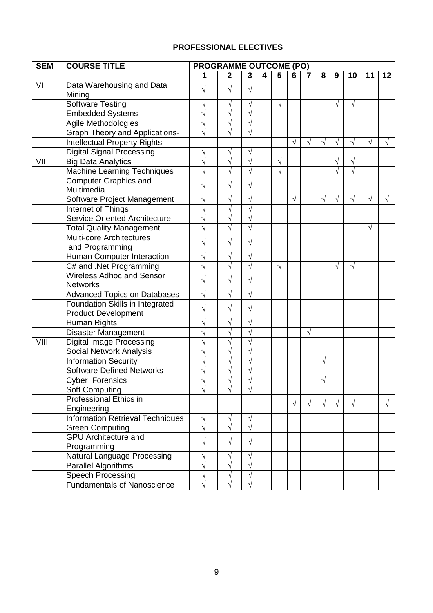# **PROFESSIONAL ELECTIVES**

| <b>SEM</b> | <b>COURSE TITLE</b>                     | <b>PROGRAMME OUTCOME (PO)</b> |                |              |                         |                |            |                |            |            |            |            |            |
|------------|-----------------------------------------|-------------------------------|----------------|--------------|-------------------------|----------------|------------|----------------|------------|------------|------------|------------|------------|
|            |                                         | 1                             | $\overline{2}$ | $\mathbf{3}$ | $\overline{\mathbf{4}}$ | $\overline{5}$ | 6          | $\overline{7}$ | 8          | 9          | 10         | 11         | 12         |
| VI         | Data Warehousing and Data               | $\sqrt{}$                     | $\sqrt{}$      | $\sqrt{ }$   |                         |                |            |                |            |            |            |            |            |
|            | Mining                                  |                               |                |              |                         |                |            |                |            |            |            |            |            |
|            | <b>Software Testing</b>                 | $\sqrt{}$                     | $\sqrt{}$      | $\sqrt{ }$   |                         | $\sqrt{ }$     |            |                |            | $\sqrt{ }$ | $\sqrt{}$  |            |            |
|            | <b>Embedded Systems</b>                 | $\sqrt{2}$                    | $\sqrt{}$      | $\sqrt{ }$   |                         |                |            |                |            |            |            |            |            |
|            | Agile Methodologies                     | $\sqrt{}$                     | $\sqrt{}$      | $\sqrt{}$    |                         |                |            |                |            |            |            |            |            |
|            | <b>Graph Theory and Applications-</b>   | $\sqrt{}$                     | $\sqrt{}$      | $\sqrt{ }$   |                         |                |            |                |            |            |            |            |            |
|            | <b>Intellectual Property Rights</b>     |                               |                |              |                         |                | $\sqrt{}$  | $\sqrt{}$      | $\sqrt{}$  | $\sqrt{ }$ | $\sqrt{}$  | $\sqrt{}$  | $\sqrt{}$  |
|            | <b>Digital Signal Processing</b>        | $\sqrt{}$                     | $\sqrt{}$      | $\sqrt{}$    |                         |                |            |                |            |            |            |            |            |
| VII        | <b>Big Data Analytics</b>               | $\sqrt{}$                     | $\sqrt{}$      | $\sqrt{ }$   |                         | $\sqrt{ }$     |            |                |            | $\sqrt{}$  | $\sqrt{}$  |            |            |
|            | <b>Machine Learning Techniques</b>      | $\sqrt{}$                     | $\sqrt{}$      | $\sqrt{ }$   |                         | $\sqrt{ }$     |            |                |            | $\sqrt{}$  | $\sqrt{}$  |            |            |
|            | <b>Computer Graphics and</b>            | $\sqrt{}$                     | V              | $\sqrt{}$    |                         |                |            |                |            |            |            |            |            |
|            | Multimedia                              |                               |                |              |                         |                |            |                |            |            |            |            |            |
|            | Software Project Management             | $\sqrt{}$                     | $\sqrt{}$      | $\sqrt{}$    |                         |                | $\sqrt{}$  |                | $\sqrt{}$  | $\sqrt{ }$ | $\sqrt{}$  | $\sqrt{ }$ |            |
|            | Internet of Things                      | $\sqrt{}$                     | $\sqrt{}$      | $\sqrt{}$    |                         |                |            |                |            |            |            |            |            |
|            | <b>Service Oriented Architecture</b>    | $\sqrt{}$                     | $\sqrt{}$      | $\sqrt{}$    |                         |                |            |                |            |            |            |            |            |
|            | <b>Total Quality Management</b>         | $\sqrt{}$                     | $\sqrt{}$      | $\sqrt{}$    |                         |                |            |                |            |            |            | $\sqrt{}$  |            |
|            | <b>Multi-core Architectures</b>         | $\sqrt{}$                     | $\sqrt{}$      | $\sqrt{}$    |                         |                |            |                |            |            |            |            |            |
|            | and Programming                         |                               |                |              |                         |                |            |                |            |            |            |            |            |
|            | Human Computer Interaction              | $\sqrt{}$                     | V              | $\sqrt{}$    |                         |                |            |                |            |            |            |            |            |
|            | C# and .Net Programming                 | $\sqrt{}$                     | $\sqrt{}$      | $\sqrt{}$    |                         | $\sqrt{ }$     |            |                |            | $\sqrt{}$  | $\sqrt{}$  |            |            |
|            | <b>Wireless Adhoc and Sensor</b>        | $\sqrt{}$                     | $\sqrt{}$      | $\sqrt{ }$   |                         |                |            |                |            |            |            |            |            |
|            | <b>Networks</b>                         |                               |                |              |                         |                |            |                |            |            |            |            |            |
|            | <b>Advanced Topics on Databases</b>     | $\sqrt{}$                     | $\sqrt{}$      | $\sqrt{ }$   |                         |                |            |                |            |            |            |            |            |
|            | Foundation Skills in Integrated         | $\sqrt{}$                     | $\sqrt{}$      | $\sqrt{}$    |                         |                |            |                |            |            |            |            |            |
|            | <b>Product Development</b>              |                               |                |              |                         |                |            |                |            |            |            |            |            |
|            | Human Rights                            | $\sqrt{}$                     | V              | $\sqrt{}$    |                         |                |            |                |            |            |            |            |            |
|            | Disaster Management                     | $\sqrt{}$                     | $\sqrt{}$      | $\sqrt{}$    |                         |                |            | $\sqrt{}$      |            |            |            |            |            |
| VIII       | <b>Digital Image Processing</b>         | $\sqrt{}$                     | $\sqrt{}$      | $\sqrt{ }$   |                         |                |            |                |            |            |            |            |            |
|            | Social Network Analysis                 | $\sqrt{}$                     | $\sqrt{}$      | $\sqrt{ }$   |                         |                |            |                |            |            |            |            |            |
|            | <b>Information Security</b>             | $\sqrt{}$                     | $\sqrt{}$      | $\sqrt{ }$   |                         |                |            |                | $\sqrt{}$  |            |            |            |            |
|            | <b>Software Defined Networks</b>        | $\sqrt{}$                     | $\sqrt{}$      | $\sqrt{}$    |                         |                |            |                |            |            |            |            |            |
|            | Cyber Forensics                         | $\sqrt{2}$                    |                |              |                         |                |            |                | $\sqrt{}$  |            |            |            |            |
|            | <b>Soft Computing</b>                   | $\sqrt{}$                     | V              | $\sqrt{}$    |                         |                |            |                |            |            |            |            |            |
|            | <b>Professional Ethics in</b>           |                               |                |              |                         |                | $\sqrt{ }$ | $\sqrt{ }$     | $\sqrt{ }$ | $\sqrt{ }$ | $\sqrt{ }$ |            | $\sqrt{ }$ |
|            | Engineering                             |                               |                |              |                         |                |            |                |            |            |            |            |            |
|            | <b>Information Retrieval Techniques</b> | $\sqrt{}$                     | V              | $\sqrt{ }$   |                         |                |            |                |            |            |            |            |            |
|            | <b>Green Computing</b>                  | $\sqrt{}$                     | $\sqrt{}$      | $\sqrt{ }$   |                         |                |            |                |            |            |            |            |            |
|            | <b>GPU</b> Architecture and             | $\sqrt{}$                     | $\sqrt{}$      | $\sqrt{ }$   |                         |                |            |                |            |            |            |            |            |
|            | Programming                             |                               |                |              |                         |                |            |                |            |            |            |            |            |
|            | <b>Natural Language Processing</b>      | $\sqrt{}$                     | $\sqrt{}$      | $\sqrt{ }$   |                         |                |            |                |            |            |            |            |            |
|            | Parallel Algorithms                     | $\sqrt{}$                     | $\sqrt{}$      | $\sqrt{}$    |                         |                |            |                |            |            |            |            |            |
|            | <b>Speech Processing</b>                | $\sqrt{}$                     | V              | V            |                         |                |            |                |            |            |            |            |            |
|            | <b>Fundamentals of Nanoscience</b>      | $\sqrt{}$                     | $\sqrt{}$      |              |                         |                |            |                |            |            |            |            |            |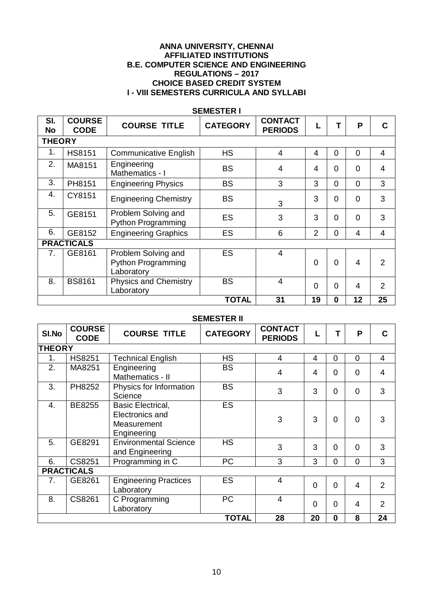#### **ANNA UNIVERSITY, CHENNAI AFFILIATED INSTITUTIONS B.E. COMPUTER SCIENCE AND ENGINEERING REGULATIONS – 2017 CHOICE BASED CREDIT SYSTEM I - VIII SEMESTERS CURRICULA AND SYLLABI**

| SI.<br><b>No</b> | <b>COURSE</b><br><b>CODE</b> | <b>COURSE TITLE</b>                                            | <b>CATEGORY</b> | <b>CONTACT</b><br><b>PERIODS</b> |                |                | P           | C              |
|------------------|------------------------------|----------------------------------------------------------------|-----------------|----------------------------------|----------------|----------------|-------------|----------------|
| <b>THEORY</b>    |                              |                                                                |                 |                                  |                |                |             |                |
| 1.               | <b>HS8151</b>                | <b>Communicative English</b>                                   | <b>HS</b>       | $\overline{4}$                   | 4              | $\overline{0}$ | $\mathbf 0$ | 4              |
| 2.               | MA8151                       | Engineering<br>Mathematics - I                                 | <b>BS</b>       | 4                                | 4              | $\overline{0}$ | 0           | 4              |
| 3.               | PH8151                       | <b>Engineering Physics</b>                                     | <b>BS</b>       | 3                                | 3              | $\overline{0}$ | $\Omega$    | 3              |
| 4.               | CY8151                       | <b>Engineering Chemistry</b>                                   | <b>BS</b>       | 3                                | 3              | $\overline{0}$ | 0           | 3              |
| 5.               | GE8151                       | Problem Solving and<br><b>Python Programming</b>               | ES              | 3                                | 3              | $\Omega$       | 0           | 3              |
| 6.               | GE8152                       | <b>Engineering Graphics</b>                                    | ES              | 6                                | $\overline{2}$ | 0              | 4           | 4              |
|                  | <b>PRACTICALS</b>            |                                                                |                 |                                  |                |                |             |                |
| 7 <sub>1</sub>   | GE8161                       | Problem Solving and<br><b>Python Programming</b><br>Laboratory | <b>ES</b>       | $\overline{4}$                   | $\Omega$       | $\Omega$       | 4           | $\mathcal{P}$  |
| 8.               | <b>BS8161</b>                | <b>Physics and Chemistry</b><br>Laboratory                     | <b>BS</b>       | $\overline{4}$                   | $\overline{0}$ | $\overline{0}$ | 4           | $\overline{2}$ |
|                  |                              |                                                                | <b>TOTAL</b>    | 31                               | 19             | $\bf{0}$       | 12          | 25             |

#### **SEMESTER I**

#### **SEMESTER II**

| SI.No         | <b>COURSE</b><br><b>CODE</b> | <b>COURSE TITLE</b>                                                | <b>CATEGORY</b> | <b>CONTACT</b><br><b>PERIODS</b> | L              | т              | P              | C              |
|---------------|------------------------------|--------------------------------------------------------------------|-----------------|----------------------------------|----------------|----------------|----------------|----------------|
| <b>THEORY</b> |                              |                                                                    |                 |                                  |                |                |                |                |
| 1.            | <b>HS8251</b>                | <b>Technical English</b>                                           | <b>HS</b>       | $\overline{4}$                   | 4              | 0              | $\overline{0}$ | 4              |
| 2.            | MA8251                       | Engineering<br>Mathematics - II                                    | <b>BS</b>       | $\overline{4}$                   | 4              | $\Omega$       | $\Omega$       | 4              |
| 3.            | PH8252                       | Physics for Information<br>Science                                 | <b>BS</b>       | 3                                | 3              | 0              | $\overline{0}$ | 3              |
| 4.            | BE8255                       | Basic Electrical,<br>Electronics and<br>Measurement<br>Engineering | <b>ES</b>       | 3                                | 3              | 0              | $\Omega$       | 3              |
| 5.            | GE8291                       | <b>Environmental Science</b><br>and Engineering                    | <b>HS</b>       | 3                                | 3              | 0              | $\Omega$       | 3              |
| 6.            | CS8251                       | Programming in C                                                   | PC              | 3                                | 3              | 0              | 0              | 3              |
|               | <b>PRACTICALS</b>            |                                                                    |                 |                                  |                |                |                |                |
| 7.            | GE8261                       | <b>Engineering Practices</b><br>Laboratory                         | ES              | $\overline{4}$                   | $\overline{0}$ | $\overline{0}$ | 4              | $\overline{2}$ |
| 8.            | CS8261                       | C Programming<br>Laboratory                                        | PC              | $\overline{4}$                   | $\Omega$       | $\Omega$       | 4              | $\overline{2}$ |
|               |                              |                                                                    | <b>TOTAL</b>    | 28                               | 20             | $\mathbf 0$    | 8              | 24             |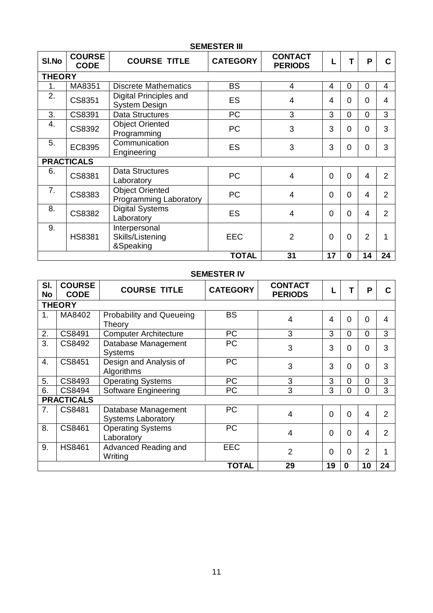|               | <b>SEMESTER III</b>          |                                                  |                 |                                  |                 |          |                |                |  |  |  |  |  |  |
|---------------|------------------------------|--------------------------------------------------|-----------------|----------------------------------|-----------------|----------|----------------|----------------|--|--|--|--|--|--|
| SI.No         | <b>COURSE</b><br><b>CODE</b> | <b>COURSE TITLE</b>                              | <b>CATEGORY</b> | <b>CONTACT</b><br><b>PERIODS</b> |                 | т        | P              | C              |  |  |  |  |  |  |
| <b>THEORY</b> |                              |                                                  |                 |                                  |                 |          |                |                |  |  |  |  |  |  |
| 1.            | MA8351                       | <b>Discrete Mathematics</b>                      | <b>BS</b>       | $\overline{4}$                   | 4               | 0        | 0              | 4              |  |  |  |  |  |  |
| 2.            | CS8351                       | Digital Principles and<br><b>System Design</b>   | <b>ES</b>       | $\overline{4}$                   | 4               | 0        | $\Omega$       | 4              |  |  |  |  |  |  |
| 3.            | CS8391                       | <b>Data Structures</b>                           | <b>PC</b>       | 3                                | 3               | $\Omega$ | $\Omega$       | 3              |  |  |  |  |  |  |
| 4.            | CS8392                       | <b>Object Oriented</b><br>Programming            | <b>PC</b>       | 3                                | 3               | 0        | $\Omega$       | 3              |  |  |  |  |  |  |
| 5.            | EC8395                       | Communication<br>Engineering                     | ES              | 3                                | 3               | 0        | $\Omega$       | 3              |  |  |  |  |  |  |
|               | <b>PRACTICALS</b>            |                                                  |                 |                                  |                 |          |                |                |  |  |  |  |  |  |
| 6.            | CS8381                       | <b>Data Structures</b><br>Laboratory             | <b>PC</b>       | $\overline{4}$                   | $\overline{0}$  | $\Omega$ | 4              | 2              |  |  |  |  |  |  |
| 7.            | CS8383                       | <b>Object Oriented</b><br>Programming Laboratory | <b>PC</b>       | 4                                | $\Omega$        | 0        | 4              | $\mathfrak{p}$ |  |  |  |  |  |  |
| 8.            | CS8382                       | <b>Digital Systems</b><br>Laboratory             | ES              | 4                                | $\overline{0}$  | O        | 4              | $\overline{2}$ |  |  |  |  |  |  |
| 9.            | <b>HS8381</b>                | Interpersonal<br>Skills/Listening<br>&Speaking   | <b>EEC</b>      | $\overline{2}$                   | $\Omega$        | 0        | $\overline{2}$ |                |  |  |  |  |  |  |
|               |                              |                                                  | <b>TOTAL</b>    | 31                               | $\overline{17}$ | 0        | 14             | 24             |  |  |  |  |  |  |

# **SEMESTER IV**

| SI.<br><b>No</b> | <b>COURSE</b><br><b>CODE</b> | <b>COURSE TITLE</b>                              | <b>CATEGORY</b> | <b>CONTACT</b><br><b>PERIODS</b> |          |          | P              |                |  |  |  |  |
|------------------|------------------------------|--------------------------------------------------|-----------------|----------------------------------|----------|----------|----------------|----------------|--|--|--|--|
|                  | <b>THEORY</b>                |                                                  |                 |                                  |          |          |                |                |  |  |  |  |
| 1.               | MA8402                       | <b>Probability and Queueing</b><br>Theory        | <b>BS</b>       | $\overline{4}$                   | 4        | 0        | $\Omega$       | 4              |  |  |  |  |
| 2.               | CS8491                       | <b>Computer Architecture</b>                     | <b>PC</b>       | 3                                | 3        | $\Omega$ | 0              | 3              |  |  |  |  |
| 3.               | CS8492                       | Database Management<br><b>Systems</b>            | <b>PC</b>       | 3                                | 3        | 0        | 0              | 3              |  |  |  |  |
| 4.               | CS8451                       | Design and Analysis of<br>Algorithms             | <b>PC</b>       | 3                                | 3        | O        | $\Omega$       | 3              |  |  |  |  |
| 5.               | CS8493                       | <b>Operating Systems</b>                         | <b>PC</b>       | 3                                | 3        | 0        | 0              | 3              |  |  |  |  |
| 6.               | CS8494                       | <b>Software Engineering</b>                      | <b>PC</b>       | 3                                | 3        | 0        | 0              | 3              |  |  |  |  |
|                  | <b>PRACTICALS</b>            |                                                  |                 |                                  |          |          |                |                |  |  |  |  |
| 7.               | CS8481                       | Database Management<br><b>Systems Laboratory</b> | <b>PC</b>       | $\overline{4}$                   | $\Omega$ | 0        | 4              | $\overline{2}$ |  |  |  |  |
| 8.               | CS8461                       | <b>Operating Systems</b><br>Laboratory           | <b>PC</b>       | 4                                | $\Omega$ | 0        | 4              | 2              |  |  |  |  |
| 9.               | <b>HS8461</b>                | Advanced Reading and<br>Writing                  | <b>EEC</b>      | $\overline{2}$                   | $\Omega$ | 0        | $\overline{2}$ | 1              |  |  |  |  |
|                  |                              |                                                  | <b>TOTAL</b>    | 29                               | 19       | $\bf{0}$ | 10             | 24             |  |  |  |  |

# 11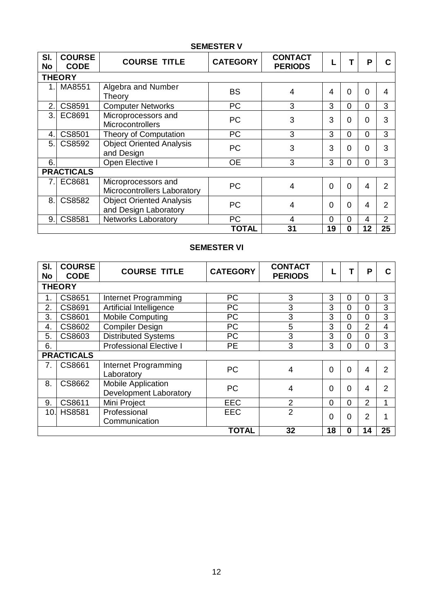| SI.<br><b>No</b>               | <b>COURSE</b><br><b>CODE</b> | <b>COURSE TITLE</b>                                      | <b>CATEGORY</b> | <b>CONTACT</b><br><b>PERIODS</b> |                |          | P        |                |  |  |
|--------------------------------|------------------------------|----------------------------------------------------------|-----------------|----------------------------------|----------------|----------|----------|----------------|--|--|
|                                | <b>THEORY</b>                |                                                          |                 |                                  |                |          |          |                |  |  |
|                                | MA8551                       | Algebra and Number<br>Theory                             | <b>BS</b>       | 4                                | 4              | 0        | 0        | 4              |  |  |
| 2.1                            | CS8591                       | <b>Computer Networks</b>                                 | PC              | 3                                | 3              | $\Omega$ | $\Omega$ | 3              |  |  |
| 3.1                            | EC8691                       | Microprocessors and<br><b>Microcontrollers</b>           | <b>PC</b>       | 3                                | 3              | O        | 0        | 3              |  |  |
| 4.                             | CS8501                       | Theory of Computation                                    | PC              | 3                                | 3              | 0        | $\Omega$ | 3              |  |  |
| 5                              | CS8592                       | <b>Object Oriented Analysis</b><br>and Design            | <b>PC</b>       | 3                                | 3              | ი        | 0        | 3              |  |  |
| 6.                             |                              | Open Elective I                                          | <b>OE</b>       | 3                                | 3              | 0        | $\Omega$ | 3              |  |  |
|                                | <b>PRACTICALS</b>            |                                                          |                 |                                  |                |          |          |                |  |  |
| $7_{\scriptscriptstyle{\sim}}$ | EC8681                       | Microprocessors and<br>Microcontrollers Laboratory       | <b>PC</b>       | 4                                | $\overline{0}$ | $\Omega$ | 4        | $\overline{2}$ |  |  |
| 8                              | CS8582                       | <b>Object Oriented Analysis</b><br>and Design Laboratory | <b>PC</b>       | 4                                | $\Omega$       | 0        | 4        | 2              |  |  |
| 9.1                            | CS8581                       | <b>Networks Laboratory</b>                               | PC              | $\overline{4}$                   | $\overline{0}$ | 0        | 4        | $\overline{2}$ |  |  |
|                                |                              |                                                          | <b>TOTAL</b>    | 31                               | 19             | 0        | 12       | 25             |  |  |

# **SEMESTER V**

# **SEMESTER VI**

| SI.<br><b>No</b> | <b>COURSE</b><br><b>CODE</b> | <b>COURSE TITLE</b>                                        | <b>CATEGORY</b> | <b>CONTACT</b><br><b>PERIODS</b> |    |              | P              | С              |
|------------------|------------------------------|------------------------------------------------------------|-----------------|----------------------------------|----|--------------|----------------|----------------|
|                  | <b>THEORY</b>                |                                                            |                 |                                  |    |              |                |                |
| 1.               | CS8651                       | Internet Programming                                       | PC              | 3                                | 3  | $\Omega$     | 0              | 3              |
| 2.               | CS8691                       | Artificial Intelligence                                    | PC              | 3                                | 3  | $\Omega$     | 0              | 3              |
| 3.               | CS8601                       | <b>Mobile Computing</b>                                    | PC              | 3                                | 3  | $\Omega$     | 0              | 3              |
| 4.               | CS8602                       | <b>Compiler Design</b>                                     | PC              | 5                                | 3  | $\Omega$     | 2              | $\overline{4}$ |
| 5.               | CS8603                       | Distributed Systems                                        | <b>PC</b>       | 3                                | 3  | $\Omega$     | $\Omega$       | 3              |
| 6.               |                              | <b>Professional Elective I</b>                             | <b>PE</b>       | 3                                | 3  | 0            | 0              | 3              |
|                  | <b>PRACTICALS</b>            |                                                            |                 |                                  |    |              |                |                |
| 7.               | CS8661                       | Internet Programming<br>Laboratory                         | <b>PC</b>       | 4                                | 0  | $\Omega$     | 4              | $\overline{2}$ |
| 8                | CS8662                       | <b>Mobile Application</b><br><b>Development Laboratory</b> | <b>PC</b>       | 4                                | 0  | <sup>0</sup> | 4              | 2              |
| 9.               | CS8611                       | Mini Project                                               | <b>EEC</b>      | $\overline{2}$                   | 0  | $\Omega$     | $\overline{2}$ | 1              |
| 10.              | <b>HS8581</b>                | Professional<br>Communication                              | <b>EEC</b>      | $\overline{2}$                   | 0  | <sup>0</sup> | 2              | 4              |
|                  |                              |                                                            | <b>TOTAL</b>    | 32                               | 18 | 0            | 14             | 25             |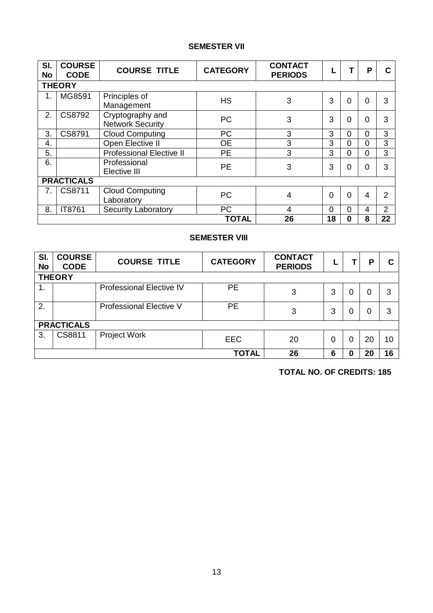# **SEMESTER VII**

| SI.<br><b>No</b> | <b>COURSE</b><br><b>CODE</b> | <b>COURSE TITLE</b>                         | <b>CATEGORY</b> | <b>CONTACT</b><br><b>PERIODS</b> |                |          | P        | С              |
|------------------|------------------------------|---------------------------------------------|-----------------|----------------------------------|----------------|----------|----------|----------------|
|                  | <b>THEORY</b>                |                                             |                 |                                  |                |          |          |                |
| 1.               | MG8591                       | Principles of<br>Management                 | <b>HS</b>       | 3                                | 3              | $\Omega$ | $\Omega$ | 3              |
| 2.               | CS8792                       | Cryptography and<br><b>Network Security</b> | <b>PC</b>       | 3                                | 3              | $\Omega$ | 0        | 3              |
| 3.               | CS8791                       | <b>Cloud Computing</b>                      | <b>PC</b>       | 3                                | 3              | $\Omega$ | 0        | 3              |
| 4.               |                              | Open Elective II                            | <b>OE</b>       | 3                                | 3              | $\Omega$ | $\Omega$ | 3              |
| 5.               |                              | <b>Professional Elective II</b>             | <b>PE</b>       | 3                                | 3              | 0        | 0        | 3              |
| 6.               |                              | Professional<br>Elective III                | <b>PE</b>       | 3                                | 3              | $\Omega$ | 0        | 3              |
|                  | <b>PRACTICALS</b>            |                                             |                 |                                  |                |          |          |                |
| 7.               | CS8711                       | <b>Cloud Computing</b><br>Laboratory        | <b>PC</b>       | 4                                | $\overline{0}$ | $\Omega$ | 4        | $\overline{2}$ |
| 8.               | IT8761                       | <b>Security Laboratory</b>                  | <b>PC</b>       | $\overline{4}$                   | 0              | $\Omega$ | 4        | $\overline{2}$ |
|                  |                              |                                             | <b>TOTAL</b>    | 26                               | 18             | 0        | 8        | 22             |

## **SEMESTER VIII**

| SI.<br><b>No</b> | <b>COURSE</b><br><b>CODE</b> | <b>COURSE TITLE</b>             | <b>CATEGORY</b> | <b>CONTACT</b><br><b>PERIODS</b> |   |  | Ð  |    |  |
|------------------|------------------------------|---------------------------------|-----------------|----------------------------------|---|--|----|----|--|
| <b>THEORY</b>    |                              |                                 |                 |                                  |   |  |    |    |  |
| 1.               |                              | <b>Professional Elective IV</b> | <b>PE</b>       | 3                                | 3 |  | 0  | 3  |  |
| 2.               |                              | <b>Professional Elective V</b>  | <b>PE</b>       | 3                                | 3 |  | 0  | 3  |  |
|                  | <b>PRACTICALS</b>            |                                 |                 |                                  |   |  |    |    |  |
| 3.               | CS8811                       | Project Work                    | <b>EEC</b>      | 20                               | 0 |  | 20 | 10 |  |
|                  |                              |                                 | <b>TOTAL</b>    | 26                               | 6 |  | 20 | 16 |  |

**TOTAL NO. OF CREDITS: 185**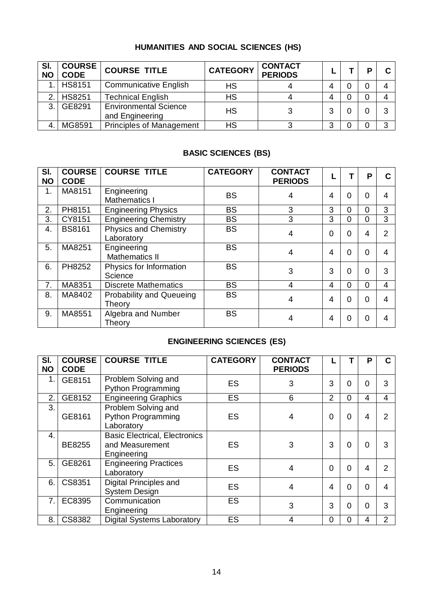# **HUMANITIES AND SOCIAL SCIENCES (HS)**

| SI.<br><b>NO</b> | <b>COURSE</b><br><b>CODE</b> | <b>COURSE TITLE</b>                             | <b>CATEGORY</b> | <b>CONTACT</b><br><b>PERIODS</b> |   |  |   |
|------------------|------------------------------|-------------------------------------------------|-----------------|----------------------------------|---|--|---|
|                  | 1. HS8151                    | <b>Communicative English</b>                    | <b>HS</b>       |                                  |   |  |   |
| 2 <sub>1</sub>   | <b>HS8251</b>                | <b>Technical English</b>                        | <b>HS</b>       |                                  |   |  |   |
| 3.1              | GE8291                       | <b>Environmental Science</b><br>and Engineering | <b>HS</b>       |                                  | 3 |  | ົ |
|                  | MG8591                       | <b>Principles of Management</b>                 | HS              |                                  | າ |  | ົ |

# **BASIC SCIENCES (BS)**

| SI.<br><b>NO</b> | <b>COURSE</b><br><b>CODE</b> | <b>COURSE TITLE</b>                        | <b>CATEGORY</b> | <b>CONTACT</b><br><b>PERIODS</b> |                  |   | P        | C             |
|------------------|------------------------------|--------------------------------------------|-----------------|----------------------------------|------------------|---|----------|---------------|
| 1.               | MA8151                       | Engineering<br><b>Mathematics I</b>        | <b>BS</b>       | 4                                | $\boldsymbol{4}$ | ი | 0        | 4             |
| 2.               | PH8151                       | <b>Engineering Physics</b>                 | <b>BS</b>       | 3                                | 3                | 0 | 0        | 3             |
| 3.               | CY8151                       | <b>Engineering Chemistry</b>               | <b>BS</b>       | 3                                | 3                | 0 | 0        | 3             |
| 4.               | <b>BS8161</b>                | <b>Physics and Chemistry</b><br>Laboratory | <b>BS</b>       | $\boldsymbol{4}$                 | $\Omega$         | ი | 4        | $\mathcal{P}$ |
| 5.               | MA8251                       | Engineering<br><b>Mathematics II</b>       | <b>BS</b>       | $\boldsymbol{4}$                 | $\boldsymbol{4}$ | ი | ∩        | 4             |
| 6.               | PH8252                       | Physics for Information<br>Science         | <b>BS</b>       | 3                                | 3                | ი | $\Omega$ | 3             |
| 7.               | MA8351                       | <b>Discrete Mathematics</b>                | <b>BS</b>       | $\boldsymbol{4}$                 | $\boldsymbol{4}$ | ი | $\Omega$ | 4             |
| 8.               | MA8402                       | <b>Probability and Queueing</b><br>Theory  | <b>BS</b>       | 4                                | 4                | U |          | 4             |
| 9.               | MA8551                       | Algebra and Number<br>Theory               | <b>BS</b>       | 4                                | 4                | U | 0        | 4             |

# **ENGINEERING SCIENCES (ES)**

| SI.<br><b>NO</b> | <b>COURSE</b><br><b>CODE</b> | <b>COURSE TITLE</b>                                                    | <b>CATEGORY</b> | <b>CONTACT</b><br><b>PERIODS</b> |          |   | P        | C |
|------------------|------------------------------|------------------------------------------------------------------------|-----------------|----------------------------------|----------|---|----------|---|
| 1.               | GE8151                       | Problem Solving and<br><b>Python Programming</b>                       | <b>ES</b>       | 3                                | 3        | ი |          | 3 |
| 2.               | GE8152                       | <b>Engineering Graphics</b>                                            | <b>ES</b>       | 6                                | 2        | ი | 4        | 4 |
| 3.               | GE8161                       | Problem Solving and<br><b>Python Programming</b><br>Laboratory         | <b>ES</b>       |                                  | $\Omega$ | O | 4        | っ |
| $\mathbf{4}$ .   | BE8255                       | <b>Basic Electrical, Electronics</b><br>and Measurement<br>Engineering | <b>ES</b>       | 3                                | 3        | U | 0        | 3 |
| 5.               | GE8261                       | <b>Engineering Practices</b><br>Laboratory                             | <b>ES</b>       | 4                                | $\Omega$ | U | 4        | っ |
| 6.               | CS8351                       | <b>Digital Principles and</b><br><b>System Design</b>                  | <b>ES</b>       | 4                                | 4        | U | $\Omega$ | Δ |
| 7 <sub>1</sub>   | EC8395                       | Communication<br>Engineering                                           | <b>ES</b>       | 3                                | 3        | ი | $\Omega$ | 3 |
| 8.               | CS8382                       | <b>Digital Systems Laboratory</b>                                      | ES              | 4                                | $\Omega$ | N | 4        | 2 |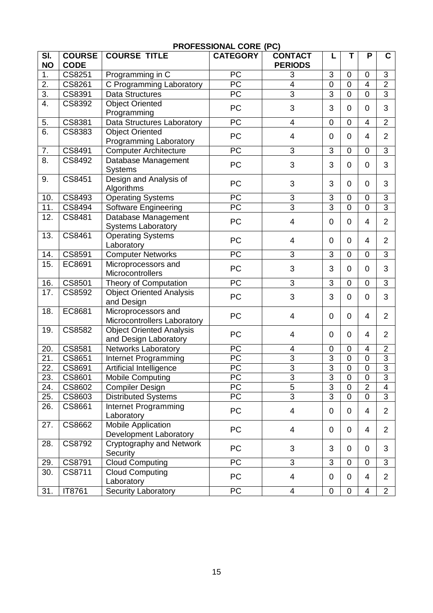| $\overline{\mathsf{SI}}$<br><b>NO</b> | <b>COURSE</b><br><b>CODE</b> | <b>COURSE TITLE</b>                | <b>CATEGORY</b>                    | <b>CONTACT</b><br><b>PERIODS</b> | L                                | Т                             | P                   | C                                |
|---------------------------------------|------------------------------|------------------------------------|------------------------------------|----------------------------------|----------------------------------|-------------------------------|---------------------|----------------------------------|
| 1.                                    | CS8251                       | Programming in C                   | $\overline{PC}$                    | 3                                | 3                                | 0                             | $\overline{0}$      | 3                                |
| $\overline{2}$ .                      | CS8261                       | C Programming Laboratory           | <b>PC</b>                          | $\overline{\mathbf{4}}$          | $\overline{0}$                   | $\overline{0}$                | 4                   | $\overline{2}$                   |
| $\overline{3}$ .                      | CS8391                       | <b>Data Structures</b>             | $\overline{PC}$                    | $\overline{3}$                   | $\overline{3}$                   | $\overline{0}$                | $\overline{0}$      | $\overline{3}$                   |
| $\overline{4}$ .                      | CS8392                       | Object Oriented                    |                                    |                                  |                                  |                               |                     |                                  |
|                                       |                              | Programming                        | PC                                 | 3                                | 3                                | 0                             | 0                   | 3                                |
| 5.                                    | CS8381                       | Data Structures Laboratory         | PC                                 | $\overline{\mathcal{A}}$         | $\mathbf 0$                      | 0                             | 4                   | $\overline{2}$                   |
| 6.                                    | CS8383                       | <b>Object Oriented</b>             |                                    |                                  |                                  |                               |                     |                                  |
|                                       |                              | <b>Programming Laboratory</b>      | PC                                 | $\overline{\mathcal{A}}$         | $\mathbf 0$                      | 0                             | 4                   | 2                                |
| 7.                                    | CS8491                       | <b>Computer Architecture</b>       | $\overline{PC}$                    | $\overline{3}$                   | 3                                | 0                             | $\mathbf 0$         | $\overline{3}$                   |
| 8.                                    | CS8492                       | Database Management                |                                    |                                  |                                  |                               |                     |                                  |
|                                       |                              | <b>Systems</b>                     | PC                                 | 3                                | 3                                | 0                             | $\mathbf 0$         | 3                                |
| 9.                                    | CS8451                       | Design and Analysis of             | PC                                 | 3                                | 3                                | 0                             | 0                   | 3                                |
|                                       |                              | Algorithms                         |                                    |                                  |                                  |                               |                     |                                  |
| 10.                                   | CS8493                       | <b>Operating Systems</b>           | $\overline{PC}$                    | $\overline{3}$                   | $\overline{3}$                   | 0                             | 0                   | 3                                |
| $\overline{11}$ .                     | CS8494                       | Software Engineering               | $\overline{PC}$                    | $\overline{3}$                   | $\overline{3}$                   | $\overline{0}$                | $\overline{0}$      | $\overline{3}$                   |
| 12.                                   | CS8481                       | Database Management                | PC                                 | 4                                | 0                                | 0                             | 4                   | $\overline{2}$                   |
|                                       |                              | <b>Systems Laboratory</b>          |                                    |                                  |                                  |                               |                     |                                  |
| 13.                                   | CS8461                       | <b>Operating Systems</b>           | PC                                 | 4                                | 0                                | 0                             | 4                   | 2                                |
|                                       |                              | Laboratory                         |                                    |                                  |                                  |                               |                     |                                  |
| 14.                                   | CS8591                       | <b>Computer Networks</b>           | $\overline{PC}$                    | $\overline{3}$                   | 3                                | 0                             | 0                   | 3                                |
| 15.                                   | EC8691                       | Microprocessors and                | PC                                 | 3                                | 3                                | 0                             | 0                   | 3                                |
|                                       |                              | Microcontrollers                   |                                    |                                  |                                  |                               |                     |                                  |
| 16.                                   | CS8501                       | Theory of Computation              | PC                                 | 3                                | 3                                | 0                             | 0                   | 3                                |
| 17.                                   | CS8592                       | Object Oriented Analysis           | PC                                 | 3                                | 3                                | 0                             | 0                   | 3                                |
|                                       |                              | and Design                         |                                    |                                  |                                  |                               |                     |                                  |
| 18.                                   | EC8681                       | Microprocessors and                | PC                                 | $\overline{\mathcal{A}}$         | 0                                | 0                             | 4                   | $\overline{2}$                   |
|                                       |                              | Microcontrollers Laboratory        |                                    |                                  |                                  |                               |                     |                                  |
| 19.                                   | CS8582                       | <b>Object Oriented Analysis</b>    | PC                                 | 4                                | 0                                | 0                             | 4                   | $\overline{2}$                   |
|                                       |                              | and Design Laboratory              |                                    |                                  |                                  |                               |                     |                                  |
| 20.<br>$\overline{21}$                | CS8581<br>CS8651             | <b>Networks Laboratory</b>         | <b>PC</b><br>$\overline{PC}$       | 4<br>$\overline{3}$              | $\mathbf 0$<br>$\overline{3}$    | 0<br>$\overline{0}$           | 4<br>$\overline{0}$ | $\overline{2}$<br>$\overline{3}$ |
| $\overline{22}$ .                     |                              | Internet Programming               |                                    | $\overline{3}$                   | $\overline{3}$                   |                               |                     | $\overline{3}$                   |
|                                       | CS8691                       | Artificial Intelligence            | PC                                 |                                  |                                  | $\mathsf 0$                   | $\mathbf 0$         | $\overline{3}$                   |
| 23.<br>24.                            | CS8601                       | Mobile Computing                   | $\overline{PC}$<br>$\overline{PC}$ | $\overline{3}$<br>$\overline{5}$ | $\overline{3}$<br>$\overline{3}$ | $\mathbf 0$<br>$\overline{0}$ | 0<br>$\overline{2}$ | $\overline{4}$                   |
|                                       | CS8602                       | <b>Compiler Design</b>             | PC                                 | $\overline{3}$                   | $\overline{3}$                   | 0                             | 0                   | 3                                |
| 25.<br>26.                            | CS8603<br>CS8661             | <b>Distributed Systems</b>         |                                    |                                  |                                  |                               |                     |                                  |
|                                       |                              | Internet Programming<br>Laboratory | PC                                 | $\overline{\mathbf{4}}$          | 0                                | 0                             | 4                   | $\overline{2}$                   |
| 27.                                   | CS8662                       | <b>Mobile Application</b>          |                                    |                                  |                                  |                               |                     |                                  |
|                                       |                              | Development Laboratory             | PC                                 | 4                                | 0                                | 0                             | 4                   | $\overline{2}$                   |
| 28.                                   | CS8792                       | Cryptography and Network           |                                    |                                  |                                  |                               |                     |                                  |
|                                       |                              | Security                           | PC                                 | 3                                | 3                                | 0                             | 0                   | 3                                |
| 29.                                   | CS8791                       | <b>Cloud Computing</b>             | PC                                 | 3                                | 3                                | 0                             | $\mathbf 0$         | 3                                |
| 30.                                   | CS8711                       | <b>Cloud Computing</b>             |                                    |                                  |                                  |                               |                     |                                  |
|                                       |                              | Laboratory                         | PC                                 | $\overline{\mathbf{4}}$          | 0                                | 0                             | 4                   | $\overline{2}$                   |
| 31.                                   | IT8761                       | <b>Security Laboratory</b>         | $\overline{PC}$                    | $\overline{4}$                   | 0                                | 0                             | 4                   | $\overline{2}$                   |

# **PROFESSIONAL CORE (PC)**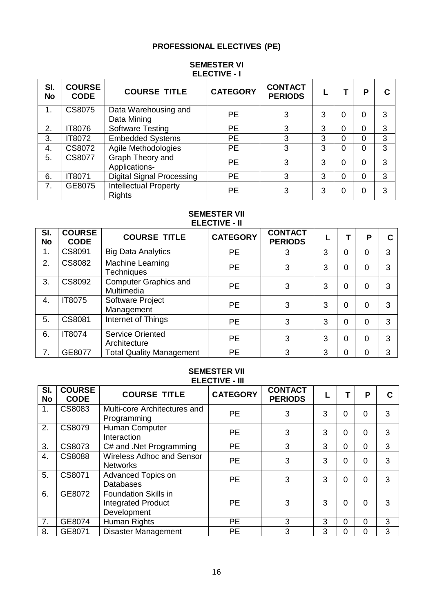# **PROFESSIONAL ELECTIVES (PE)**

#### **SEMESTER VI ELECTIVE - I**

| SI.<br><b>No</b> | <b>COURSE</b><br><b>CODE</b> | <b>COURSE TITLE</b>                    | <b>CATEGORY</b> | <b>CONTACT</b><br><b>PERIODS</b> |   |          | Р        |   |
|------------------|------------------------------|----------------------------------------|-----------------|----------------------------------|---|----------|----------|---|
| 1.               | CS8075                       | Data Warehousing and<br>Data Mining    | <b>PE</b>       | 3                                | 3 | 0        | 0        | 3 |
| 2.               | <b>IT8076</b>                | <b>Software Testing</b>                | <b>PE</b>       | 3                                | 3 | $\Omega$ | $\Omega$ | 3 |
| 3.               | IT8072                       | <b>Embedded Systems</b>                | <b>PE</b>       | 3                                | 3 | $\Omega$ | $\Omega$ | 3 |
| 4.               | CS8072                       | Agile Methodologies                    | <b>PE</b>       | 3                                | 3 | $\Omega$ | $\Omega$ | 3 |
| 5.               | CS8077                       | Graph Theory and<br>Applications-      | <b>PE</b>       | 3                                | 3 | $\Omega$ | $\Omega$ | 3 |
| 6.               | IT8071                       | <b>Digital Signal Processing</b>       | <b>PE</b>       | 3                                | 3 | $\Omega$ | 0        | 3 |
| 7.               | GE8075                       | Intellectual Property<br><b>Rights</b> | PЕ              | 3                                | 3 | 0        | 0        | 3 |

#### **SEMESTER VII ELECTIVE - II**

| SI.<br><b>No</b> | <b>COURSE</b><br><b>CODE</b> | <b>COURSE TITLE</b>                        | <b>CATEGORY</b> | <b>CONTACT</b><br><b>PERIODS</b> |   |   | Р              |   |
|------------------|------------------------------|--------------------------------------------|-----------------|----------------------------------|---|---|----------------|---|
| 1.               | CS8091                       | <b>Big Data Analytics</b>                  | <b>PE</b>       | 3                                | 3 | 0 | 0              | 3 |
| 2.               | CS8082                       | Machine Learning<br><b>Techniques</b>      | <b>PE</b>       | 3                                | 3 | 0 | 0              | 3 |
| 3.               | CS8092                       | <b>Computer Graphics and</b><br>Multimedia | <b>PE</b>       | 3                                | 3 | 0 | 0              | 3 |
| 4.               | IT8075                       | Software Project<br>Management             | <b>PE</b>       | 3                                | 3 | 0 | $\Omega$       | 3 |
| 5.               | CS8081                       | Internet of Things                         | <b>PE</b>       | 3                                | 3 | 0 | $\Omega$       | 3 |
| 6.               | <b>IT8074</b>                | <b>Service Oriented</b><br>Architecture    | <b>PE</b>       | 3                                | 3 | 0 | $\overline{0}$ | 3 |
| 7.               | GE8077                       | <b>Total Quality Management</b>            | <b>PE</b>       | 3                                | 3 | 0 | 0              | 3 |

#### **SEMESTER VII ELECTIVE - III**

| SI.<br><b>No</b> | <b>COURSE</b><br><b>CODE</b> | <b>COURSE TITLE</b>                                                     | <b>CATEGORY</b> | <b>CONTACT</b><br><b>PERIODS</b> |   |          | P              |   |
|------------------|------------------------------|-------------------------------------------------------------------------|-----------------|----------------------------------|---|----------|----------------|---|
| 1.               | CS8083                       | Multi-core Architectures and<br>Programming                             | <b>PE</b>       | 3                                | 3 | 0        | $\overline{0}$ | 3 |
| 2.               | <b>CS8079</b>                | Human Computer<br>Interaction                                           | <b>PE</b>       | 3                                | 3 | 0        | $\overline{0}$ | 3 |
| 3.               | CS8073                       | C# and .Net Programming                                                 | <b>PE</b>       | 3                                | 3 | $\Omega$ | $\overline{0}$ | 3 |
| 4.               | <b>CS8088</b>                | <b>Wireless Adhoc and Sensor</b><br><b>Networks</b>                     | <b>PE</b>       | 3                                | 3 | 0        | $\overline{0}$ | 3 |
| 5.               | CS8071                       | Advanced Topics on<br><b>Databases</b>                                  | <b>PE</b>       | 3                                | 3 | $\Omega$ | $\Omega$       | 3 |
| 6.               | GE8072                       | <b>Foundation Skills in</b><br><b>Integrated Product</b><br>Development | <b>PE</b>       | 3                                | 3 | 0        | $\overline{0}$ | 3 |
| 7.               | GE8074                       | Human Rights                                                            | <b>PE</b>       | 3                                | 3 | $\Omega$ | $\overline{0}$ | 3 |
| 8.               | GE8071                       | <b>Disaster Management</b>                                              | <b>PE</b>       | 3                                | 3 | 0        | $\overline{0}$ | 3 |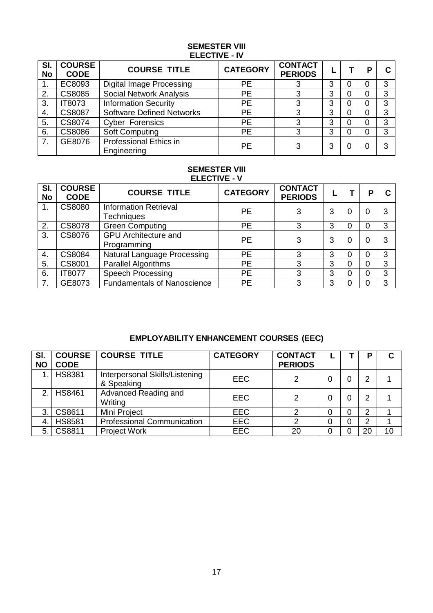#### **SEMESTER VIII ELECTIVE - IV**

| SI.<br><b>No</b> | <b>COURSE</b><br><b>CODE</b> | <b>COURSE TITLE</b>                          | <b>CATEGORY</b> | <b>CONTACT</b><br><b>PERIODS</b> |   |   |   |
|------------------|------------------------------|----------------------------------------------|-----------------|----------------------------------|---|---|---|
|                  | EC8093                       | Digital Image Processing                     | <b>PE</b>       |                                  | 3 | O | 3 |
| 2.               | <b>CS8085</b>                | <b>Social Network Analysis</b>               | <b>PE</b>       |                                  | 3 | 0 | 3 |
| 3.               | IT8073                       | <b>Information Security</b>                  | <b>PE</b>       | 3                                | 3 | 0 | 3 |
| 4.               | <b>CS8087</b>                | <b>Software Defined Networks</b>             | <b>PE</b>       | 3                                | 3 | 0 | 3 |
| 5.               | CS8074                       | <b>Cyber Forensics</b>                       | <b>PE</b>       | 3                                | 3 | 0 | 3 |
| 6.               | <b>CS8086</b>                | Soft Computing                               | <b>PE</b>       | 3                                | 3 | 0 | 3 |
| 7.               | GE8076                       | <b>Professional Ethics in</b><br>Engineering | <b>PE</b>       | 3                                | 3 | 0 | 3 |

#### **SEMESTER VIII ELECTIVE - V**

| SI.<br><b>No</b> | <b>COURSE</b><br><b>CODE</b> | <b>COURSE TITLE</b>                               | <b>CATEGORY</b> | <b>CONTACT</b><br><b>PERIODS</b> |   |   | P |   |
|------------------|------------------------------|---------------------------------------------------|-----------------|----------------------------------|---|---|---|---|
|                  | <b>CS8080</b>                | <b>Information Retrieval</b><br><b>Techniques</b> | <b>PE</b>       | 3                                | 3 |   |   | 3 |
| 2.               | <b>CS8078</b>                | <b>Green Computing</b>                            | <b>PE</b>       | 3                                | 3 |   |   | 3 |
| 3.               | <b>CS8076</b>                | <b>GPU</b> Architecture and<br>Programming        | <b>PE</b>       | 3                                | 3 |   |   | 3 |
| 4.               | CS8084                       | Natural Language Processing                       | <b>PE</b>       | 3                                | 3 |   |   | 3 |
| 5.               | CS8001                       | <b>Parallel Algorithms</b>                        | <b>PE</b>       | 3                                | 3 | 0 |   | 3 |
| 6.               | <b>IT8077</b>                | <b>Speech Processing</b>                          | <b>PE</b>       | 3                                | 3 |   |   | 3 |
| 7.               | GE8073                       | <b>Fundamentals of Nanoscience</b>                | <b>PE</b>       | 3                                | 3 |   |   | 3 |

# **EMPLOYABILITY ENHANCEMENT COURSES (EEC)**

| SI.<br><b>NO</b> | <b>COURSE</b><br><b>CODE</b> | <b>COURSE TITLE</b>                          | <b>CATEGORY</b> | <b>CONTACT</b><br><b>PERIODS</b> |   | P  |    |
|------------------|------------------------------|----------------------------------------------|-----------------|----------------------------------|---|----|----|
|                  | <b>HS8381</b>                | Interpersonal Skills/Listening<br>& Speaking | <b>EEC</b>      | 2                                | 0 | 2  |    |
| $\mathcal{P}$    | <b>HS8461</b>                | Advanced Reading and<br>Writing              | <b>EEC</b>      | 2                                | 0 | 2  |    |
| 3.               | CS8611                       | Mini Project                                 | <b>EEC</b>      |                                  | 0 | 2  |    |
| 4.               | <b>HS8581</b>                | <b>Professional Communication</b>            | <b>EEC</b>      | ⌒                                | 0 | 2  |    |
| 5.               | CS8811                       | <b>Project Work</b>                          | <b>EEC</b>      | 20                               | 0 | 20 | 10 |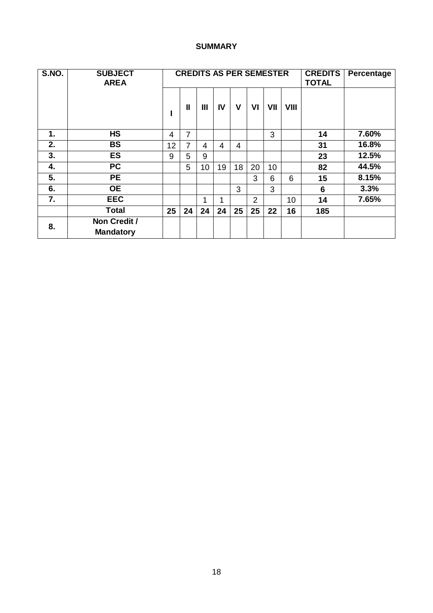# **SUMMARY**

| S.NO. | <b>SUBJECT</b><br><b>AREA</b>    |    | <b>CREDITS AS PER SEMESTER</b><br><b>TOTAL</b> |    |    |                |                | <b>CREDITS</b> | Percentage  |     |       |
|-------|----------------------------------|----|------------------------------------------------|----|----|----------------|----------------|----------------|-------------|-----|-------|
|       |                                  |    | $\mathbf{I}$                                   | Ш  | IV | V              | VI             | VII            | <b>VIII</b> |     |       |
| 1.    | <b>HS</b>                        | 4  | 7                                              |    |    |                |                | 3              |             | 14  | 7.60% |
| 2.    | <b>BS</b>                        | 12 | 7                                              | 4  | 4  | $\overline{4}$ |                |                |             | 31  | 16.8% |
| 3.    | <b>ES</b>                        | 9  | 5                                              | 9  |    |                |                |                |             | 23  | 12.5% |
| 4.    | <b>PC</b>                        |    | 5                                              | 10 | 19 | 18             | 20             | 10             |             | 82  | 44.5% |
| 5.    | <b>PE</b>                        |    |                                                |    |    |                | 3              | 6              | 6           | 15  | 8.15% |
| 6.    | <b>OE</b>                        |    |                                                |    |    | 3              |                | 3              |             | 6   | 3.3%  |
| 7.    | <b>EEC</b>                       |    |                                                | 1  | 1  |                | $\overline{2}$ |                | 10          | 14  | 7.65% |
|       | <b>Total</b>                     | 25 | 24                                             | 24 | 24 | 25             | 25             | 22             | 16          | 185 |       |
| 8.    | Non Credit /<br><b>Mandatory</b> |    |                                                |    |    |                |                |                |             |     |       |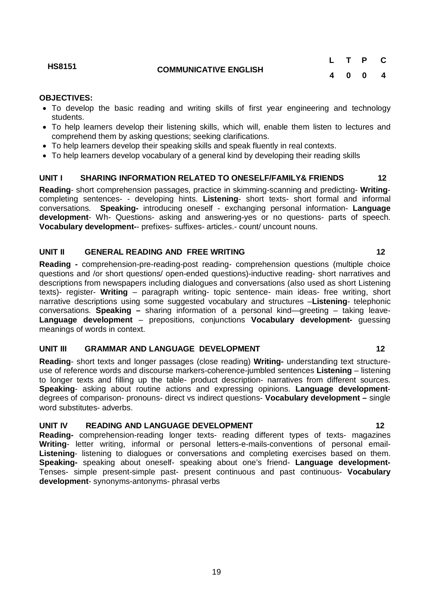#### **OBJECTIVES:**

- To develop the basic reading and writing skills of first year engineering and technology students.
- To help learners develop their listening skills, which will, enable them listen to lectures and comprehend them by asking questions; seeking clarifications.
- To help learners develop their speaking skills and speak fluently in real contexts.
- To help learners develop vocabulary of a general kind by developing their reading skills

#### **UNIT I SHARING INFORMATION RELATED TO ONESELF/FAMILY& FRIENDS 12**

**Reading**- short comprehension passages, practice in skimming-scanning and predicting- **Writing**completing sentences- - developing hints. **Listening**- short texts- short formal and informal conversations. **Speaking-** introducing oneself - exchanging personal information- **Language development**- Wh- Questions- asking and answering-yes or no questions- parts of speech. **Vocabulary development-**- prefixes- suffixes- articles.- count/ uncount nouns.

#### **UNIT II GENERAL READING AND FREE WRITING 12**

**Reading -** comprehension-pre-reading-post reading- comprehension questions (multiple choice questions and /or short questions/ open-ended questions)-inductive reading- short narratives and descriptions from newspapers including dialogues and conversations (also used as short Listening texts)- register- **Writing** – paragraph writing- topic sentence- main ideas- free writing, short narrative descriptions using some suggested vocabulary and structures –**Listening**- telephonic conversations. **Speaking –** sharing information of a personal kind—greeting – taking leave-**Language development** – prepositions, conjunctions **Vocabulary development-** guessing meanings of words in context.

#### **UNIT III GRAMMAR AND LANGUAGE DEVELOPMENT 12**

**Reading**- short texts and longer passages (close reading) **Writing-** understanding text structureuse of reference words and discourse markers-coherence-jumbled sentences **Listening** – listening to longer texts and filling up the table- product description- narratives from different sources. **Speaking**- asking about routine actions and expressing opinions. **Language development**degrees of comparison- pronouns- direct vs indirect questions- **Vocabulary development –** single word substitutes- adverbs.

#### UNIT IV READING AND LANGUAGE DEVELOPMENT 12

**Reading-** comprehension-reading longer texts- reading different types of texts- magazines **Writing**- letter writing, informal or personal letters-e-mails-conventions of personal email-**Listening**- listening to dialogues or conversations and completing exercises based on them. **Speaking-** speaking about oneself- speaking about one's friend- **Language development-**Tenses- simple present-simple past- present continuous and past continuous- **Vocabulary development**- synonyms-antonyms- phrasal verbs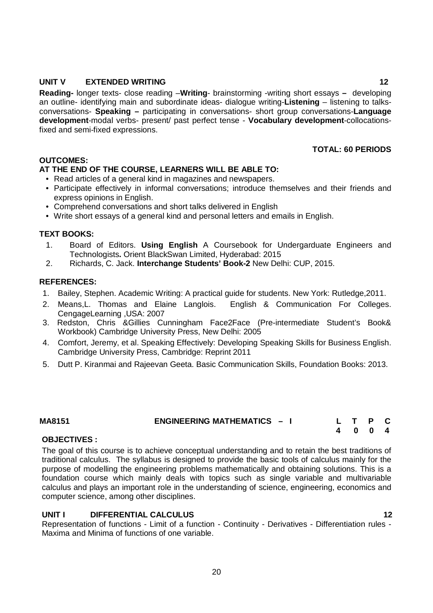#### **UNIT V EXTENDED WRITING 12**

**Reading-** longer texts- close reading –**Writing**- brainstorming -writing short essays **–** developing an outline- identifying main and subordinate ideas- dialogue writing-**Listening** – listening to talksconversations- **Speaking –** participating in conversations- short group conversations-**Language development**-modal verbs- present/ past perfect tense - **Vocabulary development**-collocationsfixed and semi-fixed expressions.

**TOTAL: 60 PERIODS**

### **OUTCOMES:**

### **AT THE END OF THE COURSE, LEARNERS WILL BE ABLE TO:**

- Read articles of a general kind in magazines and newspapers.
- Participate effectively in informal conversations; introduce themselves and their friends and express opinions in English.
- Comprehend conversations and short talks delivered in English
- Write short essays of a general kind and personal letters and emails in English.

#### **TEXT BOOKS:**

- 1. Board of Editors. **Using English** A Coursebook for Undergarduate Engineers and Technologists**.** Orient BlackSwan Limited, Hyderabad: 2015
- 2. Richards, C. Jack. **Interchange Students' Book-2** New Delhi: CUP, 2015.

#### **REFERENCES:**

- 1. Bailey, Stephen. Academic Writing: A practical guide for students. New York: Rutledge,2011.
- 2. Means,L. Thomas and Elaine Langlois. English & Communication For Colleges. CengageLearning ,USA: 2007
- 3. Redston, Chris &Gillies Cunningham Face2Face (Pre-intermediate Student's Book& Workbook) Cambridge University Press, New Delhi: 2005
- 4. Comfort, Jeremy, et al. Speaking Effectively: Developing Speaking Skills for Business English. Cambridge University Press, Cambridge: Reprint 2011
- 5. Dutt P. Kiranmai and Rajeevan Geeta. Basic Communication Skills, Foundation Books: 2013.

| <b>ENGINEERING MATHEMATICS -</b><br>MA8151 |  |
|--------------------------------------------|--|
|--------------------------------------------|--|

#### **OBJECTIVES :**

The goal of this course is to achieve conceptual understanding and to retain the best traditions of traditional calculus. The syllabus is designed to provide the basic tools of calculus mainly for the purpose of modelling the engineering problems mathematically and obtaining solutions. This is a foundation course which mainly deals with topics such as single variable and multivariable calculus and plays an important role in the understanding of science, engineering, economics and computer science, among other disciplines.

 **4 0 0 4** 

# **UNIT I DIFFERENTIAL CALCULUS 12**

Representation of functions - Limit of a function - Continuity - Derivatives - Differentiation rules - Maxima and Minima of functions of one variable.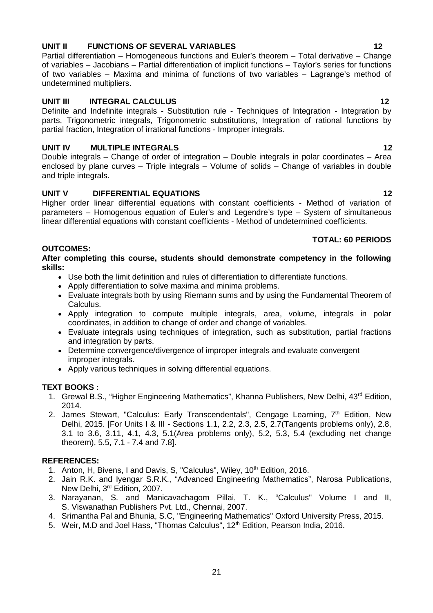# **UNIT II FUNCTIONS OF SEVERAL VARIABLES 12**

Partial differentiation – Homogeneous functions and Euler's theorem – Total derivative – Change of variables – Jacobians – Partial differentiation of implicit functions – Taylor's series for functions of two variables – Maxima and minima of functions of two variables – Lagrange's method of undetermined multipliers.

# **UNIT III INTEGRAL CALCULUS 12**

Definite and Indefinite integrals - Substitution rule - Techniques of Integration - Integration by parts, Trigonometric integrals, Trigonometric substitutions, Integration of rational functions by partial fraction, Integration of irrational functions - Improper integrals.

# **UNIT IV MULTIPLE INTEGRALS 12**

Double integrals – Change of order of integration – Double integrals in polar coordinates – Area enclosed by plane curves – Triple integrals – Volume of solids – Change of variables in double and triple integrals.

# **UNIT V DIFFERENTIAL EQUATIONS 12**

Higher order linear differential equations with constant coefficients - Method of variation of parameters – Homogenous equation of Euler's and Legendre's type – System of simultaneous linear differential equations with constant coefficients - Method of undetermined coefficients.

# **TOTAL: 60 PERIODS**

# **OUTCOMES:**

#### **After completing this course, students should demonstrate competency in the following skills:**

- Use both the limit definition and rules of differentiation to differentiate functions.
- Apply differentiation to solve maxima and minima problems.
- Evaluate integrals both by using Riemann sums and by using the Fundamental Theorem of Calculus.
- Apply integration to compute multiple integrals, area, volume, integrals in polar coordinates, in addition to change of order and change of variables.
- Evaluate integrals using techniques of integration, such as substitution, partial fractions and integration by parts.
- Determine convergence/divergence of improper integrals and evaluate convergent improper integrals.
- Apply various techniques in solving differential equations.

# **TEXT BOOKS :**

- 1. Grewal B.S., "Higher Engineering Mathematics", Khanna Publishers, New Delhi, 43<sup>rd</sup> Edition, 2014.
- 2. James Stewart, "Calculus: Early Transcendentals", Cengage Learning,  $7<sup>th</sup>$  Edition, New Delhi, 2015. [For Units I & III - Sections 1.1, 2.2, 2.3, 2.5, 2.7(Tangents problems only), 2.8, 3.1 to 3.6, 3.11, 4.1, 4.3, 5.1(Area problems only), 5.2, 5.3, 5.4 (excluding net change theorem), 5.5, 7.1 - 7.4 and 7.8].

# **REFERENCES:**

- 1. Anton, H, Bivens, I and Davis, S, "Calculus", Wiley, 10<sup>th</sup> Edition, 2016.
- 2. Jain R.K. and Iyengar S.R.K., "Advanced Engineering Mathematics", Narosa Publications, New Delhi, 3rd Edition, 2007.
- 3. Narayanan, S. and Manicavachagom Pillai, T. K., "Calculus" Volume I and II, S. Viswanathan Publishers Pvt. Ltd., Chennai, 2007.
- 4. Srimantha Pal and Bhunia, S.C, "Engineering Mathematics" Oxford University Press, 2015.
- 5. Weir, M.D and Joel Hass, "Thomas Calculus", 12<sup>th</sup> Edition, Pearson India, 2016.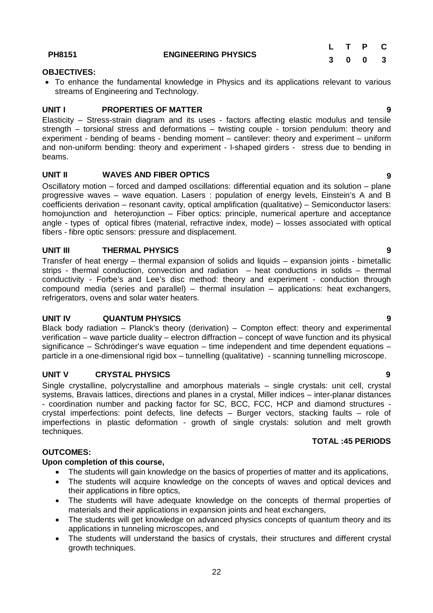22

**PH8151 ENGINEERING PHYSICS**

# **OBJECTIVES:**

 To enhance the fundamental knowledge in Physics and its applications relevant to various streams of Engineering and Technology.

### **UNIT I PROPERTIES OF MATTER 9**

Elasticity – Stress-strain diagram and its uses - factors affecting elastic modulus and tensile strength – torsional stress and deformations – twisting couple - torsion pendulum: theory and experiment - bending of beams - bending moment – cantilever: theory and experiment – uniform and non-uniform bending: theory and experiment - I-shaped girders - stress due to bending in beams.

# **UNIT II WAVES AND FIBER OPTICS 9**

Oscillatory motion – forced and damped oscillations: differential equation and its solution – plane progressive waves – wave equation. Lasers : population of energy levels, Einstein's A and B coefficients derivation – resonant cavity, optical amplification (qualitative) – Semiconductor lasers: homojunction and heterojunction – Fiber optics: principle, numerical aperture and acceptance angle - types of optical fibres (material, refractive index, mode) – losses associated with optical fibers - fibre optic sensors: pressure and displacement.

### **UNIT III THERMAL PHYSICS 9**

Transfer of heat energy – thermal expansion of solids and liquids – expansion joints - bimetallic strips - thermal conduction, convection and radiation – heat conductions in solids – thermal conductivity - Forbe's and Lee's disc method: theory and experiment - conduction through compound media (series and parallel) – thermal insulation – applications: heat exchangers, refrigerators, ovens and solar water heaters.

#### **UNIT IV QUANTUM PHYSICS 9**

Black body radiation – Planck's theory (derivation) – Compton effect: theory and experimental verification – wave particle duality – electron diffraction – concept of wave function and its physical significance – Schrödinger's wave equation – time independent and time dependent equations – particle in a one-dimensional rigid box – tunnelling (qualitative) - scanning tunnelling microscope.

#### **UNIT V CRYSTAL PHYSICS 9**

Single crystalline, polycrystalline and amorphous materials – single crystals: unit cell, crystal systems, Bravais lattices, directions and planes in a crystal, Miller indices – inter-planar distances - coordination number and packing factor for SC, BCC, FCC, HCP and diamond structures crystal imperfections: point defects, line defects – Burger vectors, stacking faults – role of imperfections in plastic deformation - growth of single crystals: solution and melt growth techniques.

#### **OUTCOMES:**

#### **Upon completion of this course,**

- The students will gain knowledge on the basics of properties of matter and its applications,
- The students will acquire knowledge on the concepts of waves and optical devices and their applications in fibre optics,
- The students will have adequate knowledge on the concepts of thermal properties of materials and their applications in expansion joints and heat exchangers,
- The students will get knowledge on advanced physics concepts of quantum theory and its applications in tunneling microscopes, and
- The students will understand the basics of crystals, their structures and different crystal growth techniques.

**TOTAL :45 PERIODS**

# **L T P C 3 0 0 3**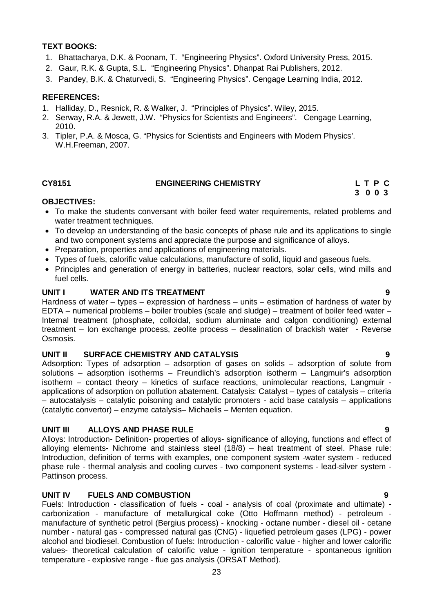## **TEXT BOOKS:**

- 1. Bhattacharya, D.K. & Poonam, T. "Engineering Physics". Oxford University Press, 2015.
- 2. Gaur, R.K. & Gupta, S.L. "Engineering Physics". Dhanpat Rai Publishers, 2012.
- 3. Pandey, B.K. & Chaturvedi, S. "Engineering Physics". Cengage Learning India, 2012.

#### **REFERENCES:**

- 1. Halliday, D., Resnick, R. & Walker, J. "Principles of Physics". Wiley, 2015.
- 2. Serway, R.A. & Jewett, J.W. "Physics for Scientists and Engineers". Cengage Learning, 2010.
- 3. Tipler, P.A. & Mosca, G. "Physics for Scientists and Engineers with Modern Physics'. W.H.Freeman, 2007.

#### **CY8151 ENGINEERING CHEMISTRY L T P C**

# **3 0 0 3**

#### **OBJECTIVES:**

- To make the students conversant with boiler feed water requirements, related problems and water treatment techniques.
- To develop an understanding of the basic concepts of phase rule and its applications to single and two component systems and appreciate the purpose and significance of alloys.
- Preparation, properties and applications of engineering materials.
- Types of fuels, calorific value calculations, manufacture of solid, liquid and gaseous fuels.
- Principles and generation of energy in batteries, nuclear reactors, solar cells, wind mills and fuel cells.

#### **UNIT I WATER AND ITS TREATMENT 9**

Hardness of water – types – expression of hardness – units – estimation of hardness of water by EDTA – numerical problems – boiler troubles (scale and sludge) – treatment of boiler feed water – Internal treatment (phosphate, colloidal, sodium aluminate and calgon conditioning) external treatment – Ion exchange process, zeolite process – desalination of brackish water - Reverse Osmosis.

#### **UNIT II SURFACE CHEMISTRY AND CATALYSIS 9**

Adsorption: Types of adsorption – adsorption of gases on solids – adsorption of solute from solutions – adsorption isotherms – Freundlich's adsorption isotherm – Langmuir's adsorption isotherm – contact theory – kinetics of surface reactions, unimolecular reactions, Langmuir applications of adsorption on pollution abatement. Catalysis: Catalyst – types of catalysis – criteria – autocatalysis – catalytic poisoning and catalytic promoters - acid base catalysis – applications (catalytic convertor) – enzyme catalysis– Michaelis – Menten equation.

#### **UNIT III ALLOYS AND PHASE RULE 9**

Alloys: Introduction- Definition- properties of alloys- significance of alloying, functions and effect of alloying elements- Nichrome and stainless steel (18/8) – heat treatment of steel. Phase rule: Introduction, definition of terms with examples, one component system -water system - reduced phase rule - thermal analysis and cooling curves - two component systems - lead-silver system - Pattinson process.

#### **UNIT IV FUELS AND COMBUSTION 9**

Fuels: Introduction - classification of fuels - coal - analysis of coal (proximate and ultimate) carbonization - manufacture of metallurgical coke (Otto Hoffmann method) - petroleum manufacture of synthetic petrol (Bergius process) - knocking - octane number - diesel oil - cetane number - natural gas - compressed natural gas (CNG) - liquefied petroleum gases (LPG) - power alcohol and biodiesel. Combustion of fuels: Introduction - calorific value - higher and lower calorific values- theoretical calculation of calorific value - ignition temperature - spontaneous ignition temperature - explosive range - flue gas analysis (ORSAT Method).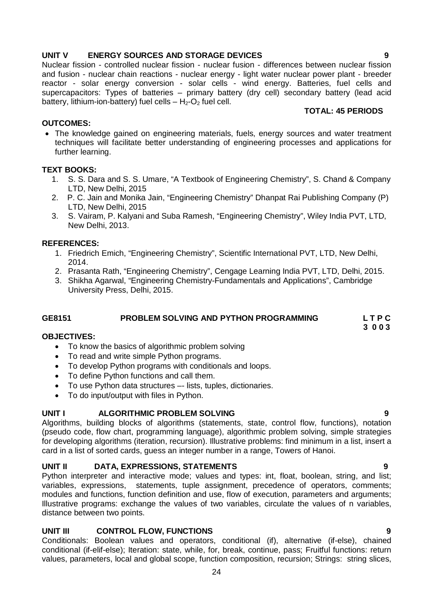# 24

# **UNIT V ENERGY SOURCES AND STORAGE DEVICES 9**

Nuclear fission - controlled nuclear fission - nuclear fusion - differences between nuclear fission and fusion - nuclear chain reactions - nuclear energy - light water nuclear power plant - breeder reactor - solar energy conversion - solar cells - wind energy. Batteries, fuel cells and supercapacitors: Types of batteries – primary battery (dry cell) secondary battery (lead acid battery, lithium-ion-battery) fuel cells  $- H_2-O_2$  fuel cell. **TOTAL: 45 PERIODS**

# **OUTCOMES:**

• The knowledge gained on engineering materials, fuels, energy sources and water treatment techniques will facilitate better understanding of engineering processes and applications for further learning.

# **TEXT BOOKS:**

- 1. S. S. Dara and S. S. Umare, "A Textbook of Engineering Chemistry", S. Chand & Company LTD, New Delhi, 2015
- 2. P. C. Jain and Monika Jain, "Engineering Chemistry" Dhanpat Rai Publishing Company (P) LTD, New Delhi, 2015
- 3. S. Vairam, P. Kalyani and Suba Ramesh, "Engineering Chemistry", Wiley India PVT, LTD, New Delhi, 2013.

# **REFERENCES:**

- 1. Friedrich Emich, "Engineering Chemistry", Scientific International PVT, LTD, New Delhi, 2014.
- 2. Prasanta Rath, "Engineering Chemistry", Cengage Learning India PVT, LTD, Delhi, 2015.
- 3. Shikha Agarwal, "Engineering Chemistry-Fundamentals and Applications", Cambridge University Press, Delhi, 2015.

# **GE8151 PROBLEM SOLVING AND PYTHON PROGRAMMING L T P C**

#### **3 0 0 3 OBJECTIVES:**

- To know the basics of algorithmic problem solving
- To read and write simple Python programs.
- To develop Python programs with conditionals and loops.
- To define Python functions and call them.
- To use Python data structures –- lists, tuples, dictionaries.
- To do input/output with files in Python.

# **UNIT I ALGORITHMIC PROBLEM SOLVING 9**

Algorithms, building blocks of algorithms (statements, state, control flow, functions), notation (pseudo code, flow chart, programming language), algorithmic problem solving, simple strategies for developing algorithms (iteration, recursion). Illustrative problems: find minimum in a list, insert a card in a list of sorted cards, guess an integer number in a range, Towers of Hanoi.

# **UNIT II DATA, EXPRESSIONS, STATEMENTS 9**

Python interpreter and interactive mode; values and types: int, float, boolean, string, and list; variables, expressions, statements, tuple assignment, precedence of operators, comments; modules and functions, function definition and use, flow of execution, parameters and arguments; Illustrative programs: exchange the values of two variables, circulate the values of n variables, distance between two points.

# **UNIT III CONTROL FLOW, FUNCTIONS 9**

Conditionals: Boolean values and operators, conditional (if), alternative (if-else), chained conditional (if-elif-else); Iteration: state, while, for, break, continue, pass; Fruitful functions: return values, parameters, local and global scope, function composition, recursion; Strings: string slices,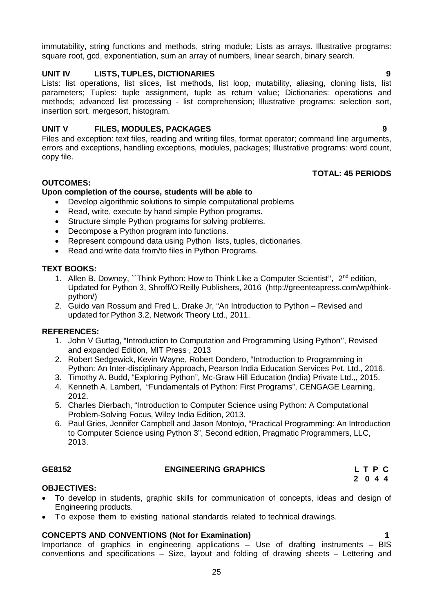immutability, string functions and methods, string module; Lists as arrays. Illustrative programs: square root, gcd, exponentiation, sum an array of numbers, linear search, binary search.

#### **UNIT IV LISTS, TUPLES, DICTIONARIES 9**

Lists: list operations, list slices, list methods, list loop, mutability, aliasing, cloning lists, list parameters; Tuples: tuple assignment, tuple as return value; Dictionaries: operations and methods; advanced list processing - list comprehension; Illustrative programs: selection sort, insertion sort, mergesort, histogram.

#### **UNIT V FILES, MODULES, PACKAGES 9**

Files and exception: text files, reading and writing files, format operator; command line arguments, errors and exceptions, handling exceptions, modules, packages; Illustrative programs: word count, copy file.

#### **TOTAL: 45 PERIODS**

#### **OUTCOMES:**

#### **Upon completion of the course, students will be able to**

- Develop algorithmic solutions to simple computational problems
- Read, write, execute by hand simple Python programs.
- Structure simple Python programs for solving problems.
- Decompose a Python program into functions.
- Represent compound data using Python lists, tuples, dictionaries.
- Read and write data from/to files in Python Programs.

#### **TEXT BOOKS:**

- 1. Allen B. Downey, "Think Python: How to Think Like a Computer Scientist", 2<sup>nd</sup> edition, Updated for Python 3, Shroff/O'Reilly Publishers, 2016 (http://greenteapress.com/wp/thinkpython/)
- 2. Guido van Rossum and Fred L. Drake Jr, "An Introduction to Python Revised and updated for Python 3.2, Network Theory Ltd., 2011.

#### **REFERENCES:**

- 1. John V Guttag, "Introduction to Computation and Programming Using Python'', Revised and expanded Edition, MIT Press , 2013
- 2. Robert Sedgewick, Kevin Wayne, Robert Dondero, "Introduction to Programming in Python: An Inter-disciplinary Approach, Pearson India Education Services Pvt. Ltd., 2016.
- 3. Timothy A. Budd, "Exploring Python", Mc-Graw Hill Education (India) Private Ltd.,, 2015.
- 4. Kenneth A. Lambert, "Fundamentals of Python: First Programs", CENGAGE Learning, 2012.
- 5. Charles Dierbach, "Introduction to Computer Science using Python: A Computational Problem-Solving Focus, Wiley India Edition, 2013.
- 6. Paul Gries, Jennifer Campbell and Jason Montojo, "Practical Programming: An Introduction to Computer Science using Python 3", Second edition, Pragmatic Programmers, LLC, 2013.

#### **GE8152 ENGINEERING GRAPHICS L T P C**

 **2 0 4 4**

#### **OBJECTIVES:**

- To develop in students, graphic skills for communication of concepts, ideas and design of Engineering products.
- To expose them to existing national standards related to technical drawings.

#### **CONCEPTS AND CONVENTIONS (Not for Examination) 1**

Importance of graphics in engineering applications – Use of drafting instruments – BIS conventions and specifications – Size, layout and folding of drawing sheets – Lettering and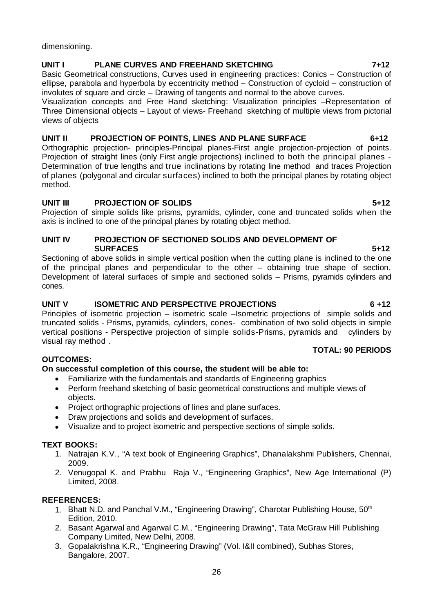dimensioning.

# **UNIT I PLANE CURVES AND FREEHAND SKETCHING 7+12**

Basic Geometrical constructions, Curves used in engineering practices: Conics – Construction of ellipse, parabola and hyperbola by eccentricity method – Construction of cycloid – construction of involutes of square and circle – Drawing of tangents and normal to the above curves.

Visualization concepts and Free Hand sketching: Visualization principles –Representation of Three Dimensional objects – Layout of views- Freehand sketching of multiple views from pictorial views of objects

# **UNIT II PROJECTION OF POINTS, LINES AND PLANE SURFACE 6+12**

Orthographic projection- principles-Principal planes-First angle projection-projection of points. Projection of straight lines (only First angle projections) inclined to both the principal planes - Determination of true lengths and true inclinations by rotating line method and traces Projection of planes (polygonal and circular surfaces) inclined to both the principal planes by rotating object method.

# **UNIT III PROJECTION OF SOLIDS 5+12**

Projection of simple solids like prisms, pyramids, cylinder, cone and truncated solids when the axis is inclined to one of the principal planes by rotating object method.

#### **UNIT IV PROJECTION OF SECTIONED SOLIDS AND DEVELOPMENT OF SURFACES 5+12**

Sectioning of above solids in simple vertical position when the cutting plane is inclined to the one of the principal planes and perpendicular to the other – obtaining true shape of section. Development of lateral surfaces of simple and sectioned solids – Prisms, pyramids cylinders and cones.

# **UNIT V ISOMETRIC AND PERSPECTIVE PROJECTIONS 6 +12**

Principles of isometric projection – isometric scale –Isometric projections of simple solids and truncated solids - Prisms, pyramids, cylinders, cones- combination of two solid objects in simple vertical positions - Perspective projection of simple solids-Prisms, pyramids and cylinders by visual ray method .

# **OUTCOMES:**

# **On successful completion of this course, the student will be able to:**

- Familiarize with the fundamentals and standards of Engineering graphics
- Perform freehand sketching of basic geometrical constructions and multiple views of objects.
- Project orthographic projections of lines and plane surfaces.
- Draw projections and solids and development of surfaces.
- Visualize and to project isometric and perspective sections of simple solids.

# **TEXT BOOKS:**

- 1. Natrajan K.V., "A text book of Engineering Graphics", Dhanalakshmi Publishers, Chennai, 2009.
- 2. Venugopal K. and Prabhu Raja V., "Engineering Graphics", New Age International (P) Limited, 2008.

# **REFERENCES:**

- 1. Bhatt N.D. and Panchal V.M., "Engineering Drawing", Charotar Publishing House, 50<sup>th</sup> Edition, 2010.
- 2. Basant Agarwal and Agarwal C.M., "Engineering Drawing", Tata McGraw Hill Publishing Company Limited, New Delhi, 2008.
- 3. Gopalakrishna K.R., "Engineering Drawing" (Vol. I&II combined), Subhas Stores, Bangalore, 2007.

 **TOTAL: 90 PERIODS**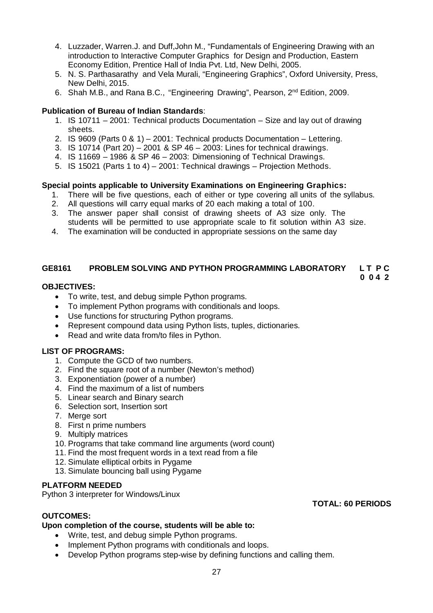- 4. Luzzader, Warren.J. and Duff,John M., "Fundamentals of Engineering Drawing with an introduction to Interactive Computer Graphics for Design and Production, Eastern Economy Edition, Prentice Hall of India Pvt. Ltd, New Delhi, 2005.
- 5. N. S. Parthasarathy and Vela Murali, "Engineering Graphics", Oxford University, Press, New Delhi, 2015.
- 6. Shah M.B., and Rana B.C., "Engineering Drawing", Pearson, 2nd Edition, 2009.

#### **Publication of Bureau of Indian Standards**:

- 1. IS 10711 2001: Technical products Documentation Size and lay out of drawing sheets.
- 2. IS 9609 (Parts 0 & 1) 2001: Technical products Documentation Lettering.
- 3. IS 10714 (Part 20) 2001 & SP 46 2003: Lines for technical drawings.
- 4. IS 11669 1986 & SP 46 2003: Dimensioning of Technical Drawings.
- 5. IS 15021 (Parts 1 to 4) 2001: Technical drawings Projection Methods.

#### **Special points applicable to University Examinations on Engineering Graphics:**

- 1. There will be five questions, each of either or type covering all units of the syllabus.
- 2. All questions will carry equal marks of 20 each making a total of 100.
- 3. The answer paper shall consist of drawing sheets of A3 size only. The students will be permitted to use appropriate scale to fit solution within A3 size.
- 4. The examination will be conducted in appropriate sessions on the same day

# **GE8161 PROBLEM SOLVING AND PYTHON PROGRAMMING LABORATORY L T P C**

#### **0 0 4 2**

### **OBJECTIVES:**

- To write, test, and debug simple Python programs.
- To implement Python programs with conditionals and loops.
- Use functions for structuring Python programs.
- Represent compound data using Python lists, tuples, dictionaries.
- Read and write data from/to files in Python.

#### **LIST OF PROGRAMS:**

- 1. Compute the GCD of two numbers.
- 2. Find the square root of a number (Newton's method)
- 3. Exponentiation (power of a number)
- 4. Find the maximum of a list of numbers
- 5. Linear search and Binary search
- 6. Selection sort, Insertion sort
- 7. Merge sort
- 8. First n prime numbers
- 9. Multiply matrices
- 10. Programs that take command line arguments (word count)
- 11. Find the most frequent words in a text read from a file
- 12. Simulate elliptical orbits in Pygame
- 13. Simulate bouncing ball using Pygame

#### **PLATFORM NEEDED**

Python 3 interpreter for Windows/Linux

# **OUTCOMES:**

#### **Upon completion of the course, students will be able to:**

- Write, test, and debug simple Python programs.
- Implement Python programs with conditionals and loops.
- Develop Python programs step-wise by defining functions and calling them.

#### **TOTAL: 60 PERIODS**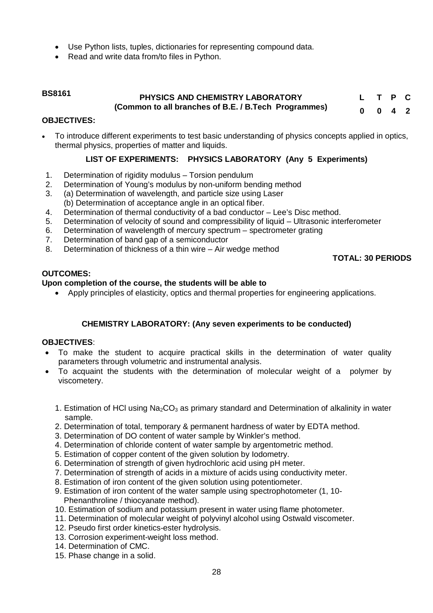- Use Python lists, tuples, dictionaries for representing compound data.
- Read and write data from/to files in Python.

#### **BS8161 PHYSICS AND CHEMISTRY LABORATORY (Common to all branches of B.E. / B.Tech Programmes) L T P C 0 0 4 2**

#### **OBJECTIVES:**

 To introduce different experiments to test basic understanding of physics concepts applied in optics, thermal physics, properties of matter and liquids.

# **LIST OF EXPERIMENTS: PHYSICS LABORATORY (Any 5 Experiments)**

- 1. Determination of rigidity modulus Torsion pendulum
- 2. Determination of Young's modulus by non-uniform bending method
- 3. (a) Determination of wavelength, and particle size using Laser (b) Determination of acceptance angle in an optical fiber.
- 4. Determination of thermal conductivity of a bad conductor Lee's Disc method.
- 5. Determination of velocity of sound and compressibility of liquid Ultrasonic interferometer
- 6. Determination of wavelength of mercury spectrum spectrometer grating
- 7. Determination of band gap of a semiconductor
- 8. Determination of thickness of a thin wire Air wedge method

### **TOTAL: 30 PERIODS**

#### **OUTCOMES:**

#### **Upon completion of the course, the students will be able to**

Apply principles of elasticity, optics and thermal properties for engineering applications.

# **CHEMISTRY LABORATORY: (Any seven experiments to be conducted)**

#### **OBJECTIVES**:

- To make the student to acquire practical skills in the determination of water quality parameters through volumetric and instrumental analysis.
- To acquaint the students with the determination of molecular weight of a polymer by viscometery.
	- 1. Estimation of HCI using  $Na<sub>2</sub>CO<sub>3</sub>$  as primary standard and Determination of alkalinity in water sample.
	- 2. Determination of total, temporary & permanent hardness of water by EDTA method.
	- 3. Determination of DO content of water sample by Winkler's method.
	- 4. Determination of chloride content of water sample by argentometric method.
	- 5. Estimation of copper content of the given solution by Iodometry.
	- 6. Determination of strength of given hydrochloric acid using pH meter.
	- 7. Determination of strength of acids in a mixture of acids using conductivity meter.
	- 8. Estimation of iron content of the given solution using potentiometer.
	- 9. Estimation of iron content of the water sample using spectrophotometer (1, 10- Phenanthroline / thiocyanate method).
	- 10. Estimation of sodium and potassium present in water using flame photometer.
	- 11. Determination of molecular weight of polyvinyl alcohol using Ostwald viscometer.
	- 12. Pseudo first order kinetics-ester hydrolysis.
	- 13. Corrosion experiment-weight loss method.
	- 14. Determination of CMC.
	- 15. Phase change in a solid.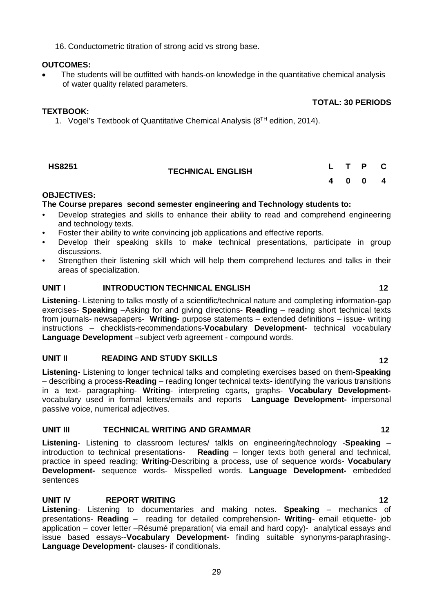16. Conductometric titration of strong acid vs strong base.

#### **OUTCOMES:**

 The students will be outfitted with hands-on knowledge in the quantitative chemical analysis of water quality related parameters.

## **TEXTBOOK:**

1. Vogel's Textbook of Quantitative Chemical Analysis  $(8^{TH}$  edition, 2014).

| <b>HS8251</b> | <b>TECHNICAL ENGLISH</b> |  | L T P C |  |
|---------------|--------------------------|--|---------|--|
|               |                          |  | 4 0 0 4 |  |

### **OBJECTIVES:**

### **The Course prepares second semester engineering and Technology students to:**

- Develop strategies and skills to enhance their ability to read and comprehend engineering and technology texts.
- Foster their ability to write convincing job applications and effective reports.
- Develop their speaking skills to make technical presentations, participate in group discussions.
- Strengthen their listening skill which will help them comprehend lectures and talks in their areas of specialization.

### **UNIT I INTRODUCTION TECHNICAL ENGLISH 12**

**Listening**- Listening to talks mostly of a scientific/technical nature and completing information-gap exercises- **Speaking** –Asking for and giving directions- **Reading** – reading short technical texts from journals- newsapapers- **Writing**- purpose statements – extended definitions – issue- writing instructions – checklists-recommendations-**Vocabulary Development**- technical vocabulary **Language Development** –subject verb agreement - compound words.

### **UNIT II READING AND STUDY SKILLS 12**

**Listening**- Listening to longer technical talks and completing exercises based on them-**Speaking** – describing a process-**Reading** – reading longer technical texts- identifying the various transitions in a text- paragraphing- **Writing**- interpreting cgarts, graphs- **Vocabulary Development**vocabulary used in formal letters/emails and reports **Language Development-** impersonal passive voice, numerical adjectives.

#### **UNIT III TECHNICAL WRITING AND GRAMMAR 12**

**Listening**- Listening to classroom lectures/ talkls on engineering/technology -**Speaking** – introduction to technical presentations- **Reading** – longer texts both general and technical, practice in speed reading; **Writing**-Describing a process, use of sequence words- **Vocabulary Development-** sequence words- Misspelled words. **Language Development-** embedded sentences

# **UNIT IV REPORT WRITING 12**

**Listening**- Listening to documentaries and making notes. **Speaking** – mechanics of presentations- **Reading** – reading for detailed comprehension- **Writing**- email etiquette- job application – cover letter –Résumé preparation( via email and hard copy)- analytical essays and issue based essays--**Vocabulary Development**- finding suitable synonyms-paraphrasing-. **Language Development-** clauses- if conditionals.

**TOTAL: 30 PERIODS**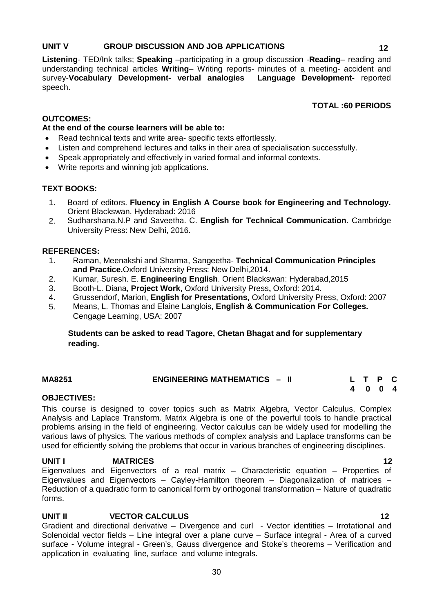### **UNIT V GROUP DISCUSSION AND JOB APPLICATIONS 12**

**Listening**- TED/Ink talks; **Speaking** –participating in a group discussion -**Reading**– reading and

understanding technical articles **Writing**– Writing reports- minutes of a meeting- accident and survey-**Vocabulary Development- verbal analogies Language Development-** reported speech.

# **TOTAL :60 PERIODS**

# **OUTCOMES:**

# **At the end of the course learners will be able to:**

- Read technical texts and write area- specific texts effortlessly.
- Listen and comprehend lectures and talks in their area of specialisation successfully.
- Speak appropriately and effectively in varied formal and informal contexts.
- Write reports and winning job applications.

# **TEXT BOOKS:**

- 1. Board of editors. **Fluency in English A Course book for Engineering and Technology.**  Orient Blackswan, Hyderabad: 2016
- 2. Sudharshana.N.P and Saveetha. C. **English for Technical Communication**. Cambridge University Press: New Delhi, 2016.

# **REFERENCES:**

- 1. Raman, Meenakshi and Sharma, Sangeetha- **Technical Communication Principles and Practice.**Oxford University Press: New Delhi,2014.
- 2. Kumar, Suresh. E. **Engineering English**. Orient Blackswan: Hyderabad,2015
- 3. Booth-L. Diana**, Project Work,** Oxford University Press**,** Oxford: 2014.
- 4. Grussendorf, Marion, **English for Presentations,** Oxford University Press, Oxford: 2007
- 5. Means, L. Thomas and Elaine Langlois, **English & Communication For Colleges.**  Cengage Learning, USA: 2007

# **Students can be asked to read Tagore, Chetan Bhagat and for supplementary reading.**

| MA8251 | <b>ENGINEERING MATHEMATICS - II</b> | L T P C |  |
|--------|-------------------------------------|---------|--|
|        |                                     | 4 0 0 4 |  |

# **OBJECTIVES:**

This course is designed to cover topics such as Matrix Algebra, Vector Calculus, Complex Analysis and Laplace Transform. Matrix Algebra is one of the powerful tools to handle practical problems arising in the field of engineering. Vector calculus can be widely used for modelling the various laws of physics. The various methods of complex analysis and Laplace transforms can be used for efficiently solving the problems that occur in various branches of engineering disciplines.

#### **UNIT I** MATRICES 12 Eigenvalues and Eigenvectors of a real matrix – Characteristic equation – Properties of Eigenvalues and Eigenvectors – Cayley-Hamilton theorem – Diagonalization of matrices – Reduction of a quadratic form to canonical form by orthogonal transformation – Nature of quadratic forms.

# **UNIT II CONSECTOR CALCULUS** 12

Gradient and directional derivative – Divergence and curl - Vector identities – Irrotational and Solenoidal vector fields – Line integral over a plane curve – Surface integral - Area of a curved surface - Volume integral - Green's, Gauss divergence and Stoke's theorems – Verification and application in evaluating line, surface and volume integrals.

30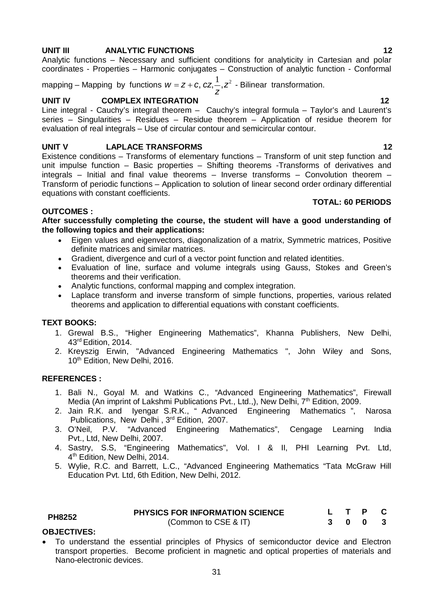### **UNIT III ANALYTIC FUNCTIONS 12**

Analytic functions – Necessary and sufficient conditions for analyticity in Cartesian and polar coordinates - Properties – Harmonic conjugates – Construction of analytic function - Conformal

mapping – Mapping by functions  $w = z + c, \, cz, \stackrel{1}{\textcolor{red}{\textbf{Z}}} z^2$ *z*  $W = Z + C$ ,  $CZ, \overline{C}$ ,  $Z^2$  - Bilinear transformation.

## **UNIT IV COMPLEX INTEGRATION 12**

Line integral - Cauchy's integral theorem – Cauchy's integral formula – Taylor's and Laurent's series – Singularities – Residues – Residue theorem – Application of residue theorem for evaluation of real integrals – Use of circular contour and semicircular contour.

### **UNIT V LAPLACE TRANSFORMS** 12

Existence conditions – Transforms of elementary functions – Transform of unit step function and unit impulse function – Basic properties – Shifting theorems -Transforms of derivatives and integrals – Initial and final value theorems – Inverse transforms – Convolution theorem – Transform of periodic functions – Application to solution of linear second order ordinary differential equations with constant coefficients.

#### **OUTCOMES :**

**After successfully completing the course, the student will have a good understanding of the following topics and their applications:** 

- Eigen values and eigenvectors, diagonalization of a matrix, Symmetric matrices, Positive definite matrices and similar matrices.
- Gradient, divergence and curl of a vector point function and related identities.
- Evaluation of line, surface and volume integrals using Gauss, Stokes and Green's theorems and their verification.
- Analytic functions, conformal mapping and complex integration.
- Laplace transform and inverse transform of simple functions, properties, various related theorems and application to differential equations with constant coefficients.

# **TEXT BOOKS:**

- 1. Grewal B.S., "Higher Engineering Mathematics", Khanna Publishers, New Delhi, 43rd Edition, 2014.
- 2. Kreyszig Erwin, "Advanced Engineering Mathematics ", John Wiley and Sons, 10<sup>th</sup> Edition, New Delhi, 2016.

# **REFERENCES :**

- 1. Bali N., Goyal M. and Watkins C., "Advanced Engineering Mathematics", Firewall Media (An imprint of Lakshmi Publications Pvt., Ltd.,), New Delhi, 7<sup>th</sup> Edition, 2009.
- 2. Jain R.K. and Iyengar S.R.K., " Advanced Engineering Mathematics ", Narosa Publications, New Delhi, 3<sup>rd</sup> Edition, 2007.<br>3. O'Neil. P.V. "Advanced Engineering I
- 3. O'Neil, P.V. "Advanced Engineering Mathematics", Cengage Learning India Pvt., Ltd, New Delhi, 2007.
- 4. Sastry, S.S, "Engineering Mathematics", Vol. I & II, PHI Learning Pvt. Ltd, 4 th Edition, New Delhi, 2014.
- 5. Wylie, R.C. and Barrett, L.C., "Advanced Engineering Mathematics "Tata McGraw Hill Education Pvt. Ltd, 6th Edition, New Delhi, 2012.

| <b>PH8252</b> | <b>PHYSICS FOR INFORMATION SCIENCE</b> |  | L T P C |  |
|---------------|----------------------------------------|--|---------|--|
|               | (Common to CSE & IT)                   |  | 3 0 0 3 |  |

#### **OBJECTIVES:**

 To understand the essential principles of Physics of semiconductor device and Electron transport properties. Become proficient in magnetic and optical properties of materials and Nano-electronic devices.

 **TOTAL: 60 PERIODS**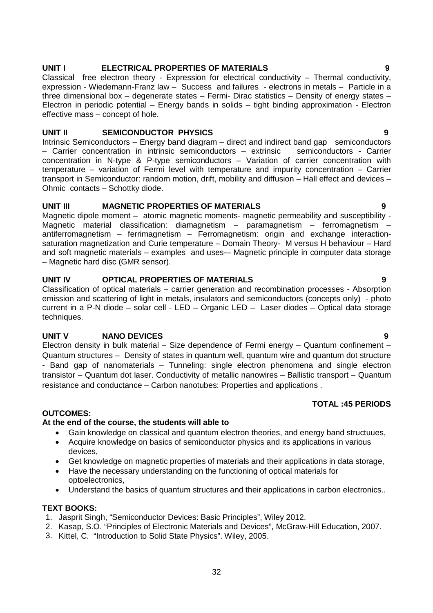## **UNIT I ELECTRICAL PROPERTIES OF MATERIALS 9**

Classical free electron theory - Expression for electrical conductivity – Thermal conductivity, expression - Wiedemann-Franz law - Success and failures - electrons in metals - Particle in a three dimensional box – degenerate states – Fermi- Dirac statistics – Density of energy states – Electron in periodic potential – Energy bands in solids – tight binding approximation - Electron effective mass – concept of hole.

#### **UNIT II SEMICONDUCTOR PHYSICS 9**

Intrinsic Semiconductors – Energy band diagram – direct and indirect band gap semiconductors – Carrier concentration in intrinsic semiconductors – extrinsic semiconductors - Carrier concentration in N-type & P-type semiconductors – Variation of carrier concentration with temperature – variation of Fermi level with temperature and impurity concentration – Carrier transport in Semiconductor: random motion, drift, mobility and diffusion – Hall effect and devices – Ohmic contacts – Schottky diode.

### **UNIT III MAGNETIC PROPERTIES OF MATERIALS 9**

Magnetic dipole moment – atomic magnetic moments- magnetic permeability and susceptibility -Magnetic material classification: diamagnetism - paramagnetism - ferromagnetism antiferromagnetism – ferrimagnetism – Ferromagnetism: origin and exchange interactionsaturation magnetization and Curie temperature – Domain Theory- M versus H behaviour – Hard and soft magnetic materials – examples and uses-– Magnetic principle in computer data storage – Magnetic hard disc (GMR sensor).

### **UNIT IV OPTICAL PROPERTIES OF MATERIALS 9**

Classification of optical materials – carrier generation and recombination processes - Absorption emission and scattering of light in metals, insulators and semiconductors (concepts only) - photo current in a P-N diode – solar cell - LED – Organic LED – Laser diodes – Optical data storage techniques.

# **UNIT V NANO DEVICES 9**

Electron density in bulk material – Size dependence of Fermi energy – Quantum confinement – Quantum structures – Density of states in quantum well, quantum wire and quantum dot structure - Band gap of nanomaterials – Tunneling: single electron phenomena and single electron transistor – Quantum dot laser. Conductivity of metallic nanowires – Ballistic transport – Quantum resistance and conductance – Carbon nanotubes: Properties and applications .

#### **TOTAL :45 PERIODS**

#### **OUTCOMES:**

#### **At the end of the course, the students will able to**

- Gain knowledge on classical and quantum electron theories, and energy band structuues,
- Acquire knowledge on basics of semiconductor physics and its applications in various devices,
- Get knowledge on magnetic properties of materials and their applications in data storage,
- Have the necessary understanding on the functioning of optical materials for optoelectronics,
- Understand the basics of quantum structures and their applications in carbon electronics..

#### **TEXT BOOKS:**

- 1. Jasprit Singh, "Semiconductor Devices: Basic Principles", Wiley 2012.
- 2. Kasap, S.O. "Principles of Electronic Materials and Devices", McGraw-Hill Education, 2007.
- 3. Kittel, C. "Introduction to Solid State Physics". Wiley, 2005.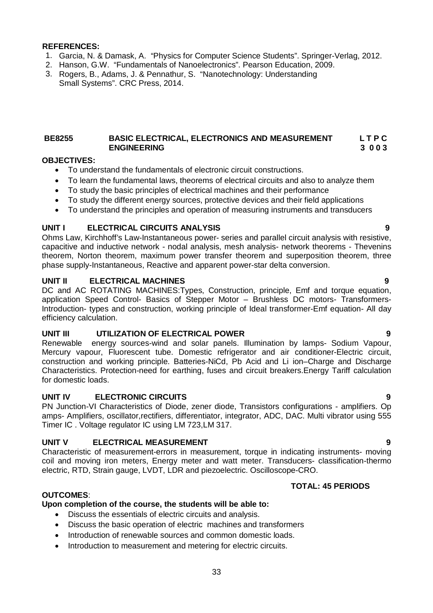#### **REFERENCES:**

- 1. Garcia, N. & Damask, A. "Physics for Computer Science Students". Springer-Verlag, 2012.
- 2. Hanson, G.W. "Fundamentals of Nanoelectronics". Pearson Education, 2009.
- 3. Rogers, B., Adams, J. & Pennathur, S. "Nanotechnology: Understanding Small Systems". CRC Press, 2014.

#### **BE8255 BASIC ELECTRICAL, ELECTRONICS AND MEASUREMENT L T P C ENGINEERING 3 0 0 3**

#### **OBJECTIVES:**

- To understand the fundamentals of electronic circuit constructions.
- To learn the fundamental laws, theorems of electrical circuits and also to analyze them
- To study the basic principles of electrical machines and their performance
- To study the different energy sources, protective devices and their field applications
- To understand the principles and operation of measuring instruments and transducers

### **UNIT I ELECTRICAL CIRCUITS ANALYSIS 9**

Ohms Law, Kirchhoff's Law-Instantaneous power- series and parallel circuit analysis with resistive, capacitive and inductive network - nodal analysis, mesh analysis- network theorems - Thevenins theorem, Norton theorem, maximum power transfer theorem and superposition theorem, three phase supply-Instantaneous, Reactive and apparent power-star delta conversion.

#### **UNIT II ELECTRICAL MACHINES 9**

DC and AC ROTATING MACHINES:Types, Construction, principle, Emf and torque equation, application Speed Control- Basics of Stepper Motor – Brushless DC motors- Transformers-Introduction- types and construction, working principle of Ideal transformer-Emf equation- All day efficiency calculation.

### **UNIT III UTILIZATION OF ELECTRICAL POWER 9**

Renewable energy sources-wind and solar panels. Illumination by lamps- Sodium Vapour, Mercury vapour, Fluorescent tube. Domestic refrigerator and air conditioner-Electric circuit, construction and working principle. Batteries-NiCd, Pb Acid and Li ion–Charge and Discharge Characteristics. Protection-need for earthing, fuses and circuit breakers.Energy Tariff calculation for domestic loads.

### **UNIT IV ELECTRONIC CIRCUITS 9**

PN Junction-VI Characteristics of Diode, zener diode, Transistors configurations - amplifiers. Op amps- Amplifiers, oscillator,rectifiers, differentiator, integrator, ADC, DAC. Multi vibrator using 555 Timer IC . Voltage regulator IC using LM 723,LM 317.

#### **UNIT V ELECTRICAL MEASUREMENT 9**

Characteristic of measurement-errors in measurement, torque in indicating instruments- moving coil and moving iron meters, Energy meter and watt meter. Transducers- classification-thermo electric, RTD, Strain gauge, LVDT, LDR and piezoelectric. Oscilloscope-CRO.

#### **TOTAL: 45 PERIODS**

#### **OUTCOMES**:

#### **Upon completion of the course, the students will be able to:**

- Discuss the essentials of electric circuits and analysis.
- Discuss the basic operation of electric machines and transformers
- Introduction of renewable sources and common domestic loads.
- Introduction to measurement and metering for electric circuits.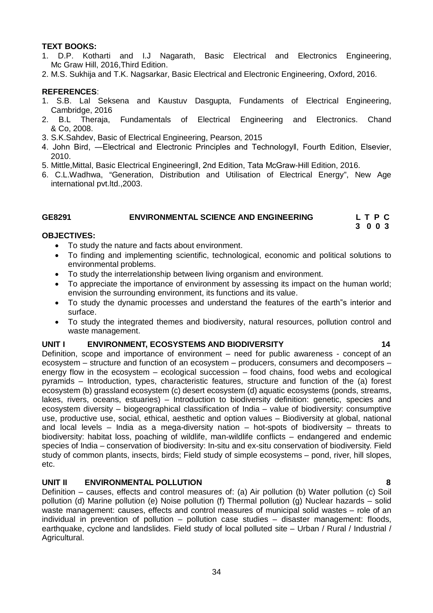#### **TEXT BOOKS:**

- 1. D.P. Kotharti and I.J Nagarath, Basic Electrical and Electronics Engineering, Mc Graw Hill, 2016,Third Edition.
- 2. M.S. Sukhija and T.K. Nagsarkar, Basic Electrical and Electronic Engineering, Oxford, 2016.

#### **REFERENCES**:

- 1. S.B. Lal Seksena and Kaustuv Dasgupta, Fundaments of Electrical Engineering, Cambridge, 2016
- 2. B.L Theraja, Fundamentals of Electrical Engineering and Electronics. Chand & Co, 2008.
- 3. S.K.Sahdev, Basic of Electrical Engineering, Pearson, 2015
- 4. John Bird, —Electrical and Electronic Principles and Technologyll, Fourth Edition, Elsevier, 2010.
- 5. Mittle,Mittal, Basic Electrical Engineeringǁ, 2nd Edition, Tata McGraw-Hill Edition, 2016.
- 6. C.L.Wadhwa, "Generation, Distribution and Utilisation of Electrical Energy", New Age international pvt.ltd.,2003.

### **GE8291 ENVIRONMENTAL SCIENCE AND ENGINEERING L T P C**

#### **3 0 0 3**

#### **OBJECTIVES:**

- To study the nature and facts about environment.
- To finding and implementing scientific, technological, economic and political solutions to environmental problems.
- To study the interrelationship between living organism and environment.
- To appreciate the importance of environment by assessing its impact on the human world; envision the surrounding environment, its functions and its value.
- To study the dynamic processes and understand the features of the earth"s interior and surface.
- To study the integrated themes and biodiversity, natural resources, pollution control and waste management.

#### **UNIT I ENVIRONMENT, ECOSYSTEMS AND BIODIVERSITY 14**

Definition, scope and importance of environment – need for public awareness - concept of an ecosystem – structure and function of an ecosystem – producers, consumers and decomposers – energy flow in the ecosystem – ecological succession – food chains, food webs and ecological pyramids – Introduction, types, characteristic features, structure and function of the (a) forest ecosystem (b) grassland ecosystem (c) desert ecosystem (d) aquatic ecosystems (ponds, streams, lakes, rivers, oceans, estuaries) – Introduction to biodiversity definition: genetic, species and ecosystem diversity – biogeographical classification of India – value of biodiversity: consumptive use, productive use, social, ethical, aesthetic and option values – Biodiversity at global, national and local levels – India as a mega-diversity nation – hot-spots of biodiversity – threats to biodiversity: habitat loss, poaching of wildlife, man-wildlife conflicts – endangered and endemic species of India – conservation of biodiversity: In-situ and ex-situ conservation of biodiversity. Field study of common plants, insects, birds; Field study of simple ecosystems – pond, river, hill slopes, etc.

#### **UNIT II ENVIRONMENTAL POLLUTION 8**

Definition – causes, effects and control measures of: (a) Air pollution (b) Water pollution (c) Soil pollution (d) Marine pollution (e) Noise pollution (f) Thermal pollution (g) Nuclear hazards – solid waste management: causes, effects and control measures of municipal solid wastes – role of an individual in prevention of pollution – pollution case studies – disaster management: floods, earthquake, cyclone and landslides. Field study of local polluted site – Urban / Rural / Industrial / Agricultural.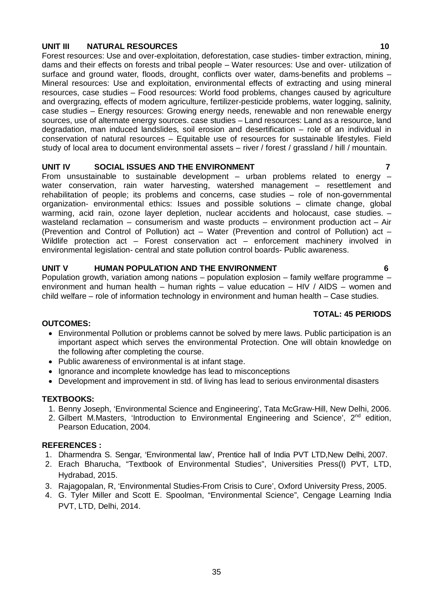### **UNIT III NATURAL RESOURCES 10**

Forest resources: Use and over-exploitation, deforestation, case studies- timber extraction, mining, dams and their effects on forests and tribal people – Water resources: Use and over- utilization of surface and ground water, floods, drought, conflicts over water, dams-benefits and problems – Mineral resources: Use and exploitation, environmental effects of extracting and using mineral resources, case studies – Food resources: World food problems, changes caused by agriculture and overgrazing, effects of modern agriculture, fertilizer-pesticide problems, water logging, salinity, case studies – Energy resources: Growing energy needs, renewable and non renewable energy sources, use of alternate energy sources. case studies – Land resources: Land as a resource, land degradation, man induced landslides, soil erosion and desertification – role of an individual in conservation of natural resources – Equitable use of resources for sustainable lifestyles. Field study of local area to document environmental assets – river / forest / grassland / hill / mountain.

#### **UNIT IV SOCIAL ISSUES AND THE ENVIRONMENT 7**

From unsustainable to sustainable development  $-$  urban problems related to energy  $$ water conservation, rain water harvesting, watershed management – resettlement and rehabilitation of people; its problems and concerns, case studies – role of non-governmental organization- environmental ethics: Issues and possible solutions – climate change, global warming, acid rain, ozone layer depletion, nuclear accidents and holocaust, case studies. – wasteland reclamation – consumerism and waste products – environment production act – Air (Prevention and Control of Pollution) act – Water (Prevention and control of Pollution) act – Wildlife protection act – Forest conservation act – enforcement machinery involved in environmental legislation- central and state pollution control boards- Public awareness.

## **UNIT V HUMAN POPULATION AND THE ENVIRONMENT 6**

Population growth, variation among nations – population explosion – family welfare programme – environment and human health – human rights – value education – HIV / AIDS – women and child welfare – role of information technology in environment and human health – Case studies.

#### **TOTAL: 45 PERIODS**

#### **OUTCOMES:**

- Environmental Pollution or problems cannot be solved by mere laws. Public participation is an important aspect which serves the environmental Protection. One will obtain knowledge on the following after completing the course.
- Public awareness of environmental is at infant stage.
- Ignorance and incomplete knowledge has lead to misconceptions
- Development and improvement in std. of living has lead to serious environmental disasters

#### **TEXTBOOKS:**

- 1. Benny Joseph, 'Environmental Science and Engineering', Tata McGraw-Hill, New Delhi, 2006.
- 2. Gilbert M.Masters, 'Introduction to Environmental Engineering and Science', 2<sup>nd</sup> edition, Pearson Education, 2004.

#### **REFERENCES :**

- 1. Dharmendra S. Sengar, 'Environmental law', Prentice hall of India PVT LTD,New Delhi, 2007.
- 2. Erach Bharucha, "Textbook of Environmental Studies", Universities Press(I) PVT, LTD, Hydrabad, 2015.
- 3. Rajagopalan, R, 'Environmental Studies-From Crisis to Cure', Oxford University Press, 2005.
- 4. G. Tyler Miller and Scott E. Spoolman, "Environmental Science", Cengage Learning India PVT, LTD, Delhi, 2014.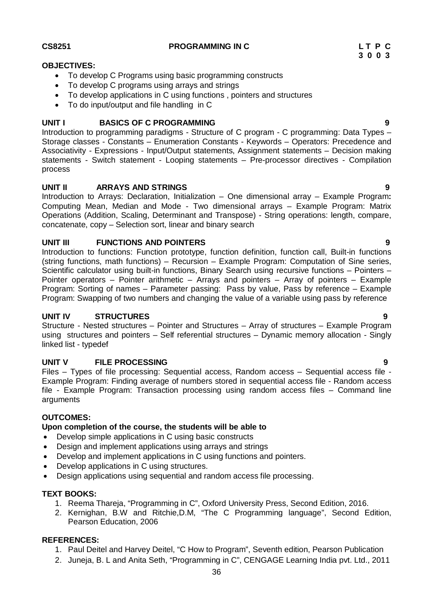To develop C Programs using basic programming constructs

To develop applications in C using functions , pointers and structures

To develop C programs using arrays and strings

To do input/output and file handling in C

**UNIT I BASICS OF C PROGRAMMING 9** Introduction to programming paradigms - Structure of C program - C programming: Data Types – Storage classes - Constants – Enumeration Constants - Keywords – Operators: Precedence and Associativity - Expressions - Input/Output statements, Assignment statements – Decision making statements - Switch statement - Looping statements – Pre-processor directives - Compilation process

# **UNIT II ARRAYS AND STRINGS 9**

Introduction to Arrays: Declaration, Initialization – One dimensional array – Example Program**:** Computing Mean, Median and Mode - Two dimensional arrays – Example Program: Matrix Operations (Addition, Scaling, Determinant and Transpose) - String operations: length, compare, concatenate, copy – Selection sort, linear and binary search

# **UNIT III FUNCTIONS AND POINTERS 9**

Introduction to functions: Function prototype, function definition, function call, Built-in functions (string functions, math functions) – Recursion – Example Program: Computation of Sine series, Scientific calculator using built-in functions, Binary Search using recursive functions – Pointers – Pointer operators – Pointer arithmetic – Arrays and pointers – Array of pointers – Example Program: Sorting of names – Parameter passing: Pass by value, Pass by reference – Example Program: Swapping of two numbers and changing the value of a variable using pass by reference

# **UNIT IV STRUCTURES 9**

Structure - Nested structures – Pointer and Structures – Array of structures – Example Program using structures and pointers – Self referential structures – Dynamic memory allocation - Singly linked list - typedef

# **UNIT V FILE PROCESSING 9**

Files – Types of file processing: Sequential access, Random access – Sequential access file - Example Program: Finding average of numbers stored in sequential access file - Random access file - Example Program: Transaction processing using random access files – Command line arguments

# **OUTCOMES:**

# **Upon completion of the course, the students will be able to**

- Develop simple applications in C using basic constructs
- Design and implement applications using arrays and strings
- Develop and implement applications in C using functions and pointers.
- Develop applications in C using structures.
- Design applications using sequential and random access file processing.

# **TEXT BOOKS:**

- 1. Reema Thareja, "Programming in C", Oxford University Press, Second Edition, 2016.
- 2. Kernighan, B.W and Ritchie,D.M, "The C Programming language", Second Edition, Pearson Education, 2006

# **REFERENCES:**

- 1. Paul Deitel and Harvey Deitel, "C How to Program", Seventh edition, Pearson Publication
- 2. Juneja, B. L and Anita Seth, "Programming in C", CENGAGE Learning India pvt. Ltd., 2011

**OBJECTIVES:**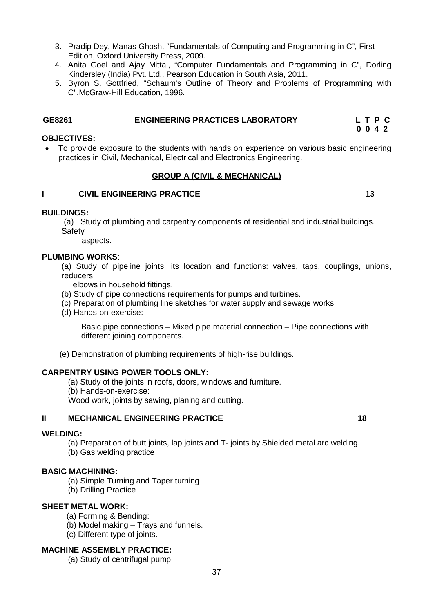- 3. Pradip Dey, Manas Ghosh, "Fundamentals of Computing and Programming in C", First Edition, Oxford University Press, 2009.
- 4. Anita Goel and Ajay Mittal, "Computer Fundamentals and Programming in C", Dorling Kindersley (India) Pvt. Ltd., Pearson Education in South Asia, 2011.
- 5. Byron S. Gottfried, "Schaum's Outline of Theory and Problems of Programming with C",McGraw-Hill Education, 1996.

# **GE8261 ENGINEERING PRACTICES LABORATORY L T P C**

#### **0 0 4 2 OBJECTIVES:**

 To provide exposure to the students with hands on experience on various basic engineering practices in Civil, Mechanical, Electrical and Electronics Engineering.

# **GROUP A (CIVIL & MECHANICAL)**

#### **I** CIVIL ENGINEERING PRACTICE 13

#### **BUILDINGS:**

(a) Study of plumbing and carpentry components of residential and industrial buildings. **Safety** 

aspects.

#### **PLUMBING WORKS**:

(a) Study of pipeline joints, its location and functions: valves, taps, couplings, unions, reducers,

elbows in household fittings.

- (b) Study of pipe connections requirements for pumps and turbines.
- (c) Preparation of plumbing line sketches for water supply and sewage works.
- (d) Hands-on-exercise:

Basic pipe connections – Mixed pipe material connection – Pipe connections with different joining components.

(e) Demonstration of plumbing requirements of high-rise buildings.

### **CARPENTRY USING POWER TOOLS ONLY:**

- (a) Study of the joints in roofs, doors, windows and furniture.
- (b) Hands-on-exercise:

Wood work, joints by sawing, planing and cutting.

#### **II MECHANICAL ENGINEERING PRACTICE 18**

#### **WELDING:**

(a) Preparation of butt joints, lap joints and T- joints by Shielded metal arc welding.

(b) Gas welding practice

# **BASIC MACHINING:**

- (a) Simple Turning and Taper turning
- (b) Drilling Practice

# **SHEET METAL WORK:**

- (a) Forming & Bending:
- (b) Model making Trays and funnels.
- (c) Different type of joints.

# **MACHINE ASSEMBLY PRACTICE:**

(a) Study of centrifugal pump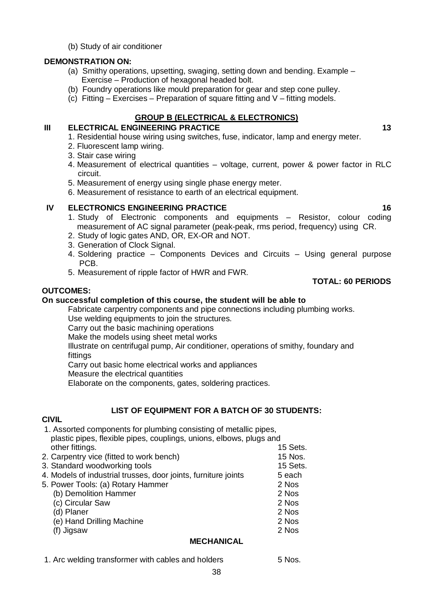(b) Study of air conditioner

### **DEMONSTRATION ON:**

- (a) Smithy operations, upsetting, swaging, setting down and bending. Example Exercise – Production of hexagonal headed bolt.
- (b) Foundry operations like mould preparation for gear and step cone pulley.
- (c) Fitting Exercises Preparation of square fitting and  $V$  fitting models.

# **GROUP B (ELECTRICAL & ELECTRONICS)**

### **III ELECTRICAL ENGINEERING PRACTICE 13** 13

- 1. Residential house wiring using switches, fuse, indicator, lamp and energy meter.
- 2. Fluorescent lamp wiring.
- 3. Stair case wiring
- 4. Measurement of electrical quantities voltage, current, power & power factor in RLC circuit.
- 5. Measurement of energy using single phase energy meter.
- 6. Measurement of resistance to earth of an electrical equipment.

# **IV ELECTRONICS ENGINEERING PRACTICE 16** 16

- 1. Study of Electronic components and equipments Resistor, colour coding measurement of AC signal parameter (peak-peak, rms period, frequency) using CR.
- 2. Study of logic gates AND, OR, EX-OR and NOT.
- 3. Generation of Clock Signal.
- 4. Soldering practice Components Devices and Circuits Using general purpose PCB.
- 5. Measurement of ripple factor of HWR and FWR.

# **OUTCOMES:**

# **On successful completion of this course, the student will be able to**

Fabricate carpentry components and pipe connections including plumbing works.

Use welding equipments to join the structures.

Carry out the basic machining operations

Make the models using sheet metal works

Illustrate on centrifugal pump, Air conditioner, operations of smithy, foundary and fittings

Carry out basic home electrical works and appliances

Measure the electrical quantities

Elaborate on the components, gates, soldering practices.

# **LIST OF EQUIPMENT FOR A BATCH OF 30 STUDENTS:**

### **CIVIL**

1. Assorted components for plumbing consisting of metallic pipes, plastic pipes, flexible pipes, couplings, unions, elbows, plugs and other fittings. The contract of the contract of the contract of the contract of the contract of the contract of the contract of the contract of the contract of the contract of the contract of the contract of the contract o 2. Carpentry vice (fitted to work bench) 15 Nos. 3. Standard woodworking tools 15 Sets. 4. Models of industrial trusses, door joints, furniture joints **5** each 5. Power Tools: (a) Rotary Hammer 2 Nos (b) Demolition Hammer 2 Nos (c) Circular Saw 2 Nos (d) Planer 2 Nos (e) Hand Drilling Machine 2 Nos  $(f)$  Jigsaw

### **MECHANICAL**

1. Arc welding transformer with cables and holders 5 Nos.

**TOTAL: 60 PERIODS**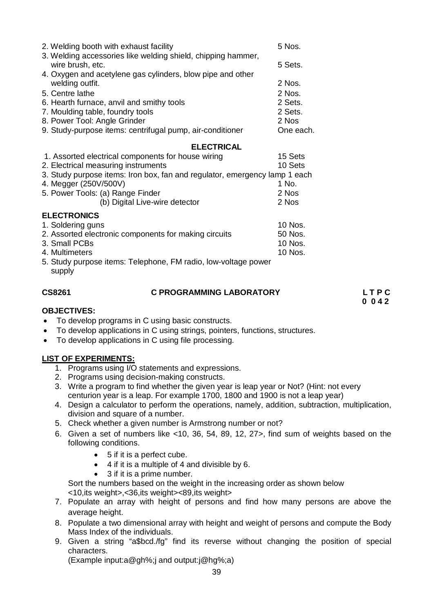| 2. Welding booth with exhaust facility<br>3. Welding accessories like welding shield, chipping hammer,                                                                                                                                                                                      | 5 Nos.                                        |
|---------------------------------------------------------------------------------------------------------------------------------------------------------------------------------------------------------------------------------------------------------------------------------------------|-----------------------------------------------|
| wire brush, etc.<br>4. Oxygen and acetylene gas cylinders, blow pipe and other                                                                                                                                                                                                              | 5 Sets.                                       |
| welding outfit.<br>5. Centre lathe<br>6. Hearth furnace, anvil and smithy tools                                                                                                                                                                                                             | $2$ Nos.<br>2 Nos.<br>2 Sets.                 |
| 7. Moulding table, foundry tools<br>8. Power Tool: Angle Grinder<br>9. Study-purpose items: centrifugal pump, air-conditioner                                                                                                                                                               | 2 Sets.<br>2 Nos<br>One each.                 |
|                                                                                                                                                                                                                                                                                             |                                               |
| <b>ELECTRICAL</b><br>1. Assorted electrical components for house wiring<br>2. Electrical measuring instruments<br>3. Study purpose items: Iron box, fan and regulator, emergency lamp 1 each<br>4. Megger (250V/500V)<br>5. Power Tools: (a) Range Finder<br>(b) Digital Live-wire detector | 15 Sets<br>10 Sets<br>1 No.<br>2 Nos<br>2 Nos |
| <b>ELECTRONICS</b><br>1. Soldering guns<br>2. Assorted electronic components for making circuits<br>3. Small PCBs<br>4. Multimeters<br>5. Study purpose items: Telephone, FM radio, low-voltage power<br>supply                                                                             | 10 Nos.<br>50 Nos.<br>10 Nos.<br>10 Nos.      |

# **CS8261 C PROGRAMMING LABORATORY L T P C**

 **0 0 4 2** 

#### **OBJECTIVES:**

- To develop programs in C using basic constructs.
- To develop applications in C using strings, pointers, functions, structures.
- To develop applications in C using file processing.

### **LIST OF EXPERIMENTS:**

- 1. Programs using I/O statements and expressions.
- 2. Programs using decision-making constructs.
- 3. Write a program to find whether the given year is leap year or Not? (Hint: not every centurion year is a leap. For example 1700, 1800 and 1900 is not a leap year)
- 4. Design a calculator to perform the operations, namely, addition, subtraction, multiplication, division and square of a number.
- 5. Check whether a given number is Armstrong number or not?
- 6. Given a set of numbers like <10, 36, 54, 89, 12, 27>, find sum of weights based on the following conditions.
	- 5 if it is a perfect cube.
	- $\bullet$  4 if it is a multiple of 4 and divisible by 6.
	- 3 if it is a prime number.

Sort the numbers based on the weight in the increasing order as shown below <10,its weight>,<36,its weight><89,its weight>

- 7. Populate an array with height of persons and find how many persons are above the average height.
- 8. Populate a two dimensional array with height and weight of persons and compute the Body Mass Index of the individuals.
- 9. Given a string "a\$bcd./fg" find its reverse without changing the position of special characters.

(Example input:a@gh%;j and output:j@hg%;a)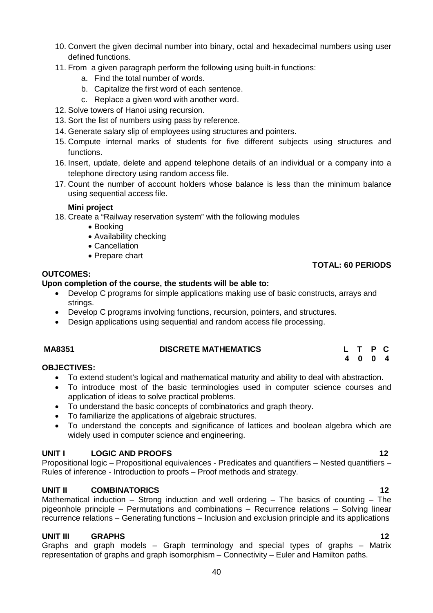- 10. Convert the given decimal number into binary, octal and hexadecimal numbers using user defined functions.
- 11. From a given paragraph perform the following using built-in functions:
	- a. Find the total number of words.
	- b. Capitalize the first word of each sentence.
	- c. Replace a given word with another word.
- 12. Solve towers of Hanoi using recursion.
- 13. Sort the list of numbers using pass by reference.
- 14. Generate salary slip of employees using structures and pointers.
- 15. Compute internal marks of students for five different subjects using structures and functions.
- 16. Insert, update, delete and append telephone details of an individual or a company into a telephone directory using random access file.
- 17. Count the number of account holders whose balance is less than the minimum balance using sequential access file.

#### **Mini project**

- 18. Create a "Railway reservation system" with the following modules
	- Booking
	- Availability checking
	- Cancellation
	- Prepare chart

### **OUTCOMES:**

### **Upon completion of the course, the students will be able to:**

- Develop C programs for simple applications making use of basic constructs, arrays and strings.
- Develop C programs involving functions, recursion, pointers, and structures.
- Design applications using sequential and random access file processing.

### **MA8351 DISCRETE MATHEMATICS L T P C**

#### **4 0 0 4 OBJECTIVES:**

- To extend student's logical and mathematical maturity and ability to deal with abstraction.
- To introduce most of the basic terminologies used in computer science courses and application of ideas to solve practical problems.
- To understand the basic concepts of combinatorics and graph theory.
- To familiarize the applications of algebraic structures.
- To understand the concepts and significance of lattices and boolean algebra which are widely used in computer science and engineering.

### **UNIT I LOGIC AND PROOFS 12**

Propositional logic – Propositional equivalences - Predicates and quantifiers – Nested quantifiers – Rules of inference - Introduction to proofs – Proof methods and strategy.

### **UNIT II COMBINATORICS 12**

Mathematical induction – Strong induction and well ordering – The basics of counting – The pigeonhole principle – Permutations and combinations – Recurrence relations – Solving linear recurrence relations – Generating functions – Inclusion and exclusion principle and its applications

### **UNIT III GRAPHS 12**

Graphs and graph models – Graph terminology and special types of graphs – Matrix representation of graphs and graph isomorphism – Connectivity – Euler and Hamilton paths.

### **TOTAL: 60 PERIODS**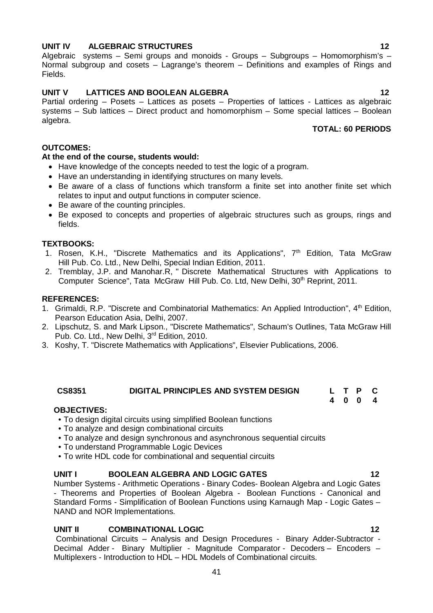### **UNIT IV ALGEBRAIC STRUCTURES** 12

Algebraic systems – Semi groups and monoids - Groups – Subgroups – Homomorphism's – Normal subgroup and cosets – Lagrange's theorem – Definitions and examples of Rings and Fields.

# **UNIT V LATTICES AND BOOLEAN ALGEBRA 12**

Partial ordering – Posets – Lattices as posets – Properties of lattices - Lattices as algebraic systems – Sub lattices – Direct product and homomorphism – Some special lattices – Boolean algebra.

# **TOTAL: 60 PERIODS**

**4 0 0 4**

### **OUTCOMES:**

#### **At the end of the course, students would:**

- Have knowledge of the concepts needed to test the logic of a program.
- Have an understanding in identifying structures on many levels.
- Be aware of a class of functions which transform a finite set into another finite set which relates to input and output functions in computer science.
- Be aware of the counting principles.
- Be exposed to concepts and properties of algebraic structures such as groups, rings and fields.

#### **TEXTBOOKS:**

- 1. Rosen, K.H., "Discrete Mathematics and its Applications", 7<sup>th</sup> Edition, Tata McGraw Hill Pub. Co. Ltd., New Delhi, Special Indian Edition, 2011.
- 2. Tremblay, J.P. and Manohar.R, " Discrete Mathematical Structures with Applications to Computer Science", Tata McGraw Hill Pub. Co. Ltd, New Delhi, 30<sup>th</sup> Reprint, 2011.

#### **REFERENCES:**

- 1. Grimaldi, R.P. "Discrete and Combinatorial Mathematics: An Applied Introduction", 4th Edition, Pearson Education Asia, Delhi, 2007.
- 2. Lipschutz, S. and Mark Lipson., "Discrete Mathematics", Schaum's Outlines, Tata McGraw Hill Pub. Co. Ltd., New Delhi, 3rd Edition, 2010.
- 3. Koshy, T. "Discrete Mathematics with Applications", Elsevier Publications, 2006.

### **CS8351 DIGITAL PRINCIPLES AND SYSTEM DESIGN L T P C**

#### **OBJECTIVES:**

- To design digital circuits using simplified Boolean functions
- To analyze and design combinational circuits
- To analyze and design synchronous and asynchronous sequential circuits
- To understand Programmable Logic Devices
- To write HDL code for combinational and sequential circuits

#### **UNIT I BOOLEAN ALGEBRA AND LOGIC GATES 12**

Number Systems - Arithmetic Operations - Binary Codes- Boolean Algebra and Logic Gates - Theorems and Properties of Boolean Algebra - Boolean Functions - Canonical and Standard Forms - Simplification of Boolean Functions using Karnaugh Map - Logic Gates – NAND and NOR Implementations.

#### **UNIT II COMBINATIONAL LOGIC 12**

Combinational Circuits – Analysis and Design Procedures - Binary Adder-Subtractor - Decimal Adder - Binary Multiplier - Magnitude Comparator - Decoders – Encoders – Multiplexers - Introduction to HDL – HDL Models of Combinational circuits.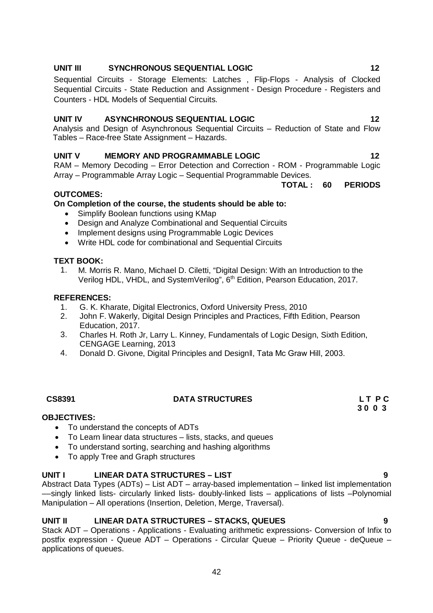# **UNIT III** SYNCHRONOUS SEQUENTIAL LOGIC **12**

Sequential Circuits - Storage Elements: Latches , Flip-Flops - Analysis of Clocked Sequential Circuits - State Reduction and Assignment - Design Procedure - Registers and Counters - HDL Models of Sequential Circuits.

# **UNIT IV ASYNCHRONOUS SEQUENTIAL LOGIC 12**

Analysis and Design of Asynchronous Sequential Circuits – Reduction of State and Flow Tables – Race-free State Assignment – Hazards.

# **UNIT V MEMORY AND PROGRAMMABLE LOGIC 12**

RAM – Memory Decoding – Error Detection and Correction - ROM - Programmable Logic Array – Programmable Array Logic – Sequential Programmable Devices.

#### **TOTAL : 60 PERIODS**

# **OUTCOMES:**

# **On Completion of the course, the students should be able to:**

- Simplify Boolean functions using KMap
- Design and Analyze Combinational and Sequential Circuits
- Implement designs using Programmable Logic Devices
- Write HDL code for combinational and Sequential Circuits

### **TEXT BOOK:**

1. M. Morris R. Mano, Michael D. Ciletti, "Digital Design: With an Introduction to the Verilog HDL, VHDL, and SystemVerilog", 6<sup>th</sup> Edition, Pearson Education, 2017.

### **REFERENCES:**

- 1. G. K. Kharate, Digital Electronics, Oxford University Press, 2010
- 2. John F. Wakerly, Digital Design Principles and Practices, Fifth Edition, Pearson Education, 2017.
- 3. Charles H. Roth Jr, Larry L. Kinney, Fundamentals of Logic Design, Sixth Edition, CENGAGE Learning, 2013
- 4. Donald D. Givone, Digital Principles and DesignII, Tata Mc Graw Hill, 2003.

# **CS8391 DATA STRUCTURES L T P C**

#### **3 0 0 3 OBJECTIVES:**

- To understand the concepts of ADTs
- To Learn linear data structures lists, stacks, and queues
- To understand sorting, searching and hashing algorithms
- To apply Tree and Graph structures

# **UNIT I LINEAR DATA STRUCTURES – LIST 9**

Abstract Data Types (ADTs) – List ADT – array-based implementation – linked list implementation ––singly linked lists- circularly linked lists- doubly-linked lists – applications of lists –Polynomial Manipulation – All operations (Insertion, Deletion, Merge, Traversal).

### **UNIT II LINEAR DATA STRUCTURES – STACKS, QUEUES 9**

Stack ADT – Operations - Applications - Evaluating arithmetic expressions- Conversion of Infix to postfix expression - Queue ADT – Operations - Circular Queue – Priority Queue - deQueue – applications of queues.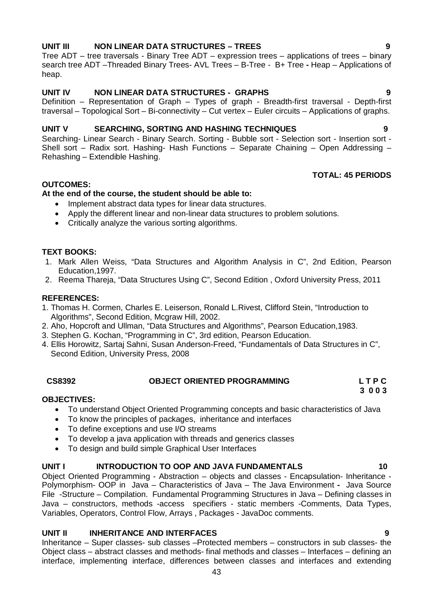### **UNIT III NON LINEAR DATA STRUCTURES – TREES 9**

Tree ADT – tree traversals - Binary Tree ADT – expression trees – applications of trees – binary search tree ADT –Threaded Binary Trees- AVL Trees – B-Tree - B+ Tree **-** Heap – Applications of heap.

### **UNIT IV NON LINEAR DATA STRUCTURES - GRAPHS 9**

Definition – Representation of Graph – Types of graph - Breadth-first traversal - Depth-first traversal – Topological Sort – Bi-connectivity – Cut vertex – Euler circuits – Applications of graphs.

#### **UNIT V SEARCHING, SORTING AND HASHING TECHNIQUES 9**

Searching- Linear Search - Binary Search. Sorting - Bubble sort - Selection sort - Insertion sort - Shell sort – Radix sort. Hashing- Hash Functions – Separate Chaining – Open Addressing – Rehashing – Extendible Hashing.

# **TOTAL: 45 PERIODS**

### **OUTCOMES:**

# **At the end of the course, the student should be able to:**

- Implement abstract data types for linear data structures.
- Apply the different linear and non-linear data structures to problem solutions.
- Critically analyze the various sorting algorithms.

### **TEXT BOOKS:**

- 1. Mark Allen Weiss, "Data Structures and Algorithm Analysis in C", 2nd Edition, Pearson Education,1997.
- 2. Reema Thareja, "Data Structures Using C", Second Edition , Oxford University Press, 2011

### **REFERENCES:**

- 1. Thomas H. Cormen, Charles E. Leiserson, Ronald L.Rivest, Clifford Stein, "Introduction to Algorithms", Second Edition, Mcgraw Hill, 2002.
- 2. Aho, Hopcroft and Ullman, "Data Structures and Algorithms", Pearson Education,1983.
- 3. Stephen G. Kochan, "Programming in C", 3rd edition, Pearson Education.
- 4. Ellis Horowitz, Sartaj Sahni, Susan Anderson-Freed, "Fundamentals of Data Structures in C", Second Edition, University Press, 2008

#### **CS8392 OBJECT ORIENTED PROGRAMMING L T P C 3 0 0 3**

### **OBJECTIVES:**

- To understand Object Oriented Programming concepts and basic characteristics of Java
- To know the principles of packages, inheritance and interfaces
- To define exceptions and use I/O streams
- To develop a java application with threads and generics classes
- To design and build simple Graphical User Interfaces

### UNIT I INTRODUCTION TO OOP AND JAVA FUNDAMENTALS 10

Object Oriented Programming - Abstraction – objects and classes - Encapsulation- Inheritance - Polymorphism- OOP in Java – Characteristics of Java – The Java Environment **-** Java Source File -Structure – Compilation. Fundamental Programming Structures in Java – Defining classes in Java – constructors, methods -access specifiers - static members -Comments, Data Types, Variables, Operators, Control Flow, Arrays , Packages - JavaDoc comments.

### **UNIT II INHERITANCE AND INTERFACES 9**

Inheritance – Super classes- sub classes –Protected members – constructors in sub classes- the Object class – abstract classes and methods- final methods and classes – Interfaces – defining an interface, implementing interface, differences between classes and interfaces and extending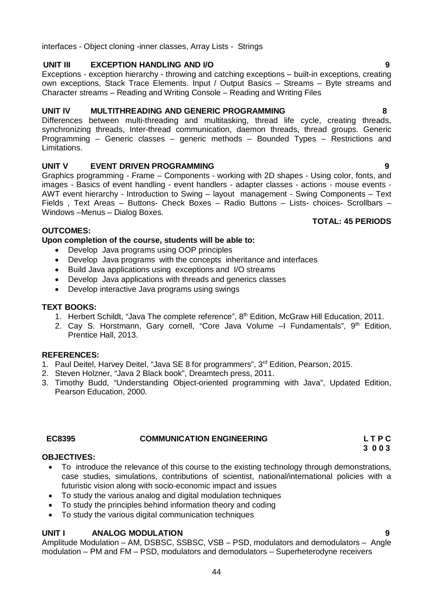# interfaces - Object cloning -inner classes, Array Lists - Strings

### **UNIT III EXCEPTION HANDLING AND I/O 9**

Exceptions - exception hierarchy - throwing and catching exceptions – built-in exceptions, creating own exceptions, Stack Trace Elements. Input / Output Basics – Streams – Byte streams and Character streams – Reading and Writing Console – Reading and Writing Files

#### **UNIT IV MULTITHREADING AND GENERIC PROGRAMMING 8**

Differences between multi-threading and multitasking, thread life cycle, creating threads, synchronizing threads, Inter-thread communication, daemon threads, thread groups. Generic Programming – Generic classes – generic methods – Bounded Types – Restrictions and Limitations.

### **UNIT V EVENT DRIVEN PROGRAMMING 9**

Graphics programming - Frame – Components - working with 2D shapes - Using color, fonts, and images - Basics of event handling - event handlers - adapter classes - actions - mouse events - AWT event hierarchy - Introduction to Swing – layout management - Swing Components – Text Fields , Text Areas – Buttons- Check Boxes – Radio Buttons – Lists- choices- Scrollbars – Windows –Menus – Dialog Boxes.

### **TOTAL: 45 PERIODS**

### **OUTCOMES:**

**Upon completion of the course, students will be able to:**

- Develop Java programs using OOP principles
- Develop Java programs with the concepts inheritance and interfaces
- Build Java applications using exceptions and I/O streams
- Develop Java applications with threads and generics classes
- Develop interactive Java programs using swings

#### **TEXT BOOKS:**

- 1. Herbert Schildt, "Java The complete reference", 8<sup>th</sup> Edition, McGraw Hill Education, 2011.
- 2. Cay S. Horstmann, Gary cornell, "Core Java Volume –I Fundamentals", 9<sup>th</sup> Edition, Prentice Hall, 2013.

### **REFERENCES:**

- 1. Paul Deitel, Harvey Deitel, "Java SE 8 for programmers", 3<sup>rd</sup> Edition, Pearson, 2015.
- 2. Steven Holzner, "Java 2 Black book", Dreamtech press, 2011.
- 3. Timothy Budd, "Understanding Object-oriented programming with Java", Updated Edition, Pearson Education, 2000.

#### **3 0 0 3 OBJECTIVES:**

 To introduce the relevance of this course to the existing technology through demonstrations, case studies, simulations, contributions of scientist, national/international policies with a futuristic vision along with socio-economic impact and issues

 **EC8395 COMMUNICATION ENGINEERING L T P C** 

- To study the various analog and digital modulation techniques
- To study the principles behind information theory and coding
- To study the various digital communication techniques

# **UNIT I ANALOG MODULATION 9**

Amplitude Modulation – AM, DSBSC, SSBSC, VSB – PSD, modulators and demodulators – Angle modulation – PM and FM – PSD, modulators and demodulators – Superheterodyne receivers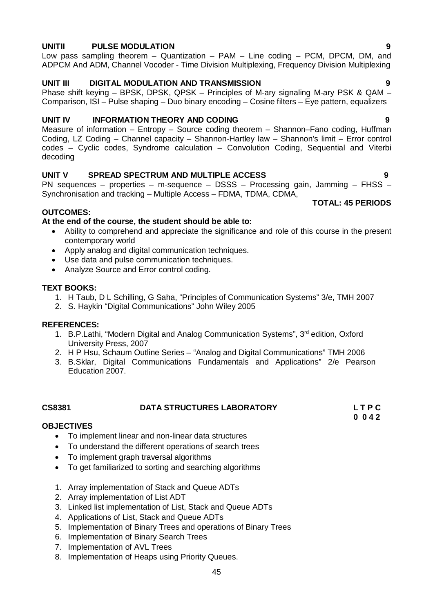#### **UNITII PULSE MODULATION 9**

Low pass sampling theorem – Quantization – PAM – Line coding – PCM, DPCM, DM, and ADPCM And ADM, Channel Vocoder - Time Division Multiplexing, Frequency Division Multiplexing

### **UNIT III DIGITAL MODULATION AND TRANSMISSION 9**

Phase shift keying – BPSK, DPSK, QPSK – Principles of M-ary signaling M-ary PSK & QAM – Comparison, ISI – Pulse shaping – Duo binary encoding – Cosine filters – Eye pattern, equalizers

### **UNIT IV INFORMATION THEORY AND CODING 9**

Measure of information – Entropy – Source coding theorem – Shannon–Fano coding, Huffman Coding, LZ Coding – Channel capacity – Shannon-Hartley law – Shannon's limit – Error control codes – Cyclic codes, Syndrome calculation – Convolution Coding, Sequential and Viterbi decoding

### **UNIT V SPREAD SPECTRUM AND MULTIPLE ACCESS 9**

PN sequences – properties – m-sequence – DSSS – Processing gain, Jamming – FHSS – Synchronisation and tracking – Multiple Access – FDMA, TDMA, CDMA, **TOTAL: 45 PERIODS** 

#### **OUTCOMES:**

#### **At the end of the course, the student should be able to:**

- Ability to comprehend and appreciate the significance and role of this course in the present contemporary world
- Apply analog and digital communication techniques.
- Use data and pulse communication techniques.
- Analyze Source and Error control coding.

#### **TEXT BOOKS:**

- 1. H Taub, D L Schilling, G Saha, "Principles of Communication Systems" 3/e, TMH 2007
- 2. S. Haykin "Digital Communications" John Wiley 2005

### **REFERENCES:**

- 1. B.P.Lathi, "Modern Digital and Analog Communication Systems", 3<sup>rd</sup> edition, Oxford University Press, 2007
- 2. H P Hsu, Schaum Outline Series "Analog and Digital Communications" TMH 2006
- 3. B.Sklar, Digital Communications Fundamentals and Applications" 2/e Pearson Education 2007.

**CS8381 DATA STRUCTURES LABORATORY L T P C 0 0 4 2**

### **OBJECTIVES**

- To implement linear and non-linear data structures
- To understand the different operations of search trees
- To implement graph traversal algorithms
- To get familiarized to sorting and searching algorithms
- 1. Array implementation of Stack and Queue ADTs
- 2. Array implementation of List ADT
- 3. Linked list implementation of List, Stack and Queue ADTs
- 4. Applications of List, Stack and Queue ADTs
- 5. Implementation of Binary Trees and operations of Binary Trees
- 6. Implementation of Binary Search Trees
- 7. Implementation of AVL Trees
- 8. Implementation of Heaps using Priority Queues.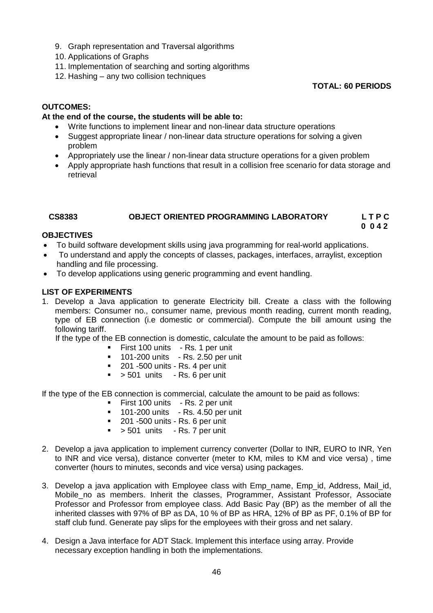- 9. Graph representation and Traversal algorithms
- 10. Applications of Graphs
- 11. Implementation of searching and sorting algorithms
- 12. Hashing any two collision techniques

**TOTAL: 60 PERIODS**

# **OUTCOMES:**

### **At the end of the course, the students will be able to:**

- Write functions to implement linear and non-linear data structure operations
- Suggest appropriate linear / non-linear data structure operations for solving a given problem
- Appropriately use the linear / non-linear data structure operations for a given problem
- Apply appropriate hash functions that result in a collision free scenario for data storage and retrieval

# **CS8383 OBJECT ORIENTED PROGRAMMING LABORATORY L T P C**

#### **0 0 4 2 OBJECTIVES**

- To build software development skills using java programming for real-world applications.
- To understand and apply the concepts of classes, packages, interfaces, arraylist, exception handling and file processing.
- To develop applications using generic programming and event handling.

### **LIST OF EXPERIMENTS**

1. Develop a Java application to generate Electricity bill. Create a class with the following members: Consumer no., consumer name, previous month reading, current month reading, type of EB connection (i.e domestic or commercial). Compute the bill amount using the following tariff.

If the type of the EB connection is domestic, calculate the amount to be paid as follows:

- First 100 units Rs. 1 per unit
- 101-200 units Rs. 2.50 per unit
- $\blacksquare$  201 -500 units Rs. 4 per unit
- $\sim$  501 units Rs. 6 per unit

If the type of the EB connection is commercial, calculate the amount to be paid as follows:

- **First 100 units Rs. 2 per unit**
- $\blacksquare$  101-200 units Rs. 4.50 per unit
- **201 -500 units Rs. 6 per unit**
- $\bullet$  > 501 units Rs. 7 per unit
- 2. Develop a java application to implement currency converter (Dollar to INR, EURO to INR, Yen to INR and vice versa), distance converter (meter to KM, miles to KM and vice versa) , time converter (hours to minutes, seconds and vice versa) using packages.
- 3. Develop a java application with Employee class with Emp\_name, Emp\_id, Address, Mail\_id, Mobile\_no as members. Inherit the classes, Programmer, Assistant Professor, Associate Professor and Professor from employee class. Add Basic Pay (BP) as the member of all the inherited classes with 97% of BP as DA, 10 % of BP as HRA, 12% of BP as PF, 0.1% of BP for staff club fund. Generate pay slips for the employees with their gross and net salary.
- 4. Design a Java interface for ADT Stack. Implement this interface using array. Provide necessary exception handling in both the implementations.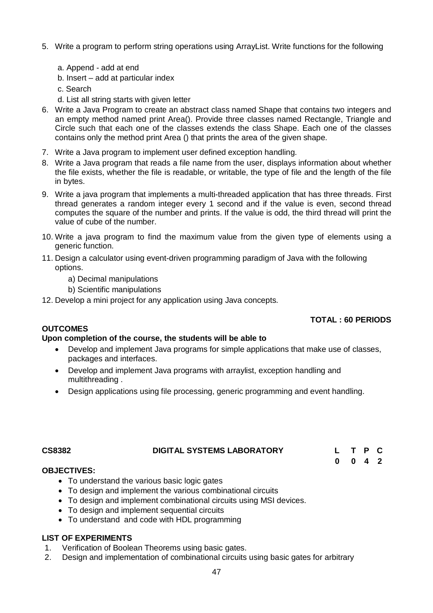- 5. Write a program to perform string operations using ArrayList. Write functions for the following
	- a. Append add at end
	- b. Insert add at particular index
	- c. Search
	- d. List all string starts with given letter
- 6. Write a Java Program to create an abstract class named Shape that contains two integers and an empty method named print Area(). Provide three classes named Rectangle, Triangle and Circle such that each one of the classes extends the class Shape. Each one of the classes contains only the method print Area () that prints the area of the given shape.
- 7. Write a Java program to implement user defined exception handling.
- 8. Write a Java program that reads a file name from the user, displays information about whether the file exists, whether the file is readable, or writable, the type of file and the length of the file in bytes.
- 9. Write a java program that implements a multi-threaded application that has three threads. First thread generates a random integer every 1 second and if the value is even, second thread computes the square of the number and prints. If the value is odd, the third thread will print the value of cube of the number.
- 10. Write a java program to find the maximum value from the given type of elements using a generic function.
- 11. Design a calculator using event-driven programming paradigm of Java with the following options.
	- a) Decimal manipulations
	- b) Scientific manipulations
- 12. Develop a mini project for any application using Java concepts.

### **TOTAL : 60 PERIODS**

**0 0 4 2**

# **OUTCOMES**

### **Upon completion of the course, the students will be able to**

- Develop and implement Java programs for simple applications that make use of classes, packages and interfaces.
- Develop and implement Java programs with arraylist, exception handling and multithreading .
- Design applications using file processing, generic programming and event handling.

#### **CS8382 DIGITAL SYSTEMS LABORATORY L T P C**

#### **OBJECTIVES:**

- To understand the various basic logic gates
- To design and implement the various combinational circuits
- To design and implement combinational circuits using MSI devices.
- To design and implement sequential circuits
- To understand and code with HDL programming

### **LIST OF EXPERIMENTS**

- 1. Verification of Boolean Theorems using basic gates.
- 2. Design and implementation of combinational circuits using basic gates for arbitrary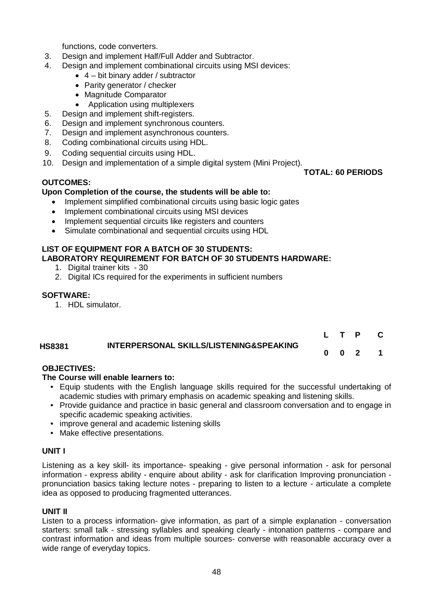functions, code converters.

- 3. Design and implement Half/Full Adder and Subtractor.
- 4. Design and implement combinational circuits using MSI devices:
	- $\bullet$  4 bit binary adder / subtractor
	- Parity generator / checker
	- Magnitude Comparator
	- Application using multiplexers
- 5. Design and implement shift-registers.
- 6. Design and implement synchronous counters.
- 7. Design and implement asynchronous counters.
- 8. Coding combinational circuits using HDL.
- 9. Coding sequential circuits using HDL.
- 10. Design and implementation of a simple digital system (Mini Project).

### **OUTCOMES:**

# **Upon Completion of the course, the students will be able to:**

- Implement simplified combinational circuits using basic logic gates
- Implement combinational circuits using MSI devices
- Implement sequential circuits like registers and counters
- Simulate combinational and sequential circuits using HDL

#### **LIST OF EQUIPMENT FOR A BATCH OF 30 STUDENTS: LABORATORY REQUIREMENT FOR BATCH OF 30 STUDENTS HARDWARE:**

- 1. Digital trainer kits 30
- 2. Digital ICs required for the experiments in sufficient numbers

### **SOFTWARE:**

1. HDL simulator.

|               |                                         |  | L T P C |  |
|---------------|-----------------------------------------|--|---------|--|
| <b>HS8381</b> | INTERPERSONAL SKILLS/LISTENING&SPEAKING |  | 0 0 2 1 |  |

### **OBJECTIVES:**

### **The Course will enable learners to:**

- Equip students with the English language skills required for the successful undertaking of academic studies with primary emphasis on academic speaking and listening skills.
- Provide guidance and practice in basic general and classroom conversation and to engage in specific academic speaking activities.
- improve general and academic listening skills
- Make effective presentations.

### **UNIT I**

Listening as a key skill- its importance- speaking - give personal information - ask for personal information - express ability - enquire about ability - ask for clarification Improving pronunciation pronunciation basics taking lecture notes - preparing to listen to a lecture - articulate a complete idea as opposed to producing fragmented utterances.

### **UNIT II**

Listen to a process information- give information, as part of a simple explanation - conversation starters: small talk - stressing syllables and speaking clearly - intonation patterns - compare and contrast information and ideas from multiple sources- converse with reasonable accuracy over a wide range of everyday topics.

**TOTAL: 60 PERIODS**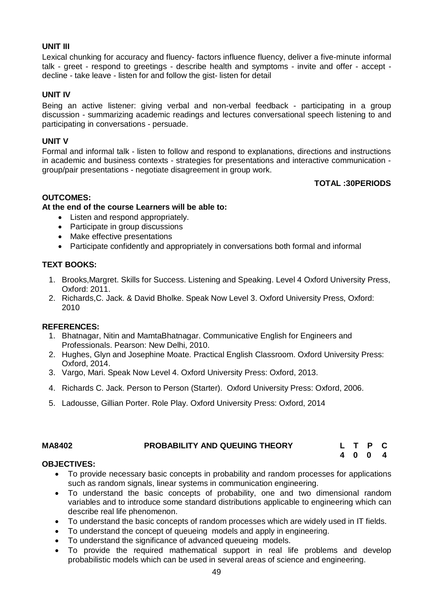# **UNIT III**

Lexical chunking for accuracy and fluency- factors influence fluency, deliver a five-minute informal talk - greet - respond to greetings - describe health and symptoms - invite and offer - accept decline - take leave - listen for and follow the gist- listen for detail

# **UNIT IV**

Being an active listener: giving verbal and non-verbal feedback - participating in a group discussion - summarizing academic readings and lectures conversational speech listening to and participating in conversations - persuade.

### **UNIT V**

Formal and informal talk - listen to follow and respond to explanations, directions and instructions in academic and business contexts - strategies for presentations and interactive communication group/pair presentations - negotiate disagreement in group work.

### **TOTAL :30PERIODS**

### **OUTCOMES:**

### **At the end of the course Learners will be able to:**

- Listen and respond appropriately.
- Participate in group discussions
- Make effective presentations
- Participate confidently and appropriately in conversations both formal and informal

# **TEXT BOOKS:**

- 1. Brooks,Margret. Skills for Success. Listening and Speaking. Level 4 Oxford University Press, Oxford: 2011.
- 2. Richards,C. Jack. & David Bholke. Speak Now Level 3. Oxford University Press, Oxford: 2010

### **REFERENCES:**

- 1. Bhatnagar, Nitin and MamtaBhatnagar. Communicative English for Engineers and Professionals. Pearson: New Delhi, 2010.
- 2. Hughes, Glyn and Josephine Moate. Practical English Classroom. Oxford University Press: Oxford, 2014.
- 3. Vargo, Mari. Speak Now Level 4. Oxford University Press: Oxford, 2013.
- 4. Richards C. Jack. Person to Person (Starter). Oxford University Press: Oxford, 2006.
- 5. Ladousse, Gillian Porter. Role Play. Oxford University Press: Oxford, 2014

| <b>MA8402</b> | <b>PROBABILITY AND QUEUING THEORY</b> |  | L T P C |  |
|---------------|---------------------------------------|--|---------|--|
|               |                                       |  | 4004    |  |

### **OBJECTIVES:**

- To provide necessary basic concepts in probability and random processes for applications such as random signals, linear systems in communication engineering.
- To understand the basic concepts of probability, one and two dimensional random variables and to introduce some standard distributions applicable to engineering which can describe real life phenomenon.
- To understand the basic concepts of random processes which are widely used in IT fields.
- To understand the concept of queueing models and apply in engineering.
- To understand the significance of advanced queueing models.
- To provide the required mathematical support in real life problems and develop probabilistic models which can be used in several areas of science and engineering.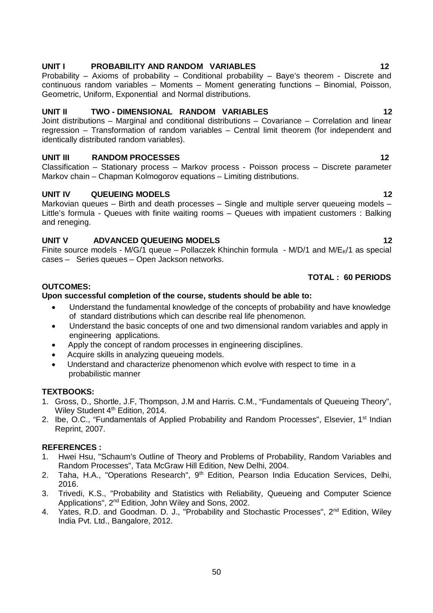# UNIT I PROBABILITY AND RANDOM VARIABLES 12

Probability – Axioms of probability – Conditional probability – Baye's theorem - Discrete and continuous random variables – Moments – Moment generating functions – Binomial, Poisson, Geometric, Uniform, Exponential and Normal distributions.

# **UNIT II TWO - DIMENSIONAL RANDOM VARIABLES 12**

Joint distributions – Marginal and conditional distributions – Covariance – Correlation and linear regression – Transformation of random variables – Central limit theorem (for independent and identically distributed random variables).

# **UNIT III RANDOM PROCESSES 12**

Classification – Stationary process – Markov process - Poisson process – Discrete parameter Markov chain – Chapman Kolmogorov equations – Limiting distributions.

# **UNIT IV QUEUEING MODELS 12**

Markovian queues – Birth and death processes – Single and multiple server queueing models – Little's formula - Queues with finite waiting rooms – Queues with impatient customers : Balking and reneging.

# **UNIT V ADVANCED QUEUEING MODELS 12**

Finite source models - M/G/1 queue – Pollaczek Khinchin formula - M/D/1 and M/E $\kappa$ /1 as special cases – Series queues – Open Jackson networks.

### **TOTAL : 60 PERIODS**

# **OUTCOMES:**

# **Upon successful completion of the course, students should be able to:**

- Understand the fundamental knowledge of the concepts of probability and have knowledge of standard distributions which can describe real life phenomenon.
- Understand the basic concepts of one and two dimensional random variables and apply in engineering applications.
- Apply the concept of random processes in engineering disciplines.
- Acquire skills in analyzing queueing models.
- Understand and characterize phenomenon which evolve with respect to time in a probabilistic manner

### **TEXTBOOKS:**

- 1. Gross, D., Shortle, J.F, Thompson, J.M and Harris. C.M., "Fundamentals of Queueing Theory", Wiley Student 4<sup>th</sup> Edition, 2014.
- 2. Ibe, O.C., "Fundamentals of Applied Probability and Random Processes", Elsevier, 1<sup>st</sup> Indian Reprint, 2007.

### **REFERENCES :**

- 1. Hwei Hsu, "Schaum's Outline of Theory and Problems of Probability, Random Variables and Random Processes", Tata McGraw Hill Edition, New Delhi, 2004.
- 2. Taha, H.A., "Operations Research", 9<sup>th</sup> Edition, Pearson India Education Services, Delhi, 2016.
- 3. Trivedi, K.S., "Probability and Statistics with Reliability, Queueing and Computer Science Applications", 2nd Edition, John Wiley and Sons, 2002.
- 4. Yates, R.D. and Goodman. D. J., "Probability and Stochastic Processes", 2<sup>nd</sup> Edition, Wiley India Pvt. Ltd., Bangalore, 2012.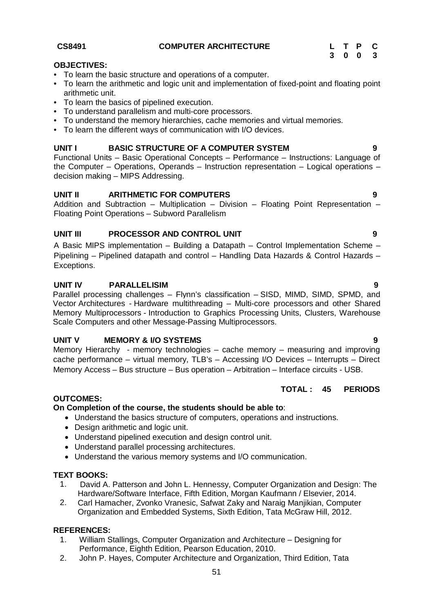#### **CS8491 COMPUTER ARCHITECTURE L T P C**

|    |   |   | ч |
|----|---|---|---|
| -3 | 0 | 0 | 3 |

#### **OBJECTIVES:**

- To learn the basic structure and operations of a computer.
- To learn the arithmetic and logic unit and implementation of fixed-point and floating point arithmetic unit.
- To learn the basics of pipelined execution.
- To understand parallelism and multi-core processors.
- To understand the memory hierarchies, cache memories and virtual memories.
- To learn the different ways of communication with I/O devices.

# **UNIT I BASIC STRUCTURE OF A COMPUTER SYSTEM 9**

Functional Units – Basic Operational Concepts – Performance – Instructions: Language of the Computer – Operations, Operands – Instruction representation – Logical operations – decision making – MIPS Addressing.

# **UNIT II ARITHMETIC FOR COMPUTERS 9**

Addition and Subtraction – Multiplication – Division – Floating Point Representation – Floating Point Operations – Subword Parallelism

# **UNIT III PROCESSOR AND CONTROL UNIT 9**

A Basic MIPS implementation – Building a Datapath – Control Implementation Scheme – Pipelining – Pipelined datapath and control – Handling Data Hazards & Control Hazards – Exceptions.

### **UNIT IV PARALLELISIM 9**

Parallel processing challenges – Flynn's classification – SISD, MIMD, SIMD, SPMD, and Vector Architectures - Hardware multithreading – Multi-core processors and other Shared Memory Multiprocessors - Introduction to Graphics Processing Units, Clusters, Warehouse Scale Computers and other Message-Passing Multiprocessors.

### **UNIT V MEMORY & I/O SYSTEMS 9**

Memory Hierarchy - memory technologies – cache memory – measuring and improving cache performance – virtual memory, TLB's – Accessing I/O Devices – Interrupts – Direct Memory Access – Bus structure – Bus operation – Arbitration – Interface circuits - USB.

### **TOTAL : 45 PERIODS**

### **OUTCOMES:**

# **On Completion of the course, the students should be able to**:

- Understand the basics structure of computers, operations and instructions.
- Design arithmetic and logic unit.
- Understand pipelined execution and design control unit.
- Understand parallel processing architectures.
- Understand the various memory systems and I/O communication.

### **TEXT BOOKS:**

- 1. David A. Patterson and John L. Hennessy, Computer Organization and Design: The Hardware/Software Interface, Fifth Edition, Morgan Kaufmann / Elsevier, 2014.
- 2. Carl Hamacher, Zvonko Vranesic, Safwat Zaky and Naraig Manjikian, Computer Organization and Embedded Systems, Sixth Edition, Tata McGraw Hill, 2012.

## **REFERENCES:**

- 1. William Stallings, Computer Organization and Architecture Designing for Performance, Eighth Edition, Pearson Education, 2010.
- 2. John P. Hayes, Computer Architecture and Organization, Third Edition, Tata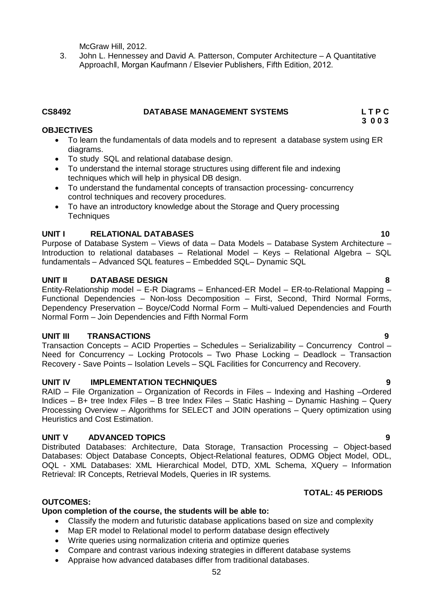McGraw Hill, 2012.

3. John L. Hennessey and David A. Patterson, Computer Architecture – A Quantitative Approachǁ, Morgan Kaufmann / Elsevier Publishers, Fifth Edition, 2012.

# **CS8492 DATABASE MANAGEMENT SYSTEMS L T P C**

# **OBJECTIVES**

- To learn the fundamentals of data models and to represent a database system using ER diagrams.
- To study SQL and relational database design.
- To understand the internal storage structures using different file and indexing techniques which will help in physical DB design.
- To understand the fundamental concepts of transaction processing- concurrency control techniques and recovery procedures.
- To have an introductory knowledge about the Storage and Query processing **Techniques**

# **UNIT I RELATIONAL DATABASES 10**

Purpose of Database System – Views of data – Data Models – Database System Architecture – Introduction to relational databases – Relational Model – Keys – Relational Algebra – SQL fundamentals – Advanced SQL features – Embedded SQL– Dynamic SQL

# **UNIT II DATABASE DESIGN 8**

Entity-Relationship model – E-R Diagrams – Enhanced-ER Model – ER-to-Relational Mapping – Functional Dependencies – Non-loss Decomposition – First, Second, Third Normal Forms, Dependency Preservation – Boyce/Codd Normal Form – Multi-valued Dependencies and Fourth Normal Form – Join Dependencies and Fifth Normal Form

### **UNIT III TRANSACTIONS 9**

Transaction Concepts – ACID Properties – Schedules – Serializability – Concurrency Control – Need for Concurrency – Locking Protocols – Two Phase Locking – Deadlock – Transaction Recovery - Save Points – Isolation Levels – SQL Facilities for Concurrency and Recovery.

### **UNIT IV IMPLEMENTATION TECHNIQUES 9**

RAID – File Organization – Organization of Records in Files – Indexing and Hashing –Ordered Indices – B+ tree Index Files – B tree Index Files – Static Hashing – Dynamic Hashing – Query Processing Overview – Algorithms for SELECT and JOIN operations – Query optimization using Heuristics and Cost Estimation.

### **UNIT V ADVANCED TOPICS 9**

Distributed Databases: Architecture, Data Storage, Transaction Processing – Object-based Databases: Object Database Concepts, Object-Relational features, ODMG Object Model, ODL, OQL - XML Databases: XML Hierarchical Model, DTD, XML Schema, XQuery – Information Retrieval: IR Concepts, Retrieval Models, Queries in IR systems.

# **TOTAL: 45 PERIODS**

# **OUTCOMES:**

# **Upon completion of the course, the students will be able to:**

- Classify the modern and futuristic database applications based on size and complexity
- Map ER model to Relational model to perform database design effectively
- Write queries using normalization criteria and optimize queries
- Compare and contrast various indexing strategies in different database systems
- Appraise how advanced databases differ from traditional databases.

 **3 0 0 3**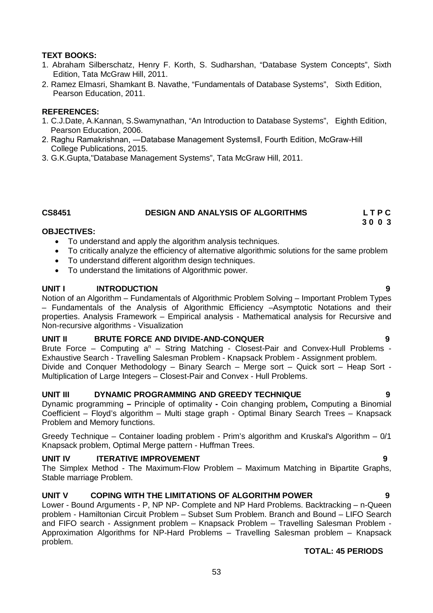# **TEXT BOOKS:**

- 1. Abraham Silberschatz, Henry F. Korth, S. Sudharshan, "Database System Concepts", Sixth Edition, Tata McGraw Hill, 2011.
- 2. Ramez Elmasri, Shamkant B. Navathe, "Fundamentals of Database Systems", Sixth Edition, Pearson Education, 2011.

#### **REFERENCES:**

- 1. C.J.Date, A.Kannan, S.Swamynathan, "An Introduction to Database Systems", Eighth Edition, Pearson Education, 2006.
- 2. Raghu Ramakrishnan, ―Database Management Systemsǁ, Fourth Edition, McGraw-Hill College Publications, 2015.
- 3. G.K.Gupta,"Database Management Systems", Tata McGraw Hill, 2011.

### **CS8451 DESIGN AND ANALYSIS OF ALGORITHMS L T P C**

 **3 0 0 3**

#### **OBJECTIVES:**

- To understand and apply the algorithm analysis techniques.
- To critically analyze the efficiency of alternative algorithmic solutions for the same problem
- To understand different algorithm design techniques.
- To understand the limitations of Algorithmic power.

#### **UNIT I INTRODUCTION 9**

Notion of an Algorithm – Fundamentals of Algorithmic Problem Solving – Important Problem Types – Fundamentals of the Analysis of Algorithmic Efficiency –Asymptotic Notations and their properties. Analysis Framework – Empirical analysis - Mathematical analysis for Recursive and Non-recursive algorithms - Visualization

#### **UNIT II** BRUTE FORCE AND DIVIDE-AND-CONQUER

Brute Force – Computing  $a^n$  – String Matching - Closest-Pair and Convex-Hull Problems -Exhaustive Search - Travelling Salesman Problem - Knapsack Problem - Assignment problem. Divide and Conquer Methodology – Binary Search – Merge sort – Quick sort – Heap Sort - Multiplication of Large Integers – Closest-Pair and Convex - Hull Problems.

#### **UNIT III DYNAMIC PROGRAMMING AND GREEDY TECHNIQUE 9**

Dynamic programming **–** Principle of optimality **-** Coin changing problem**,** Computing a Binomial Coefficient – Floyd's algorithm – Multi stage graph - Optimal Binary Search Trees – Knapsack Problem and Memory functions.

Greedy Technique – Container loading problem - Prim's algorithm and Kruskal's Algorithm – 0/1 Knapsack problem, Optimal Merge pattern - Huffman Trees.

### **UNIT IV ITERATIVE IMPROVEMENT 9**

The Simplex Method - The Maximum-Flow Problem – Maximum Matching in Bipartite Graphs, Stable marriage Problem.

### **UNIT V COPING WITH THE LIMITATIONS OF ALGORITHM POWER 9**

Lower - Bound Arguments - P, NP NP- Complete and NP Hard Problems. Backtracking – n-Queen problem - Hamiltonian Circuit Problem – Subset Sum Problem. Branch and Bound – LIFO Search and FIFO search - Assignment problem – Knapsack Problem – Travelling Salesman Problem - Approximation Algorithms for NP-Hard Problems – Travelling Salesman problem – Knapsack problem.

#### **TOTAL: 45 PERIODS**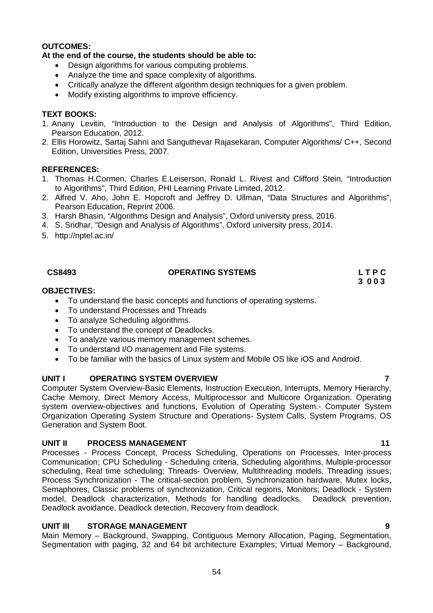#### **OUTCOMES:**

#### **At the end of the course, the students should be able to:**

- Design algorithms for various computing problems.
- Analyze the time and space complexity of algorithms.
- Critically analyze the different algorithm design techniques for a given problem.
- Modify existing algorithms to improve efficiency.

#### **TEXT BOOKS:**

- 1. Anany Levitin, "Introduction to the Design and Analysis of Algorithms", Third Edition, Pearson Education, 2012.
- 2. Ellis Horowitz, Sartaj Sahni and Sanguthevar Rajasekaran, Computer Algorithms/ C++, Second Edition, Universities Press, 2007.

#### **REFERENCES:**

- 1. Thomas H.Cormen, Charles E.Leiserson, Ronald L. Rivest and Clifford Stein, "Introduction to Algorithms", Third Edition, PHI Learning Private Limited, 2012.
- 2. Alfred V. Aho, John E. Hopcroft and Jeffrey D. Ullman, "Data Structures and Algorithms", Pearson Education, Reprint 2006.
- 3. Harsh Bhasin, "Algorithms Design and Analysis", Oxford university press, 2016.
- 4. S. Sridhar, "Design and Analysis of Algorithms", Oxford university press, 2014.
- 5. http://nptel.ac.in/

#### **CS8493 OPERATING SYSTEMS L T P C**

**3 0 0 3**

#### **OBJECTIVES:**

- To understand the basic concepts and functions of operating systems.
- To understand Processes and Threads
- To analyze Scheduling algorithms.
- To understand the concept of Deadlocks.
- To analyze various memory management schemes.
- To understand I/O management and File systems.
- To be familiar with the basics of Linux system and Mobile OS like iOS and Android.

### **UNIT I OPERATING SYSTEM OVERVIEW 7**

Computer System Overview-Basic Elements, Instruction Execution, Interrupts, Memory Hierarchy, Cache Memory, Direct Memory Access, Multiprocessor and Multicore Organization. Operating system overview-objectives and functions, Evolution of Operating System.- Computer System Organization Operating System Structure and Operations- System Calls, System Programs, OS Generation and System Boot.

#### **UNIT II PROCESS MANAGEMENT** 11

Processes - Process Concept, Process Scheduling, Operations on Processes, Inter-process Communication; CPU Scheduling - Scheduling criteria, Scheduling algorithms, Multiple-processor scheduling, Real time scheduling; Threads- Overview, Multithreading models, Threading issues; Process Synchronization - The critical-section problem, Synchronization hardware, Mutex locks, Semaphores, Classic problems of synchronization, Critical regions, Monitors; Deadlock - System model, Deadlock characterization, Methods for handling deadlocks, Deadlock prevention, Deadlock avoidance, Deadlock detection, Recovery from deadlock.

### **UNIT III STORAGE MANAGEMENT 9**

Main Memory – Background, Swapping, Contiguous Memory Allocation, Paging, Segmentation, Segmentation with paging, 32 and 64 bit architecture Examples; Virtual Memory – Background,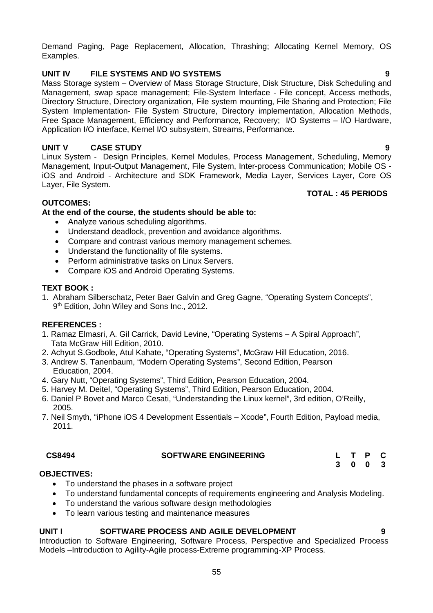Demand Paging, Page Replacement, Allocation, Thrashing; Allocating Kernel Memory, OS Examples.

# **UNIT IV FILE SYSTEMS AND I/O SYSTEMS 9**

Mass Storage system – Overview of Mass Storage Structure, Disk Structure, Disk Scheduling and Management, swap space management; File-System Interface - File concept, Access methods, Directory Structure, Directory organization, File system mounting, File Sharing and Protection; File System Implementation- File System Structure, Directory implementation, Allocation Methods, Free Space Management, Efficiency and Performance, Recovery; I/O Systems – I/O Hardware, Application I/O interface, Kernel I/O subsystem, Streams, Performance.

# **UNIT V CASE STUDY 9**

Linux System - Design Principles, Kernel Modules, Process Management, Scheduling, Memory Management, Input-Output Management, File System, Inter-process Communication; Mobile OS iOS and Android - Architecture and SDK Framework, Media Layer, Services Layer, Core OS Layer, File System.

 **TOTAL : 45 PERIODS**

#### **OUTCOMES:**

#### **At the end of the course, the students should be able to:**

- Analyze various scheduling algorithms.
- Understand deadlock, prevention and avoidance algorithms.
- Compare and contrast various memory management schemes.
- Understand the functionality of file systems.<br>• Perform administrative tasks on Linux Serve
- Perform administrative tasks on Linux Servers.
- Compare iOS and Android Operating Systems.

#### **TEXT BOOK :**

1. Abraham Silberschatz, Peter Baer Galvin and Greg Gagne, "Operating System Concepts", 9<sup>th</sup> Edition, John Wiley and Sons Inc., 2012.

#### **REFERENCES :**

- 1. Ramaz Elmasri, A. Gil Carrick, David Levine, "Operating Systems A Spiral Approach", Tata McGraw Hill Edition, 2010.
- 2. Achyut S.Godbole, Atul Kahate, "Operating Systems", McGraw Hill Education, 2016.
- 3. Andrew S. Tanenbaum, "Modern Operating Systems", Second Edition, Pearson Education, 2004.
- 4. Gary Nutt, "Operating Systems", Third Edition, Pearson Education, 2004.
- 5. Harvey M. Deitel, "Operating Systems", Third Edition, Pearson Education, 2004.
- 6. Daniel P Bovet and Marco Cesati, "Understanding the Linux kernel", 3rd edition, O'Reilly, 2005.
- 7. Neil Smyth, "iPhone iOS 4 Development Essentials Xcode", Fourth Edition, Payload media, 2011.

| CS8494 | <b>SOFTWARE ENGINEERING</b> |  |  |
|--------|-----------------------------|--|--|
|        |                             |  |  |

#### **3 0 0 3**

#### **OBJECTIVES:**

- To understand the phases in a software project
- To understand fundamental concepts of requirements engineering and Analysis Modeling.
- To understand the various software design methodologies
- To learn various testing and maintenance measures

# **UNIT I SOFTWARE PROCESS AND AGILE DEVELOPMENT 9**

Introduction to Software Engineering, Software Process, Perspective and Specialized Process Models –Introduction to Agility-Agile process-Extreme programming-XP Process.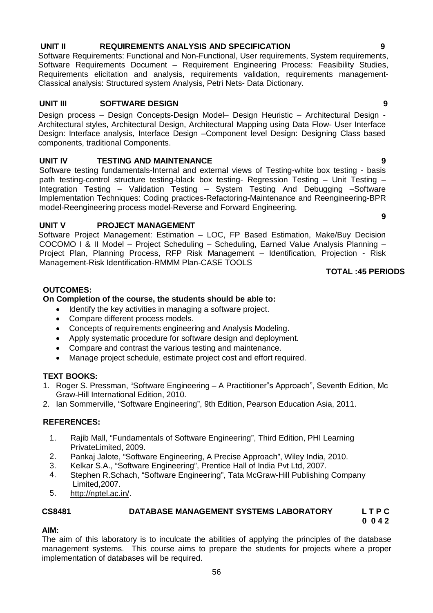# 56

#### **UNIT II REQUIREMENTS ANALYSIS AND SPECIFICATION 9**

Software Requirements: Functional and Non-Functional, User requirements, System requirements, Software Requirements Document – Requirement Engineering Process: Feasibility Studies, Requirements elicitation and analysis, requirements validation, requirements management-Classical analysis: Structured system Analysis, Petri Nets- Data Dictionary.

#### **UNIT III SOFTWARE DESIGN 9**

Design process – Design Concepts-Design Model– Design Heuristic – Architectural Design - Architectural styles, Architectural Design, Architectural Mapping using Data Flow- User Interface Design: Interface analysis, Interface Design –Component level Design: Designing Class based components, traditional Components.

#### **UNIT IV TESTING AND MAINTENANCE 9**

Software testing fundamentals-Internal and external views of Testing-white box testing - basis path testing-control structure testing-black box testing- Regression Testing – Unit Testing – Integration Testing – Validation Testing – System Testing And Debugging –Software Implementation Techniques: Coding practices-Refactoring-Maintenance and Reengineering-BPR model-Reengineering process model-Reverse and Forward Engineering.

#### UNIT V PROJECT MANAGEMENT

Software Project Management: Estimation – LOC, FP Based Estimation, Make/Buy Decision COCOMO I & II Model – Project Scheduling – Scheduling, Earned Value Analysis Planning – Project Plan, Planning Process, RFP Risk Management - Identification, Projection - Risk Management-Risk Identification-RMMM Plan-CASE TOOLS

#### **TOTAL :45 PERIODS**

### **OUTCOMES:**

#### **On Completion of the course, the students should be able to:**

- Identify the key activities in managing a software project.
- Compare different process models.
- Concepts of requirements engineering and Analysis Modeling.
- Apply systematic procedure for software design and deployment.
- Compare and contrast the various testing and maintenance.
- Manage project schedule, estimate project cost and effort required.

### **TEXT BOOKS:**

- 1. Roger S. Pressman, "Software Engineering A Practitioner"s Approach", Seventh Edition, Mc Graw-Hill International Edition, 2010.
- 2. Ian Sommerville, "Software Engineering", 9th Edition, Pearson Education Asia, 2011.

#### **REFERENCES:**

- 1. Rajib Mall, "Fundamentals of Software Engineering", Third Edition, PHI Learning PrivateLimited, 2009.
- 2. Pankaj Jalote, "Software Engineering, A Precise Approach", Wiley India, 2010.
- 3. Kelkar S.A., "Software Engineering", Prentice Hall of India Pvt Ltd, 2007.
- 4. Stephen R.Schach, "Software Engineering", Tata McGraw-Hill Publishing Company Limited,2007.
- 5. http://nptel.ac.in/.

# **CS8481 DATABASE MANAGEMENT SYSTEMS LABORATORY L T P C**

 **0 0 4 2**

#### **AIM:**

The aim of this laboratory is to inculcate the abilities of applying the principles of the database management systems. This course aims to prepare the students for projects where a proper implementation of databases will be required.

**9**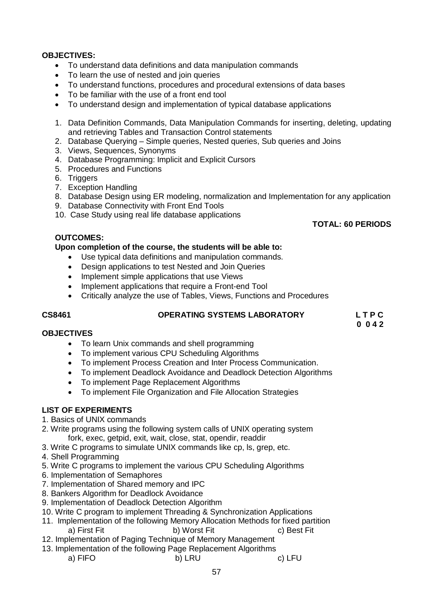### **OBJECTIVES:**

- To understand data definitions and data manipulation commands
- To learn the use of nested and join queries
- To understand functions, procedures and procedural extensions of data bases
- To be familiar with the use of a front end tool
- To understand design and implementation of typical database applications
- 1. Data Definition Commands, Data Manipulation Commands for inserting, deleting, updating and retrieving Tables and Transaction Control statements
- 2. Database Querying Simple queries, Nested queries, Sub queries and Joins
- 3. Views, Sequences, Synonyms
- 4. Database Programming: Implicit and Explicit Cursors
- 5. Procedures and Functions
- 6. Triggers
- 7. Exception Handling
- 8. Database Design using ER modeling, normalization and Implementation for any application
- 9. Database Connectivity with Front End Tools
- 10. Case Study using real life database applications

# **TOTAL: 60 PERIODS**

#### **OUTCOMES:**

### **Upon completion of the course, the students will be able to:**

- Use typical data definitions and manipulation commands.
- Design applications to test Nested and Join Queries
- Implement simple applications that use Views
- Implement applications that require a Front-end Tool
- Critically analyze the use of Tables, Views, Functions and Procedures

# **CS8461 OPERATING SYSTEMS LABORATORY L T P C**

 **0 0 4 2**

### **OBJECTIVES**

- To learn Unix commands and shell programming
- To implement various CPU Scheduling Algorithms
- To implement Process Creation and Inter Process Communication.
- To implement Deadlock Avoidance and Deadlock Detection Algorithms
- To implement Page Replacement Algorithms
- To implement File Organization and File Allocation Strategies

# **LIST OF EXPERIMENTS**

- 1. Basics of UNIX commands
- 2. Write programs using the following system calls of UNIX operating system fork, exec, getpid, exit, wait, close, stat, opendir, readdir
- 3. Write C programs to simulate UNIX commands like cp, ls, grep, etc.
- 4. Shell Programming
- 5. Write C programs to implement the various CPU Scheduling Algorithms
- 6. Implementation of Semaphores
- 7. Implementation of Shared memory and IPC
- 8. Bankers Algorithm for Deadlock Avoidance
- 9. Implementation of Deadlock Detection Algorithm
- 10. Write C program to implement Threading & Synchronization Applications
- 11. Implementation of the following Memory Allocation Methods for fixed partition<br>a) First Fit b) Worst Fit c) Best Fit b) Worst Fit
- 12. Implementation of Paging Technique of Memory Management
- 13. Implementation of the following Page Replacement Algorithms
	- a) FIFO b) LRU c) LFU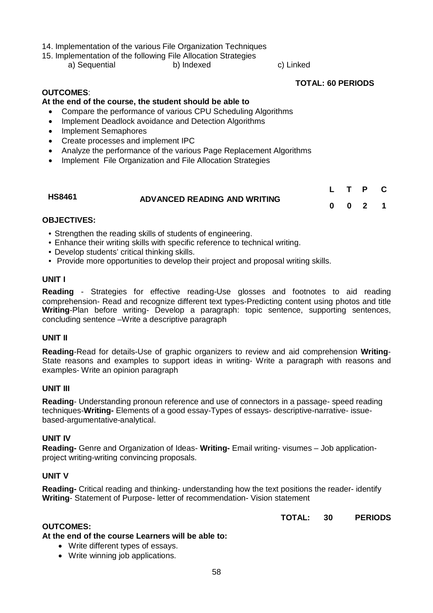#### 14. Implementation of the various File Organization Techniques

15. Implementation of the following File Allocation Strategies

a) Sequential b) Indexed c) Linked

 **TOTAL: 60 PERIODS**

 $\mathbf{r}$  **P** 

## **OUTCOMES**:

# **At the end of the course, the student should be able to**

- Compare the performance of various CPU Scheduling Algorithms
- Implement Deadlock avoidance and Detection Algorithms
- Implement Semaphores
- Create processes and implement IPC
- Analyze the performance of the various Page Replacement Algorithms
- Implement File Organization and File Allocation Strategies

|               |                              |  | L I P U |  |
|---------------|------------------------------|--|---------|--|
| <b>HS8461</b> | ADVANCED READING AND WRITING |  |         |  |
|               |                              |  | 0 0 2 1 |  |

#### **OBJECTIVES:**

- Strengthen the reading skills of students of engineering.
- Enhance their writing skills with specific reference to technical writing.
- Develop students' critical thinking skills.
- Provide more opportunities to develop their project and proposal writing skills.

#### **UNIT I**

**Reading** - Strategies for effective reading-Use glosses and footnotes to aid reading comprehension- Read and recognize different text types-Predicting content using photos and title **Writing**-Plan before writing- Develop a paragraph: topic sentence, supporting sentences, concluding sentence –Write a descriptive paragraph

#### **UNIT II**

**Reading**-Read for details-Use of graphic organizers to review and aid comprehension **Writing**-State reasons and examples to support ideas in writing- Write a paragraph with reasons and examples- Write an opinion paragraph

#### **UNIT III**

**Reading**- Understanding pronoun reference and use of connectors in a passage- speed reading techniques-**Writing-** Elements of a good essay-Types of essays- descriptive-narrative- issuebased-argumentative-analytical.

#### **UNIT IV**

**Reading-** Genre and Organization of Ideas- **Writing-** Email writing- visumes – Job applicationproject writing-writing convincing proposals.

#### **UNIT V**

**Reading-** Critical reading and thinking- understanding how the text positions the reader- identify **Writing**- Statement of Purpose- letter of recommendation- Vision statement

**TOTAL: 30 PERIODS**

## **OUTCOMES:**

#### **At the end of the course Learners will be able to:**

- Write different types of essays.
- Write winning job applications.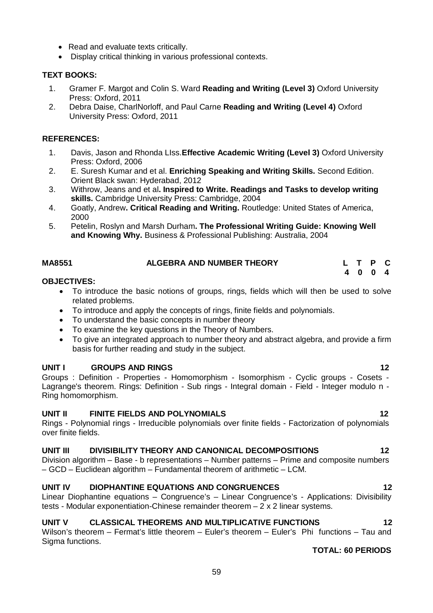- Read and evaluate texts critically.
- Display critical thinking in various professional contexts.

### **TEXT BOOKS:**

- 1. Gramer F. Margot and Colin S. Ward **Reading and Writing (Level 3)** Oxford University Press: Oxford, 2011
- 2. Debra Daise, CharlNorloff, and Paul Carne **Reading and Writing (Level 4)** Oxford University Press: Oxford, 2011

### **REFERENCES:**

- 1. Davis, Jason and Rhonda LIss.**Effective Academic Writing (Level 3)** Oxford University Press: Oxford, 2006
- 2. E. Suresh Kumar and et al. **Enriching Speaking and Writing Skills.** Second Edition. Orient Black swan: Hyderabad, 2012
- 3. Withrow, Jeans and et al**. Inspired to Write. Readings and Tasks to develop writing skills.** Cambridge University Press: Cambridge, 2004
- 4. Goatly, Andrew**. Critical Reading and Writing.** Routledge: United States of America, 2000
- 5. Petelin, Roslyn and Marsh Durham**. The Professional Writing Guide: Knowing Well and Knowing Why.** Business & Professional Publishing: Australia, 2004

 **4 0 0 4**

| MA8551 | <b>ALGEBRA AND NUMBER THEORY</b> |  | L T P C |  |
|--------|----------------------------------|--|---------|--|
|        |                                  |  |         |  |

#### **OBJECTIVES:**

- To introduce the basic notions of groups, rings, fields which will then be used to solve related problems.
- To introduce and apply the concepts of rings, finite fields and polynomials.
- To understand the basic concepts in number theory
- To examine the key questions in the Theory of Numbers.
- To give an integrated approach to number theory and abstract algebra, and provide a firm basis for further reading and study in the subject.

### **UNIT I GROUPS AND RINGS 12**

Groups : Definition - Properties - Homomorphism - Isomorphism - Cyclic groups - Cosets - Lagrange's theorem. Rings: Definition - Sub rings - Integral domain - Field - Integer modulo n - Ring homomorphism.

# **UNIT II FINITE FIELDS AND POLYNOMIALS 12**

Rings - Polynomial rings - Irreducible polynomials over finite fields - Factorization of polynomials over finite fields.

### **UNIT III DIVISIBILITY THEORY AND CANONICAL DECOMPOSITIONS 12**

Division algorithm – Base - b representations – Number patterns – Prime and composite numbers – GCD – Euclidean algorithm – Fundamental theorem of arithmetic – LCM.

# **UNIT IV DIOPHANTINE EQUATIONS AND CONGRUENCES 12**

Linear Diophantine equations – Congruence's – Linear Congruence's - Applications: Divisibility tests - Modular exponentiation-Chinese remainder theorem  $-2 \times 2$  linear systems.

# **UNIT V CLASSICAL THEOREMS AND MULTIPLICATIVE FUNCTIONS 12**

Wilson's theorem – Fermat's little theorem – Euler's theorem – Euler's Phi functions – Tau and Sigma functions.

### **TOTAL: 60 PERIODS**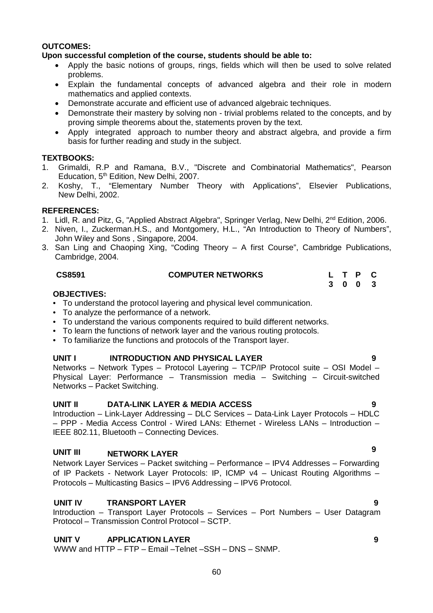#### **OUTCOMES:**

# **Upon successful completion of the course, students should be able to:**

- Apply the basic notions of groups, rings, fields which will then be used to solve related problems.
- Explain the fundamental concepts of advanced algebra and their role in modern mathematics and applied contexts.
- Demonstrate accurate and efficient use of advanced algebraic techniques.
- Demonstrate their mastery by solving non trivial problems related to the concepts, and by proving simple theorems about the, statements proven by the text.
- Apply integrated approach to number theory and abstract algebra, and provide a firm basis for further reading and study in the subject.

### **TEXTBOOKS:**

- 1. Grimaldi, R.P and Ramana, B.V., "Discrete and Combinatorial Mathematics", Pearson Education, 5<sup>th</sup> Edition, New Delhi, 2007.
- 2. Koshy, T., "Elementary Number Theory with Applications", Elsevier Publications, New Delhi, 2002.

#### **REFERENCES:**

- 1. Lidl, R. and Pitz, G. "Applied Abstract Algebra", Springer Verlag, New Delhi, 2<sup>nd</sup> Edition, 2006.
- 2. Niven, I., Zuckerman.H.S., and Montgomery, H.L., "An Introduction to Theory of Numbers", John Wiley and Sons , Singapore, 2004.
- 3. San Ling and Chaoping Xing, "Coding Theory A first Course", Cambridge Publications, Cambridge, 2004.

### **CS8591 COMPUTER NETWORKS L T P C**

#### **OBJECTIVES:**

- To understand the protocol layering and physical level communication.
- To analyze the performance of a network.
- To understand the various components required to build different networks.
- To learn the functions of network layer and the various routing protocols.
- To familiarize the functions and protocols of the Transport layer.

### **UNIT I INTRODUCTION AND PHYSICAL LAYER 9**

Networks – Network Types – Protocol Layering – TCP/IP Protocol suite – OSI Model – Physical Layer: Performance – Transmission media – Switching – Circuit-switched Networks – Packet Switching.

### **UNIT II DATA-LINK LAYER & MEDIA ACCESS 9**

Introduction – Link-Layer Addressing – DLC Services – Data-Link Layer Protocols – HDLC – PPP - Media Access Control - Wired LANs: Ethernet - Wireless LANs – Introduction – IEEE 802.11, Bluetooth – Connecting Devices.

# **UNIT III NETWORK LAYER <sup>9</sup>**

Network Layer Services – Packet switching – Performance – IPV4 Addresses – Forwarding of IP Packets - Network Layer Protocols: IP, ICMP v4 – Unicast Routing Algorithms – Protocols – Multicasting Basics – IPV6 Addressing – IPV6 Protocol.

### **UNIT IV TRANSPORT LAYER 9**

Introduction – Transport Layer Protocols – Services – Port Numbers – User Datagram Protocol – Transmission Control Protocol – SCTP.

### **UNIT V APPLICATION LAYER 9**

WWW and HTTP – FTP – Email –Telnet –SSH – DNS – SNMP.

**3 0 0 3**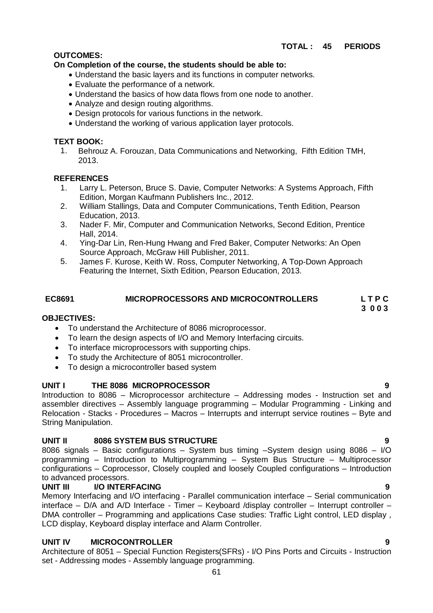# **OUTCOMES:**

# **On Completion of the course, the students should be able to:**

- Understand the basic layers and its functions in computer networks.
- Evaluate the performance of a network.
- Understand the basics of how data flows from one node to another.
- Analyze and design routing algorithms.
- Design protocols for various functions in the network.
- Understand the working of various application layer protocols.

# **TEXT BOOK:**

1. Behrouz A. Forouzan, Data Communications and Networking, Fifth Edition TMH, 2013.

# **REFERENCES**

- 1. Larry L. Peterson, Bruce S. Davie, Computer Networks: A Systems Approach, Fifth Edition, Morgan Kaufmann Publishers Inc., 2012.
- 2. William Stallings, Data and Computer Communications, Tenth Edition, Pearson Education, 2013.
- 3. Nader F. Mir, Computer and Communication Networks, Second Edition, Prentice Hall, 2014.
- 4. Ying-Dar Lin, Ren-Hung Hwang and Fred Baker, Computer Networks: An Open Source Approach, McGraw Hill Publisher, 2011.
- 5. James F. Kurose, Keith W. Ross, Computer Networking, A Top-Down Approach Featuring the Internet, Sixth Edition, Pearson Education, 2013.

# **EC8691 MICROPROCESSORS AND MICROCONTROLLERS L T P C**

# **OBJECTIVES:**

- To understand the Architecture of 8086 microprocessor.
- To learn the design aspects of I/O and Memory Interfacing circuits.
- To interface microprocessors with supporting chips.
- To study the Architecture of 8051 microcontroller.
- To design a microcontroller based system

# **UNIT I THE 8086 MICROPROCESSOR 9**

Introduction to 8086 – Microprocessor architecture – Addressing modes - Instruction set and assembler directives – Assembly language programming – Modular Programming - Linking and Relocation - Stacks - Procedures – Macros – Interrupts and interrupt service routines – Byte and String Manipulation.

# **UNIT II 8086 SYSTEM BUS STRUCTURE 9**

8086 signals – Basic configurations – System bus timing –System design using 8086 – I/O programming – Introduction to Multiprogramming – System Bus Structure – Multiprocessor configurations – Coprocessor, Closely coupled and loosely Coupled configurations – Introduction to advanced processors.

# **UNIT III I/O INTERFACING**

Memory Interfacing and I/O interfacing - Parallel communication interface – Serial communication interface – D/A and A/D Interface - Timer – Keyboard /display controller – Interrupt controller – DMA controller – Programming and applications Case studies: Traffic Light control, LED display , LCD display, Keyboard display interface and Alarm Controller.

# **UNIT IV MICROCONTROLLER 9**

Architecture of 8051 – Special Function Registers(SFRs) - I/O Pins Ports and Circuits - Instruction set - Addressing modes - Assembly language programming.

 **3 0 0 3**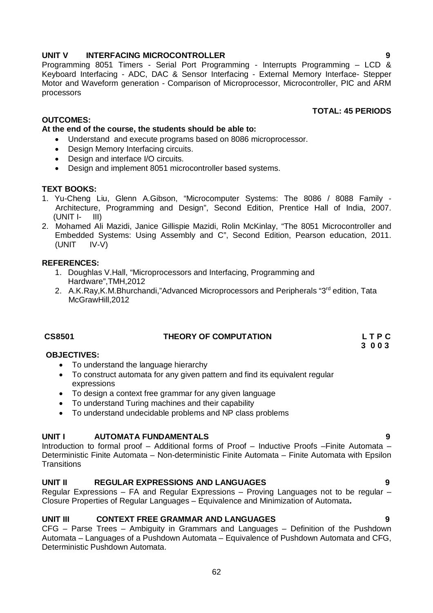### 62

# **UNIT V INTERFACING MICROCONTROLLER 9**

Programming 8051 Timers - Serial Port Programming - Interrupts Programming – LCD & Keyboard Interfacing - ADC, DAC & Sensor Interfacing - External Memory Interface- Stepper Motor and Waveform generation - Comparison of Microprocessor, Microcontroller, PIC and ARM processors

# **OUTCOMES:**

# **At the end of the course, the students should be able to:**

- Understand and execute programs based on 8086 microprocessor.
- Design Memory Interfacing circuits.
- Design and interface I/O circuits.
- Design and implement 8051 microcontroller based systems.

# **TEXT BOOKS:**

- 1. Yu-Cheng Liu, Glenn A.Gibson, "Microcomputer Systems: The 8086 / 8088 Family Architecture, Programming and Design", Second Edition, Prentice Hall of India, 2007.  $(UNIT I - III)$
- 2. Mohamed Ali Mazidi, Janice Gillispie Mazidi, Rolin McKinlay, "The 8051 Microcontroller and Embedded Systems: Using Assembly and C", Second Edition, Pearson education, 2011. (UNIT IV-V)

# **REFERENCES:**

- 1. Doughlas V.Hall, "Microprocessors and Interfacing, Programming and Hardware",TMH,2012
- 2. A.K.Ray, K.M.Bhurchandi,"Advanced Microprocessors and Peripherals "3<sup>rd</sup> edition, Tata McGrawHill,2012

# **CS8501 THEORY OF COMPUTATION L T P C**

#### **3 0 0 3 OBJECTIVES:**

- To understand the language hierarchy
- To construct automata for any given pattern and find its equivalent regular expressions
- To design a context free grammar for any given language
- To understand Turing machines and their capability
- To understand undecidable problems and NP class problems

# **UNIT I AUTOMATA FUNDAMENTALS 9**

Introduction to formal proof – Additional forms of Proof – Inductive Proofs –Finite Automata – Deterministic Finite Automata – Non-deterministic Finite Automata – Finite Automata with Epsilon **Transitions** 

# **UNIT II REGULAR EXPRESSIONS AND LANGUAGES 9**

Regular Expressions – FA and Regular Expressions – Proving Languages not to be regular – Closure Properties of Regular Languages – Equivalence and Minimization of Automata**.**

# **UNIT III CONTEXT FREE GRAMMAR AND LANGUAGES 9**

CFG – Parse Trees – Ambiguity in Grammars and Languages – Definition of the Pushdown Automata – Languages of a Pushdown Automata – Equivalence of Pushdown Automata and CFG, Deterministic Pushdown Automata.

# **TOTAL: 45 PERIODS**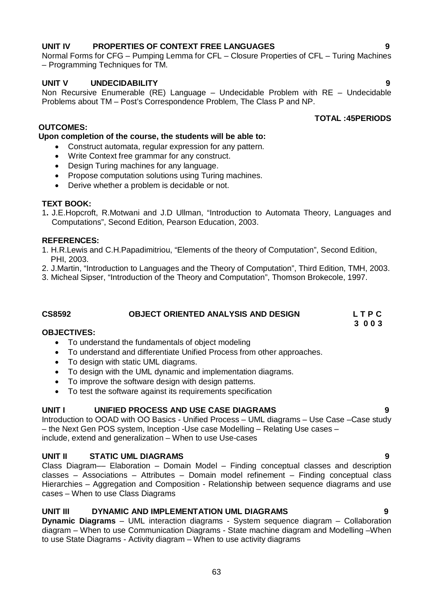# **UNIT IV PROPERTIES OF CONTEXT FREE LANGUAGES 9**

Normal Forms for CFG – Pumping Lemma for CFL – Closure Properties of CFL – Turing Machines – Programming Techniques for TM.

### **UNIT V UNDECIDABILITY 9**

Non Recursive Enumerable (RE) Language – Undecidable Problem with RE – Undecidable Problems about TM – Post's Correspondence Problem, The Class P and NP.

#### **OUTCOMES:**

#### **Upon completion of the course, the students will be able to:**

- Construct automata, regular expression for any pattern.
- Write Context free grammar for any construct.
- Design Turing machines for any language.
- Propose computation solutions using Turing machines.
- Derive whether a problem is decidable or not.

#### **TEXT BOOK:**

1**.** J.E.Hopcroft, R.Motwani and J.D Ullman, "Introduction to Automata Theory, Languages and Computations", Second Edition, Pearson Education, 2003.

#### **REFERENCES:**

- 1. H.R.Lewis and C.H.Papadimitriou, "Elements of the theory of Computation", Second Edition, PHI, 2003.
- 2. J.Martin, "Introduction to Languages and the Theory of Computation", Third Edition, TMH, 2003.
- 3. Micheal Sipser, "Introduction of the Theory and Computation", Thomson Brokecole, 1997.

# CS8592 **OBJECT ORIENTED ANALYSIS AND DESIGN** L T P C **C** 3 0 0 3

 **3 0 0 3 OBJECTIVES:**

- To understand the fundamentals of object modeling
- To understand and differentiate Unified Process from other approaches.
- To design with static UML diagrams.
- To design with the UML dynamic and implementation diagrams.
- To improve the software design with design patterns.
- To test the software against its requirements specification

### **UNIT I UNIFIED PROCESS AND USE CASE DIAGRAMS 9**

Introduction to OOAD with OO Basics - Unified Process – UML diagrams – Use Case –Case study – the Next Gen POS system, Inception -Use case Modelling – Relating Use cases – include, extend and generalization – When to use Use-cases

#### **UNIT II STATIC UML DIAGRAMS**

Class Diagram–– Elaboration – Domain Model – Finding conceptual classes and description classes – Associations – Attributes – Domain model refinement – Finding conceptual class Hierarchies – Aggregation and Composition - Relationship between sequence diagrams and use cases – When to use Class Diagrams

### **UNIT III DYNAMIC AND IMPLEMENTATION UML DIAGRAMS 9**

**Dynamic Diagrams** – UML interaction diagrams - System sequence diagram – Collaboration diagram – When to use Communication Diagrams - State machine diagram and Modelling –When to use State Diagrams - Activity diagram – When to use activity diagrams

**TOTAL :45PERIODS**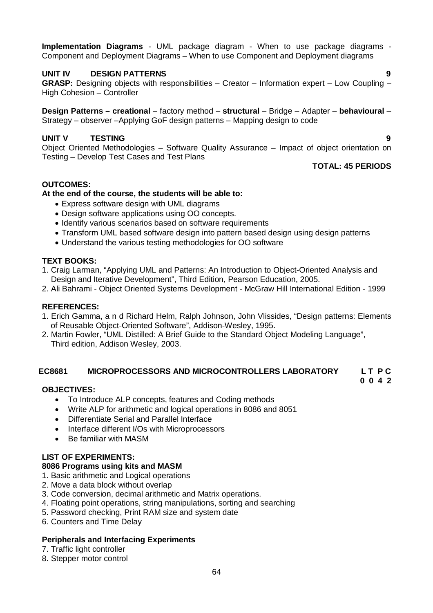**Implementation Diagrams** - UML package diagram - When to use package diagrams - Component and Deployment Diagrams – When to use Component and Deployment diagrams

# **UNIT IV DESIGN PATTERNS 9**

**GRASP:** Designing objects with responsibilities – Creator – Information expert – Low Coupling – High Cohesion – Controller

**Design Patterns – creational** – factory method – **structural** – Bridge – Adapter – **behavioural** – Strategy – observer –Applying GoF design patterns – Mapping design to code

# **UNIT V TESTING 9**

Object Oriented Methodologies – Software Quality Assurance – Impact of object orientation on Testing – Develop Test Cases and Test Plans

### **TOTAL: 45 PERIODS**

**0 0 4 2**

### **OUTCOMES:**

#### **At the end of the course, the students will be able to:**

- Express software design with UML diagrams
- Design software applications using OO concepts.
- Identify various scenarios based on software requirements
- Transform UML based software design into pattern based design using design patterns
- Understand the various testing methodologies for OO software

#### **TEXT BOOKS:**

- 1. Craig Larman, "Applying UML and Patterns: An Introduction to Object-Oriented Analysis and Design and Iterative Development", Third Edition, Pearson Education, 2005.
- 2. Ali Bahrami Object Oriented Systems Development McGraw Hill International Edition 1999

#### **REFERENCES:**

- 1. Erich Gamma, a n d Richard Helm, Ralph Johnson, John Vlissides, "Design patterns: Elements of Reusable Object-Oriented Software", Addison-Wesley, 1995.
- 2. Martin Fowler, "UML Distilled: A Brief Guide to the Standard Object Modeling Language", Third edition, Addison Wesley, 2003.

#### **EC8681 MICROPROCESSORS AND MICROCONTROLLERS LABORATORY L T P C**

#### **OBJECTIVES:**

- To Introduce ALP concepts, features and Coding methods
- Write ALP for arithmetic and logical operations in 8086 and 8051
- Differentiate Serial and Parallel Interface
- Interface different I/Os with Microprocessors
- Be familiar with MASM

### **LIST OF EXPERIMENTS:**

### **8086 Programs using kits and MASM**

- 1. Basic arithmetic and Logical operations
- 2. Move a data block without overlap
- 3. Code conversion, decimal arithmetic and Matrix operations.
- 4. Floating point operations, string manipulations, sorting and searching
- 5. Password checking, Print RAM size and system date
- 6. Counters and Time Delay

#### **Peripherals and Interfacing Experiments**

- 7. Traffic light controller
- 8. Stepper motor control

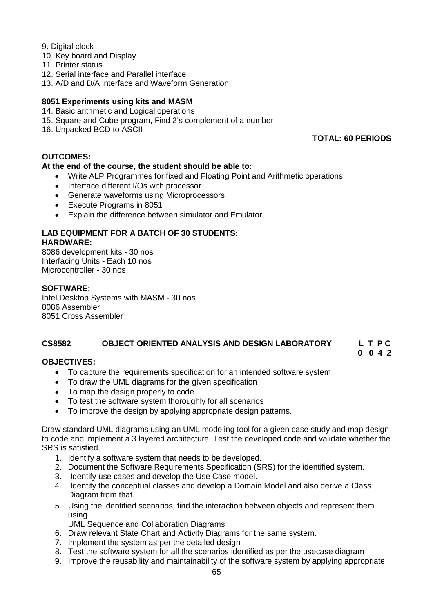# 9. Digital clock

- 10. Key board and Display
- 11. Printer status
- 12. Serial interface and Parallel interface
- 13. A/D and D/A interface and Waveform Generation

# **8051 Experiments using kits and MASM**

- 14. Basic arithmetic and Logical operations
- 15. Square and Cube program, Find 2's complement of a number
- 16. Unpacked BCD to ASCII

### **TOTAL: 60 PERIODS**

**0 0 4 2**

# **OUTCOMES:**

### **At the end of the course, the student should be able to:**

- Write ALP Programmes for fixed and Floating Point and Arithmetic operations
- Interface different I/Os with processor
- Generate waveforms using Microprocessors
- Execute Programs in 8051
- Explain the difference between simulator and Emulator

#### **LAB EQUIPMENT FOR A BATCH OF 30 STUDENTS: HARDWARE:**

8086 development kits - 30 nos Interfacing Units - Each 10 nos Microcontroller - 30 nos

### **SOFTWARE:**

Intel Desktop Systems with MASM - 30 nos 8086 Assembler 8051 Cross Assembler

# **CS8582 OBJECT ORIENTED ANALYSIS AND DESIGN LABORATORY L T P C**

### **OBJECTIVES:**

- To capture the requirements specification for an intended software system
- To draw the UML diagrams for the given specification
- To map the design properly to code
- To test the software system thoroughly for all scenarios
- To improve the design by applying appropriate design patterns.

Draw standard UML diagrams using an UML modeling tool for a given case study and map design to code and implement a 3 layered architecture. Test the developed code and validate whether the SRS is satisfied.

- 1. Identify a software system that needs to be developed.
- 2. Document the Software Requirements Specification (SRS) for the identified system.
- 3. Identify use cases and develop the Use Case model.
- 4. Identify the conceptual classes and develop a Domain Model and also derive a Class Diagram from that.
- 5. Using the identified scenarios, find the interaction between objects and represent them using

UML Sequence and Collaboration Diagrams

- 6. Draw relevant State Chart and Activity Diagrams for the same system.
- 7. Implement the system as per the detailed design
- 8. Test the software system for all the scenarios identified as per the usecase diagram
- 9. Improve the reusability and maintainability of the software system by applying appropriate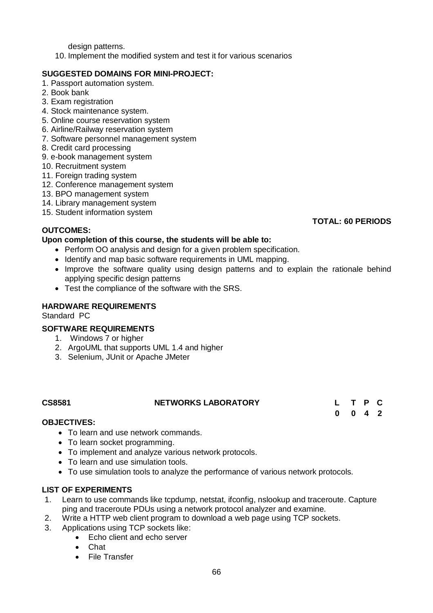design patterns.

10. Implement the modified system and test it for various scenarios

# **SUGGESTED DOMAINS FOR MINI-PROJECT:**

- 1. Passport automation system.
- 2. Book bank
- 3. Exam registration
- 4. Stock maintenance system.
- 5. Online course reservation system
- 6. Airline/Railway reservation system
- 7. Software personnel management system
- 8. Credit card processing
- 9. e-book management system
- 10. Recruitment system
- 11. Foreign trading system
- 12. Conference management system
- 13. BPO management system
- 14. Library management system
- 15. Student information system

# **OUTCOMES:**

### **Upon completion of this course, the students will be able to:**

- Perform OO analysis and design for a given problem specification.
- Identify and map basic software requirements in UML mapping.
- Improve the software quality using design patterns and to explain the rationale behind applying specific design patterns
- Test the compliance of the software with the SRS.

#### **HARDWARE REQUIREMENTS**

Standard PC

### **SOFTWARE REQUIREMENTS**

- 1. Windows 7 or higher
- 2. ArgoUML that supports UML 1.4 and higher
- 3. Selenium, JUnit or Apache JMeter

### **CS8581 NETWORKS LABORATORY L T P C**

# **0 0 4 2**

### **OBJECTIVES:**

- To learn and use network commands.
- To learn socket programming.
- To implement and analyze various network protocols.
- To learn and use simulation tools.
- To use simulation tools to analyze the performance of various network protocols.

### **LIST OF EXPERIMENTS**

- 1. Learn to use commands like tcpdump, netstat, ifconfig, nslookup and traceroute. Capture ping and traceroute PDUs using a network protocol analyzer and examine.
- 2. Write a HTTP web client program to download a web page using TCP sockets.
- 3. Applications using TCP sockets like:
	- Echo client and echo server
	- Chat
	- File Transfer

#### **TOTAL: 60 PERIODS**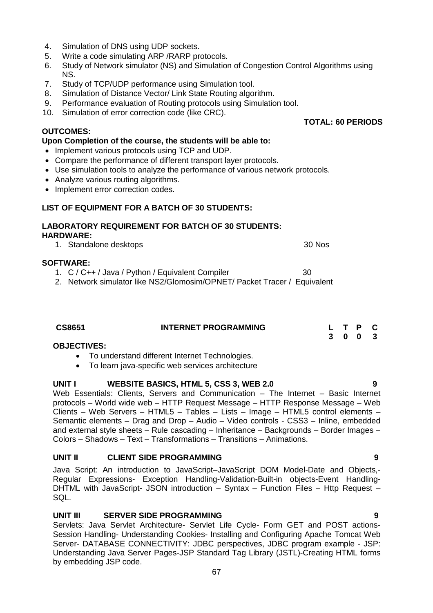- 4. Simulation of DNS using UDP sockets.
- 5. Write a code simulating ARP /RARP protocols.
- 6. Study of Network simulator (NS) and Simulation of Congestion Control Algorithms using NS.
- 7. Study of TCP/UDP performance using Simulation tool.
- 8. Simulation of Distance Vector/ Link State Routing algorithm.
- 9. Performance evaluation of Routing protocols using Simulation tool.
- 10. Simulation of error correction code (like CRC).

### **OUTCOMES:**

### **Upon Completion of the course, the students will be able to:**

- Implement various protocols using TCP and UDP.
- Compare the performance of different transport layer protocols.
- Use simulation tools to analyze the performance of various network protocols.
- Analyze various routing algorithms.
- Implement error correction codes.

### **LIST OF EQUIPMENT FOR A BATCH OF 30 STUDENTS:**

#### **LABORATORY REQUIREMENT FOR BATCH OF 30 STUDENTS: HARDWARE:**  1. Standalone desktops 30 Nos

### **SOFTWARE:**

- 1. C / C++ / Java / Python / Equivalent Compiler 30
- 2. Network simulator like NS2/Glomosim/OPNET/ Packet Tracer / Equivalent

| CS8651 | <b>INTERNET PROGRAMMING</b> |  | L T P C |  |
|--------|-----------------------------|--|---------|--|
|        |                             |  | 3 0 0 3 |  |

### **OBJECTIVES:**

- To understand different Internet Technologies.
- To learn java-specific web services architecture

### UNIT I WEBSITE BASICS, HTML 5, CSS 3, WEB 2.0 9

Web Essentials: Clients, Servers and Communication – The Internet – Basic Internet protocols – World wide web – HTTP Request Message – HTTP Response Message – Web Clients – Web Servers – HTML5 – Tables – Lists – Image – HTML5 control elements – Semantic elements – Drag and Drop – Audio – Video controls - CSS3 – Inline, embedded and external style sheets – Rule cascading – Inheritance – Backgrounds – Border Images – Colors – Shadows – Text – Transformations – Transitions – Animations.

#### **UNIT II CLIENT SIDE PROGRAMMING 9**

Java Script: An introduction to JavaScript–JavaScript DOM Model-Date and Objects,- Regular Expressions- Exception Handling-Validation-Built-in objects-Event Handling-DHTML with JavaScript- JSON introduction – Syntax – Function Files – Http Request – SQL.

# **UNIT III SERVER SIDE PROGRAMMING 9**

Servlets: Java Servlet Architecture- Servlet Life Cycle- Form GET and POST actions-Session Handling- Understanding Cookies- Installing and Configuring Apache Tomcat Web Server- DATABASE CONNECTIVITY: JDBC perspectives, JDBC program example - JSP: Understanding Java Server Pages-JSP Standard Tag Library (JSTL)-Creating HTML forms by embedding JSP code.

# **TOTAL: 60 PERIODS**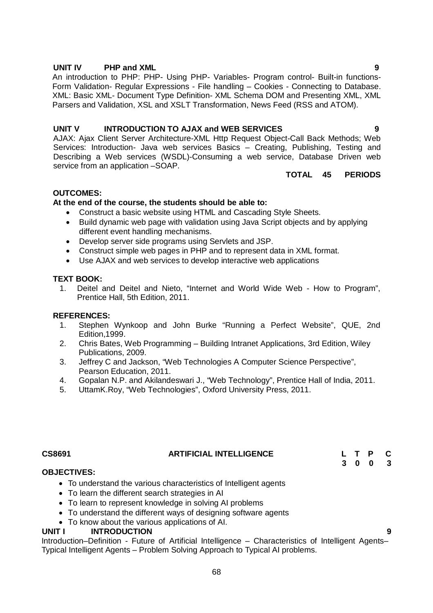#### **UNIT IV PHP and XML 9**

An introduction to PHP: PHP- Using PHP- Variables- Program control- Built-in functions-Form Validation- Regular Expressions - File handling – Cookies - Connecting to Database. XML: Basic XML- Document Type Definition- XML Schema DOM and Presenting XML, XML Parsers and Validation, XSL and XSLT Transformation, News Feed (RSS and ATOM).

### **UNIT V INTRODUCTION TO AJAX and WEB SERVICES 9**

AJAX: Ajax Client Server Architecture-XML Http Request Object-Call Back Methods; Web Services: Introduction- Java web services Basics – Creating, Publishing, Testing and Describing a Web services (WSDL)-Consuming a web service, Database Driven web service from an application –SOAP.

### **TOTAL 45 PERIODS**

# **OUTCOMES:**

### **At the end of the course, the students should be able to:**

- Construct a basic website using HTML and Cascading Style Sheets.
- Build dynamic web page with validation using Java Script objects and by applying different event handling mechanisms.
- Develop server side programs using Servlets and JSP.
- Construct simple web pages in PHP and to represent data in XML format.
- Use AJAX and web services to develop interactive web applications

### **TEXT BOOK:**

1. Deitel and Deitel and Nieto, "Internet and World Wide Web - How to Program", Prentice Hall, 5th Edition, 2011.

#### **REFERENCES:**

- 1. Stephen Wynkoop and John Burke "Running a Perfect Website", QUE, 2nd Edition,1999.
- 2. Chris Bates, Web Programming Building Intranet Applications, 3rd Edition, Wiley Publications, 2009.
- 3. Jeffrey C and Jackson, "Web Technologies A Computer Science Perspective", Pearson Education, 2011.
- 4. Gopalan N.P. and Akilandeswari J., "Web Technology", Prentice Hall of India, 2011.
- 5. UttamK.Roy, "Web Technologies", Oxford University Press, 2011.

# **CS8691 ARTIFICIAL INTELLIGENCE L T P C**

#### **OBJECTIVES:**

- To understand the various characteristics of Intelligent agents
- To learn the different search strategies in AI
- To learn to represent knowledge in solving AI problems
- To understand the different ways of designing software agents
- To know about the various applications of AI.

#### **UNIT I INTRODUCTION 9**

Introduction–Definition - Future of Artificial Intelligence – Characteristics of Intelligent Agents– Typical Intelligent Agents – Problem Solving Approach to Typical AI problems.

**3 0 0 3**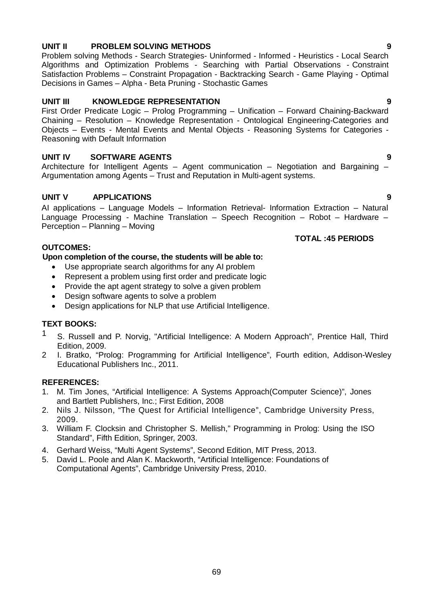# **UNIT II PROBLEM SOLVING METHODS 9**

Problem solving Methods - Search Strategies- Uninformed - Informed - Heuristics - Local Search Algorithms and Optimization Problems - Searching with Partial Observations - Constraint Satisfaction Problems – Constraint Propagation - Backtracking Search - Game Playing - Optimal Decisions in Games – Alpha - Beta Pruning - Stochastic Games

# **UNIT III KNOWLEDGE REPRESENTATION 9**

First Order Predicate Logic – Prolog Programming – Unification – Forward Chaining-Backward Chaining – Resolution – Knowledge Representation - Ontological Engineering-Categories and Objects – Events - Mental Events and Mental Objects - Reasoning Systems for Categories - Reasoning with Default Information

# **UNIT IV SOFTWARE AGENTS 9**

Architecture for Intelligent Agents – Agent communication – Negotiation and Bargaining – Argumentation among Agents – Trust and Reputation in Multi-agent systems.

# **UNIT V APPLICATIONS 9**

AI applications – Language Models – Information Retrieval- Information Extraction – Natural Language Processing - Machine Translation – Speech Recognition – Robot – Hardware – Perception – Planning – Moving

### **OUTCOMES:**

### **Upon completion of the course, the students will be able to:**

- Use appropriate search algorithms for any AI problem
- Represent a problem using first order and predicate logic
- Provide the apt agent strategy to solve a given problem
- Design software agents to solve a problem
- Design applications for NLP that use Artificial Intelligence.

# **TEXT BOOKS:**

- <sup>1</sup> S. Russell and P. Norvig, "Artificial Intelligence: A Modern Approach", Prentice Hall, Third Edition, 2009.
- 2 I. Bratko, "Prolog: Programming for Artificial Intelligence", Fourth edition, Addison-Wesley Educational Publishers Inc., 2011.

### **REFERENCES:**

- 1. M. Tim Jones, "Artificial Intelligence: A Systems Approach(Computer Science)", Jones and Bartlett Publishers, Inc.; First Edition, 2008
- 2. Nils J. Nilsson, "The Quest for Artificial Intelligence", Cambridge University Press, 2009.
- 3. William F. Clocksin and Christopher S. Mellish," Programming in Prolog: Using the ISO Standard", Fifth Edition, Springer, 2003.
- 4. Gerhard Weiss, "Multi Agent Systems", Second Edition, MIT Press, 2013.
- 5. David L. Poole and Alan K. Mackworth, "Artificial Intelligence: Foundations of Computational Agents", Cambridge University Press, 2010.



 **TOTAL :45 PERIODS**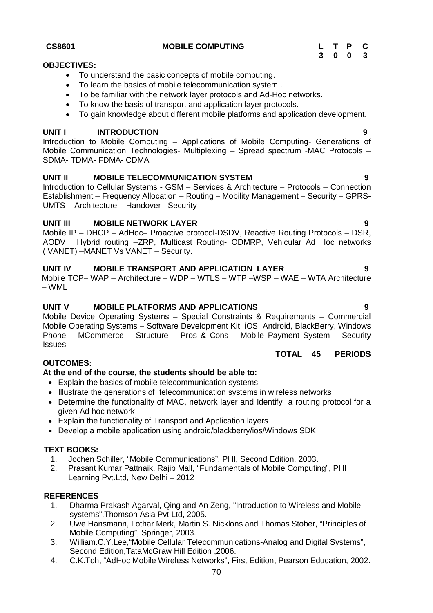#### **CS8601 MOBILE COMPUTING L T P C**

### **OBJECTIVES:**

- To understand the basic concepts of mobile computing.
- To learn the basics of mobile telecommunication system .
- To be familiar with the network layer protocols and Ad-Hoc networks.
- To know the basis of transport and application layer protocols.
- To gain knowledge about different mobile platforms and application development.

# **UNIT I INTRODUCTION 9**

Introduction to Mobile Computing – Applications of Mobile Computing- Generations of Mobile Communication Technologies- Multiplexing – Spread spectrum -MAC Protocols – SDMA- TDMA- FDMA- CDMA

# **UNIT II MOBILE TELECOMMUNICATION SYSTEM 9**

Introduction to Cellular Systems - GSM – Services & Architecture – Protocols – Connection Establishment – Frequency Allocation – Routing – Mobility Management – Security – GPRS-UMTS – Architecture – Handover - Security

### **UNIT III MOBILE NETWORK LAYER 9**

Mobile IP – DHCP – AdHoc– Proactive protocol-DSDV, Reactive Routing Protocols – DSR, AODV , Hybrid routing –ZRP, Multicast Routing- ODMRP, Vehicular Ad Hoc networks ( VANET) –MANET Vs VANET – Security.

# **UNIT IV MOBILE TRANSPORT AND APPLICATION LAYER 9**

Mobile TCP– WAP – Architecture – WDP – WTLS – WTP –WSP – WAE – WTA Architecture – WML

### **UNIT V MOBILE PLATFORMS AND APPLICATIONS 9**

Mobile Device Operating Systems – Special Constraints & Requirements – Commercial Mobile Operating Systems – Software Development Kit: iOS, Android, BlackBerry, Windows Phone – MCommerce – Structure – Pros & Cons – Mobile Payment System – Security **Issues** 

# **OUTCOMES:**

### **At the end of the course, the students should be able to:**

- Explain the basics of mobile telecommunication systems
- Illustrate the generations of telecommunication systems in wireless networks
- Determine the functionality of MAC, network layer and Identify a routing protocol for a given Ad hoc network
- Explain the functionality of Transport and Application layers
- Develop a mobile application using android/blackberry/ios/Windows SDK

### **TEXT BOOKS:**

- 1. Jochen Schiller, "Mobile Communications", PHI, Second Edition, 2003.
- 2. Prasant Kumar Pattnaik, Rajib Mall, "Fundamentals of Mobile Computing", PHI Learning Pvt.Ltd, New Delhi – 2012

### **REFERENCES**

- 1. Dharma Prakash Agarval, Qing and An Zeng, "Introduction to Wireless and Mobile systems",Thomson Asia Pvt Ltd, 2005.
- 2. Uwe Hansmann, Lothar Merk, Martin S. Nicklons and Thomas Stober, "Principles of Mobile Computing", Springer, 2003.
- 3. William.C.Y.Lee,"Mobile Cellular Telecommunications-Analog and Digital Systems", Second Edition,TataMcGraw Hill Edition ,2006.
- 4. C.K.Toh, "AdHoc Mobile Wireless Networks", First Edition, Pearson Education, 2002.

**TOTAL 45 PERIODS**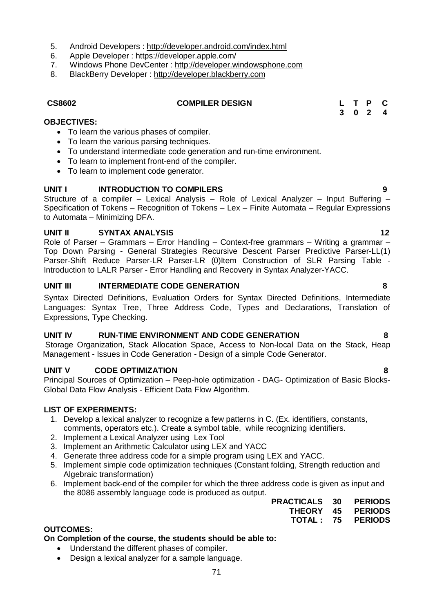- 5. Android Developers : http://developer.android.com/index.html
- 6. Apple Developer : https://developer.apple.com/
- 7. Windows Phone DevCenter : http://developer.windowsphone.com
- 8. BlackBerry Developer : http://developer.blackberry.com

#### **CS8602 COMPILER DESIGN L T P C**

**3 0 2 4**

### **OBJECTIVES:**

- To learn the various phases of compiler.
- To learn the various parsing techniques.
- To understand intermediate code generation and run-time environment.
- To learn to implement front-end of the compiler.
- To learn to implement code generator.

## **UNIT I INTRODUCTION TO COMPILERS 9**

Structure of a compiler – Lexical Analysis – Role of Lexical Analyzer – Input Buffering – Specification of Tokens – Recognition of Tokens – Lex – Finite Automata – Regular Expressions to Automata – Minimizing DFA.

#### **UNIT II SYNTAX ANALYSIS 12**

Role of Parser – Grammars – Error Handling – Context-free grammars – Writing a grammar – Top Down Parsing - General Strategies Recursive Descent Parser Predictive Parser-LL(1) Parser-Shift Reduce Parser-LR Parser-LR (0)Item Construction of SLR Parsing Table -Introduction to LALR Parser - Error Handling and Recovery in Syntax Analyzer-YACC.

### **UNIT III INTERMEDIATE CODE GENERATION 8**

Syntax Directed Definitions, Evaluation Orders for Syntax Directed Definitions, Intermediate Languages: Syntax Tree, Three Address Code, Types and Declarations, Translation of Expressions, Type Checking.

#### **UNIT IV RUN-TIME ENVIRONMENT AND CODE GENERATION 8**

Storage Organization, Stack Allocation Space, Access to Non-local Data on the Stack, Heap Management - Issues in Code Generation - Design of a simple Code Generator.

### **UNIT V CODE OPTIMIZATION 8**

Principal Sources of Optimization – Peep-hole optimization - DAG- Optimization of Basic Blocks-Global Data Flow Analysis - Efficient Data Flow Algorithm.

#### **LIST OF EXPERIMENTS:**

- 1. Develop a lexical analyzer to recognize a few patterns in C. (Ex. identifiers, constants, comments, operators etc.). Create a symbol table, while recognizing identifiers.
- 2. Implement a Lexical Analyzer using Lex Tool
- 3. Implement an Arithmetic Calculator using LEX and YACC
- 4. Generate three address code for a simple program using LEX and YACC.
- 5. Implement simple code optimization techniques (Constant folding, Strength reduction and Algebraic transformation)
- 6. Implement back-end of the compiler for which the three address code is given as input and the 8086 assembly language code is produced as output.

| <b>PRACTICALS 30</b> |     | <b>PERIODS</b> |
|----------------------|-----|----------------|
| <b>THEORY</b>        | -45 | <b>PERIODS</b> |
| TOTAL 75             |     | <b>PERIODS</b> |

### **OUTCOMES:**

### **On Completion of the course, the students should be able to:**

- Understand the different phases of compiler.
- Design a lexical analyzer for a sample language.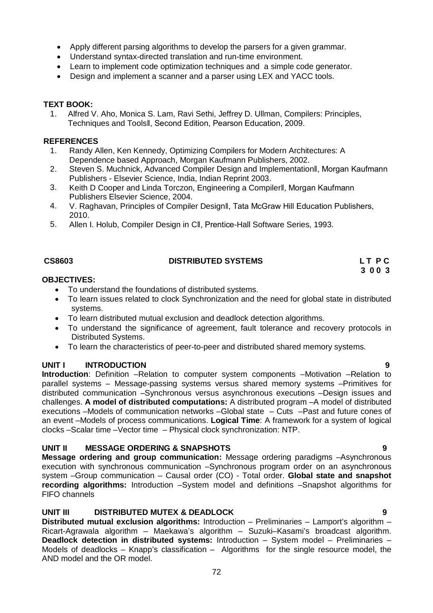- Apply different parsing algorithms to develop the parsers for a given grammar.
- Understand syntax-directed translation and run-time environment.
- Learn to implement code optimization techniques and a simple code generator.
- Design and implement a scanner and a parser using LEX and YACC tools.

#### **TEXT BOOK:**

1. Alfred V. Aho, Monica S. Lam, Ravi Sethi, Jeffrey D. Ullman, Compilers: Principles, Techniques and Toolsǁ, Second Edition, Pearson Education, 2009.

#### **REFERENCES**

- 1. Randy Allen, Ken Kennedy, Optimizing Compilers for Modern Architectures: A Dependence based Approach, Morgan Kaufmann Publishers, 2002.
- 2. Steven S. Muchnick, Advanced Compiler Design and Implementationǁ, Morgan Kaufmann Publishers - Elsevier Science, India, Indian Reprint 2003.
- 3. Keith D Cooper and Linda Torczon, Engineering a Compilerǁ, Morgan Kaufmann Publishers Elsevier Science, 2004.
- 4. V. Raghavan, Principles of Compiler Designǁ, Tata McGraw Hill Education Publishers, 2010.
- 5. Allen I. Holub, Compiler Design in Cǁ, Prentice-Hall Software Series, 1993.

# **CS8603 DISTRIBUTED SYSTEMS L T P C**

# **3 0 0 3**

#### **OBJECTIVES:**

- To understand the foundations of distributed systems.
- To learn issues related to clock Synchronization and the need for global state in distributed systems.
- To learn distributed mutual exclusion and deadlock detection algorithms.
- To understand the significance of agreement, fault tolerance and recovery protocols in Distributed Systems.
- To learn the characteristics of peer-to-peer and distributed shared memory systems.

### **UNIT I INTRODUCTION 9**

**Introduction**: Definition –Relation to computer system components –Motivation –Relation to parallel systems – Message-passing systems versus shared memory systems –Primitives for distributed communication –Synchronous versus asynchronous executions –Design issues and challenges. **A model of distributed computations:** A distributed program –A model of distributed executions –Models of communication networks –Global state – Cuts –Past and future cones of an event –Models of process communications. **Logical Time**: A framework for a system of logical clocks –Scalar time –Vector time – Physical clock synchronization: NTP.

### **UNIT II MESSAGE ORDERING & SNAPSHOTS 9**

**Message ordering and group communication:** Message ordering paradigms –Asynchronous execution with synchronous communication –Synchronous program order on an asynchronous system –Group communication – Causal order (CO) - Total order. **Global state and snapshot recording algorithms:** Introduction –System model and definitions –Snapshot algorithms for FIFO channels

# **UNIT III DISTRIBUTED MUTEX & DEADLOCK 9**

**Distributed mutual exclusion algorithms:** Introduction – Preliminaries – Lamport's algorithm – Ricart-Agrawala algorithm – Maekawa's algorithm – Suzuki–Kasami's broadcast algorithm. **Deadlock detection in distributed systems:** Introduction – System model – Preliminaries – Models of deadlocks – Knapp's classification – Algorithms for the single resource model, the AND model and the OR model.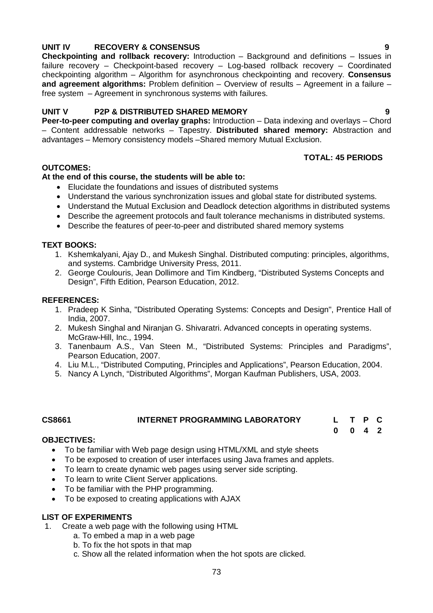# **UNIT IV RECOVERY & CONSENSUS 9**

**Checkpointing and rollback recovery:** Introduction – Background and definitions – Issues in failure recovery – Checkpoint-based recovery – Log-based rollback recovery – Coordinated checkpointing algorithm – Algorithm for asynchronous checkpointing and recovery. **Consensus and agreement algorithms:** Problem definition – Overview of results – Agreement in a failure – free system – Agreement in synchronous systems with failures.

# **UNIT V P2P & DISTRIBUTED SHARED MEMORY 9**

**Peer-to-peer computing and overlay graphs:** Introduction – Data indexing and overlays – Chord – Content addressable networks – Tapestry. **Distributed shared memory:** Abstraction and advantages – Memory consistency models –Shared memory Mutual Exclusion.

# **TOTAL: 45 PERIODS**

# **OUTCOMES:**

# **At the end of this course, the students will be able to:**

- Elucidate the foundations and issues of distributed systems
- Understand the various synchronization issues and global state for distributed systems.
- Understand the Mutual Exclusion and Deadlock detection algorithms in distributed systems
- Describe the agreement protocols and fault tolerance mechanisms in distributed systems.
- Describe the features of peer-to-peer and distributed shared memory systems

### **TEXT BOOKS:**

- 1. Kshemkalyani, Ajay D., and Mukesh Singhal. Distributed computing: principles, algorithms, and systems. Cambridge University Press, 2011.
- 2. George Coulouris, Jean Dollimore and Tim Kindberg, "Distributed Systems Concepts and Design", Fifth Edition, Pearson Education, 2012.

### **REFERENCES:**

- 1. Pradeep K Sinha, "Distributed Operating Systems: Concepts and Design", Prentice Hall of India, 2007.
- 2. Mukesh Singhal and Niranjan G. Shivaratri. Advanced concepts in operating systems. McGraw-Hill, Inc., 1994.
- 3. Tanenbaum A.S., Van Steen M., "Distributed Systems: Principles and Paradigms", Pearson Education, 2007.
- 4. Liu M.L., "Distributed Computing, Principles and Applications", Pearson Education, 2004.
- 5. Nancy A Lynch, "Distributed Algorithms", Morgan Kaufman Publishers, USA, 2003.

# **CS8661 INTERNET PROGRAMMING LABORATORY L T P C**

**0 0 4 2**

# **OBJECTIVES:**

- To be familiar with Web page design using HTML/XML and style sheets
- To be exposed to creation of user interfaces using Java frames and applets.
- To learn to create dynamic web pages using server side scripting.
- To learn to write Client Server applications.
- To be familiar with the PHP programming.
- To be exposed to creating applications with AJAX

# **LIST OF EXPERIMENTS**

- 1. Create a web page with the following using HTML
	- a. To embed a map in a web page
	- b. To fix the hot spots in that map
	- c. Show all the related information when the hot spots are clicked.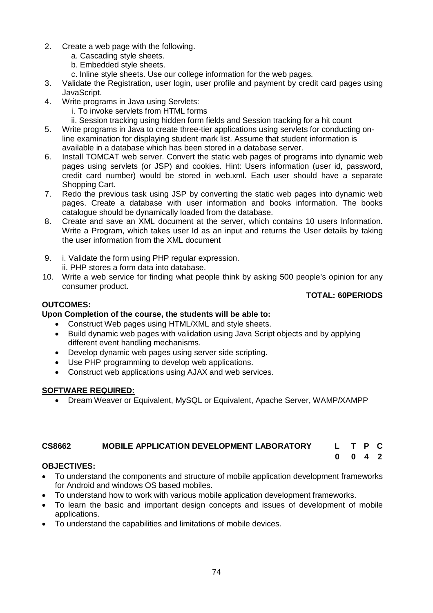- 2. Create a web page with the following.
	- a. Cascading style sheets.
	- b. Embedded style sheets.
	- c. Inline style sheets. Use our college information for the web pages.
- 3. Validate the Registration, user login, user profile and payment by credit card pages using JavaScript.
- 4. Write programs in Java using Servlets:
	- i. To invoke servlets from HTML forms
	- ii. Session tracking using hidden form fields and Session tracking for a hit count
- 5. Write programs in Java to create three-tier applications using servlets for conducting online examination for displaying student mark list. Assume that student information is available in a database which has been stored in a database server.
- 6. Install TOMCAT web server. Convert the static web pages of programs into dynamic web pages using servlets (or JSP) and cookies. Hint: Users information (user id, password, credit card number) would be stored in web.xml. Each user should have a separate Shopping Cart.
- 7. Redo the previous task using JSP by converting the static web pages into dynamic web pages. Create a database with user information and books information. The books catalogue should be dynamically loaded from the database.
- 8. Create and save an XML document at the server, which contains 10 users Information. Write a Program, which takes user Id as an input and returns the User details by taking the user information from the XML document
- 9. i. Validate the form using PHP regular expression. ii. PHP stores a form data into database.
- 10. Write a web service for finding what people think by asking 500 people's opinion for any consumer product.

# **TOTAL: 60PERIODS**

**0 0 4 2**

# **OUTCOMES:**

# **Upon Completion of the course, the students will be able to:**

- Construct Web pages using HTML/XML and style sheets.
- Build dynamic web pages with validation using Java Script objects and by applying different event handling mechanisms.
- Develop dynamic web pages using server side scripting.
- Use PHP programming to develop web applications.
- Construct web applications using AJAX and web services.

# **SOFTWARE REQUIRED:**

Dream Weaver or Equivalent, MySQL or Equivalent, Apache Server, WAMP/XAMPP

# **CS8662 MOBILE APPLICATION DEVELOPMENT LABORATORY L T P C**

# **OBJECTIVES:**

- To understand the components and structure of mobile application development frameworks for Android and windows OS based mobiles.
- To understand how to work with various mobile application development frameworks.
- To learn the basic and important design concepts and issues of development of mobile applications.
- To understand the capabilities and limitations of mobile devices.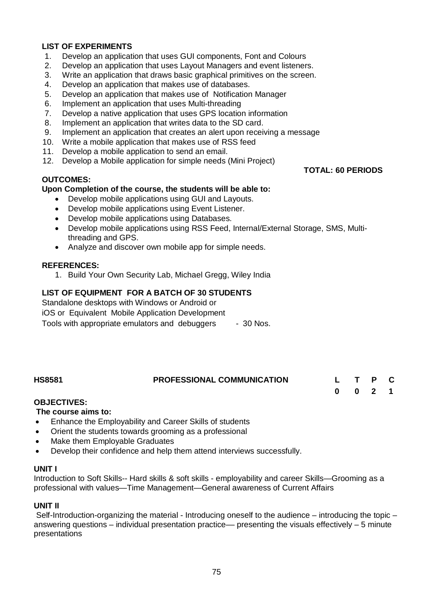# **LIST OF EXPERIMENTS**

- 1. Develop an application that uses GUI components, Font and Colours
- 2. Develop an application that uses Layout Managers and event listeners.
- 3. Write an application that draws basic graphical primitives on the screen.
- 4. Develop an application that makes use of databases.
- 5. Develop an application that makes use of Notification Manager
- 6. Implement an application that uses Multi-threading
- 7. Develop a native application that uses GPS location information
- 8. Implement an application that writes data to the SD card.
- 9. Implement an application that creates an alert upon receiving a message
- 10. Write a mobile application that makes use of RSS feed
- 11. Develop a mobile application to send an email.
- 12. Develop a Mobile application for simple needs (Mini Project)

### **OUTCOMES:**

### **Upon Completion of the course, the students will be able to:**

- Develop mobile applications using GUI and Layouts.
- Develop mobile applications using Event Listener.
- Develop mobile applications using Databases.
- Develop mobile applications using RSS Feed, Internal/External Storage, SMS, Multithreading and GPS.
- Analyze and discover own mobile app for simple needs.

### **REFERENCES:**

1. Build Your Own Security Lab, Michael Gregg, Wiley India

# **LIST OF EQUIPMENT FOR A BATCH OF 30 STUDENTS**

Standalone desktops with Windows or Android or iOS or Equivalent Mobile Application Development Tools with appropriate emulators and debuggers - 30 Nos.

| <b>HS8581</b> | <b>PROFESSIONAL COMMUNICATION</b> | L T P C |  |  |
|---------------|-----------------------------------|---------|--|--|
|               |                                   | 0 0 2 1 |  |  |

#### **OBJECTIVES:**

#### **The course aims to:**

- Enhance the Employability and Career Skills of students
- Orient the students towards grooming as a professional
- Make them Employable Graduates
- Develop their confidence and help them attend interviews successfully.

#### **UNIT I**

Introduction to Soft Skills-- Hard skills & soft skills - employability and career Skills—Grooming as a professional with values—Time Management—General awareness of Current Affairs

#### **UNIT II**

Self-Introduction-organizing the material - Introducing oneself to the audience – introducing the topic – answering questions  $-$  individual presentation practice— presenting the visuals effectively  $-5$  minute presentations

# **TOTAL: 60 PERIODS**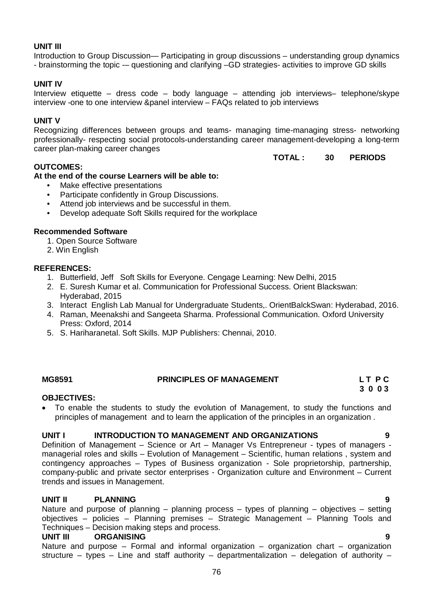# **UNIT III**

Introduction to Group Discussion— Participating in group discussions – understanding group dynamics - brainstorming the topic -– questioning and clarifying –GD strategies- activities to improve GD skills

# **UNIT IV**

Interview etiquette – dress code – body language – attending job interviews– telephone/skype interview -one to one interview &panel interview – FAQs related to job interviews

# **UNIT V**

Recognizing differences between groups and teams- managing time-managing stress- networking professionally- respecting social protocols-understanding career management-developing a long-term career plan-making career changes

# **TOTAL : 30 PERIODS**

# **OUTCOMES:**

**At the end of the course Learners will be able to:**

- Make effective presentations
- Participate confidently in Group Discussions.
- Attend job interviews and be successful in them.
- Develop adequate Soft Skills required for the workplace

### **Recommended Software**

- 1. Open Source Software
- 2. Win English

# **REFERENCES:**

- 1. Butterfield, Jeff Soft Skills for Everyone. Cengage Learning: New Delhi, 2015
- 2. E. Suresh Kumar et al. Communication for Professional Success. Orient Blackswan: Hyderabad, 2015
- 3. Interact English Lab Manual for Undergraduate Students,. OrientBalckSwan: Hyderabad, 2016.
- 4. Raman, Meenakshi and Sangeeta Sharma. Professional Communication. Oxford University Press: Oxford, 2014
- 5. S. Hariharanetal. Soft Skills. MJP Publishers: Chennai, 2010.

# **MG8591 PRINCIPLES OF MANAGEMENT L T P C**

 **3 0 0 3**

# **OBJECTIVES:**

 To enable the students to study the evolution of Management, to study the functions and principles of management and to learn the application of the principles in an organization .

#### **UNIT I INTRODUCTION TO MANAGEMENT AND ORGANIZATIONS 9**

Definition of Management – Science or Art – Manager Vs Entrepreneur - types of managers managerial roles and skills – Evolution of Management – Scientific, human relations , system and contingency approaches – Types of Business organization - Sole proprietorship, partnership, company-public and private sector enterprises - Organization culture and Environment – Current trends and issues in Management.

# **UNIT II PLANNING 9**

Nature and purpose of planning – planning process – types of planning – objectives – setting objectives – policies – Planning premises – Strategic Management – Planning Tools and Techniques – Decision making steps and process.

#### **UNIT III ORGANISING 9**

Nature and purpose – Formal and informal organization – organization chart – organization structure – types – Line and staff authority – departmentalization – delegation of authority –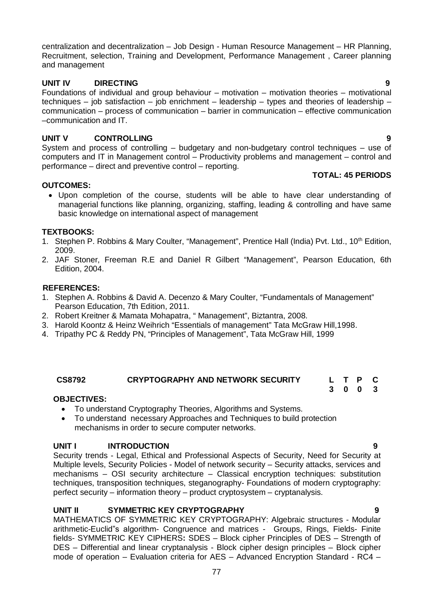centralization and decentralization – Job Design - Human Resource Management – HR Planning, Recruitment, selection, Training and Development, Performance Management , Career planning and management

# **UNIT IV DIRECTING 9**

Foundations of individual and group behaviour – motivation – motivation theories – motivational techniques – job satisfaction – job enrichment – leadership – types and theories of leadership – communication – process of communication – barrier in communication – effective communication –communication and IT.

# **UNIT V CONTROLLING 9**

System and process of controlling – budgetary and non-budgetary control techniques – use of computers and IT in Management control – Productivity problems and management – control and performance – direct and preventive control – reporting.

### **TOTAL: 45 PERIODS**

**3 0 0 3**

### **OUTCOMES:**

 Upon completion of the course, students will be able to have clear understanding of managerial functions like planning, organizing, staffing, leading & controlling and have same basic knowledge on international aspect of management

### **TEXTBOOKS:**

- 1. Stephen P. Robbins & Mary Coulter, "Management", Prentice Hall (India) Pvt. Ltd., 10<sup>th</sup> Edition, 2009.
- 2. JAF Stoner, Freeman R.E and Daniel R Gilbert "Management", Pearson Education, 6th Edition, 2004.

### **REFERENCES:**

- 1. Stephen A. Robbins & David A. Decenzo & Mary Coulter, "Fundamentals of Management" Pearson Education, 7th Edition, 2011.
- 2. Robert Kreitner & Mamata Mohapatra, " Management", Biztantra, 2008.
- 3. Harold Koontz & Heinz Weihrich "Essentials of management" Tata McGraw Hill,1998.
- 4. Tripathy PC & Reddy PN, "Principles of Management", Tata McGraw Hill, 1999

# **CS8792 CRYPTOGRAPHY AND NETWORK SECURITY L T P C**

#### **OBJECTIVES:**

- To understand Cryptography Theories, Algorithms and Systems.
- To understand necessary Approaches and Techniques to build protection mechanisms in order to secure computer networks.

#### **UNIT I INTRODUCTION 9**

Security trends - Legal, Ethical and Professional Aspects of Security, Need for Security at Multiple levels, Security Policies - Model of network security – Security attacks, services and mechanisms – OSI security architecture – Classical encryption techniques: substitution techniques, transposition techniques, steganography- Foundations of modern cryptography: perfect security – information theory – product cryptosystem – cryptanalysis.

#### **UNIT II SYMMETRIC KEY CRYPTOGRAPHY 9**

MATHEMATICS OF SYMMETRIC KEY CRYPTOGRAPHY: Algebraic structures - Modular arithmetic-Euclid"s algorithm- Congruence and matrices - Groups, Rings, Fields- Finite fields- SYMMETRIC KEY CIPHERS**:** SDES – Block cipher Principles of DES – Strength of DES – Differential and linear cryptanalysis - Block cipher design principles – Block cipher mode of operation – Evaluation criteria for AES – Advanced Encryption Standard - RC4 –

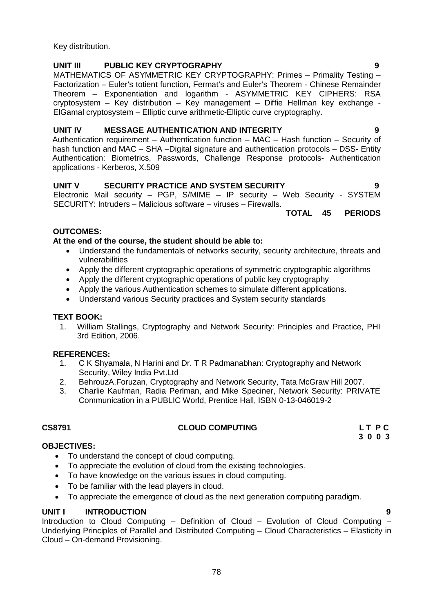Key distribution.

# **UNIT III PUBLIC KEY CRYPTOGRAPHY 9**

MATHEMATICS OF ASYMMETRIC KEY CRYPTOGRAPHY: Primes – Primality Testing – Factorization – Euler's totient function, Fermat's and Euler's Theorem - Chinese Remainder Theorem – Exponentiation and logarithm - ASYMMETRIC KEY CIPHERS: RSA cryptosystem – Key distribution – Key management – Diffie Hellman key exchange - ElGamal cryptosystem – Elliptic curve arithmetic-Elliptic curve cryptography.

# **UNIT IV MESSAGE AUTHENTICATION AND INTEGRITY 9**

Authentication requirement – Authentication function – MAC – Hash function – Security of hash function and MAC – SHA –Digital signature and authentication protocols – DSS- Entity Authentication: Biometrics, Passwords, Challenge Response protocols- Authentication applications - Kerberos, X.509

# **UNIT V SECURITY PRACTICE AND SYSTEM SECURITY 9**

Electronic Mail security – PGP, S/MIME – IP security – Web Security - SYSTEM SECURITY: Intruders – Malicious software – viruses – Firewalls.

**TOTAL 45 PERIODS**

# **OUTCOMES:**

# **At the end of the course, the student should be able to:**

- Understand the fundamentals of networks security, security architecture, threats and vulnerabilities
- Apply the different cryptographic operations of symmetric cryptographic algorithms
- Apply the different cryptographic operations of public key cryptography
- Apply the various Authentication schemes to simulate different applications.
- Understand various Security practices and System security standards

# **TEXT BOOK:**

1. William Stallings, Cryptography and Network Security: Principles and Practice, PHI 3rd Edition, 2006.

# **REFERENCES:**

- 1. C K Shyamala, N Harini and Dr. T R Padmanabhan: Cryptography and Network Security, Wiley India Pvt.Ltd
- 2. BehrouzA.Foruzan, Cryptography and Network Security, Tata McGraw Hill 2007.
- 3. Charlie Kaufman, Radia Perlman, and Mike Speciner, Network Security: PRIVATE Communication in a PUBLIC World, Prentice Hall, ISBN 0-13-046019-2

# **CS8791 CLOUD COMPUTING L T P C**

**3 0 0 3**

# **OBJECTIVES:**

- To understand the concept of cloud computing.
- To appreciate the evolution of cloud from the existing technologies.
- To have knowledge on the various issues in cloud computing.
- To be familiar with the lead players in cloud.
- To appreciate the emergence of cloud as the next generation computing paradigm.

# **UNIT I INTRODUCTION 9**

Introduction to Cloud Computing – Definition of Cloud – Evolution of Cloud Computing – Underlying Principles of Parallel and Distributed Computing – Cloud Characteristics – Elasticity in Cloud – On-demand Provisioning.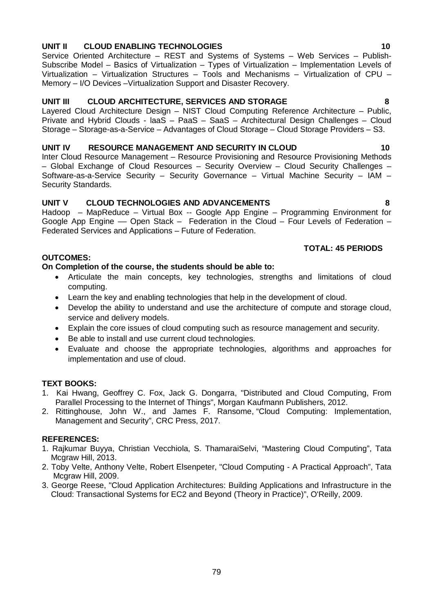# Articulate the main concepts, key technologies, strengths and limitations of cloud

**On Completion of the course, the students should be able to:**

- Learn the key and enabling technologies that help in the development of cloud.
	- Develop the ability to understand and use the architecture of compute and storage cloud, service and delivery models.
	- Explain the core issues of cloud computing such as resource management and security.
	- Be able to install and use current cloud technologies.
	- Evaluate and choose the appropriate technologies, algorithms and approaches for implementation and use of cloud.

#### **TEXT BOOKS:**

**OUTCOMES:**

computing.

- 1. Kai Hwang, Geoffrey C. Fox, Jack G. Dongarra, "Distributed and Cloud Computing, From Parallel Processing to the Internet of Things", Morgan Kaufmann Publishers, 2012.
- 2. Rittinghouse, John W., and James F. Ransome, "Cloud Computing: Implementation, Management and Security", CRC Press, 2017.

#### **REFERENCES:**

- 1. Rajkumar Buyya, Christian Vecchiola, S. ThamaraiSelvi, "Mastering Cloud Computing", Tata Mcgraw Hill, 2013.
- 2. Toby Velte, Anthony Velte, Robert Elsenpeter, "Cloud Computing A Practical Approach", Tata Mcgraw Hill, 2009.
- 3. George Reese, "Cloud Application Architectures: Building Applications and Infrastructure in the Cloud: Transactional Systems for EC2 and Beyond (Theory in Practice)", O'Reilly, 2009.

#### 79

### **UNIT II CLOUD ENABLING TECHNOLOGIES 10**

Service Oriented Architecture – REST and Systems of Systems – Web Services – Publish-Subscribe Model – Basics of Virtualization – Types of Virtualization – Implementation Levels of Virtualization – Virtualization Structures – Tools and Mechanisms – Virtualization of CPU – Memory – I/O Devices –Virtualization Support and Disaster Recovery.

# **UNIT III CLOUD ARCHITECTURE, SERVICES AND STORAGE 8**

Layered Cloud Architecture Design – NIST Cloud Computing Reference Architecture – Public, Private and Hybrid Clouds - laaS – PaaS – SaaS – Architectural Design Challenges – Cloud Storage – Storage-as-a-Service – Advantages of Cloud Storage – Cloud Storage Providers – S3.

### **UNIT IV RESOURCE MANAGEMENT AND SECURITY IN CLOUD 10**

Inter Cloud Resource Management – Resource Provisioning and Resource Provisioning Methods – Global Exchange of Cloud Resources – Security Overview – Cloud Security Challenges – Software-as-a-Service Security – Security Governance – Virtual Machine Security – IAM – Security Standards.

# **UNIT V CLOUD TECHNOLOGIES AND ADVANCEMENTS 8**

Hadoop – MapReduce – Virtual Box -- Google App Engine – Programming Environment for Google App Engine –– Open Stack – Federation in the Cloud – Four Levels of Federation – Federated Services and Applications – Future of Federation.

# **TOTAL: 45 PERIODS**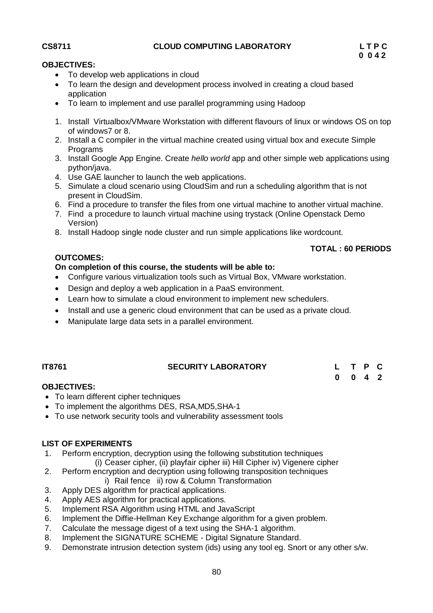# **CS8711 CLOUD COMPUTING LABORATORY L T P C**

# **OBJECTIVES:**

- To develop web applications in cloud
- To learn the design and development process involved in creating a cloud based application
- To learn to implement and use parallel programming using Hadoop
- 1. Install Virtualbox/VMware Workstation with different flavours of linux or windows OS on top of windows7 or 8.
- 2. Install a C compiler in the virtual machine created using virtual box and execute Simple Programs
- 3. Install Google App Engine. Create *hello world* app and other simple web applications using python/java.
- 4. Use GAE launcher to launch the web applications.
- 5. Simulate a cloud scenario using CloudSim and run a scheduling algorithm that is not present in CloudSim.
- 6. Find a procedure to transfer the files from one virtual machine to another virtual machine.
- 7. Find a procedure to launch virtual machine using trystack (Online Openstack Demo Version)
- 8. Install Hadoop single node cluster and run simple applications like wordcount.

# **OUTCOMES:**

# **On completion of this course, the students will be able to:**

- Configure various virtualization tools such as Virtual Box, VMware workstation.
- Design and deploy a web application in a PaaS environment.
- Learn how to simulate a cloud environment to implement new schedulers.
- Install and use a generic cloud environment that can be used as a private cloud.
- Manipulate large data sets in a parallel environment.

# **IT8761 SECURITY LABORATORY**

|   | L T P C             |  |
|---|---------------------|--|
| 0 | $0 \quad 4 \quad 2$ |  |

**TOTAL : 60 PERIODS**

# **OBJECTIVES:**

- To learn different cipher techniques
- To implement the algorithms DES, RSA,MD5,SHA-1
- To use network security tools and vulnerability assessment tools

# **LIST OF EXPERIMENTS**

- 1. Perform encryption, decryption using the following substitution techniques (i) Ceaser cipher, (ii) playfair cipher iii) Hill Cipher iv) Vigenere cipher
- 2. Perform encryption and decryption using following transposition techniques

# i) Rail fence ii) row & Column Transformation

- 3. Apply DES algorithm for practical applications.
- 4. Apply AES algorithm for practical applications.
- 5. Implement RSA Algorithm using HTML and JavaScript
- 6. Implement the Diffie-Hellman Key Exchange algorithm for a given problem.
- 7. Calculate the message digest of a text using the SHA-1 algorithm.
- 8. Implement the SIGNATURE SCHEME Digital Signature Standard.
- 9. Demonstrate intrusion detection system (ids) using any tool eg. Snort or any other s/w.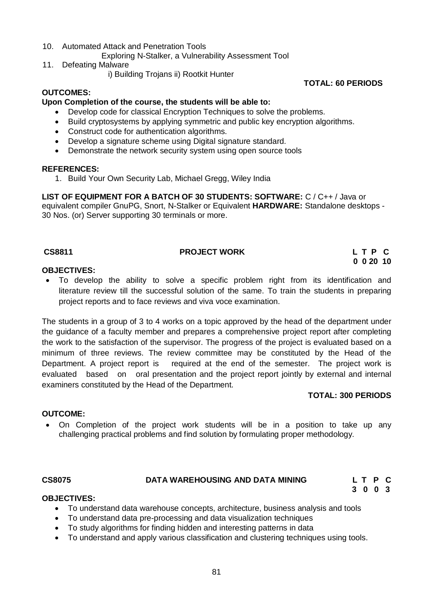- 10. Automated Attack and Penetration Tools
	- Exploring N-Stalker, a Vulnerability Assessment Tool
- 11. Defeating Malware
	- i) Building Trojans ii) Rootkit Hunter

**TOTAL: 60 PERIODS**

# **OUTCOMES:**

### **Upon Completion of the course, the students will be able to:**

- Develop code for classical Encryption Techniques to solve the problems.
- Build cryptosystems by applying symmetric and public key encryption algorithms.
- Construct code for authentication algorithms.
- Develop a signature scheme using Digital signature standard.
- Demonstrate the network security system using open source tools

#### **REFERENCES:**

1. Build Your Own Security Lab, Michael Gregg, Wiley India

**LIST OF EQUIPMENT FOR A BATCH OF 30 STUDENTS: SOFTWARE:** C / C++ / Java or equivalent compiler GnuPG, Snort, N-Stalker or Equivalent **HARDWARE:** Standalone desktops - 30 Nos. (or) Server supporting 30 terminals or more.

### **CS8811 PROJECT WORK L T P C**

**0 0 20 10**

# **OBJECTIVES:**

 To develop the ability to solve a specific problem right from its identification and literature review till the successful solution of the same. To train the students in preparing project reports and to face reviews and viva voce examination.

The students in a group of 3 to 4 works on a topic approved by the head of the department under the guidance of a faculty member and prepares a comprehensive project report after completing the work to the satisfaction of the supervisor. The progress of the project is evaluated based on a minimum of three reviews. The review committee may be constituted by the Head of the Department. A project report is required at the end of the semester. The project work is evaluated based on oral presentation and the project report jointly by external and internal examiners constituted by the Head of the Department.

# **TOTAL: 300 PERIODS**

# **OUTCOME:**

 On Completion of the project work students will be in a position to take up any challenging practical problems and find solution by formulating proper methodology.

#### **CS8075 DATA WAREHOUSING AND DATA MINING L T P C**

 **3 0 0 3**

#### **OBJECTIVES:**

- To understand data warehouse concepts, architecture, business analysis and tools
- To understand data pre-processing and data visualization techniques
- To study algorithms for finding hidden and interesting patterns in data
- To understand and apply various classification and clustering techniques using tools.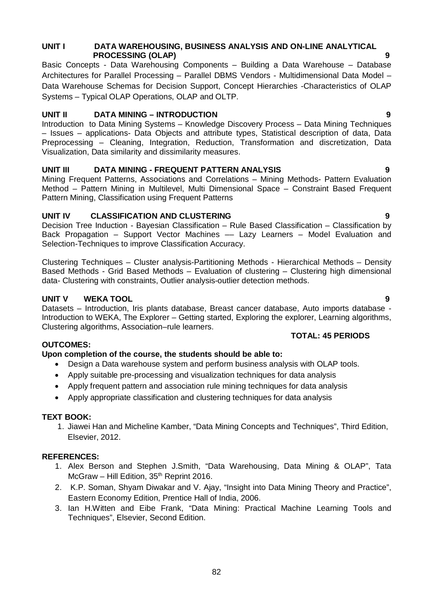# **UNIT I DATA WAREHOUSING, BUSINESS ANALYSIS AND ON-LINE ANALYTICAL PROCESSING (OLAP) 9**

Basic Concepts - Data Warehousing Components – Building a Data Warehouse – Database Architectures for Parallel Processing – Parallel DBMS Vendors - Multidimensional Data Model – Data Warehouse Schemas for Decision Support, Concept Hierarchies -Characteristics of OLAP Systems – Typical OLAP Operations, OLAP and OLTP.

# **UNIT II DATA MINING – INTRODUCTION 9**

Introduction to Data Mining Systems – Knowledge Discovery Process – Data Mining Techniques – Issues – applications- Data Objects and attribute types, Statistical description of data, Data Preprocessing – Cleaning, Integration, Reduction, Transformation and discretization, Data Visualization, Data similarity and dissimilarity measures.

# **UNIT III DATA MINING - FREQUENT PATTERN ANALYSIS 9**

Mining Frequent Patterns, Associations and Correlations – Mining Methods- Pattern Evaluation Method – Pattern Mining in Multilevel, Multi Dimensional Space – Constraint Based Frequent Pattern Mining, Classification using Frequent Patterns

# **UNIT IV CLASSIFICATION AND CLUSTERING 9**

Decision Tree Induction - Bayesian Classification – Rule Based Classification – Classification by Back Propagation - Support Vector Machines -- Lazy Learners - Model Evaluation and Selection-Techniques to improve Classification Accuracy.

Clustering Techniques – Cluster analysis-Partitioning Methods - Hierarchical Methods – Density Based Methods - Grid Based Methods – Evaluation of clustering – Clustering high dimensional data- Clustering with constraints, Outlier analysis-outlier detection methods.

# **UNIT V WEKA TOOL 9**

Datasets – Introduction, Iris plants database, Breast cancer database, Auto imports database - Introduction to WEKA, The Explorer – Getting started, Exploring the explorer, Learning algorithms, Clustering algorithms, Association–rule learners.

# **TOTAL: 45 PERIODS**

# **OUTCOMES:**

# **Upon completion of the course, the students should be able to:**

- Design a Data warehouse system and perform business analysis with OLAP tools.
- Apply suitable pre-processing and visualization techniques for data analysis
- Apply frequent pattern and association rule mining techniques for data analysis
- Apply appropriate classification and clustering techniques for data analysis

# **TEXT BOOK:**

1. Jiawei Han and Micheline Kamber, "Data Mining Concepts and Techniques", Third Edition, Elsevier, 2012.

# **REFERENCES:**

- 1. Alex Berson and Stephen J.Smith, "Data Warehousing, Data Mining & OLAP", Tata McGraw - Hill Edition, 35<sup>th</sup> Reprint 2016.
- 2. K.P. Soman, Shyam Diwakar and V. Ajay, "Insight into Data Mining Theory and Practice", Eastern Economy Edition, Prentice Hall of India, 2006.
- 3. Ian H.Witten and Eibe Frank, "Data Mining: Practical Machine Learning Tools and Techniques", Elsevier, Second Edition.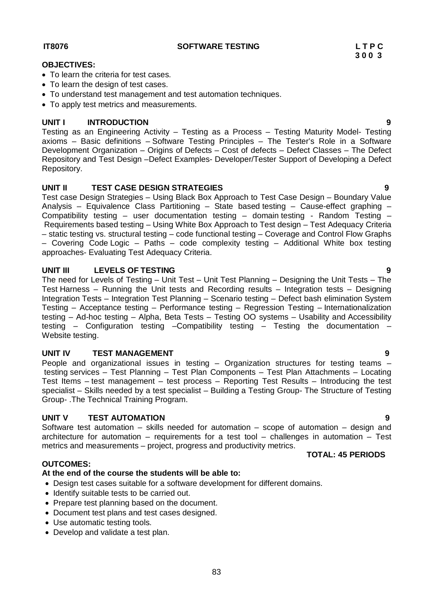**3 0 0 3**

# **OBJECTIVES:**

- To learn the criteria for test cases.
- To learn the design of test cases.
- To understand test management and test automation techniques.
- To apply test metrics and measurements.

# **UNIT I INTRODUCTION 9**

Testing as an Engineering Activity – Testing as a Process – Testing Maturity Model- Testing axioms – Basic definitions – Software Testing Principles – The Tester's Role in a Software Development Organization – Origins of Defects – Cost of defects – Defect Classes – The Defect Repository and Test Design –Defect Examples- Developer/Tester Support of Developing a Defect Repository.

# **UNIT II TEST CASE DESIGN STRATEGIES 9**

Test case Design Strategies – Using Black Box Approach to Test Case Design – Boundary Value Analysis – Equivalence Class Partitioning – State based testing – Cause-effect graphing – Compatibility testing – user documentation testing – domain testing - Random Testing – Requirements based testing – Using White Box Approach to Test design – Test Adequacy Criteria – static testing vs. structural testing – code functional testing – Coverage and Control Flow Graphs – Covering Code Logic – Paths – code complexity testing – Additional White box testing approaches- Evaluating Test Adequacy Criteria.

### **UNIT III LEVELS OF TESTING 9**

The need for Levels of Testing – Unit Test – Unit Test Planning – Designing the Unit Tests – The Test Harness – Running the Unit tests and Recording results – Integration tests – Designing Integration Tests – Integration Test Planning – Scenario testing – Defect bash elimination System Testing – Acceptance testing – Performance testing – Regression Testing – Internationalization testing – Ad-hoc testing – Alpha, Beta Tests – Testing OO systems – Usability and Accessibility testing – Configuration testing –Compatibility testing – Testing the documentation – Website testing.

#### **UNIT IV TEST MANAGEMENT 9**

People and organizational issues in testing – Organization structures for testing teams – testing services – Test Planning – Test Plan Components – Test Plan Attachments – Locating Test Items – test management – test process – Reporting Test Results – Introducing the test specialist – Skills needed by a test specialist – Building a Testing Group- The Structure of Testing Group- .The Technical Training Program.

### **UNIT V TEST AUTOMATION 9**

Software test automation – skills needed for automation – scope of automation – design and architecture for automation – requirements for a test tool – challenges in automation – Test metrics and measurements – project, progress and productivity metrics.

# **OUTCOMES:**

# **At the end of the course the students will be able to:**

- Design test cases suitable for a software development for different domains.
- Identify suitable tests to be carried out.
- Prepare test planning based on the document.
- Document test plans and test cases designed.
- Use automatic testing tools.
- Develop and validate a test plan.

# **TOTAL: 45 PERIODS**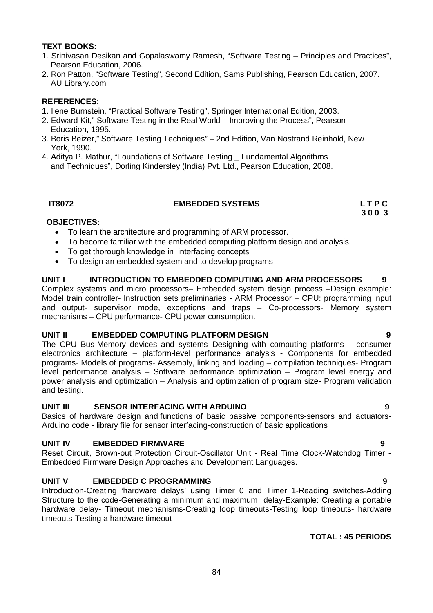# **TEXT BOOKS:**

- 1. Srinivasan Desikan and Gopalaswamy Ramesh, "Software Testing Principles and Practices", Pearson Education, 2006.
- 2. Ron Patton, "Software Testing", Second Edition, Sams Publishing, Pearson Education, 2007. AU Library.com

### **REFERENCES:**

- 1. Ilene Burnstein, "Practical Software Testing", Springer International Edition, 2003.
- 2. Edward Kit," Software Testing in the Real World Improving the Process", Pearson Education, 1995.
- 3. Boris Beizer," Software Testing Techniques" 2nd Edition, Van Nostrand Reinhold, New York, 1990.
- 4. Aditya P. Mathur, "Foundations of Software Testing \_ Fundamental Algorithms and Techniques", Dorling Kindersley (India) Pvt. Ltd., Pearson Education, 2008.

# **IT8072 EMBEDDED SYSTEMS L T P C**

 **3 0 0 3**

# **OBJECTIVES:**

- To learn the architecture and programming of ARM processor.
- To become familiar with the embedded computing platform design and analysis.
- To get thorough knowledge in interfacing concepts
- To design an embedded system and to develop programs

# **UNIT I INTRODUCTION TO EMBEDDED COMPUTING AND ARM PROCESSORS 9**

Complex systems and micro processors– Embedded system design process –Design example: Model train controller- Instruction sets preliminaries - ARM Processor – CPU: programming input and output- supervisor mode, exceptions and traps – Co-processors- Memory system mechanisms – CPU performance- CPU power consumption.

# **UNIT II EMBEDDED COMPUTING PLATFORM DESIGN 9**

The CPU Bus-Memory devices and systems–Designing with computing platforms – consumer electronics architecture – platform-level performance analysis - Components for embedded programs- Models of programs- Assembly, linking and loading – compilation techniques- Program level performance analysis – Software performance optimization – Program level energy and power analysis and optimization – Analysis and optimization of program size- Program validation and testing.

# **UNIT III SENSOR INTERFACING WITH ARDUINO 9**

Basics of hardware design and functions of basic passive components-sensors and actuators-Arduino code - library file for sensor interfacing-construction of basic applications

# **UNIT IV EMBEDDED FIRMWARE 9**

Reset Circuit, Brown-out Protection Circuit-Oscillator Unit - Real Time Clock-Watchdog Timer - Embedded Firmware Design Approaches and Development Languages.

# **UNIT V EMBEDDED C PROGRAMMING 9**

Introduction-Creating 'hardware delays' using Timer 0 and Timer 1-Reading switches-Adding Structure to the code-Generating a minimum and maximum delay-Example: Creating a portable hardware delay- Timeout mechanisms-Creating loop timeouts-Testing loop timeouts- hardware timeouts-Testing a hardware timeout

# **TOTAL : 45 PERIODS**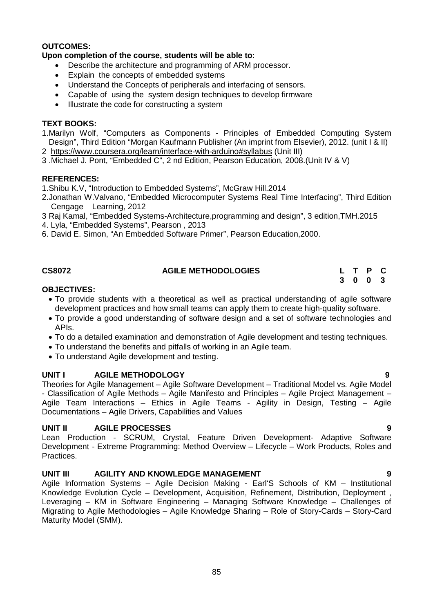### **OUTCOMES:**

### **Upon completion of the course, students will be able to:**

- Describe the architecture and programming of ARM processor.
- Explain the concepts of embedded systems
- Understand the Concepts of peripherals and interfacing of sensors.
- Capable of using the system design techniques to develop firmware
- Illustrate the code for constructing a system

### **TEXT BOOKS:**

- 1.Marilyn Wolf, "Computers as Components Principles of Embedded Computing System Design", Third Edition "Morgan Kaufmann Publisher (An imprint from Elsevier), 2012. (unit I & II)
- 2 https://www.coursera.org/learn/interface-with-arduino#syllabus (Unit III)
- 3 .Michael J. Pont, "Embedded C", 2 nd Edition, Pearson Education, 2008.(Unit IV & V)

#### **REFERENCES:**

1.Shibu K.V, "Introduction to Embedded Systems", McGraw Hill.2014

- 2.Jonathan W.Valvano, "Embedded Microcomputer Systems Real Time Interfacing", Third Edition Cengage Learning, 2012
- 3 Raj Kamal, "Embedded Systems-Architecture,programming and design", 3 edition,TMH.2015
- 4. Lyla, "Embedded Systems", Pearson , 2013
- 6. David E. Simon, "An Embedded Software Primer", Pearson Education,2000.

| <b>CS8072</b> | <b>AGILE METHODOLOGIES</b> |  | L T P C |  |
|---------------|----------------------------|--|---------|--|
|               |                            |  | 3 0 0 3 |  |

### **OBJECTIVES:**

- To provide students with a theoretical as well as practical understanding of agile software development practices and how small teams can apply them to create high-quality software.
- To provide a good understanding of software design and a set of software technologies and APIs.
- To do a detailed examination and demonstration of Agile development and testing techniques.
- To understand the benefits and pitfalls of working in an Agile team.
- To understand Agile development and testing.

# **UNIT I AGILE METHODOLOGY 9**

Theories for Agile Management – Agile Software Development – Traditional Model vs. Agile Model - Classification of Agile Methods – Agile Manifesto and Principles – Agile Project Management – Agile Team Interactions – Ethics in Agile Teams - Agility in Design, Testing – Agile Documentations – Agile Drivers, Capabilities and Values

# **UNIT II AGILE PROCESSES 9**

Lean Production - SCRUM, Crystal, Feature Driven Development- Adaptive Software Development - Extreme Programming: Method Overview – Lifecycle – Work Products, Roles and Practices.

# **UNIT III AGILITY AND KNOWLEDGE MANAGEMENT 9**

Agile Information Systems – Agile Decision Making - Earl'S Schools of KM – Institutional Knowledge Evolution Cycle – Development, Acquisition, Refinement, Distribution, Deployment , Leveraging – KM in Software Engineering – Managing Software Knowledge – Challenges of Migrating to Agile Methodologies – Agile Knowledge Sharing – Role of Story-Cards – Story-Card Maturity Model (SMM).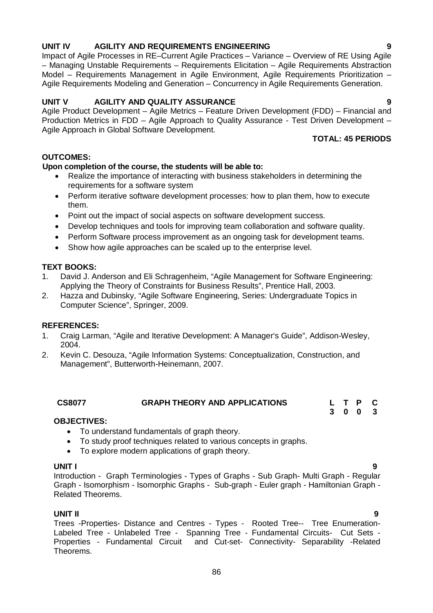#### Perform Software process improvement as an ongoing task for development teams. • Show how agile approaches can be scaled up to the enterprise level.

• Point out the impact of social aspects on software development success.

# **TEXT BOOKS:**

**OUTCOMES:**

them.

- 1. David J. Anderson and Eli Schragenheim, "Agile Management for Software Engineering: Applying the Theory of Constraints for Business Results", Prentice Hall, 2003.
- 2. Hazza and Dubinsky, "Agile Software Engineering, Series: Undergraduate Topics in Computer Science", Springer, 2009.

#### **REFERENCES:**

- 1. Craig Larman, "Agile and Iterative Development: A Manager's Guide", Addison-Wesley, 2004.
- 2. Kevin C. Desouza, "Agile Information Systems: Conceptualization, Construction, and Management", Butterworth-Heinemann, 2007.

| <b>CS8077</b> | <b>GRAPH THEORY AND APPLICATIONS</b> | L T P C |
|---------------|--------------------------------------|---------|
|               |                                      | 3 0 0 3 |

#### **OBJECTIVES:**

- To understand fundamentals of graph theory.
- To study proof techniques related to various concepts in graphs.
- To explore modern applications of graph theory.

#### **UNIT I 9**

Introduction - Graph Terminologies - Types of Graphs - Sub Graph- Multi Graph - Regular Graph - Isomorphism - Isomorphic Graphs - Sub-graph - Euler graph - Hamiltonian Graph - Related Theorems.

#### **UNIT II 9**

Trees -Properties- Distance and Centres - Types - Rooted Tree-- Tree Enumeration-Labeled Tree - Unlabeled Tree - Spanning Tree - Fundamental Circuits- Cut Sets -Properties - Fundamental Circuit and Cut-set- Connectivity- Separability -Related Theorems.

#### **UNIT IV AGILITY AND REQUIREMENTS ENGINEERING 9**

Impact of Agile Processes in RE–Current Agile Practices – Variance – Overview of RE Using Agile – Managing Unstable Requirements – Requirements Elicitation – Agile Requirements Abstraction Model – Requirements Management in Agile Environment, Agile Requirements Prioritization – Agile Requirements Modeling and Generation – Concurrency in Agile Requirements Generation.

### **UNIT V AGILITY AND QUALITY ASSURANCE 9**

requirements for a software system

**Upon completion of the course, the students will be able to:** 

Agile Product Development – Agile Metrics – Feature Driven Development (FDD) – Financial and Production Metrics in FDD – Agile Approach to Quality Assurance - Test Driven Development – Agile Approach in Global Software Development.

Realize the importance of interacting with business stakeholders in determining the

Perform iterative software development processes: how to plan them, how to execute

Develop techniques and tools for improving team collaboration and software quality.

# **TOTAL: 45 PERIODS**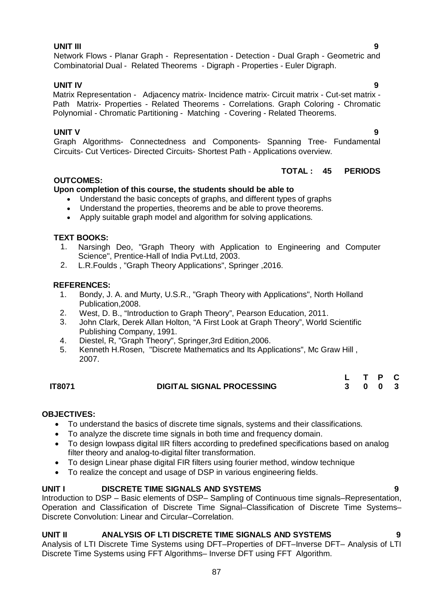# **UNIT III 9**

Network Flows - Planar Graph - Representation - Detection - Dual Graph - Geometric and Combinatorial Dual - Related Theorems - Digraph - Properties - Euler Digraph.

# **UNIT IV 9**

Matrix Representation - Adjacency matrix- Incidence matrix- Circuit matrix - Cut-set matrix - Path Matrix- Properties - Related Theorems - Correlations. Graph Coloring - Chromatic Polynomial - Chromatic Partitioning - Matching - Covering - Related Theorems.

# **UNIT V 9**

Graph Algorithms- Connectedness and Components- Spanning Tree- Fundamental Circuits- Cut Vertices- Directed Circuits- Shortest Path - Applications overview.

# **TOTAL : 45 PERIODS**

# **OUTCOMES:**

# **Upon completion of this course, the students should be able to**

- Understand the basic concepts of graphs, and different types of graphs
- Understand the properties, theorems and be able to prove theorems.
- Apply suitable graph model and algorithm for solving applications.

# **TEXT BOOKS:**

- 1. Narsingh Deo, "Graph Theory with Application to Engineering and Computer Science", Prentice-Hall of India Pvt.Ltd, 2003.
- 2. L.R.Foulds , "Graph Theory Applications", Springer ,2016.

# **REFERENCES:**

- 1. Bondy, J. A. and Murty, U.S.R., "Graph Theory with Applications", North Holland Publication,2008.
- 2. West, D. B., "Introduction to Graph Theory", Pearson Education, 2011.
- 3. John Clark, Derek Allan Holton, "A First Look at Graph Theory", World Scientific Publishing Company, 1991.
- 4. Diestel, R, "Graph Theory", Springer,3rd Edition,2006.
- 5. Kenneth H.Rosen, "Discrete Mathematics and Its Applications", Mc Graw Hill , 2007.

|        |                                  | L T P C |  |  |
|--------|----------------------------------|---------|--|--|
| IT8071 | <b>DIGITAL SIGNAL PROCESSING</b> | 3 0 0 3 |  |  |

# **OBJECTIVES:**

- To understand the basics of discrete time signals, systems and their classifications.
- To analyze the discrete time signals in both time and frequency domain.
- To design lowpass digital IIR filters according to predefined specifications based on analog filter theory and analog-to-digital filter transformation.
- To design Linear phase digital FIR filters using fourier method, window technique
- To realize the concept and usage of DSP in various engineering fields.

# **UNIT I DISCRETE TIME SIGNALS AND SYSTEMS 9**

Introduction to DSP – Basic elements of DSP– Sampling of Continuous time signals–Representation, Operation and Classification of Discrete Time Signal–Classification of Discrete Time Systems– Discrete Convolution: Linear and Circular–Correlation.

# **UNIT II ANALYSIS OF LTI DISCRETE TIME SIGNALS AND SYSTEMS 9**

Analysis of LTI Discrete Time Systems using DFT–Properties of DFT–Inverse DFT– Analysis of LTI Discrete Time Systems using FFT Algorithms– Inverse DFT using FFT Algorithm.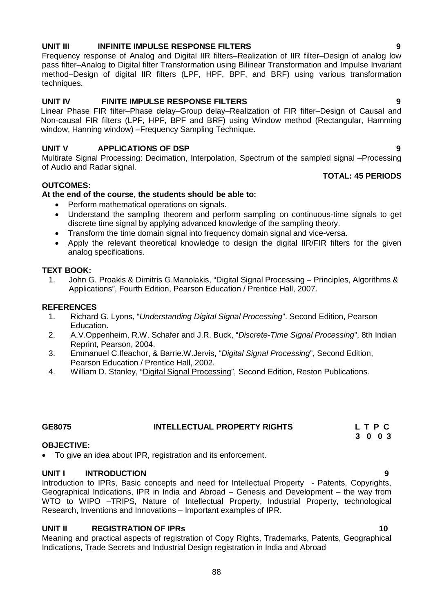# Frequency response of Analog and Digital IIR filters–Realization of IIR filter–Design of analog low

pass filter–Analog to Digital filter Transformation using Bilinear Transformation and Impulse Invariant method–Design of digital IIR filters (LPF, HPF, BPF, and BRF) using various transformation techniques.

**UNIT III INFINITE IMPULSE RESPONSE FILTERS 9**

# **UNIT IV FINITE IMPULSE RESPONSE FILTERS 9**

Linear Phase FIR filter–Phase delay–Group delay–Realization of FIR filter–Design of Causal and Non-causal FIR filters (LPF, HPF, BPF and BRF) using Window method (Rectangular, Hamming window, Hanning window) –Frequency Sampling Technique.

# **UNIT V APPLICATIONS OF DSP** 9

Multirate Signal Processing: Decimation, Interpolation, Spectrum of the sampled signal –Processing of Audio and Radar signal.

# **OUTCOMES:**

# **At the end of the course, the students should be able to:**

- Perform mathematical operations on signals.
- Understand the sampling theorem and perform sampling on continuous-time signals to get discrete time signal by applying advanced knowledge of the sampling theory.
- Transform the time domain signal into frequency domain signal and vice-versa.
- Apply the relevant theoretical knowledge to design the digital IIR/FIR filters for the given analog specifications.

# **TEXT BOOK:**

1. John G. Proakis & Dimitris G.Manolakis, "Digital Signal Processing – Principles, Algorithms & Applications", Fourth Edition, Pearson Education / Prentice Hall, 2007.

# **REFERENCES**

- 1. Richard G. Lyons, "*Understanding Digital Signal Processing*". Second Edition, Pearson Education.
- 2. A.V.Oppenheim, R.W. Schafer and J.R. Buck, "*Discrete-Time Signal Processing*", 8th Indian Reprint, Pearson, 2004.
- 3. Emmanuel C.Ifeachor, & Barrie.W.Jervis, "*Digital Signal Processing*", Second Edition, Pearson Education / Prentice Hall, 2002.
- 4. William D. Stanley, "Digital Signal Processing", Second Edition, Reston Publications.

# **GE8075 INTELLECTUAL PROPERTY RIGHTS L T P C**

# **OBJECTIVE:**

To give an idea about IPR, registration and its enforcement.

# **UNIT I INTRODUCTION 9**

Introduction to IPRs, Basic concepts and need for Intellectual Property - Patents, Copyrights, Geographical Indications, IPR in India and Abroad – Genesis and Development – the way from WTO to WIPO –TRIPS, Nature of Intellectual Property, Industrial Property, technological Research, Inventions and Innovations – Important examples of IPR.

# **UNIT II REGISTRATION OF IPRs 10**

Meaning and practical aspects of registration of Copy Rights, Trademarks, Patents, Geographical Indications, Trade Secrets and Industrial Design registration in India and Abroad

# **TOTAL: 45 PERIODS**

# **3 0 0 3**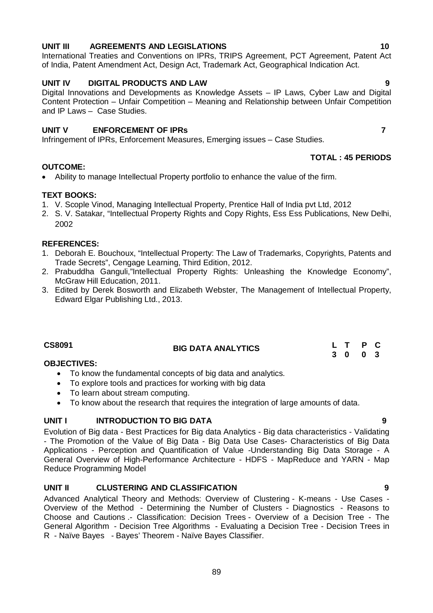# **UNIT III AGREEMENTS AND LEGISLATIONS 10**

International Treaties and Conventions on IPRs, TRIPS Agreement, PCT Agreement, Patent Act of India, Patent Amendment Act, Design Act, Trademark Act, Geographical Indication Act.

# **UNIT IV DIGITAL PRODUCTS AND LAW 9**

Digital Innovations and Developments as Knowledge Assets – IP Laws, Cyber Law and Digital Content Protection – Unfair Competition – Meaning and Relationship between Unfair Competition and IP Laws – Case Studies.

# **UNIT V ENFORCEMENT OF IPRs 7**

Infringement of IPRs, Enforcement Measures, Emerging issues – Case Studies.

# **OUTCOME:**

Ability to manage Intellectual Property portfolio to enhance the value of the firm.

# **TEXT BOOKS:**

- 1. V. Scople Vinod, Managing Intellectual Property, Prentice Hall of India pvt Ltd, 2012
- 2. S. V. Satakar, "Intellectual Property Rights and Copy Rights, Ess Ess Publications, New Delhi, 2002

### **REFERENCES:**

- 1. Deborah E. Bouchoux, "Intellectual Property: The Law of Trademarks, Copyrights, Patents and Trade Secrets", Cengage Learning, Third Edition, 2012.
- 2. Prabuddha Ganguli,"Intellectual Property Rights: Unleashing the Knowledge Economy", McGraw Hill Education, 2011.
- 3. Edited by Derek Bosworth and Elizabeth Webster, The Management of Intellectual Property, Edward Elgar Publishing Ltd., 2013.

| CS8091 | <b>BIG DATA ANALYTICS</b> | L T P C |  |
|--------|---------------------------|---------|--|
|        |                           | 3 0 0 3 |  |

# **OBJECTIVES:**

- To know the fundamental concepts of big data and analytics.
- To explore tools and practices for working with big data
- To learn about stream computing.
- To know about the research that requires the integration of large amounts of data.

# **UNIT I INTRODUCTION TO BIG DATA 9**

Evolution of Big data - Best Practices for Big data Analytics - Big data characteristics - Validating - The Promotion of the Value of Big Data - Big Data Use Cases- Characteristics of Big Data Applications - Perception and Quantification of Value -Understanding Big Data Storage - A General Overview of High-Performance Architecture - HDFS - MapReduce and YARN - Map Reduce Programming Model

# **UNIT II CLUSTERING AND CLASSIFICATION 9**

Advanced Analytical Theory and Methods: Overview of Clustering - K-means - Use Cases - Overview of the Method - Determining the Number of Clusters - Diagnostics - Reasons to Choose and Cautions .- Classification: Decision Trees - Overview of a Decision Tree - The General Algorithm - Decision Tree Algorithms - Evaluating a Decision Tree - Decision Trees in R - Naïve Bayes - Bayes' Theorem - Naïve Bayes Classifier.

**TOTAL : 45 PERIODS**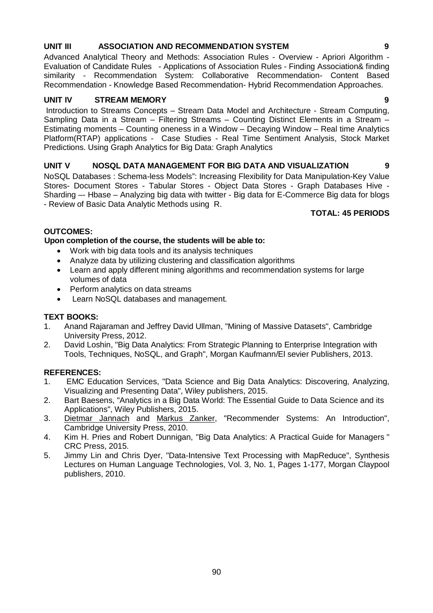# **UNIT III ASSOCIATION AND RECOMMENDATION SYSTEM 9**

Advanced Analytical Theory and Methods: Association Rules - Overview - Apriori Algorithm - Evaluation of Candidate Rules - Applications of Association Rules - Finding Association& finding similarity - Recommendation System: Collaborative Recommendation- Content Based Recommendation - Knowledge Based Recommendation- Hybrid Recommendation Approaches.

# **UNIT IV STREAM MEMORY 9**

Introduction to Streams Concepts – Stream Data Model and Architecture - Stream Computing, Sampling Data in a Stream – Filtering Streams – Counting Distinct Elements in a Stream – Estimating moments – Counting oneness in a Window – Decaying Window – Real time Analytics Platform(RTAP) applications - Case Studies - Real Time Sentiment Analysis, Stock Market Predictions. Using Graph Analytics for Big Data: Graph Analytics

# **UNIT V NOSQL DATA MANAGEMENT FOR BIG DATA AND VISUALIZATION 9**

NoSQL Databases : Schema-less Models": Increasing Flexibility for Data Manipulation-Key Value Stores- Document Stores - Tabular Stores - Object Data Stores - Graph Databases Hive - Sharding –- Hbase – Analyzing big data with twitter - Big data for E-Commerce Big data for blogs - Review of Basic Data Analytic Methods using R.

# **TOTAL: 45 PERIODS**

# **OUTCOMES:**

**Upon completion of the course, the students will be able to:** 

- Work with big data tools and its analysis techniques
- Analyze data by utilizing clustering and classification algorithms
- Learn and apply different mining algorithms and recommendation systems for large volumes of data
- Perform analytics on data streams
- Learn NoSQL databases and management.

# **TEXT BOOKS:**

- 1. Anand Rajaraman and Jeffrey David Ullman, "Mining of Massive Datasets", Cambridge University Press, 2012.
- 2. David Loshin, "Big Data Analytics: From Strategic Planning to Enterprise Integration with Tools, Techniques, NoSQL, and Graph", Morgan Kaufmann/El sevier Publishers, 2013.

# **REFERENCES:**

- 1. EMC Education Services, "Data Science and Big Data Analytics: Discovering, Analyzing, Visualizing and Presenting Data", Wiley publishers, 2015.
- 2. Bart Baesens, "Analytics in a Big Data World: The Essential Guide to Data Science and its Applications", Wiley Publishers, 2015.
- 3. Dietmar Jannach and Markus Zanker, "Recommender Systems: An Introduction", Cambridge University Press, 2010.
- 4. Kim H. Pries and Robert Dunnigan, "Big Data Analytics: A Practical Guide for Managers " CRC Press, 2015.
- 5. Jimmy Lin and Chris Dyer, "Data-Intensive Text Processing with MapReduce", Synthesis Lectures on Human Language Technologies, Vol. 3, No. 1, Pages 1-177, Morgan Claypool publishers, 2010.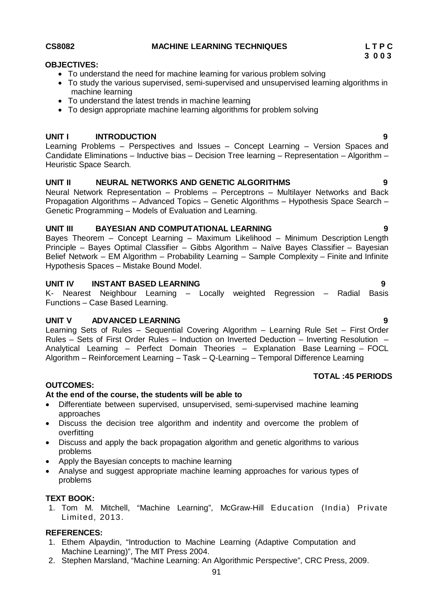### **CS8082 MACHINE LEARNING TECHNIQUES L T P C**

#### **OBJECTIVES:**

- To understand the need for machine learning for various problem solving
- To study the various supervised, semi-supervised and unsupervised learning algorithms in machine learning
- To understand the latest trends in machine learning
- To design appropriate machine learning algorithms for problem solving

### **UNIT I INTRODUCTION 9**

Learning Problems – Perspectives and Issues – Concept Learning – Version Spaces and Candidate Eliminations – Inductive bias – Decision Tree learning – Representation – Algorithm – Heuristic Space Search.

### **UNIT II NEURAL NETWORKS AND GENETIC ALGORITHMS 9**

Neural Network Representation – Problems – Perceptrons – Multilayer Networks and Back Propagation Algorithms – Advanced Topics – Genetic Algorithms – Hypothesis Space Search – Genetic Programming – Models of Evaluation and Learning.

#### **UNIT III BAYESIAN AND COMPUTATIONAL LEARNING 9**

Bayes Theorem – Concept Learning – Maximum Likelihood – Minimum Description Length Principle – Bayes Optimal Classifier – Gibbs Algorithm – Naïve Bayes Classifier – Bayesian Belief Network – EM Algorithm – Probability Learning – Sample Complexity – Finite and Infinite Hypothesis Spaces – Mistake Bound Model.

## **UNIT IV INSTANT BASED LEARNING 9**

K- Nearest Neighbour Learning – Locally weighted Regression – Radial Basis Functions – Case Based Learning.

#### **UNIT V ADVANCED LEARNING 9**

Learning Sets of Rules – Sequential Covering Algorithm – Learning Rule Set – First Order Rules – Sets of First Order Rules – Induction on Inverted Deduction – Inverting Resolution – Analytical Learning – Perfect Domain Theories – Explanation Base Learning – FOCL Algorithm – Reinforcement Learning – Task – Q-Learning – Temporal Difference Learning

### **TOTAL :45 PERIODS**

#### **OUTCOMES:**

#### **At the end of the course, the students will be able to**

- Differentiate between supervised, unsupervised, semi-supervised machine learning approaches
- Discuss the decision tree algorithm and indentity and overcome the problem of overfitting
- Discuss and apply the back propagation algorithm and genetic algorithms to various problems
- Apply the Bayesian concepts to machine learning
- Analyse and suggest appropriate machine learning approaches for various types of problems

#### **TEXT BOOK:**

1. Tom M. Mitchell, "Machine Learning", McGraw-Hill Education (India) Private Limited, 2013.

#### **REFERENCES:**

- 1. Ethem Alpaydin, "Introduction to Machine Learning (Adaptive Computation and Machine Learning)", The MIT Press 2004.
- 2. Stephen Marsland, "Machine Learning: An Algorithmic Perspective", CRC Press, 2009.

**3 0 0 3**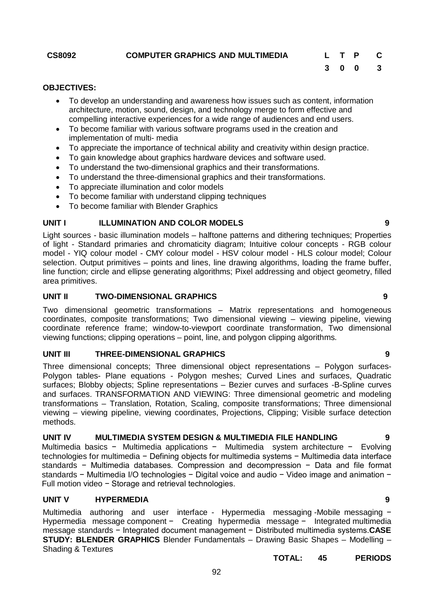### **OBJECTIVES:**

- To develop an understanding and awareness how issues such as content, information architecture, motion, sound, design, and technology merge to form effective and compelling interactive experiences for a wide range of audiences and end users.
- To become familiar with various software programs used in the creation and implementation of multi- media
- To appreciate the importance of technical ability and creativity within design practice.
- To gain knowledge about graphics hardware devices and software used.
- To understand the two-dimensional graphics and their transformations.
- To understand the three-dimensional graphics and their transformations.
- To appreciate illumination and color models
- To become familiar with understand clipping techniques
- To become familiar with Blender Graphics

### **UNIT I ILLUMINATION AND COLOR MODELS 9**

Light sources - basic illumination models – halftone patterns and dithering techniques; Properties of light - Standard primaries and chromaticity diagram; Intuitive colour concepts - RGB colour model - YIQ colour model - CMY colour model - HSV colour model - HLS colour model; Colour selection. Output primitives – points and lines, line drawing algorithms, loading the frame buffer, line function; circle and ellipse generating algorithms; Pixel addressing and object geometry, filled area primitives.

#### **UNIT II TWO-DIMENSIONAL GRAPHICS 9**

Two dimensional geometric transformations – Matrix representations and homogeneous coordinates, composite transformations; Two dimensional viewing – viewing pipeline, viewing coordinate reference frame; window-to-viewport coordinate transformation, Two dimensional viewing functions; clipping operations – point, line, and polygon clipping algorithms.

### **UNIT III THREE-DIMENSIONAL GRAPHICS 9**

Three dimensional concepts; Three dimensional object representations – Polygon surfaces-Polygon tables- Plane equations - Polygon meshes; Curved Lines and surfaces, Quadratic surfaces; Blobby objects; Spline representations – Bezier curves and surfaces -B-Spline curves and surfaces. TRANSFORMATION AND VIEWING: Three dimensional geometric and modeling transformations – Translation, Rotation, Scaling, composite transformations; Three dimensional viewing – viewing pipeline, viewing coordinates, Projections, Clipping; Visible surface detection methods.

#### **UNIT IV MULTIMEDIA SYSTEM DESIGN & MULTIMEDIA FILE HANDLING 9**

Multimedia basics − Multimedia applications − Multimedia system architecture − Evolving technologies for multimedia − Defining objects for multimedia systems − Multimedia data interface standards − Multimedia databases. Compression and decompression − Data and file format standards − Multimedia I/O technologies − Digital voice and audio − Video image and animation − Full motion video − Storage and retrieval technologies.

# **UNIT V HYPERMEDIA 9**

Multimedia authoring and user interface - Hypermedia messaging -Mobile messaging − Hypermedia message component − Creating hypermedia message − Integrated multimedia message standards − Integrated document management − Distributed multimedia systems.**CASE STUDY: BLENDER GRAPHICS** Blender Fundamentals – Drawing Basic Shapes – Modelling – Shading & Textures

#### **TOTAL: 45 PERIODS**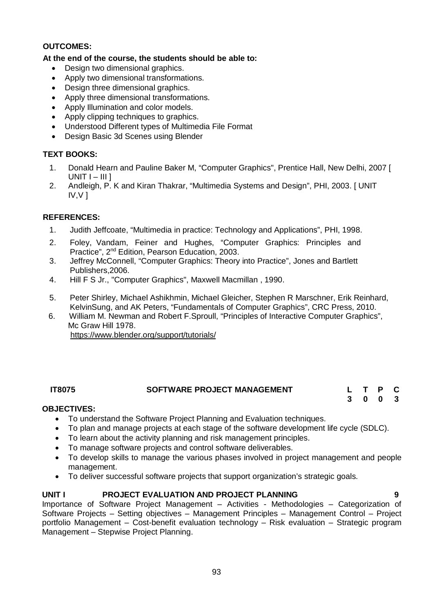# **OUTCOMES:**

# **At the end of the course, the students should be able to:**

- Design two dimensional graphics.
- Apply two dimensional transformations.
- Design three dimensional graphics.
- Apply three dimensional transformations.
- Apply Illumination and color models.
- Apply clipping techniques to graphics.
- Understood Different types of Multimedia File Format
- Design Basic 3d Scenes using Blender

# **TEXT BOOKS:**

- 1. Donald Hearn and Pauline Baker M, "Computer Graphics", Prentice Hall, New Delhi, 2007 [  $UNIT I - III$ ]
- 2. Andleigh, P. K and Kiran Thakrar, "Multimedia Systems and Design", PHI, 2003. [ UNIT  $IV.V1$

# **REFERENCES:**

- 1. Judith Jeffcoate, "Multimedia in practice: Technology and Applications", PHI, 1998.
- 2. Foley, Vandam, Feiner and Hughes, "Computer Graphics: Principles and Practice", 2nd Edition, Pearson Education, 2003.
- 3. Jeffrey McConnell, "Computer Graphics: Theory into Practice", Jones and Bartlett Publishers,2006.
- 4. Hill F S Jr., "Computer Graphics", Maxwell Macmillan , 1990.
- 5. Peter Shirley, Michael Ashikhmin, Michael Gleicher, Stephen R Marschner, Erik Reinhard, KelvinSung, and AK Peters, "Fundamentals of Computer Graphics", CRC Press, 2010.
- 6. William M. Newman and Robert F.Sproull, "Principles of Interactive Computer Graphics", Mc Graw Hill 1978. https://www.blender.org/support/tutorials/

# **IT8075 SOFTWARE PROJECT MANAGEMENT L T P C**

**3 0 0 3**

# **OBJECTIVES:**

- To understand the Software Project Planning and Evaluation techniques.
- To plan and manage projects at each stage of the software development life cycle (SDLC).
- To learn about the activity planning and risk management principles.
- To manage software projects and control software deliverables.
- To develop skills to manage the various phases involved in project management and people management.
- To deliver successful software projects that support organization's strategic goals.

# **UNIT I PROJECT EVALUATION AND PROJECT PLANNING 9**

Importance of Software Project Management – Activities - Methodologies – Categorization of Software Projects – Setting objectives – Management Principles – Management Control – Project portfolio Management – Cost-benefit evaluation technology – Risk evaluation – Strategic program Management – Stepwise Project Planning.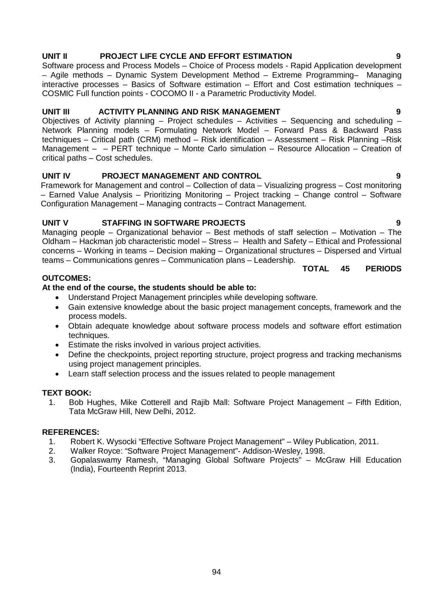# **UNIT II PROJECT LIFE CYCLE AND EFFORT ESTIMATION 9**

Software process and Process Models – Choice of Process models - Rapid Application development – Agile methods – Dynamic System Development Method – Extreme Programming– Managing interactive processes – Basics of Software estimation – Effort and Cost estimation techniques – COSMIC Full function points - COCOMO II - a Parametric Productivity Model.

# **UNIT III ACTIVITY PLANNING AND RISK MANAGEMENT 9**

Objectives of Activity planning – Project schedules – Activities – Sequencing and scheduling – Network Planning models – Formulating Network Model – Forward Pass & Backward Pass techniques – Critical path (CRM) method – Risk identification – Assessment – Risk Planning –Risk Management – – PERT technique – Monte Carlo simulation – Resource Allocation – Creation of critical paths – Cost schedules.

# **UNIT IV PROJECT MANAGEMENT AND CONTROL 9**

Framework for Management and control – Collection of data – Visualizing progress – Cost monitoring – Earned Value Analysis – Prioritizing Monitoring – Project tracking – Change control – Software Configuration Management – Managing contracts – Contract Management.

# **UNIT V STAFFING IN SOFTWARE PROJECTS 9**

Managing people – Organizational behavior – Best methods of staff selection – Motivation – The Oldham – Hackman job characteristic model – Stress – Health and Safety – Ethical and Professional concerns – Working in teams – Decision making – Organizational structures – Dispersed and Virtual teams – Communications genres – Communication plans – Leadership.

# **TOTAL 45 PERIODS**

# **At the end of the course, the students should be able to:**

- Understand Project Management principles while developing software.
- Gain extensive knowledge about the basic project management concepts, framework and the process models.
- Obtain adequate knowledge about software process models and software effort estimation techniques.
- Estimate the risks involved in various project activities.
- Define the checkpoints, project reporting structure, project progress and tracking mechanisms using project management principles.
- Learn staff selection process and the issues related to people management

# **TEXT BOOK:**

**OUTCOMES:**

1. Bob Hughes, Mike Cotterell and Rajib Mall: Software Project Management – Fifth Edition, Tata McGraw Hill, New Delhi, 2012.

# **REFERENCES:**

- 1. Robert K. Wysocki "Effective Software Project Management" Wiley Publication, 2011.<br>2. Walker Rovce: "Software Project Management"- Addison-Weslev. 1998.
- 2. Walker Royce: "Software Project Management"- Addison-Wesley, 1998.
- 3. Gopalaswamy Ramesh, "Managing Global Software Projects" McGraw Hill Education (India), Fourteenth Reprint 2013.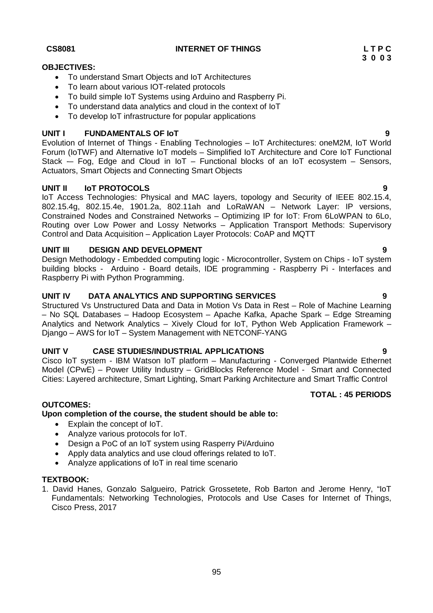### **CS8081 INTERNET OF THINGS L T P C**

# **OBJECTIVES:**

- To understand Smart Objects and IoT Architectures
- To learn about various IOT-related protocols
- To build simple IoT Systems using Arduino and Raspberry Pi.
- To understand data analytics and cloud in the context of IoT
- To develop IoT infrastructure for popular applications

# **UNIT I FUNDAMENTALS OF IoT 9**

Evolution of Internet of Things - Enabling Technologies – IoT Architectures: oneM2M, IoT World Forum (IoTWF) and Alternative IoT models – Simplified IoT Architecture and Core IoT Functional Stack  $-$  Fog, Edge and Cloud in IoT – Functional blocks of an IoT ecosystem – Sensors, Actuators, Smart Objects and Connecting Smart Objects

# **UNIT II IoT PROTOCOLS 9**

IoT Access Technologies: Physical and MAC layers, topology and Security of IEEE 802.15.4, 802.15.4g, 802.15.4e, 1901.2a, 802.11ah and LoRaWAN – Network Layer: IP versions, Constrained Nodes and Constrained Networks – Optimizing IP for IoT: From 6LoWPAN to 6Lo, Routing over Low Power and Lossy Networks – Application Transport Methods: Supervisory Control and Data Acquisition – Application Layer Protocols: CoAP and MQTT

# **UNIT III DESIGN AND DEVELOPMENT 9**

Design Methodology - Embedded computing logic - Microcontroller, System on Chips - IoT system building blocks - Arduino - Board details, IDE programming - Raspberry Pi - Interfaces and Raspberry Pi with Python Programming.

# **UNIT IV DATA ANALYTICS AND SUPPORTING SERVICES 9**

Structured Vs Unstructured Data and Data in Motion Vs Data in Rest – Role of Machine Learning – No SQL Databases – Hadoop Ecosystem – Apache Kafka, Apache Spark – Edge Streaming Analytics and Network Analytics – Xively Cloud for IoT, Python Web Application Framework – Django – AWS for IoT – System Management with NETCONF-YANG

# **UNIT V CASE STUDIES/INDUSTRIAL APPLICATIONS 9**

Cisco IoT system - IBM Watson IoT platform – Manufacturing - Converged Plantwide Ethernet Model (CPwE) – Power Utility Industry – GridBlocks Reference Model - Smart and Connected Cities: Layered architecture, Smart Lighting, Smart Parking Architecture and Smart Traffic Control

# **TOTAL : 45 PERIODS**

# **OUTCOMES:**

**Upon completion of the course, the student should be able to:** 

- Explain the concept of IoT.
- Analyze various protocols for IoT.
- Design a PoC of an IoT system using Rasperry Pi/Arduino
- Apply data analytics and use cloud offerings related to IoT.
- Analyze applications of IoT in real time scenario

## **TEXTBOOK:**

1. David Hanes, Gonzalo Salgueiro, Patrick Grossetete, Rob Barton and Jerome Henry, "IoT Fundamentals: Networking Technologies, Protocols and Use Cases for Internet of Things, Cisco Press, 2017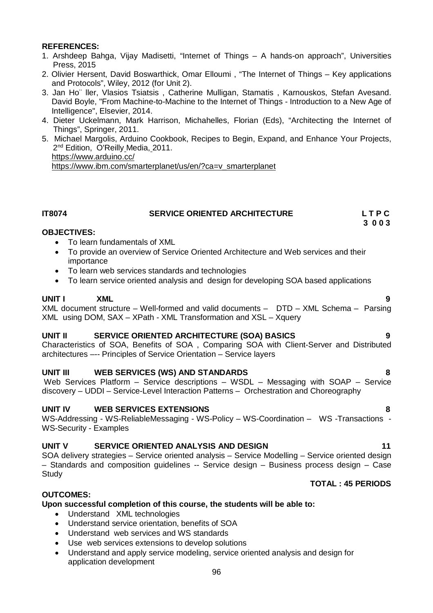# **REFERENCES:**

- 1. Arshdeep Bahga, Vijay Madisetti, "Internet of Things A hands-on approach", Universities Press, 2015
- 2. Olivier Hersent, David Boswarthick, Omar Elloumi , "The Internet of Things Key applications and Protocols", Wiley, 2012 (for Unit 2).
- 3. Jan Ho¨ ller, Vlasios Tsiatsis , Catherine Mulligan, Stamatis , Karnouskos, Stefan Avesand. David Boyle, "From Machine-to-Machine to the Internet of Things - Introduction to a New Age of Intelligence", Elsevier, 2014.
- 4. Dieter Uckelmann, Mark Harrison, Michahelles, Florian (Eds), "Architecting the Internet of Things", Springer, 2011.
- 5. Michael Margolis, Arduino Cookbook, Recipes to Begin, Expand, and Enhance Your Projects, 2<sup>nd</sup> Edition, O'Reilly Media, 2011. https://www.arduino.cc/

https://www.ibm.com/smarterplanet/us/en/?ca=v\_smarterplanet

# **IT8074 SERVICE ORIENTED ARCHITECTURE L T P C**

# **3 0 0 3**

# **OBJECTIVES:**

- To learn fundamentals of XML
- To provide an overview of Service Oriented Architecture and Web services and their importance
- To learn web services standards and technologies
- To learn service oriented analysis and design for developing SOA based applications

# **UNIT I XML 9**

XML document structure – Well-formed and valid documents – DTD – XML Schema – Parsing XML using DOM, SAX – XPath - XML Transformation and XSL – Xquery

# **UNIT II SERVICE ORIENTED ARCHITECTURE (SOA) BASICS 9**

Characteristics of SOA, Benefits of SOA , Comparing SOA with Client-Server and Distributed architectures –-- Principles of Service Orientation – Service layers

# **UNIT III WEB SERVICES (WS) AND STANDARDS 8**

Web Services Platform – Service descriptions – WSDL – Messaging with SOAP – Service discovery – UDDI – Service-Level Interaction Patterns – Orchestration and Choreography

# **UNIT IV WEB SERVICES EXTENSIONS 8**

WS-Addressing - WS-ReliableMessaging - WS-Policy – WS-Coordination – WS -Transactions - WS-Security - Examples

# **UNIT V SERVICE ORIENTED ANALYSIS AND DESIGN 11**

SOA delivery strategies – Service oriented analysis – Service Modelling – Service oriented design – Standards and composition guidelines -- Service design – Business process design – Case **Study** 

# **TOTAL : 45 PERIODS**

# **OUTCOMES:**

# **Upon successful completion of this course, the students will be able to:**

- Understand XML technologies
- Understand service orientation, benefits of SOA
- Understand web services and WS standards
- Use web services extensions to develop solutions
- Understand and apply service modeling, service oriented analysis and design for application development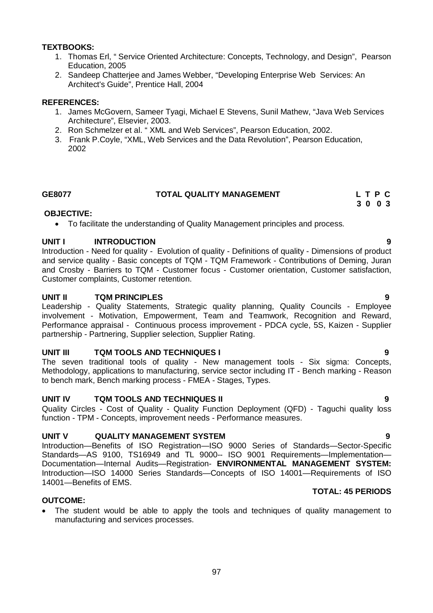# **TEXTBOOKS:**

- 1. Thomas Erl, " Service Oriented Architecture: Concepts, Technology, and Design", Pearson Education, 2005
- 2. Sandeep Chatterjee and James Webber, "Developing Enterprise Web Services: An Architect's Guide", Prentice Hall, 2004

### **REFERENCES:**

- 1. James McGovern, Sameer Tyagi, Michael E Stevens, Sunil Mathew, "Java Web Services Architecture", Elsevier, 2003.
- 2. Ron Schmelzer et al. " XML and Web Services", Pearson Education, 2002.
- 3. Frank P.Coyle, "XML, Web Services and the Data Revolution", Pearson Education, 2002

# **GE8077 TOTAL QUALITY MANAGEMENT L T P C**

### **OBJECTIVE:**

To facilitate the understanding of Quality Management principles and process.

### **UNIT I INTRODUCTION 9**

Introduction - Need for quality - Evolution of quality - Definitions of quality - Dimensions of product and service quality - Basic concepts of TQM - TQM Framework - Contributions of Deming, Juran and Crosby - Barriers to TQM - Customer focus - Customer orientation, Customer satisfaction, Customer complaints, Customer retention.

### **UNIT II TQM PRINCIPLES 9**

Leadership - Quality Statements, Strategic quality planning, Quality Councils - Employee involvement - Motivation, Empowerment, Team and Teamwork, Recognition and Reward, Performance appraisal - Continuous process improvement - PDCA cycle, 5S, Kaizen - Supplier partnership - Partnering, Supplier selection, Supplier Rating.

# **UNIT III TQM TOOLS AND TECHNIQUES I 9**

The seven traditional tools of quality - New management tools - Six sigma: Concepts, Methodology, applications to manufacturing, service sector including IT - Bench marking - Reason to bench mark, Bench marking process - FMEA - Stages, Types.

# **UNIT IV TQM TOOLS AND TECHNIQUES II 9**

Quality Circles - Cost of Quality - Quality Function Deployment (QFD) - Taguchi quality loss function - TPM - Concepts, improvement needs - Performance measures.

# **UNIT V QUALITY MANAGEMENT SYSTEM 9**

Introduction—Benefits of ISO Registration—ISO 9000 Series of Standards—Sector-Specific Standards—AS 9100, TS16949 and TL 9000-- ISO 9001 Requirements—Implementation— Documentation—Internal Audits—Registration- **ENVIRONMENTAL MANAGEMENT SYSTEM:**  Introduction—ISO 14000 Series Standards—Concepts of ISO 14001—Requirements of ISO 14001—Benefits of EMS.

### **TOTAL: 45 PERIODS**

# **OUTCOME:**

 The student would be able to apply the tools and techniques of quality management to manufacturing and services processes.

 **3 0 0 3**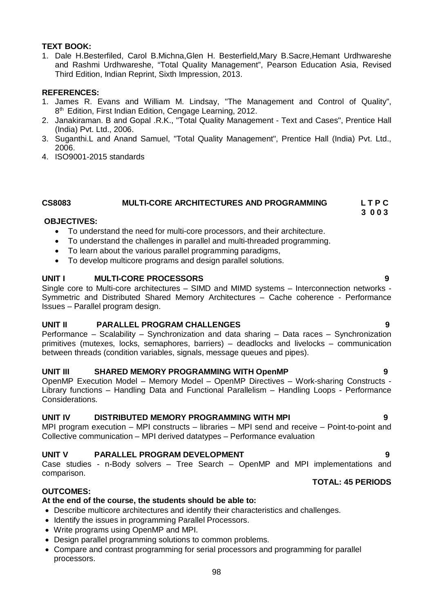# **TEXT BOOK:**

1. Dale H.Besterfiled, Carol B.Michna,Glen H. Besterfield,Mary B.Sacre,Hemant Urdhwareshe and Rashmi Urdhwareshe, "Total Quality Management", Pearson Education Asia, Revised Third Edition, Indian Reprint, Sixth Impression, 2013.

# **REFERENCES:**

- 1. James R. Evans and William M. Lindsay, "The Management and Control of Quality", 8<sup>th</sup> Edition, First Indian Edition, Cengage Learning, 2012.
- 2. Janakiraman. B and Gopal .R.K., "Total Quality Management Text and Cases", Prentice Hall (India) Pvt. Ltd., 2006.
- 3. Suganthi.L and Anand Samuel, "Total Quality Management", Prentice Hall (India) Pvt. Ltd., 2006.
- 4. ISO9001-2015 standards

#### **CS8083 MULTI-CORE ARCHITECTURES AND PROGRAMMING L T P C 3 0 0 3**

# **OBJECTIVES:**

- To understand the need for multi-core processors, and their architecture.
- To understand the challenges in parallel and multi-threaded programming.
- To learn about the various parallel programming paradigms,
- To develop multicore programs and design parallel solutions.

# **UNIT I MULTI-CORE PROCESSORS 9**

Single core to Multi-core architectures – SIMD and MIMD systems – Interconnection networks - Symmetric and Distributed Shared Memory Architectures – Cache coherence - Performance Issues – Parallel program design.

# **UNIT II PARALLEL PROGRAM CHALLENGES 9**

Performance – Scalability – Synchronization and data sharing – Data races – Synchronization primitives (mutexes, locks, semaphores, barriers) – deadlocks and livelocks – communication between threads (condition variables, signals, message queues and pipes).

# **UNIT III SHARED MEMORY PROGRAMMING WITH OpenMP 9**

OpenMP Execution Model – Memory Model – OpenMP Directives – Work-sharing Constructs - Library functions – Handling Data and Functional Parallelism – Handling Loops - Performance Considerations.

# **UNIT IV DISTRIBUTED MEMORY PROGRAMMING WITH MPI 9**

MPI program execution – MPI constructs – libraries – MPI send and receive – Point-to-point and Collective communication – MPI derived datatypes – Performance evaluation

# **UNIT V PARALLEL PROGRAM DEVELOPMENT 9**

Case studies - n-Body solvers – Tree Search – OpenMP and MPI implementations and comparison.

# **OUTCOMES:**

# **At the end of the course, the students should be able to:**

- Describe multicore architectures and identify their characteristics and challenges.
- Identify the issues in programming Parallel Processors.
- Write programs using OpenMP and MPI.
- Design parallel programming solutions to common problems.
- Compare and contrast programming for serial processors and programming for parallel processors.

# **TOTAL: 45 PERIODS**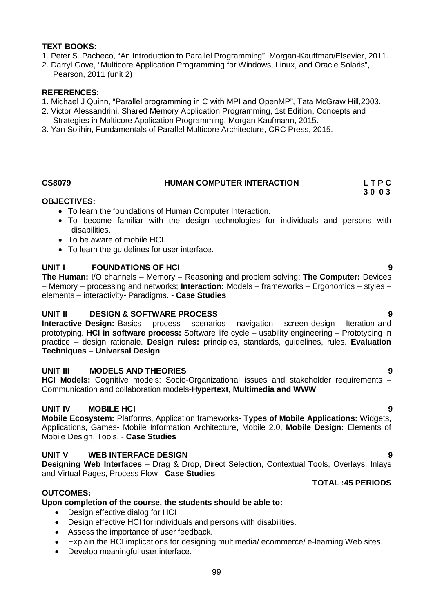# **TEXT BOOKS:**

- 1. Peter S. Pacheco, "An Introduction to Parallel Programming", Morgan-Kauffman/Elsevier, 2011.
- 2. Darryl Gove, "Multicore Application Programming for Windows, Linux, and Oracle Solaris",
- Pearson, 2011 (unit 2)

# **REFERENCES:**

- 1. Michael J Quinn, "Parallel programming in C with MPI and OpenMP", Tata McGraw Hill,2003.
- 2. Victor Alessandrini, Shared Memory Application Programming, 1st Edition, Concepts and
- Strategies in Multicore Application Programming, Morgan Kaufmann, 2015.
- 3. Yan Solihin, Fundamentals of Parallel Multicore Architecture, CRC Press, 2015.

# **CS8079 HUMAN COMPUTER INTERACTION L T P C**

# **3 0 0 3**

# **OBJECTIVES:**

- To learn the foundations of Human Computer Interaction.
- To become familiar with the design technologies for individuals and persons with disabilities.
- To be aware of mobile HCI.
- To learn the guidelines for user interface.

# **UNIT I FOUNDATIONS OF HCI 9**

**The Human:** I/O channels – Memory – Reasoning and problem solving; **The Computer:** Devices – Memory – processing and networks; **Interaction:** Models – frameworks – Ergonomics – styles – elements – interactivity- Paradigms. - **Case Studies**

# **UNIT II DESIGN & SOFTWARE PROCESS 9**

**Interactive Design:** Basics – process – scenarios – navigation – screen design – Iteration and prototyping. **HCI in software process:** Software life cycle – usability engineering – Prototyping in practice – design rationale. **Design rules:** principles, standards, guidelines, rules. **Evaluation Techniques** – **Universal Design**

# **UNIT III MODELS AND THEORIES 9**

**HCI Models:** Cognitive models: Socio-Organizational issues and stakeholder requirements – Communication and collaboration models-**Hypertext, Multimedia and WWW**.

# **UNIT IV MOBILE HCI 9**

**Mobile Ecosystem:** Platforms, Application frameworks- **Types of Mobile Applications:** Widgets, Applications, Games- Mobile Information Architecture, Mobile 2.0, **Mobile Design:** Elements of Mobile Design, Tools. - **Case Studies**

# **UNIT V WEB INTERFACE DESIGN 9**

**Designing Web Interfaces** – Drag & Drop, Direct Selection, Contextual Tools, Overlays, Inlays and Virtual Pages, Process Flow - **Case Studies**

# **OUTCOMES:**

# **Upon completion of the course, the students should be able to:**

- Design effective dialog for HCI
- Design effective HCI for individuals and persons with disabilities.
- Assess the importance of user feedback.
- Explain the HCI implications for designing multimedia/ ecommerce/ e-learning Web sites.
- Develop meaningful user interface.

# **TOTAL :45 PERIODS**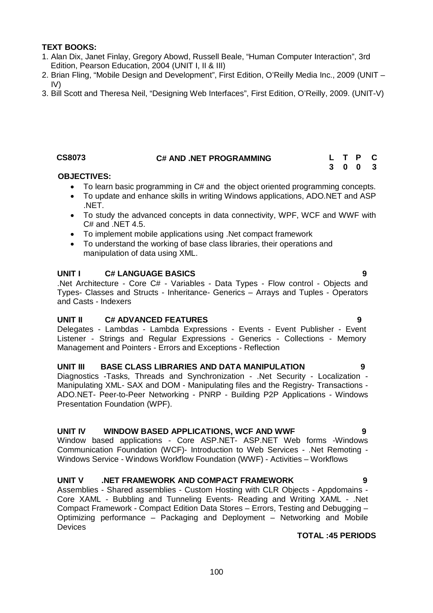# **TEXT BOOKS:**

- 1. Alan Dix, Janet Finlay, Gregory Abowd, Russell Beale, "Human Computer Interaction", 3rd Edition, Pearson Education, 2004 (UNIT I, II & III)
- 2. Brian Fling, "Mobile Design and Development", First Edition, O'Reilly Media Inc., 2009 (UNIT IV)
- 3. Bill Scott and Theresa Neil, "Designing Web Interfaces", First Edition, O'Reilly, 2009. (UNIT-V)

# **CS8073 C# AND .NET PROGRAMMING L T P C**

**3 0 0 3**

# **OBJECTIVES:**

- To learn basic programming in C# and the object oriented programming concepts.
- To update and enhance skills in writing Windows applications, ADO.NET and ASP .NET.
- To study the advanced concepts in data connectivity, WPF, WCF and WWF with C# and .NET 4.5.
- To implement mobile applications using .Net compact framework
- To understand the working of base class libraries, their operations and manipulation of data using XML.

# **UNIT I C# LANGUAGE BASICS 9**

.Net Architecture - Core C# - Variables - Data Types - Flow control - Objects and Types- Classes and Structs - Inheritance- Generics – Arrays and Tuples - Operators and Casts - Indexers

# **UNIT II C# ADVANCED FEATURES 9**

Delegates - Lambdas - Lambda Expressions - Events - Event Publisher - Event Listener - Strings and Regular Expressions - Generics - Collections - Memory Management and Pointers - Errors and Exceptions - Reflection

# **UNIT III BASE CLASS LIBRARIES AND DATA MANIPULATION 9**

Diagnostics -Tasks, Threads and Synchronization - .Net Security - Localization - Manipulating XML- SAX and DOM - Manipulating files and the Registry- Transactions - ADO.NET- Peer-to-Peer Networking - PNRP - Building P2P Applications - Windows Presentation Foundation (WPF).

# **UNIT IV WINDOW BASED APPLICATIONS, WCF AND WWF 9**

Window based applications - Core ASP.NET- ASP.NET Web forms -Windows Communication Foundation (WCF)- Introduction to Web Services - .Net Remoting - Windows Service - Windows Workflow Foundation (WWF) - Activities – Workflows

# **UNIT V .NET FRAMEWORK AND COMPACT FRAMEWORK 9**

Assemblies - Shared assemblies - Custom Hosting with CLR Objects - Appdomains - Core XAML - Bubbling and Tunneling Events- Reading and Writing XAML - .Net Compact Framework - Compact Edition Data Stores – Errors, Testing and Debugging – Optimizing performance – Packaging and Deployment – Networking and Mobile **Devices** 

# **TOTAL :45 PERIODS**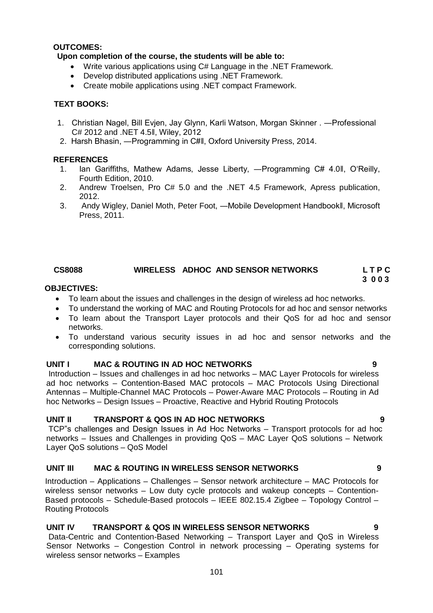# **OUTCOMES:**

# **Upon completion of the course, the students will be able to:**

- Write various applications using C# Language in the .NET Framework.
- Develop distributed applications using .NET Framework.
- Create mobile applications using .NET compact Framework.

# **TEXT BOOKS:**

- 1. Christian Nagel, Bill Evjen, Jay Glynn, Karli Watson, Morgan Skinner . ―Professional C# 2012 and .NET 4.5ǁ, Wiley, 2012
- 2. Harsh Bhasin, ―Programming in C#ǁ, Oxford University Press, 2014.

# **REFERENCES**

- 1. Ian Gariffiths, Mathew Adams, Jesse Liberty, ―Programming C# 4.0ǁ, O'Reilly, Fourth Edition, 2010.
- 2. Andrew Troelsen, Pro C# 5.0 and the .NET 4.5 Framework, Apress publication, 2012.
- 3. Andy Wigley, Daniel Moth, Peter Foot, ―Mobile Development Handbookǁ, Microsoft Press, 2011.

# CS8088 WIRELESS ADHOC AND SENSOR NETWORKS LTPC<br>3003

#### **3 0 0 3 OBJECTIVES:**

- To learn about the issues and challenges in the design of wireless ad hoc networks.
- To understand the working of MAC and Routing Protocols for ad hoc and sensor networks
- To learn about the Transport Layer protocols and their QoS for ad hoc and sensor networks.
- To understand various security issues in ad hoc and sensor networks and the corresponding solutions.

# **UNIT I MAC & ROUTING IN AD HOC NETWORKS 9**

Introduction – Issues and challenges in ad hoc networks – MAC Layer Protocols for wireless ad hoc networks – Contention-Based MAC protocols – MAC Protocols Using Directional Antennas – Multiple-Channel MAC Protocols – Power-Aware MAC Protocols – Routing in Ad hoc Networks – Design Issues – Proactive, Reactive and Hybrid Routing Protocols

# **UNIT II TRANSPORT & QOS IN AD HOC NETWORKS 9**

TCP"s challenges and Design Issues in Ad Hoc Networks – Transport protocols for ad hoc networks – Issues and Challenges in providing QoS – MAC Layer QoS solutions – Network Layer QoS solutions – QoS Model

# **UNIT III MAC & ROUTING IN WIRELESS SENSOR NETWORKS 9**

Introduction – Applications – Challenges – Sensor network architecture – MAC Protocols for wireless sensor networks – Low duty cycle protocols and wakeup concepts – Contention-Based protocols – Schedule-Based protocols – IEEE 802.15.4 Zigbee – Topology Control – Routing Protocols

# **UNIT IV TRANSPORT & QOS IN WIRELESS SENSOR NETWORKS 9**

Data-Centric and Contention-Based Networking – Transport Layer and QoS in Wireless Sensor Networks – Congestion Control in network processing – Operating systems for wireless sensor networks – Examples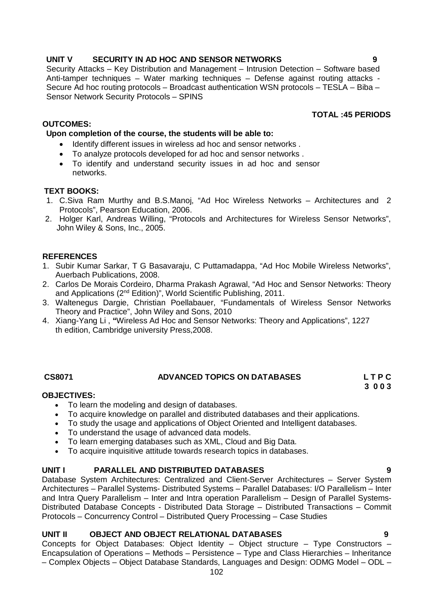# **UNIT V SECURITY IN AD HOC AND SENSOR NETWORKS 9**

Security Attacks – Key Distribution and Management – Intrusion Detection – Software based Anti-tamper techniques – Water marking techniques – Defense against routing attacks - Secure Ad hoc routing protocols – Broadcast authentication WSN protocols – TESLA – Biba – Sensor Network Security Protocols – SPINS

# **OUTCOMES:**

# **Upon completion of the course, the students will be able to:**

- Identify different issues in wireless ad hoc and sensor networks.
- To analyze protocols developed for ad hoc and sensor networks .
- To identify and understand security issues in ad hoc and sensor networks.

# **TEXT BOOKS:**

- 1. C.Siva Ram Murthy and B.S.Manoj, "Ad Hoc Wireless Networks Architectures and 2. Protocols", Pearson Education, 2006.
- 2. Holger Karl, Andreas Willing, "Protocols and Architectures for Wireless Sensor Networks", John Wiley & Sons, Inc., 2005.

# **REFERENCES**

- 1. Subir Kumar Sarkar, T G Basavaraju, C Puttamadappa, "Ad Hoc Mobile Wireless Networks", Auerbach Publications, 2008.
- 2. Carlos De Morais Cordeiro, Dharma Prakash Agrawal, "Ad Hoc and Sensor Networks: Theory and Applications (2nd Edition)", World Scientific Publishing, 2011.
- 3. Waltenegus Dargie, Christian Poellabauer, "Fundamentals of Wireless Sensor Networks Theory and Practice", John Wiley and Sons, 2010
- 4. Xiang-Yang Li , **"**Wireless Ad Hoc and Sensor Networks: Theory and Applications", 1227 th edition, Cambridge university Press,2008.

# **CS8071 ADVANCED TOPICS ON DATABASES L T P C**

# **3 0 0 3**

# **OBJECTIVES:**

- To learn the modeling and design of databases.
- To acquire knowledge on parallel and distributed databases and their applications.
- To study the usage and applications of Object Oriented and Intelligent databases.
- To understand the usage of advanced data models.
- To learn emerging databases such as XML, Cloud and Big Data.
- To acquire inquisitive attitude towards research topics in databases.

# **UNIT I PARALLEL AND DISTRIBUTED DATABASES 9**

Database System Architectures: Centralized and Client-Server Architectures – Server System Architectures – Parallel Systems- Distributed Systems – Parallel Databases: I/O Parallelism – Inter and Intra Query Parallelism – Inter and Intra operation Parallelism – Design of Parallel Systems-Distributed Database Concepts - Distributed Data Storage – Distributed Transactions – Commit Protocols – Concurrency Control – Distributed Query Processing – Case Studies

# **UNIT II OBJECT AND OBJECT RELATIONAL DATABASES 9**

Concepts for Object Databases: Object Identity – Object structure – Type Constructors – Encapsulation of Operations – Methods – Persistence – Type and Class Hierarchies – Inheritance – Complex Objects – Object Database Standards, Languages and Design: ODMG Model – ODL –

**TOTAL :45 PERIODS**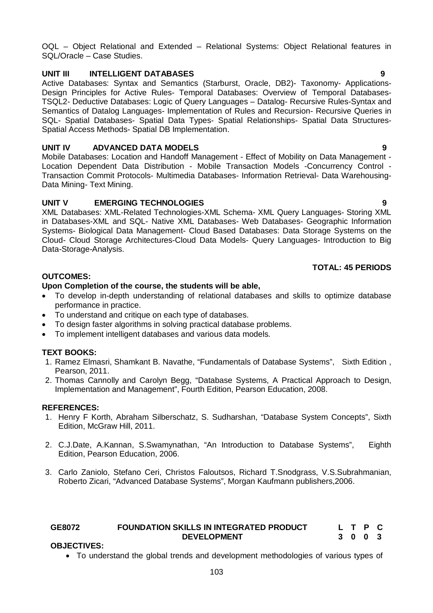OQL – Object Relational and Extended – Relational Systems: Object Relational features in SQL/Oracle – Case Studies.

# **UNIT III INTELLIGENT DATABASES 9**

Active Databases: Syntax and Semantics (Starburst, Oracle, DB2)- Taxonomy- Applications-Design Principles for Active Rules- Temporal Databases: Overview of Temporal Databases-TSQL2- Deductive Databases: Logic of Query Languages – Datalog- Recursive Rules-Syntax and Semantics of Datalog Languages- Implementation of Rules and Recursion- Recursive Queries in SQL- Spatial Databases- Spatial Data Types- Spatial Relationships- Spatial Data Structures-Spatial Access Methods- Spatial DB Implementation.

# **UNIT IV ADVANCED DATA MODELS 9**

Mobile Databases: Location and Handoff Management - Effect of Mobility on Data Management - Location Dependent Data Distribution - Mobile Transaction Models -Concurrency Control - Transaction Commit Protocols- Multimedia Databases- Information Retrieval- Data Warehousing-Data Mining- Text Mining.

# **UNIT V EMERGING TECHNOLOGIES 9**

XML Databases: XML-Related Technologies-XML Schema- XML Query Languages- Storing XML in Databases-XML and SQL- Native XML Databases- Web Databases- Geographic Information Systems- Biological Data Management- Cloud Based Databases: Data Storage Systems on the Cloud- Cloud Storage Architectures-Cloud Data Models- Query Languages- Introduction to Big Data-Storage-Analysis.

# **TOTAL: 45 PERIODS**

# **OUTCOMES:**

# **Upon Completion of the course, the students will be able,**

- To develop in-depth understanding of relational databases and skills to optimize database performance in practice.
- To understand and critique on each type of databases.
- To design faster algorithms in solving practical database problems.
- To implement intelligent databases and various data models.

# **TEXT BOOKS:**

- 1. Ramez Elmasri, Shamkant B. Navathe, "Fundamentals of Database Systems", Sixth Edition , Pearson, 2011.
- 2. Thomas Cannolly and Carolyn Begg, "Database Systems, A Practical Approach to Design, Implementation and Management", Fourth Edition, Pearson Education, 2008.

# **REFERENCES:**

- 1. Henry F Korth, Abraham Silberschatz, S. Sudharshan, "Database System Concepts", Sixth Edition, McGraw Hill, 2011.
- 2. C.J.Date, A.Kannan, S.Swamynathan, "An Introduction to Database Systems", Eighth Edition, Pearson Education, 2006.
- 3. Carlo Zaniolo, Stefano Ceri, Christos Faloutsos, Richard T.Snodgrass, V.S.Subrahmanian, Roberto Zicari, "Advanced Database Systems", Morgan Kaufmann publishers,2006.

#### **GE8072 FOUNDATION SKILLS IN INTEGRATED PRODUCT DEVELOPMENT L T P C 3 0 0 3**

# **OBJECTIVES:**

To understand the global trends and development methodologies of various types of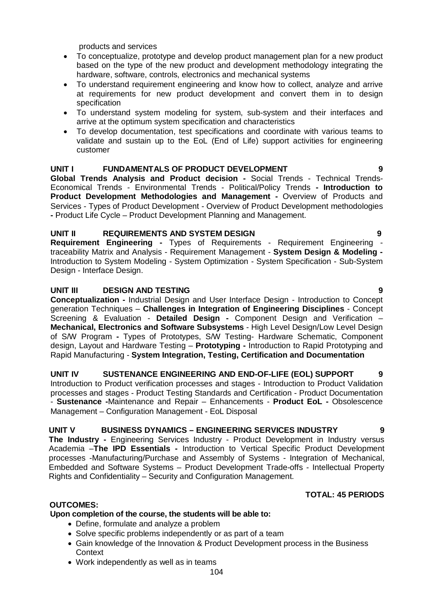products and services

- To conceptualize, prototype and develop product management plan for a new product based on the type of the new product and development methodology integrating the hardware, software, controls, electronics and mechanical systems
- To understand requirement engineering and know how to collect, analyze and arrive at requirements for new product development and convert them in to design specification
- To understand system modeling for system, sub-system and their interfaces and arrive at the optimum system specification and characteristics
- To develop documentation, test specifications and coordinate with various teams to validate and sustain up to the EoL (End of Life) support activities for engineering customer

# **UNIT I FUNDAMENTALS OF PRODUCT DEVELOPMENT 9**

**Global Trends Analysis and Product decision -** Social Trends - Technical Trends-Economical Trends - Environmental Trends - Political/Policy Trends **- Introduction to Product Development Methodologies and Management -** Overview of Products and Services - Types of Product Development - Overview of Product Development methodologies **-** Product Life Cycle – Product Development Planning and Management.

# **UNIT II REQUIREMENTS AND SYSTEM DESIGN 9**

**Requirement Engineering -** Types of Requirements - Requirement Engineering traceability Matrix and Analysis - Requirement Management - **System Design & Modeling -** Introduction to System Modeling - System Optimization - System Specification - Sub-System Design - Interface Design.

# **UNIT III DESIGN AND TESTING 9**

**Conceptualization -** Industrial Design and User Interface Design - Introduction to Concept generation Techniques – **Challenges in Integration of Engineering Disciplines** - Concept Screening & Evaluation - **Detailed Design -** Component Design and Verification – **Mechanical, Electronics and Software Subsystems** - High Level Design/Low Level Design of S/W Program **-** Types of Prototypes, S/W Testing- Hardware Schematic, Component design, Layout and Hardware Testing – **Prototyping -** Introduction to Rapid Prototyping and Rapid Manufacturing - **System Integration, Testing, Certification and Documentation**

**UNIT IV SUSTENANCE ENGINEERING AND END-OF-LIFE (EOL) SUPPORT 9** Introduction to Product verification processes and stages - Introduction to Product Validation processes and stages - Product Testing Standards and Certification - Product Documentation - **Sustenance -**Maintenance and Repair – Enhancements - **Product EoL -** Obsolescence Management – Configuration Management - EoL Disposal

# **UNIT V BUSINESS DYNAMICS – ENGINEERING SERVICES INDUSTRY 9**

**The Industry -** Engineering Services Industry - Product Development in Industry versus Academia –**The IPD Essentials -** Introduction to Vertical Specific Product Development processes -Manufacturing/Purchase and Assembly of Systems - Integration of Mechanical, Embedded and Software Systems – Product Development Trade-offs - Intellectual Property Rights and Confidentiality – Security and Configuration Management.

# **TOTAL: 45 PERIODS**

# **OUTCOMES:**

# **Upon completion of the course, the students will be able to:**

- Define, formulate and analyze a problem
- Solve specific problems independently or as part of a team
- Gain knowledge of the Innovation & Product Development process in the Business **Context**
- Work independently as well as in teams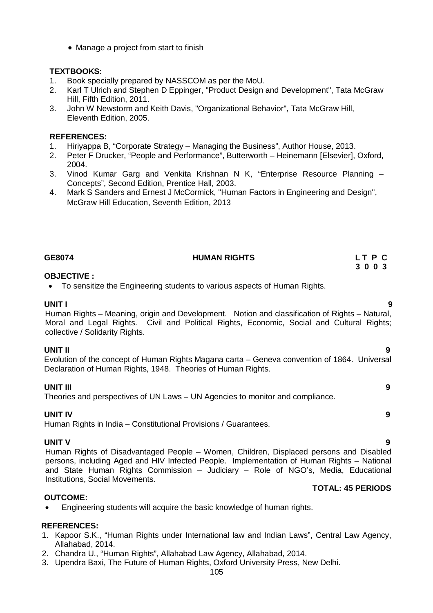• Manage a project from start to finish

# **TEXTBOOKS:**

- 1. Book specially prepared by NASSCOM as per the MoU.
- 2. Karl T Ulrich and Stephen D Eppinger, "Product Design and Development", Tata McGraw Hill, Fifth Edition, 2011.
- 3. John W Newstorm and Keith Davis, "Organizational Behavior", Tata McGraw Hill, Eleventh Edition, 2005.

### **REFERENCES:**

- 1. Hiriyappa B, "Corporate Strategy Managing the Business", Author House, 2013.
- 2. Peter F Drucker, "People and Performance", Butterworth Heinemann [Elsevier], Oxford, 2004.
- 3. Vinod Kumar Garg and Venkita Krishnan N K, "Enterprise Resource Planning Concepts", Second Edition, Prentice Hall, 2003.
- 4. Mark S Sanders and Ernest J McCormick, "Human Factors in Engineering and Design", McGraw Hill Education, Seventh Edition, 2013

# GE8074 **HUMAN RIGHTS** L T P C L T P C L T P C

# **3 0 0 3**

# **OBJECTIVE :**

To sensitize the Engineering students to various aspects of Human Rights.

**UNIT I 9** Human Rights – Meaning, origin and Development. Notion and classification of Rights – Natural, Moral and Legal Rights. Civil and Political Rights, Economic, Social and Cultural Rights; collective / Solidarity Rights.

**UNIT II 9** Evolution of the concept of Human Rights Magana carta – Geneva convention of 1864. Universal Declaration of Human Rights, 1948. Theories of Human Rights.

# **UNIT III 9**

Theories and perspectives of UN Laws – UN Agencies to monitor and compliance.

# **UNIT IV 9**

Human Rights in India – Constitutional Provisions / Guarantees.

# **UNIT V 9**

Human Rights of Disadvantaged People – Women, Children, Displaced persons and Disabled persons, including Aged and HIV Infected People. Implementation of Human Rights – National and State Human Rights Commission – Judiciary – Role of NGO's, Media, Educational Institutions, Social Movements.

#### **OUTCOME:**

Engineering students will acquire the basic knowledge of human rights.

#### **REFERENCES:**

- 1. Kapoor S.K., "Human Rights under International law and Indian Laws", Central Law Agency, Allahabad, 2014.
- 2. Chandra U., "Human Rights", Allahabad Law Agency, Allahabad, 2014.
- 3. Upendra Baxi, The Future of Human Rights, Oxford University Press, New Delhi.

# **TOTAL: 45 PERIODS**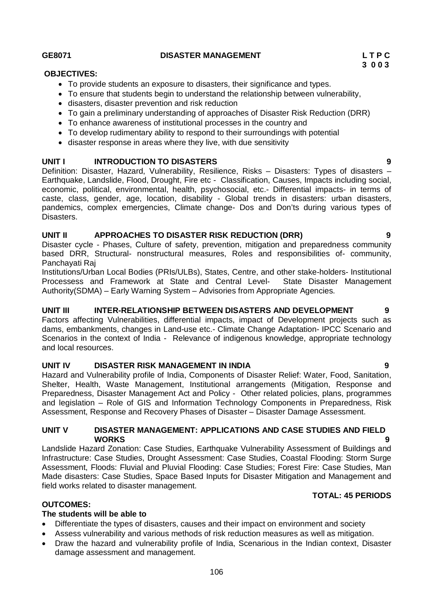# **GE8071 DISASTER MANAGEMENT L T P C**

# **OBJECTIVES:**

- To provide students an exposure to disasters, their significance and types.
- To ensure that students begin to understand the relationship between vulnerability,
- disasters, disaster prevention and risk reduction
- To gain a preliminary understanding of approaches of Disaster Risk Reduction (DRR)
- To enhance awareness of institutional processes in the country and
- To develop rudimentary ability to respond to their surroundings with potential
- disaster response in areas where they live, with due sensitivity

# **UNIT I INTRODUCTION TO DISASTERS 9**

Definition: Disaster, Hazard, Vulnerability, Resilience, Risks – Disasters: Types of disasters – Earthquake, Landslide, Flood, Drought, Fire etc - Classification, Causes, Impacts including social, economic, political, environmental, health, psychosocial, etc.- Differential impacts- in terms of caste, class, gender, age, location, disability - Global trends in disasters: urban disasters, pandemics, complex emergencies, Climate change- Dos and Don'ts during various types of Disasters.

# **UNIT II APPROACHES TO DISASTER RISK REDUCTION (DRR) 9**

Disaster cycle - Phases, Culture of safety, prevention, mitigation and preparedness community based DRR, Structural- nonstructural measures, Roles and responsibilities of- community, Panchayati Raj

Institutions/Urban Local Bodies (PRIs/ULBs), States, Centre, and other stake-holders- Institutional Processess and Framework at State and Central Level- State Disaster Management Authority(SDMA) – Early Warning System – Advisories from Appropriate Agencies.

# **UNIT III INTER-RELATIONSHIP BETWEEN DISASTERS AND DEVELOPMENT 9**

Factors affecting Vulnerabilities, differential impacts, impact of Development projects such as dams, embankments, changes in Land-use etc.- Climate Change Adaptation- IPCC Scenario and Scenarios in the context of India - Relevance of indigenous knowledge, appropriate technology and local resources.

# **UNIT IV DISASTER RISK MANAGEMENT IN INDIA 9**

Hazard and Vulnerability profile of India, Components of Disaster Relief: Water, Food, Sanitation, Shelter, Health, Waste Management, Institutional arrangements (Mitigation, Response and Preparedness, Disaster Management Act and Policy - Other related policies, plans, programmes and legislation – Role of GIS and Information Technology Components in Preparedness, Risk Assessment, Response and Recovery Phases of Disaster – Disaster Damage Assessment.

## **UNIT V DISASTER MANAGEMENT: APPLICATIONS AND CASE STUDIES AND FIELD WORKS 9**

Landslide Hazard Zonation: Case Studies, Earthquake Vulnerability Assessment of Buildings and Infrastructure: Case Studies, Drought Assessment: Case Studies, Coastal Flooding: Storm Surge Assessment, Floods: Fluvial and Pluvial Flooding: Case Studies; Forest Fire: Case Studies, Man Made disasters: Case Studies, Space Based Inputs for Disaster Mitigation and Management and field works related to disaster management.

# **TOTAL: 45 PERIODS**

# **OUTCOMES:**

# **The students will be able to**

- Differentiate the types of disasters, causes and their impact on environment and society
- Assess vulnerability and various methods of risk reduction measures as well as mitigation.
- Draw the hazard and vulnerability profile of India, Scenarious in the Indian context, Disaster damage assessment and management.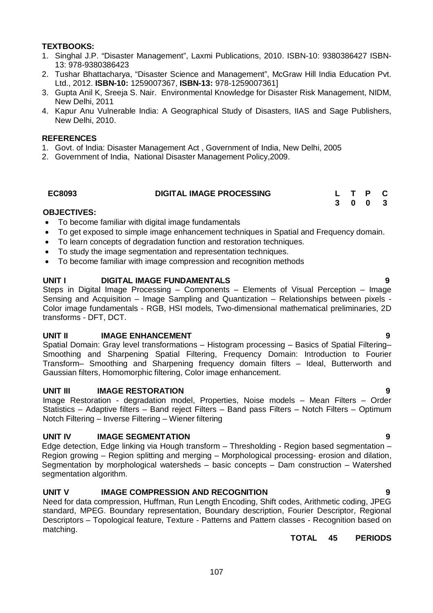# **TEXTBOOKS:**

- 1. Singhal J.P. "Disaster Management", Laxmi Publications, 2010. ISBN-10: 9380386427 ISBN-13: 978-9380386423
- 2. Tushar Bhattacharya, "Disaster Science and Management", McGraw Hill India Education Pvt. Ltd., 2012. **ISBN-10:** 1259007367, **ISBN-13:** 978-1259007361]
- 3. Gupta Anil K, Sreeja S. Nair. Environmental Knowledge for Disaster Risk Management, NIDM, New Delhi, 2011
- 4. Kapur Anu Vulnerable India: A Geographical Study of Disasters, IIAS and Sage Publishers, New Delhi, 2010.

### **REFERENCES**

- 1. Govt. of India: Disaster Management Act , Government of India, New Delhi, 2005
- 2. Government of India, National Disaster Management Policy,2009.

| <b>EC8093</b> | <b>DIGITAL IMAGE PROCESSING</b> |  | L T P C |  |
|---------------|---------------------------------|--|---------|--|
|               |                                 |  | 3 0 0 3 |  |

# **OBJECTIVES:**

- To become familiar with digital image fundamentals
- To get exposed to simple image enhancement techniques in Spatial and Frequency domain.
- To learn concepts of degradation function and restoration techniques.
- To study the image segmentation and representation techniques.
- To become familiar with image compression and recognition methods

### **UNIT I DIGITAL IMAGE FUNDAMENTALS 9**

Steps in Digital Image Processing – Components – Elements of Visual Perception – Image Sensing and Acquisition – Image Sampling and Quantization – Relationships between pixels - Color image fundamentals - RGB, HSI models, Two-dimensional mathematical preliminaries, 2D transforms - DFT, DCT.

#### **UNIT II** IMAGE ENHANCEMENT **19** 9

Spatial Domain: Gray level transformations – Histogram processing – Basics of Spatial Filtering– Smoothing and Sharpening Spatial Filtering, Frequency Domain: Introduction to Fourier Transform– Smoothing and Sharpening frequency domain filters – Ideal, Butterworth and Gaussian filters, Homomorphic filtering, Color image enhancement.

#### **UNIT III IMAGE RESTORATION 9**

Image Restoration - degradation model, Properties, Noise models – Mean Filters – Order Statistics – Adaptive filters – Band reject Filters – Band pass Filters – Notch Filters – Optimum Notch Filtering – Inverse Filtering – Wiener filtering

# **UNIT IV IMAGE SEGMENTATION 9**

Edge detection, Edge linking via Hough transform – Thresholding - Region based segmentation – Region growing – Region splitting and merging – Morphological processing- erosion and dilation, Segmentation by morphological watersheds – basic concepts – Dam construction – Watershed segmentation algorithm.

# **UNIT V IMAGE COMPRESSION AND RECOGNITION 9**

Need for data compression, Huffman, Run Length Encoding, Shift codes, Arithmetic coding, JPEG standard, MPEG. Boundary representation, Boundary description, Fourier Descriptor, Regional Descriptors – Topological feature, Texture - Patterns and Pattern classes - Recognition based on matching.

# **TOTAL 45 PERIODS**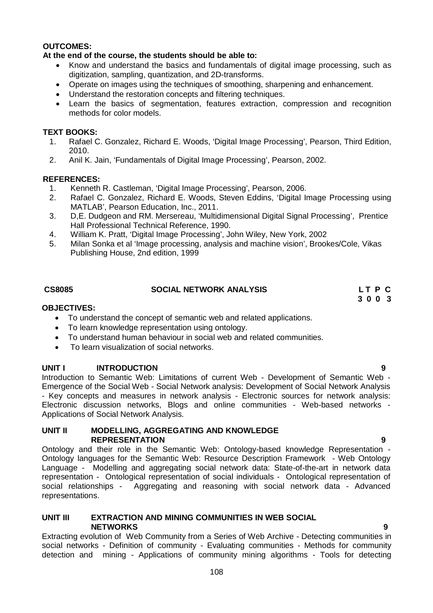# **OUTCOMES:**

# **At the end of the course, the students should be able to:**

- Know and understand the basics and fundamentals of digital image processing, such as digitization, sampling, quantization, and 2D-transforms.
- Operate on images using the techniques of smoothing, sharpening and enhancement.
- Understand the restoration concepts and filtering techniques.
- Learn the basics of segmentation, features extraction, compression and recognition methods for color models.

# **TEXT BOOKS:**

- 1. Rafael C. Gonzalez, Richard E. Woods, 'Digital Image Processing', Pearson, Third Edition, 2010.
- 2. Anil K. Jain, 'Fundamentals of Digital Image Processing', Pearson, 2002.

# **REFERENCES:**

- 1. Kenneth R. Castleman, 'Digital Image Processing', Pearson, 2006.
- 2. Rafael C. Gonzalez, Richard E. Woods, Steven Eddins, 'Digital Image Processing using MATLAB', Pearson Education, Inc., 2011.
- 3. D,E. Dudgeon and RM. Mersereau, 'Multidimensional Digital Signal Processing', Prentice Hall Professional Technical Reference, 1990.
- 4. William K. Pratt, 'Digital Image Processing', John Wiley, New York, 2002
- 5. Milan Sonka et al 'Image processing, analysis and machine vision', Brookes/Cole, Vikas Publishing House, 2nd edition, 1999

# **CS8085 SOCIAL NETWORK ANALYSIS L T P C**

**3 0 0 3**

# **OBJECTIVES:**

- To understand the concept of semantic web and related applications.
- To learn knowledge representation using ontology.
- To understand human behaviour in social web and related communities.
- To learn visualization of social networks.

# **UNIT I INTRODUCTION 9**

Introduction to Semantic Web: Limitations of current Web - Development of Semantic Web - Emergence of the Social Web - Social Network analysis: Development of Social Network Analysis - Key concepts and measures in network analysis - Electronic sources for network analysis: Electronic discussion networks, Blogs and online communities - Web-based networks - Applications of Social Network Analysis.

### **UNIT II MODELLING, AGGREGATING AND KNOWLEDGE REPRESENTATION 9**

Ontology and their role in the Semantic Web: Ontology-based knowledge Representation - Ontology languages for the Semantic Web: Resource Description Framework - Web Ontology Language - Modelling and aggregating social network data: State-of-the-art in network data representation - Ontological representation of social individuals - Ontological representation of social relationships - Aggregating and reasoning with social network data - Advanced representations.

### **UNIT III EXTRACTION AND MINING COMMUNITIES IN WEB SOCIAL NETWORKS 9**

Extracting evolution of Web Community from a Series of Web Archive - Detecting communities in social networks - Definition of community - Evaluating communities - Methods for community detection and mining - Applications of community mining algorithms - Tools for detecting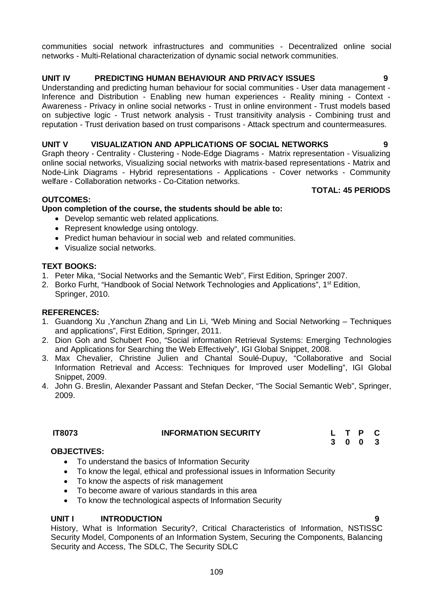communities social network infrastructures and communities - Decentralized online social networks - Multi-Relational characterization of dynamic social network communities.

#### **UNIT IV PREDICTING HUMAN BEHAVIOUR AND PRIVACY ISSUES 9**

Understanding and predicting human behaviour for social communities - User data management - Inference and Distribution - Enabling new human experiences - Reality mining - Context - Awareness - Privacy in online social networks - Trust in online environment - Trust models based on subjective logic - Trust network analysis - Trust transitivity analysis - Combining trust and reputation - Trust derivation based on trust comparisons - Attack spectrum and countermeasures.

#### **UNIT V VISUALIZATION AND APPLICATIONS OF SOCIAL NETWORKS 9**

Graph theory - Centrality - Clustering - Node-Edge Diagrams - Matrix representation - Visualizing online social networks, Visualizing social networks with matrix-based representations - Matrix and Node-Link Diagrams - Hybrid representations - Applications - Cover networks - Community welfare - Collaboration networks - Co-Citation networks.

#### **TOTAL: 45 PERIODS**

#### **OUTCOMES:**

#### **Upon completion of the course, the students should be able to:**

- Develop semantic web related applications.
- Represent knowledge using ontology.
- Predict human behaviour in social web and related communities.
- Visualize social networks.

#### **TEXT BOOKS:**

- 1. Peter Mika, "Social Networks and the Semantic Web", First Edition, Springer 2007.
- 2. Borko Furht, "Handbook of Social Network Technologies and Applications", 1<sup>st</sup> Edition, Springer, 2010.

#### **REFERENCES:**

- 1. Guandong Xu ,Yanchun Zhang and Lin Li, "Web Mining and Social Networking Techniques and applications", First Edition, Springer, 2011.
- 2. Dion Goh and Schubert Foo, "Social information Retrieval Systems: Emerging Technologies and Applications for Searching the Web Effectively", IGI Global Snippet, 2008.
- 3. Max Chevalier, Christine Julien and Chantal Soulé-Dupuy, "Collaborative and Social Information Retrieval and Access: Techniques for Improved user Modelling", IGI Global Snippet, 2009.
- 4. John G. Breslin, Alexander Passant and Stefan Decker, "The Social Semantic Web", Springer, 2009.

## **IT8073 INFORMATION SECURITY L T P C**

**3 0 0 3**

#### **OBJECTIVES:**

- To understand the basics of Information Security
- To know the legal, ethical and professional issues in Information Security
- To know the aspects of risk management
- To become aware of various standards in this area
- To know the technological aspects of Information Security

#### UNIT **INTRODUCTION**

History, What is Information Security?, Critical Characteristics of Information, NSTISSC Security Model, Components of an Information System, Securing the Components, Balancing Security and Access, The SDLC, The Security SDLC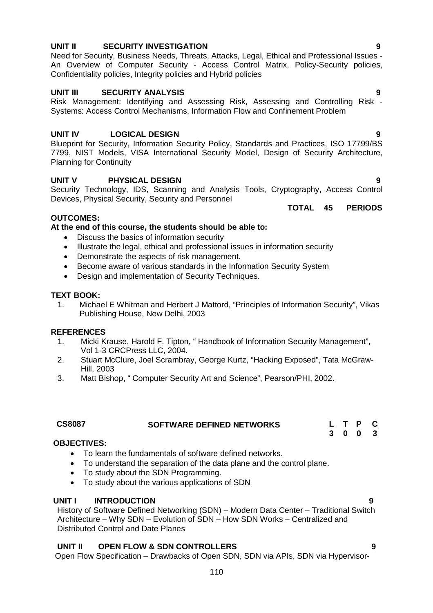Open Flow Specification – Drawbacks of Open SDN, SDN via APIs, SDN via Hypervisor-

### **UNIT II SECURITY INVESTIGATION 9**

Need for Security, Business Needs, Threats, Attacks, Legal, Ethical and Professional Issues - An Overview of Computer Security - Access Control Matrix, Policy-Security policies, Confidentiality policies, Integrity policies and Hybrid policies

### **UNIT III SECURITY ANALYSIS 9**

Risk Management: Identifying and Assessing Risk, Assessing and Controlling Risk - Systems: Access Control Mechanisms, Information Flow and Confinement Problem

### **UNIT IV LOGICAL DESIGN 9**

Blueprint for Security, Information Security Policy, Standards and Practices, ISO 17799/BS 7799, NIST Models, VISA International Security Model, Design of Security Architecture, Planning for Continuity

## **UNIT V PHYSICAL DESIGN 9**

Security Technology, IDS, Scanning and Analysis Tools, Cryptography, Access Control Devices, Physical Security, Security and Personnel

## **OUTCOMES:**

### **At the end of this course, the students should be able to:**

- Discuss the basics of information security
- Illustrate the legal, ethical and professional issues in information security
- Demonstrate the aspects of risk management.
- Become aware of various standards in the Information Security System
- Design and implementation of Security Techniques.

### **TEXT BOOK:**

1. Michael E Whitman and Herbert J Mattord, "Principles of Information Security", Vikas Publishing House, New Delhi, 2003

### **REFERENCES**

- 1. Micki Krause, Harold F. Tipton, " Handbook of Information Security Management", Vol 1-3 CRCPress LLC, 2004.
- 2. Stuart McClure, Joel Scrambray, George Kurtz, "Hacking Exposed", Tata McGraw-Hill, 2003
- 3. Matt Bishop, " Computer Security Art and Science", Pearson/PHI, 2002.

| <b>CS8087</b> | <b>SOFTWARE DEFINED NETWORKS</b> | L T P C |  |  |
|---------------|----------------------------------|---------|--|--|
|               |                                  |         |  |  |

### **OBJECTIVES:**

- To learn the fundamentals of software defined networks.
- To understand the separation of the data plane and the control plane.
- To study about the SDN Programming.
- To study about the various applications of SDN

### **UNIT I INTRODUCTION 9**

History of Software Defined Networking (SDN) – Modern Data Center – Traditional Switch Architecture – Why SDN – Evolution of SDN – How SDN Works – Centralized and Distributed Control and Date Planes

## **UNIT II OPEN FLOW & SDN CONTROLLERS 9**

**TOTAL 45 PERIODS**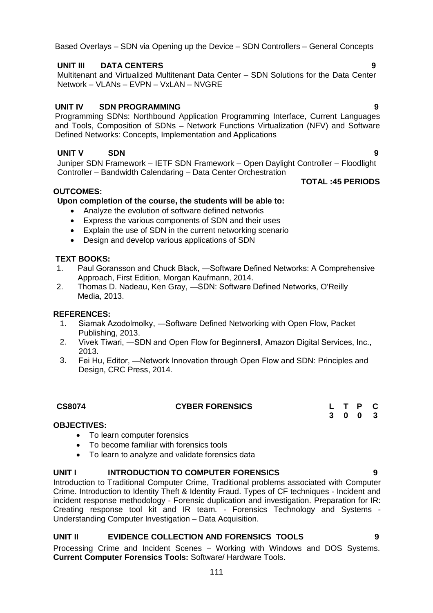Based Overlays – SDN via Opening up the Device – SDN Controllers – General Concepts

### **UNIT III DATA CENTERS 9**

Multitenant and Virtualized Multitenant Data Center – SDN Solutions for the Data Center Network – VLANs – EVPN – VxLAN – NVGRE

#### **UNIT IV SDN PROGRAMMING 9**

Programming SDNs: Northbound Application Programming Interface, Current Languages and Tools, Composition of SDNs – Network Functions Virtualization (NFV) and Software Defined Networks: Concepts, Implementation and Applications

### **UNIT V SDN 9**

Juniper SDN Framework – IETF SDN Framework – Open Daylight Controller – Floodlight Controller – Bandwidth Calendaring – Data Center Orchestration

#### **OUTCOMES:**

#### **Upon completion of the course, the students will be able to:**

- Analyze the evolution of software defined networks
- Express the various components of SDN and their uses
- Explain the use of SDN in the current networking scenario
- Design and develop various applications of SDN

#### **TEXT BOOKS:**

- 1. Paul Goransson and Chuck Black, ―Software Defined Networks: A Comprehensive Approach, First Edition, Morgan Kaufmann, 2014.
- 2. Thomas D. Nadeau, Ken Gray, ―SDN: Software Defined Networks, O'Reilly Media, 2013.

#### **REFERENCES:**

- 1. Siamak Azodolmolky, ―Software Defined Networking with Open Flow, Packet Publishing, 2013.
- 2. Vivek Tiwari, ―SDN and Open Flow for Beginnersǁ, Amazon Digital Services, Inc., 2013.
- 3. Fei Hu, Editor, ―Network Innovation through Open Flow and SDN: Principles and Design, CRC Press, 2014.

# **CS8074 CYBER FORENSICS L T P C**

#### **OBJECTIVES:**

- To learn computer forensics
- To become familiar with forensics tools
- To learn to analyze and validate forensics data

### **UNIT I INTRODUCTION TO COMPUTER FORENSICS 9**

Introduction to Traditional Computer Crime, Traditional problems associated with Computer Crime. Introduction to Identity Theft & Identity Fraud. Types of CF techniques - Incident and incident response methodology - Forensic duplication and investigation. Preparation for IR: Creating response tool kit and IR team. - Forensics Technology and Systems - Understanding Computer Investigation – Data Acquisition.

### **UNIT II EVIDENCE COLLECTION AND FORENSICS TOOLS 9**

Processing Crime and Incident Scenes – Working with Windows and DOS Systems. **Current Computer Forensics Tools:** Software/ Hardware Tools.

**TOTAL :45 PERIODS**

**3 0 0 3**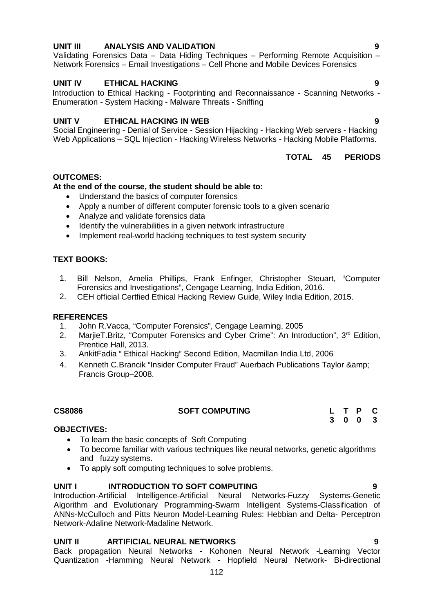#### 112

#### **UNIT III ANALYSIS AND VALIDATION 9**

Validating Forensics Data – Data Hiding Techniques – Performing Remote Acquisition – Network Forensics – Email Investigations – Cell Phone and Mobile Devices Forensics

#### **UNIT IV ETHICAL HACKING 9**

Introduction to Ethical Hacking - Footprinting and Reconnaissance - Scanning Networks - Enumeration - System Hacking - Malware Threats - Sniffing

#### **UNIT V ETHICAL HACKING IN WEB 9**

Social Engineering - Denial of Service - Session Hijacking - Hacking Web servers - Hacking Web Applications – SQL Injection - Hacking Wireless Networks - Hacking Mobile Platforms.

#### **TOTAL 45 PERIODS**

#### **OUTCOMES:**

#### **At the end of the course, the student should be able to:**

- Understand the basics of computer forensics
- Apply a number of different computer forensic tools to a given scenario
- Analyze and validate forensics data
- Identify the vulnerabilities in a given network infrastructure
- Implement real-world hacking techniques to test system security

#### **TEXT BOOKS:**

- 1. Bill Nelson, Amelia Phillips, Frank Enfinger, Christopher Steuart, "Computer Forensics and Investigations", Cengage Learning, India Edition, 2016.
- 2. CEH official Certfied Ethical Hacking Review Guide, Wiley India Edition, 2015.

#### **REFERENCES**

- 1. John R.Vacca, "Computer Forensics", Cengage Learning, 2005
- 2. MarjieT.Britz, "Computer Forensics and Cyber Crime": An Introduction", 3<sup>rd</sup> Edition, Prentice Hall, 2013.
- 3. AnkitFadia " Ethical Hacking" Second Edition, Macmillan India Ltd, 2006
- 4. Kenneth C.Brancik "Insider Computer Fraud" Auerbach Publications Taylor & Francis Group–2008.

#### **OBJECTIVES:**

- To learn the basic concepts of Soft Computing
- To become familiar with various techniques like neural networks, genetic algorithms and fuzzy systems.
- To apply soft computing techniques to solve problems.

#### **UNIT I INTRODUCTION TO SOFT COMPUTING 9**

Introduction-Artificial Intelligence-Artificial Neural Networks-Fuzzy Systems-Genetic Algorithm and Evolutionary Programming-Swarm Intelligent Systems-Classification of ANNs-McCulloch and Pitts Neuron Model-Learning Rules: Hebbian and Delta- Perceptron Network-Adaline Network-Madaline Network.

#### **UNIT II ARTIFICIAL NEURAL NETWORKS 9**

Back propagation Neural Networks - Kohonen Neural Network -Learning Vector Quantization -Hamming Neural Network - Hopfield Neural Network- Bi-directional

**CS8086 SOFT COMPUTING L T P C 3 0 0 3**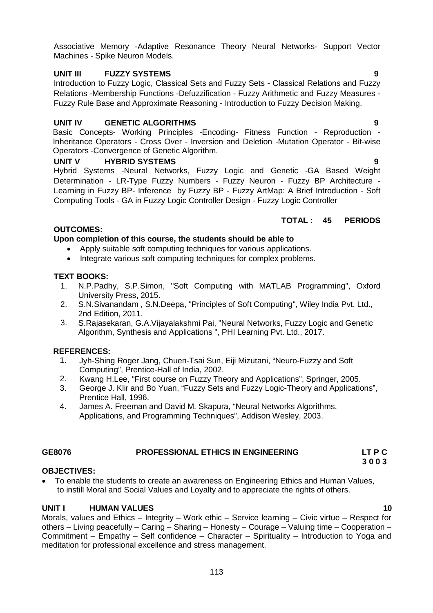Associative Memory -Adaptive Resonance Theory Neural Networks- Support Vector Machines - Spike Neuron Models.

#### **UNIT III FUZZY SYSTEMS 9**

Introduction to Fuzzy Logic, Classical Sets and Fuzzy Sets - Classical Relations and Fuzzy Relations -Membership Functions -Defuzzification - Fuzzy Arithmetic and Fuzzy Measures - Fuzzy Rule Base and Approximate Reasoning - Introduction to Fuzzy Decision Making.

#### **UNIT IV GENETIC ALGORITHMS 9**

Basic Concepts- Working Principles -Encoding- Fitness Function - Reproduction - Inheritance Operators - Cross Over - Inversion and Deletion -Mutation Operator - Bit-wise Operators -Convergence of Genetic Algorithm.

### **UNIT V HYBRID SYSTEMS**

Hybrid Systems -Neural Networks, Fuzzy Logic and Genetic -GA Based Weight Determination - LR-Type Fuzzy Numbers - Fuzzy Neuron - Fuzzy BP Architecture - Learning in Fuzzy BP- Inference by Fuzzy BP - Fuzzy ArtMap: A Brief Introduction - Soft Computing Tools - GA in Fuzzy Logic Controller Design - Fuzzy Logic Controller

#### **TOTAL : 45 PERIODS**

#### **OUTCOMES:**

#### **Upon completion of this course, the students should be able to**

- Apply suitable soft computing techniques for various applications.
- Integrate various soft computing techniques for complex problems.

#### **TEXT BOOKS:**

- 1. N.P.Padhy, S.P.Simon, "Soft Computing with MATLAB Programming", Oxford University Press, 2015.
- 2. S.N.Sivanandam , S.N.Deepa, "Principles of Soft Computing", Wiley India Pvt. Ltd., 2nd Edition, 2011.
- 3. S.Rajasekaran, G.A.Vijayalakshmi Pai, "Neural Networks, Fuzzy Logic and Genetic Algorithm, Synthesis and Applications ", PHI Learning Pvt. Ltd., 2017.

### **REFERENCES:**

- 1. Jyh-Shing Roger Jang, Chuen-Tsai Sun, Eiji Mizutani, "Neuro-Fuzzy and Soft Computing", Prentice-Hall of India, 2002.
- 2. Kwang H.Lee, "First course on Fuzzy Theory and Applications", Springer, 2005.
- 3. George J. Klir and Bo Yuan, "Fuzzy Sets and Fuzzy Logic-Theory and Applications", Prentice Hall, 1996.
- 4. James A. Freeman and David M. Skapura, "Neural Networks Algorithms, Applications, and Programming Techniques", Addison Wesley, 2003.

# **GE8076 PROFESSIONAL ETHICS IN ENGINEERING LT P C**

#### **3 0 0 3 OBJECTIVES:**

 To enable the students to create an awareness on Engineering Ethics and Human Values, to instill Moral and Social Values and Loyalty and to appreciate the rights of others.

#### **UNIT I HUMAN VALUES 10**

Morals, values and Ethics – Integrity – Work ethic – Service learning – Civic virtue – Respect for others – Living peacefully – Caring – Sharing – Honesty – Courage – Valuing time – Cooperation – Commitment – Empathy – Self confidence – Character – Spirituality – Introduction to Yoga and meditation for professional excellence and stress management.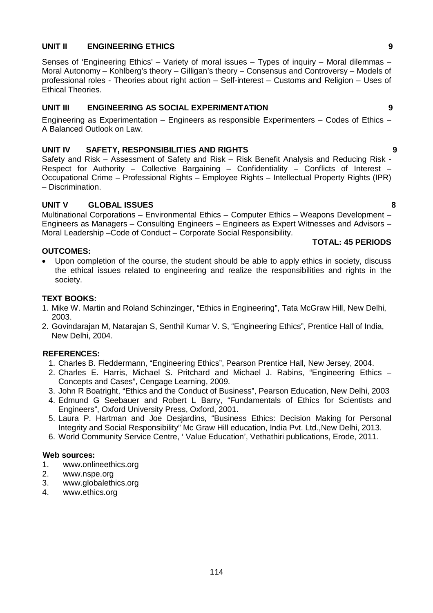#### **UNIT II ENGINEERING ETHICS 9**

Senses of 'Engineering Ethics' – Variety of moral issues – Types of inquiry – Moral dilemmas – Moral Autonomy – Kohlberg's theory – Gilligan's theory – Consensus and Controversy – Models of professional roles - Theories about right action – Self-interest – Customs and Religion – Uses of Ethical Theories.

### **UNIT III ENGINEERING AS SOCIAL EXPERIMENTATION 9**

Engineering as Experimentation – Engineers as responsible Experimenters – Codes of Ethics – A Balanced Outlook on Law.

#### **UNIT IV SAFETY, RESPONSIBILITIES AND RIGHTS 9**

Safety and Risk – Assessment of Safety and Risk – Risk Benefit Analysis and Reducing Risk - Respect for Authority – Collective Bargaining – Confidentiality – Conflicts of Interest – Occupational Crime – Professional Rights – Employee Rights – Intellectual Property Rights (IPR) – Discrimination.

#### **UNIT V GLOBAL ISSUES 8**

Multinational Corporations – Environmental Ethics – Computer Ethics – Weapons Development – Engineers as Managers – Consulting Engineers – Engineers as Expert Witnesses and Advisors – Moral Leadership –Code of Conduct – Corporate Social Responsibility.

#### **OUTCOMES:**

 Upon completion of the course, the student should be able to apply ethics in society, discuss the ethical issues related to engineering and realize the responsibilities and rights in the society.

#### **TEXT BOOKS:**

- 1. Mike W. Martin and Roland Schinzinger, "Ethics in Engineering", Tata McGraw Hill, New Delhi, 2003.
- 2. Govindarajan M, Natarajan S, Senthil Kumar V. S, "Engineering Ethics", Prentice Hall of India, New Delhi, 2004.

### **REFERENCES:**

- 1. Charles B. Fleddermann, "Engineering Ethics", Pearson Prentice Hall, New Jersey, 2004.
- 2. Charles E. Harris, Michael S. Pritchard and Michael J. Rabins, "Engineering Ethics Concepts and Cases", Cengage Learning, 2009.
- 3. John R Boatright, "Ethics and the Conduct of Business", Pearson Education, New Delhi, 2003
- 4. Edmund G Seebauer and Robert L Barry, "Fundamentals of Ethics for Scientists and Engineers", Oxford University Press, Oxford, 2001.
- 5. Laura P. Hartman and Joe Desjardins, "Business Ethics: Decision Making for Personal Integrity and Social Responsibility" Mc Graw Hill education, India Pvt. Ltd.,New Delhi, 2013.
- 6. World Community Service Centre, ' Value Education', Vethathiri publications, Erode, 2011.

#### **Web sources:**

- 1. www.onlineethics.org
- 2. www.nspe.org
- 3. www.globalethics.org
- 4. www.ethics.org

### **TOTAL: 45 PERIODS**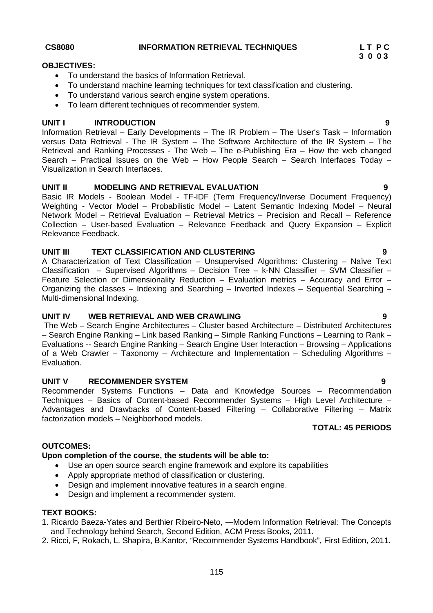# CS8080 INFORMATION RETRIEVAL TECHNIQUES LTPC

#### **OBJECTIVES:**

- To understand the basics of Information Retrieval.
- To understand machine learning techniques for text classification and clustering.
- To understand various search engine system operations.
- To learn different techniques of recommender system.

#### **UNIT I INTRODUCTION 9**

Information Retrieval – Early Developments – The IR Problem – The User's Task – Information versus Data Retrieval - The IR System – The Software Architecture of the IR System – The Retrieval and Ranking Processes - The Web – The e-Publishing Era – How the web changed Search – Practical Issues on the Web – How People Search – Search Interfaces Today – Visualization in Search Interfaces.

#### **UNIT II MODELING AND RETRIEVAL EVALUATION 9**

Basic IR Models - Boolean Model - TF-IDF (Term Frequency/Inverse Document Frequency) Weighting - Vector Model – Probabilistic Model – Latent Semantic Indexing Model – Neural Network Model – Retrieval Evaluation – Retrieval Metrics – Precision and Recall – Reference Collection – User-based Evaluation – Relevance Feedback and Query Expansion – Explicit Relevance Feedback.

#### **UNIT III TEXT CLASSIFICATION AND CLUSTERING 9**

A Characterization of Text Classification – Unsupervised Algorithms: Clustering – Naïve Text Classification – Supervised Algorithms – Decision Tree – k-NN Classifier – SVM Classifier – Feature Selection or Dimensionality Reduction – Evaluation metrics – Accuracy and Error – Organizing the classes – Indexing and Searching – Inverted Indexes – Sequential Searching – Multi-dimensional Indexing.

#### **UNIT IV WEB RETRIEVAL AND WEB CRAWLING 9**

The Web – Search Engine Architectures – Cluster based Architecture – Distributed Architectures – Search Engine Ranking – Link based Ranking – Simple Ranking Functions – Learning to Rank – Evaluations -- Search Engine Ranking – Search Engine User Interaction – Browsing – Applications of a Web Crawler – Taxonomy – Architecture and Implementation – Scheduling Algorithms – Evaluation.

#### **UNIT V RECOMMENDER SYSTEM 19 1**

Recommender Systems Functions – Data and Knowledge Sources – Recommendation Techniques – Basics of Content-based Recommender Systems – High Level Architecture – Advantages and Drawbacks of Content-based Filtering – Collaborative Filtering – Matrix factorization models – Neighborhood models.

#### **TOTAL: 45 PERIODS**

#### **OUTCOMES:**

#### **Upon completion of the course, the students will be able to:**

- Use an open source search engine framework and explore its capabilities
- Apply appropriate method of classification or clustering.
- Design and implement innovative features in a search engine.
- Design and implement a recommender system.

#### **TEXT BOOKS:**

- 1. Ricardo Baeza-Yates and Berthier Ribeiro-Neto, ―Modern Information Retrieval: The Concepts and Technology behind Search, Second Edition, ACM Press Books, 2011.
- 2. Ricci, F, Rokach, L. Shapira, B.Kantor, "Recommender Systems Handbook", First Edition, 2011.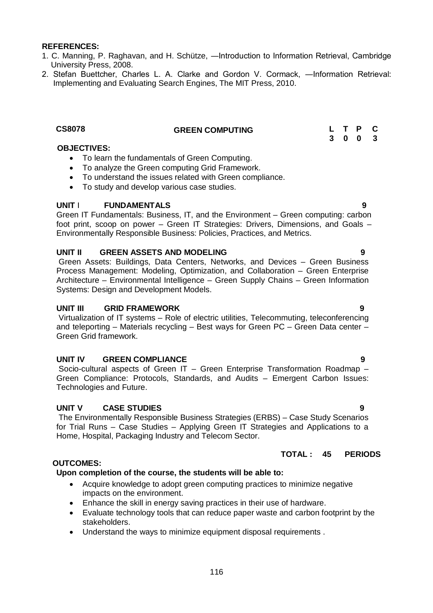#### **REFERENCES:**

- 1. C. Manning, P. Raghavan, and H. Schütze, ―Introduction to Information Retrieval, Cambridge University Press, 2008.
- 2. Stefan Buettcher, Charles L. A. Clarke and Gordon V. Cormack, ―Information Retrieval: Implementing and Evaluating Search Engines, The MIT Press, 2010.

# **CS8078 GREEN COMPUTING L T P C**

#### **OBJECTIVES:**

- To learn the fundamentals of Green Computing.
- To analyze the Green computing Grid Framework.
- To understand the issues related with Green compliance.
- To study and develop various case studies.

#### **UNIT** I **FUNDAMENTALS 9**

Green IT Fundamentals: Business, IT, and the Environment – Green computing: carbon foot print, scoop on power – Green IT Strategies: Drivers, Dimensions, and Goals – Environmentally Responsible Business: Policies, Practices, and Metrics.

#### **UNIT II GREEN ASSETS AND MODELING 9**

Green Assets: Buildings, Data Centers, Networks, and Devices – Green Business Process Management: Modeling, Optimization, and Collaboration – Green Enterprise Architecture – Environmental Intelligence – Green Supply Chains – Green Information Systems: Design and Development Models.

#### **UNIT III GRID FRAMEWORK 9**

Virtualization of IT systems – Role of electric utilities, Telecommuting, teleconferencing and teleporting – Materials recycling – Best ways for Green PC – Green Data center – Green Grid framework.

#### **UNIT IV GREEN COMPLIANCE 9**

Socio-cultural aspects of Green IT – Green Enterprise Transformation Roadmap – Green Compliance: Protocols, Standards, and Audits – Emergent Carbon Issues: Technologies and Future.

#### **UNIT V CASE STUDIES 9**

The Environmentally Responsible Business Strategies (ERBS) – Case Study Scenarios for Trial Runs – Case Studies – Applying Green IT Strategies and Applications to a Home, Hospital, Packaging Industry and Telecom Sector.

#### **TOTAL : 45 PERIODS**

#### **OUTCOMES:**

#### **Upon completion of the course, the students will be able to:**

- Acquire knowledge to adopt green computing practices to minimize negative impacts on the environment.
- Enhance the skill in energy saving practices in their use of hardware.
- Evaluate technology tools that can reduce paper waste and carbon footprint by the stakeholders.
- Understand the ways to minimize equipment disposal requirements .

# **3 0 0 3**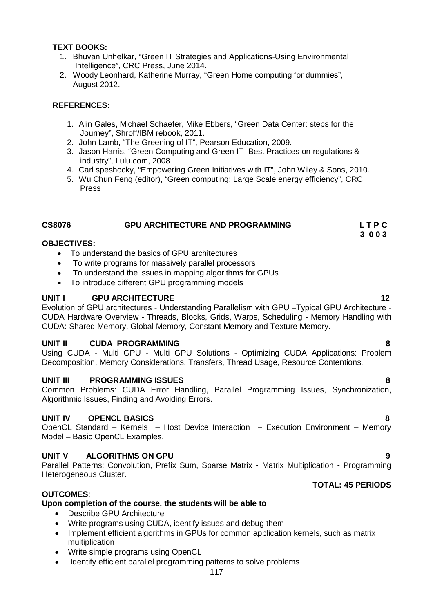#### **TEXT BOOKS:**

- 1. Bhuvan Unhelkar, "Green IT Strategies and Applications-Using Environmental Intelligence", CRC Press, June 2014.
- 2. Woody Leonhard, Katherine Murray, "Green Home computing for dummies", August 2012.

#### **REFERENCES:**

- 1. Alin Gales, Michael Schaefer, Mike Ebbers, "Green Data Center: steps for the Journey", Shroff/IBM rebook, 2011.
- 2. John Lamb, "The Greening of IT", Pearson Education, 2009.
- 3. Jason Harris, "Green Computing and Green IT- Best Practices on regulations & industry", Lulu.com, 2008
- 4. Carl speshocky, "Empowering Green Initiatives with IT", John Wiley & Sons, 2010.
- 5. Wu Chun Feng (editor), "Green computing: Large Scale energy efficiency", CRC Press

#### **CS8076 GPU ARCHITECTURE AND PROGRAMMING L T P C**

#### **3 0 0 3 OBJECTIVES:**

- To understand the basics of GPU architectures
- To write programs for massively parallel processors
- To understand the issues in mapping algorithms for GPUs
- To introduce different GPU programming models

#### **UNIT I** GPU ARCHITECTURE **12 12**

Evolution of GPU architectures - Understanding Parallelism with GPU –Typical GPU Architecture - CUDA Hardware Overview - Threads, Blocks, Grids, Warps, Scheduling - Memory Handling with CUDA: Shared Memory, Global Memory, Constant Memory and Texture Memory.

#### **UNIT II CUDA PROGRAMMING 8**

Using CUDA - Multi GPU - Multi GPU Solutions - Optimizing CUDA Applications: Problem Decomposition, Memory Considerations, Transfers, Thread Usage, Resource Contentions.

#### **UNIT III PROGRAMMING ISSUES 8**

Common Problems: CUDA Error Handling, Parallel Programming Issues, Synchronization, Algorithmic Issues, Finding and Avoiding Errors.

#### **UNIT IV OPENCL BASICS 8**

OpenCL Standard – Kernels – Host Device Interaction – Execution Environment – Memory Model – Basic OpenCL Examples.

#### **UNIT V ALGORITHMS ON GPU 9 9 PUNIT V ALGORITHMS ON GPU**

Parallel Patterns: Convolution, Prefix Sum, Sparse Matrix - Matrix Multiplication - Programming Heterogeneous Cluster.

#### **OUTCOMES**:

#### **Upon completion of the course, the students will be able to**

- Describe GPU Architecture
- Write programs using CUDA, identify issues and debug them
- Implement efficient algorithms in GPUs for common application kernels, such as matrix multiplication
- Write simple programs using OpenCL
- Identify efficient parallel programming patterns to solve problems

### **TOTAL: 45 PERIODS**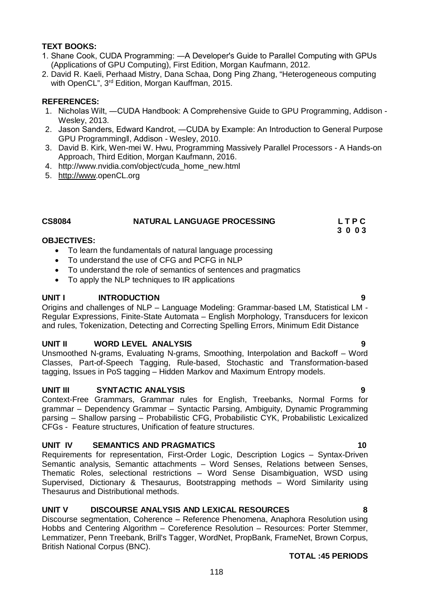#### **TEXT BOOKS:**

- 1. Shane Cook, CUDA Programming: ―A Developer's Guide to Parallel Computing with GPUs (Applications of GPU Computing), First Edition, Morgan Kaufmann, 2012.
- 2. David R. Kaeli, Perhaad Mistry, Dana Schaa, Dong Ping Zhang, "Heterogeneous computing with OpenCL", 3<sup>rd</sup> Edition, Morgan Kauffman, 2015.

#### **REFERENCES:**

- 1. Nicholas Wilt, ―CUDA Handbook: A Comprehensive Guide to GPU Programming, Addison Wesley, 2013.
- 2. Jason Sanders, Edward Kandrot, ―CUDA by Example: An Introduction to General Purpose GPU Programmingǁ, Addison - Wesley, 2010.
- 3. David B. Kirk, Wen-mei W. Hwu, Programming Massively Parallel Processors A Hands-on Approach, Third Edition, Morgan Kaufmann, 2016.
- 4. http://www.nvidia.com/object/cuda\_home\_new.html
- 5. http://www.openCL.org

| <b>CS8084</b> | NATURAL LANGUAGE PROCESSING | <b>LTPC</b> |
|---------------|-----------------------------|-------------|
|               |                             | 3003        |

#### **OBJECTIVES:**

- To learn the fundamentals of natural language processing
- To understand the use of CFG and PCFG in NLP
- To understand the role of semantics of sentences and pragmatics
- To apply the NLP techniques to IR applications

#### **UNIT I INTRODUCTION 9**

Origins and challenges of NLP – Language Modeling: Grammar-based LM, Statistical LM - Regular Expressions, Finite-State Automata – English Morphology, Transducers for lexicon and rules, Tokenization, Detecting and Correcting Spelling Errors, Minimum Edit Distance

#### **UNIT II WORD LEVEL ANALYSIS**

Unsmoothed N-grams, Evaluating N-grams, Smoothing, Interpolation and Backoff – Word Classes, Part-of-Speech Tagging, Rule-based, Stochastic and Transformation-based tagging, Issues in PoS tagging – Hidden Markov and Maximum Entropy models.

#### **UNIT III SYNTACTIC ANALYSIS 9**

Context-Free Grammars, Grammar rules for English, Treebanks, Normal Forms for grammar – Dependency Grammar – Syntactic Parsing, Ambiguity, Dynamic Programming parsing – Shallow parsing – Probabilistic CFG, Probabilistic CYK, Probabilistic Lexicalized CFGs - Feature structures, Unification of feature structures.

#### **UNIT IV SEMANTICS AND PRAGMATICS 40 CONTRACT CONTRACT AND SEMI-LITE OF A LITE OF A LITE OF A LITE OF A LITE O**

Requirements for representation, First-Order Logic, Description Logics – Syntax-Driven Semantic analysis, Semantic attachments – Word Senses, Relations between Senses, Thematic Roles, selectional restrictions – Word Sense Disambiguation, WSD using Supervised, Dictionary & Thesaurus, Bootstrapping methods – Word Similarity using Thesaurus and Distributional methods.

#### **UNIT V DISCOURSE ANALYSIS AND LEXICAL RESOURCES 8**

Discourse segmentation, Coherence – Reference Phenomena, Anaphora Resolution using Hobbs and Centering Algorithm – Coreference Resolution – Resources: Porter Stemmer, Lemmatizer, Penn Treebank, Brill's Tagger, WordNet, PropBank, FrameNet, Brown Corpus, British National Corpus (BNC).

#### **TOTAL :45 PERIODS**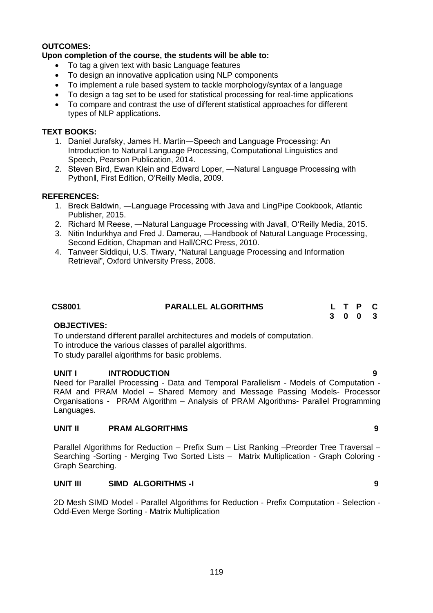#### **OUTCOMES:**

#### **Upon completion of the course, the students will be able to:**

- To tag a given text with basic Language features
- To design an innovative application using NLP components
- To implement a rule based system to tackle morphology/syntax of a language
- To design a tag set to be used for statistical processing for real-time applications
- To compare and contrast the use of different statistical approaches for different types of NLP applications.

#### **TEXT BOOKS:**

- 1. Daniel Jurafsky, James H. Martin―Speech and Language Processing: An Introduction to Natural Language Processing, Computational Linguistics and Speech, Pearson Publication, 2014.
- 2. Steven Bird, Ewan Klein and Edward Loper, ―Natural Language Processing with Pythonǁ, First Edition, O'Reilly Media, 2009.

#### **REFERENCES:**

- 1. Breck Baldwin, ―Language Processing with Java and LingPipe Cookbook, Atlantic Publisher, 2015.
- 2. Richard M Reese, ―Natural Language Processing with Javaǁ, O'Reilly Media, 2015.
- 3. Nitin Indurkhya and Fred J. Damerau, ―Handbook of Natural Language Processing, Second Edition, Chapman and Hall/CRC Press, 2010.
- 4. Tanveer Siddiqui, U.S. Tiwary, "Natural Language Processing and Information Retrieval", Oxford University Press, 2008.

| <b>CS8001</b> | <b>PARALLEL ALGORITHMS</b> | L T P C |
|---------------|----------------------------|---------|
|               |                            | 3 0 0 3 |

#### **OBJECTIVES:**

To understand different parallel architectures and models of computation. To introduce the various classes of parallel algorithms.

To study parallel algorithms for basic problems.

#### **UNIT I INTRODUCTION 9**

Need for Parallel Processing - Data and Temporal Parallelism - Models of Computation - RAM and PRAM Model – Shared Memory and Message Passing Models- Processor Organisations - PRAM Algorithm – Analysis of PRAM Algorithms- Parallel Programming Languages.

#### **UNIT II PRAM ALGORITHMS 9**

Parallel Algorithms for Reduction – Prefix Sum – List Ranking –Preorder Tree Traversal – Searching -Sorting - Merging Two Sorted Lists – Matrix Multiplication - Graph Coloring - Graph Searching.

#### **UNIT III SIMD ALGORITHMS -I 9**

2D Mesh SIMD Model - Parallel Algorithms for Reduction - Prefix Computation - Selection - Odd-Even Merge Sorting - Matrix Multiplication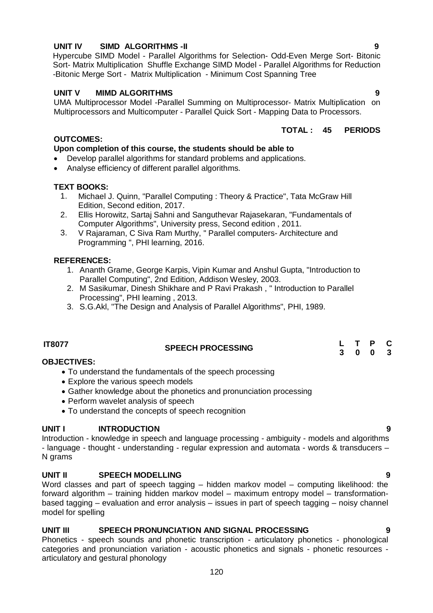# **TEXT BOOKS:**

Analyse efficiency of different parallel algorithms.

1. Michael J. Quinn, "Parallel Computing : Theory & Practice", Tata McGraw Hill Edition, Second edition, 2017.

**Upon completion of this course, the students should be able to** Develop parallel algorithms for standard problems and applications.

- 2. Ellis Horowitz, Sartaj Sahni and Sanguthevar Rajasekaran, "Fundamentals of Computer Algorithms", University press, Second edition , 2011.
- 3. V Rajaraman, C Siva Ram Murthy, " Parallel computers- Architecture and Programming ", PHI learning, 2016.

### **REFERENCES:**

**OUTCOMES:**

- 1. Ananth Grame, George Karpis, Vipin Kumar and Anshul Gupta, "Introduction to Parallel Computing", 2nd Edition, Addison Wesley, 2003.
- 2. M Sasikumar, Dinesh Shikhare and P Ravi Prakash , " Introduction to Parallel Processing", PHI learning , 2013.
- 3. S.G.Akl, "The Design and Analysis of Parallel Algorithms", PHI, 1989.

# **IT8077 SPEECH PROCESSING <sup>L</sup> <sup>T</sup> <sup>P</sup> <sup>C</sup>**

#### **OBJECTIVES:**

- To understand the fundamentals of the speech processing
- Explore the various speech models
- Gather knowledge about the phonetics and pronunciation processing
- Perform wavelet analysis of speech
- To understand the concepts of speech recognition

#### **UNIT I INTRODUCTION 9**

Introduction - knowledge in speech and language processing - ambiguity - models and algorithms - language - thought - understanding - regular expression and automata - words & transducers – N grams

### **UNIT II SPEECH MODELLING 9**

Word classes and part of speech tagging – hidden markov model – computing likelihood: the forward algorithm – training hidden markov model – maximum entropy model – transformationbased tagging – evaluation and error analysis – issues in part of speech tagging – noisy channel model for spelling

## **UNIT III SPEECH PRONUNCIATION AND SIGNAL PROCESSING 9**

Phonetics - speech sounds and phonetic transcription - articulatory phonetics - phonological categories and pronunciation variation - acoustic phonetics and signals - phonetic resources articulatory and gestural phonology

#### **UNIT IV SIMD ALGORITHMS -II 9**

Hypercube SIMD Model - Parallel Algorithms for Selection- Odd-Even Merge Sort- Bitonic Sort- Matrix Multiplication Shuffle Exchange SIMD Model - Parallel Algorithms for Reduction -Bitonic Merge Sort - Matrix Multiplication - Minimum Cost Spanning Tree

#### **UNIT V MIMD ALGORITHMS 9**

UMA Multiprocessor Model -Parallel Summing on Multiprocessor- Matrix Multiplication on Multiprocessors and Multicomputer - Parallel Quick Sort - Mapping Data to Processors.

#### **TOTAL : 45 PERIODS**

**3 0 0 3**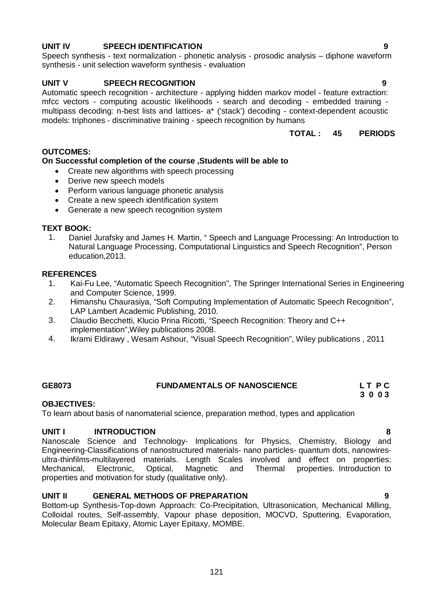## **UNIT IV SPEECH IDENTIFICATION 9**

Speech synthesis - text normalization - phonetic analysis - prosodic analysis – diphone waveform synthesis - unit selection waveform synthesis - evaluation

#### **UNIT V SPEECH RECOGNITION 9**

Automatic speech recognition - architecture - applying hidden markov model - feature extraction: mfcc vectors - computing acoustic likelihoods - search and decoding - embedded training multipass decoding: n-best lists and lattices- a\* ('stack') decoding - context-dependent acoustic models: triphones - discriminative training - speech recognition by humans

# **TOTAL : 45 PERIODS**

#### **OUTCOMES:**

#### **On Successful completion of the course ,Students will be able to**

- Create new algorithms with speech processing
- Derive new speech models
- Perform various language phonetic analysis
- Create a new speech identification system
- Generate a new speech recognition system

#### **TEXT BOOK:**

1. Daniel Jurafsky and James H. Martin, " Speech and Language Processing: An Introduction to Natural Language Processing, Computational Linguistics and Speech Recognition", Person education,2013.

#### **REFERENCES**

- 1. Kai-Fu Lee, "Automatic Speech Recognition", The Springer International Series in Engineering and Computer Science, 1999.
- 2. Himanshu Chaurasiya, "Soft Computing Implementation of Automatic Speech Recognition", LAP Lambert Academic Publishing, 2010.
- 3. Claudio Becchetti, Klucio Prina Ricotti, "Speech Recognition: Theory and C++ implementation",Wiley publications 2008.
- 4. Ikrami Eldirawy , Wesam Ashour, "Visual Speech Recognition", Wiley publications , 2011

#### **GE8073 FUNDAMENTALS OF NANOSCIENCE L T P C 3 0 0 3**

# **OBJECTIVES:**

To learn about basis of nanomaterial science, preparation method, types and application

#### **UNIT I INTRODUCTION 8**

Nanoscale Science and Technology- Implications for Physics, Chemistry, Biology and Engineering-Classifications of nanostructured materials- nano particles- quantum dots, nanowiresultra-thinfilms-multilayered materials. Length Scales involved and effect on properties: Mechanical, Electronic, Optical, Magnetic and Thermal properties. Introduction to properties and motivation for study (qualitative only).

#### **UNIT II GENERAL METHODS OF PREPARATION 9**

Bottom-up Synthesis-Top-down Approach: Co-Precipitation, Ultrasonication, Mechanical Milling, Colloidal routes, Self-assembly, Vapour phase deposition, MOCVD, Sputtering, Evaporation, Molecular Beam Epitaxy, Atomic Layer Epitaxy, MOMBE.